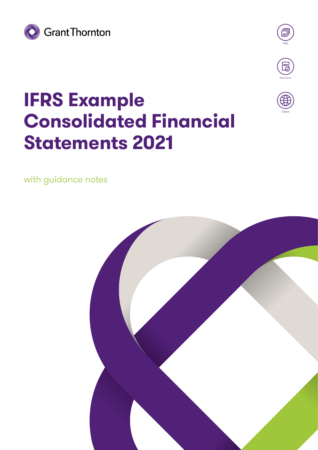



Globa

## **IFRS Example Consolidated Financial Statements 2021**

with guidance notes

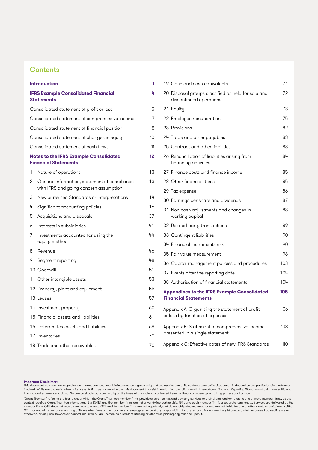### **Contents**

|   | <b>Introduction</b>                                                                    | 1  |
|---|----------------------------------------------------------------------------------------|----|
|   | <b>IFRS Example Consolidated Financial</b><br><b>Statements</b>                        | 4  |
|   | Consolidated statement of profit or loss                                               | 5  |
|   | Consolidated statement of comprehensive income                                         | 7  |
|   | Consolidated statement of financial position                                           | 8  |
|   | Consolidated statement of changes in equity                                            | 10 |
|   | Consolidated statement of cash flows                                                   | 11 |
|   | Notes to the IFRS Example Consolidated<br><b>Financial Statements</b>                  | 12 |
| 1 | Nature of operations                                                                   | 13 |
| 2 | General information, statement of compliance<br>with IFRS and going concern assumption | 13 |
| 3 | New or revised Standards or Interpretations                                            | 14 |
| 4 | Significant accounting policies                                                        | 16 |
| 5 | Acquisitions and disposals                                                             | 37 |
| 6 | Interests in subsidiaries                                                              | 41 |
| 7 | Investments accounted for using the<br>equity method                                   | 44 |
| 8 | Revenue                                                                                | 46 |
| 9 | Segment reporting                                                                      | 48 |
|   | 10 Goodwill                                                                            | 51 |
|   | 11 Other intangible assets                                                             | 53 |
|   | 12 Property, plant and equipment                                                       | 55 |
|   | 13 Leases                                                                              | 57 |
|   | 14 Investment property                                                                 | 60 |
|   | 15 Financial assets and liabilities                                                    | 61 |
|   | 16 Deferred tax assets and liabilities                                                 | 68 |
|   | 17 Inventories                                                                         | 70 |
|   | 18 Trade and other receivables                                                         | 70 |

|  | 19 Cash and cash equivalents                                                      | 71  |
|--|-----------------------------------------------------------------------------------|-----|
|  | 20 Disposal groups classified as held for sale and<br>discontinued operations     | 72  |
|  | 21 Equity                                                                         | 73  |
|  | 22 Employee remuneration                                                          | 75  |
|  | 23 Provisions                                                                     | 82  |
|  | 24 Trade and other payables                                                       | 83  |
|  | 25 Contract and other liabilities                                                 | 83  |
|  | 26 Reconciliation of liabilities arising from<br>financing activities             | 84  |
|  | 27 Finance costs and finance income                                               | 85  |
|  | 28 Other financial items                                                          | 85  |
|  | 29 Tax expense                                                                    | 86  |
|  | 30 Earnings per share and dividends                                               | 87  |
|  | 31 Non-cash adjustments and changes in<br>working capital                         | 88  |
|  | 32 Related party transactions                                                     | 89  |
|  | 33 Contingent liabilities                                                         | 90  |
|  | 34 Financial instruments risk                                                     | 90  |
|  | 35 Fair value measurement                                                         | 98  |
|  | 36 Capital management policies and procedures                                     | 103 |
|  | 37 Events after the reporting date                                                | 104 |
|  | 38 Authorisation of financial statements                                          | 104 |
|  | <b>Appendices to the IFRS Example Consolidated</b><br><b>Financial Statements</b> | 105 |
|  | Appendix A: Organising the statement of profit<br>or loss by function of expenses | 106 |
|  | Appendix B: Statement of comprehensive income<br>presented in a single statement  | 108 |
|  | Appendix C: Effective dates of new IFRS Standards                                 | 110 |
|  |                                                                                   |     |

#### **Important Disclaimer:**

This document has been developed as an information resource. It is intended as a guide only and the application of its contents to specific situations will depend on the particular circumstances involved. While every care is taken in its presentation, personnel who use this document to assist in evaluating compliance with International Financial Reporting Standards should have sufficient<br>training and experience to

'Grant Thornton' refers to the brand under which the Grant Thornton member firms provide assurance, tax and advisory services to their clients and/or refers to one or more member firms, as the context requires. Grant Thorn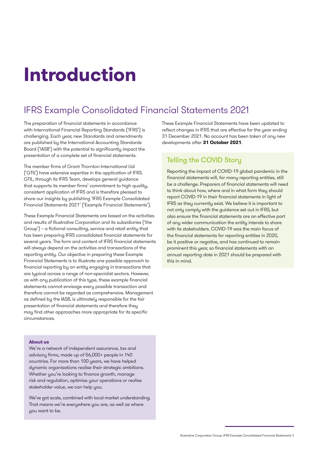## **Introduction**

## IFRS Example Consolidated Financial Statements 2021

The preparation of financial statements in accordance with International Financial Reporting Standards ('IFRS') is challenging. Each year, new Standards and amendments are published by the International Accounting Standards Board ('IASB') with the potential to significantly impact the presentation of a complete set of financial statements.

The member firms of Grant Thornton International Ltd ('GTIL') have extensive expertise in the application of IFRS. GTIL, through its IFRS Team, develops general guidance that supports its member firms' commitment to high quality, consistent application of IFRS and is therefore pleased to share our insights by publishing 'IFRS Example Consolidated Financial Statements 2021' ('Example Financial Statements').

These Example Financial Statements are based on the activities and results of Illustrative Corporation and its subsidiaries ('the Group') – a fictional consulting, service and retail entity that has been preparing IFRS consolidated financial statements for several years. The form and content of IFRS financial statements will always depend on the activities and transactions of the reporting entity. Our objective in preparing these Example Financial Statements is to illustrate one possible approach to financial reporting by an entity engaging in transactions that are typical across a range of non-specialist sectors. However, as with any publication of this type, these example financial statements cannot envisage every possible transaction and therefore cannot be regarded as comprehensive. Management as defined by the IASB, is ultimately responsible for the fair presentation of financial statements and therefore they may find other approaches more appropriate for its specific circumstances.

#### **About us**

We're a network of independent assurance, tax and advisory firms, made up of 56,000+ people in 140 countries. For more than 100 years, we have helped dynamic organisations realise their strategic ambitions. Whether you're looking to finance growth, manage risk and regulation, optimise your operations or realise stakeholder value, we can help you.

We've got scale, combined with local market understanding. That means we're everywhere you are, as well as where you want to be.

These Example Financial Statements have been updated to reflect changes in IFRS that are effective for the year ending 31 December 2021. No account has been taken of any new developments after **31 October 2021**.

### Telling the COVID Story

Reporting the impact of COVID-19 global pandemic in the financial statements will, for many reporting entities, still be a challenge. Preparers of financial statements will need to think about how, where and in what form they should report COVID-19 in their financial statements in light of IFRS as they currently exist. We believe it is important to not only comply with the guidance set out in IFRS, but also ensure the financial statements are an effective part of any wider communication the entity intends to share with its stakeholders. COVID-19 was the main focus of the financial statements for reporting entities in 2020, be it positive or negative, and has continued to remain prominent this year, so financial statements with an annual reporting date in 2021 should be prepared with this in mind.

Illustrative Corporation Group: IFRS Example Consolidated Financial Statements 1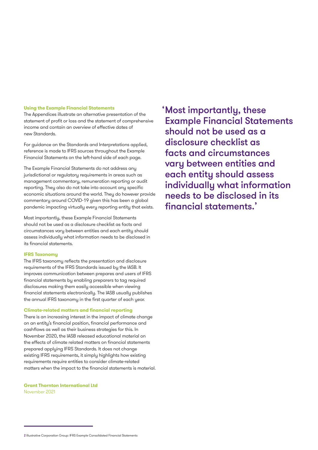#### **Using the Example Financial Statements**

The Appendices illustrate an alternative presentation of the statement of profit or loss and the statement of comprehensive income and contain an overview of effective dates of new Standards.

For guidance on the Standards and Interpretations applied, reference is made to IFRS sources throughout the Example Financial Statements on the left-hand side of each page.

The Example Financial Statements do not address any jurisdictional or regulatory requirements in areas such as management commentary, remuneration reporting or audit reporting. They also do not take into account any specific economic situations around the world. They do however provide commentary around COVID-19 given this has been a global pandemic impacting virtually every reporting entity that exists.

Most importantly, these Example Financial Statements should not be used as a disclosure checklist as facts and circumstances vary between entities and each entity should assess individually what information needs to be disclosed in its financial statements.

#### **IFRS Taxonomy**

The IFRS taxonomy reflects the presentation and disclosure requirements of the IFRS Standards issued by the IASB. It improves communication between prepares and users of IFRS financial statements by enabling preparers to tag required disclosures making them easily accessible when viewing financial statements electronically. The IASB usually publishes the annual IFRS taxonomy in the first quarter of each year.

#### **Climate-related matters and financial reporting**

There is an increasing interest in the impact of climate change on an entity's financial position, financial performance and cashflows as well as their business strategies for this. In November 2020, the IASB released educational material on the effects of climate related matters on financial statements prepared applying IFRS Standards. It does not change existing IFRS requirements, it simply highlights how existing requirements require entities to consider climate-related matters when the impact to the financial statements is material.

**Grant Thornton International Ltd** November 2021

Most importantly, these 'Example Financial Statements should not be used as a disclosure checklist as facts and circumstances vary between entities and each entity should assess individually what information needs to be disclosed in its financial statements.'

<sup>2</sup> Illustrative Corporation Group: IFRS Example Consolidated Financial Statements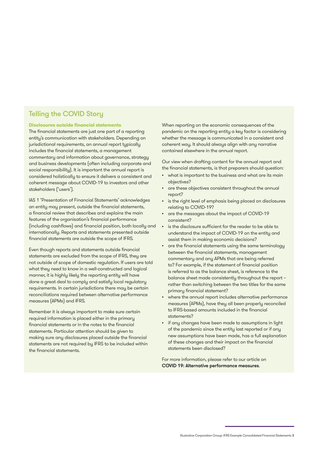## Telling the COVID Story

#### **Disclosures outside financial statements**

The financial statements are just one part of a reporting entity's communication with stakeholders. Depending on jurisdictional requirements, an annual report typically includes the financial statements, a management commentary and information about governance, strategy and business developments (often including corporate and social responsibility). It is important the annual report is considered holistically to ensure it delivers a consistent and coherent message about COVID-19 to investors and other stakeholders ('users').

IAS 1 'Presentation of Financial Statements' acknowledges an entity may present, outside the financial statements, a financial review that describes and explains the main features of the organisation's financial performance (including cashflows) and financial position, both locally and internationally. Reports and statements presented outside financial statements are outside the scope of IFRS.

Even though reports and statements outside financial statements are excluded from the scope of IFRS, they are not outside of scope of domestic regulation. If users are told what they need to know in a well-constructed and logical manner, it is highly likely the reporting entity will have done a great deal to comply and satisfy local regulatory requirements. In certain jurisdictions there may be certain reconciliations required between alternative performance measures (APMs) and IFRS.

Remember it is always important to make sure certain required information is placed either in the primary financial statements or in the notes to the financial statements. Particular attention should be given to making sure any disclosures placed outside the financial statements are not required by IFRS to be included within the financial statements.

When reporting on the economic consequences of the pandemic on the reporting entity a key factor is considering whether the message is communicated in a consistent and coherent way. It should always align with any narrative contained elsewhere in the annual report.

Our view when drafting content for the annual report and the financial statements, is that preparers should question:

- what is important to the business and what are its main objectives?
- are these objectives consistent throughout the annual report?
- is the right level of emphasis being placed on disclosures relating to COVID-19?
- are the messages about the impact of COVID-19 consistent?
- is the disclosure sufficient for the reader to be able to understand the impact of COVID-19 on the entity and assist them in making economic decisions?
- are the financial statements using the same terminology between the financial statements, management commentary and any APMs that are being referred to? For example, if the statement of financial position is referred to as the balance sheet, is reference to the balance sheet made consistently throughout the report – rather than switching between the two titles for the same primary financial statement?
- where the annual report includes alternative performance measures (APMs), have they all been properly reconciled to IFRS-based amounts included in the financial statements?
- if any changes have been made to assumptions in light of the pandemic since the entity last reported or if any new assumptions have been made, has a full explanation of these changes and their impact on the financial statements been disclosed?

For more information, please refer to our article on COVID 19: A[lternative performance measures](https://www.grantthornton.global/en/insights/supporting-you-to-navigate-the-impact-of-covid-19/ifrs---alternative-performance-measures/?hubId=1552909).

Illustrative Corporation Group: IFRS Example Consolidated Financial Statements 3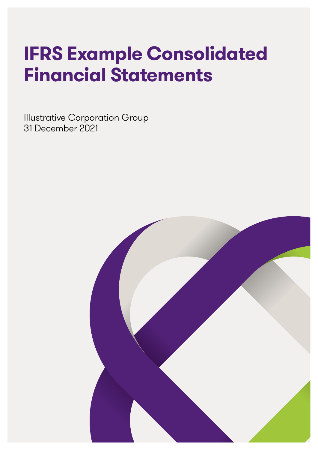## **IFRS Example Consolidated Financial Statements**

Illustrative Corporation Group 31 December 2021

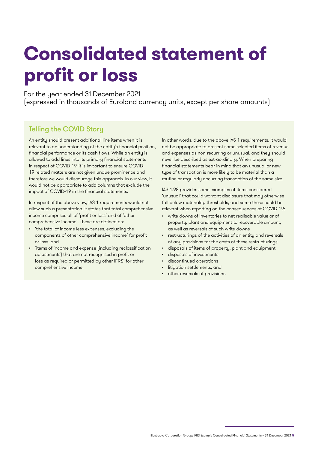## **Consolidated statement of profit or loss**

For the year ended 31 December 2021 (expressed in thousands of Euroland currency units, except per share amounts)

## Telling the COVID Story

An entity should present additional line items when it is relevant to an understanding of the entity's financial position, financial performance or its cash flows. While an entity is allowed to add lines into its primary financial statements in respect of COVID-19, it is important to ensure COVID-19 related matters are not given undue prominence and therefore we would discourage this approach. In our view, it would not be appropriate to add columns that exclude the impact of COVID-19 in the financial statements.

In respect of the above view, IAS 1 requirements would not allow such a presentation. It states that total comprehensive income comprises all of 'profit or loss' and of 'other comprehensive income'. These are defined as:

- 'the total of income less expenses, excluding the components of other comprehensive income' for profit or loss, and
- 'items of income and expense (including reclassification adjustments) that are not recognised in profit or loss as required or permitted by other IFRS' for other comprehensive income.

In other words, due to the above IAS 1 requirements, it would not be appropriate to present some selected items of revenue and expenses as non-recurring or unusual, and they should never be described as extraordinary. When preparing financial statements bear in mind that an unusual or new type of transaction is more likely to be material than a routine or regularly occurring transaction of the same size.

IAS 1.98 provides some examples of items considered 'unusual' that could warrant disclosure that may otherwise fall below materiality thresholds, and some these could be relevant when reporting on the consequences of COVID-19:

- write-downs of inventories to net realisable value or of property, plant and equipment to recoverable amount, as well as reversals of such write-downs
- restructurings of the activities of an entity and reversals of any provisions for the costs of these restructurings
- disposals of items of property, plant and equipment
- disposals of investments
- discontinued operations
- litigation settlements, and
- other reversals of provisions.

Illustrative Corporation Group: IFRS Example Consolidated Financial Statements – 31 December 2021 5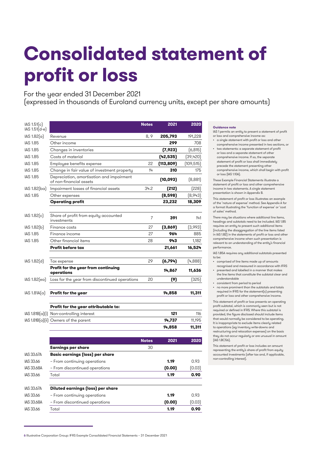## **Consolidated statement of profit or loss**

For the year ended 31 December 2021

(expressed in thousands of Euroland currency units, except per share amounts)

| IAS 1.51(c)<br>$IAS 1.51(d-e)$ |                                                                      | <b>Notes</b> | 2021      | 2020      |
|--------------------------------|----------------------------------------------------------------------|--------------|-----------|-----------|
| IAS 1.82(a)                    | Revenue                                                              | 8, 9         | 205,793   | 191,228   |
| <b>IAS 1.85</b>                | Other income                                                         |              | 299       | 708       |
| <b>IAS 1.85</b>                | Changes in inventories                                               |              | (7, 923)  | (6, 815)  |
| <b>IAS 1.85</b>                | Costs of material                                                    |              | (42,535)  | (39, 420) |
| <b>IAS 1.85</b>                | Employee benefits expense                                            | 22           | (113,809) | (109,515) |
| <b>IAS 1.85</b>                | Change in fair value of investment property                          | 14           | 310       | 175       |
| <b>IAS 1.85</b>                | Depreciation, amortisation and impairment<br>of non-financial assets |              | (10, 093) | (8,881)   |
| IAS 1.82(ba)                   | Impairment losses of financial assets                                | 34.2         | (212)     | [228]     |
| <b>IAS 1.85</b>                | Other expenses                                                       |              | (8,598)   | [8,943]   |
|                                | <b>Operating profit</b>                                              |              | 23,232    | 18,309    |
| IAS 1.82[c]                    | Share of profit from equity accounted<br>investments                 | 7            | 391       | 141       |
| IAS 1.82[b]                    | Finance costs                                                        | 27           | (3,869)   | [3,993]   |
| <b>IAS 1.85</b>                | Finance income                                                       | 27           | 964       | 885       |
| <b>IAS 1.85</b>                | Other financial items                                                | 28           | 943       | 1,182     |
|                                | <b>Profit before tax</b>                                             |              | 21,661    | 16,524    |
| IAS 1.82(d)                    | Tax expense                                                          | 29           | (6,794)   | (4,888)   |
|                                | Profit for the year from continuing<br>operations                    |              | 14,867    | 11,636    |
| IAS 1.82[ea]                   | Loss for the year from discontinued operations                       | 20           | (9)       | (325)     |
| IAS 1.81A(a)                   | Profit for the year                                                  |              | 14,858    | 11,311    |
|                                | Profit for the year attributable to:                                 |              |           |           |
|                                | IAS 1.81B(a)(i) Non-controlling interest                             |              | 121       | 116       |
|                                | $IAS 1.81B(a)[ii]$ Owners of the parent                              |              | 14,737    | 11,195    |
|                                |                                                                      |              | 14,858    | 11,311    |
|                                |                                                                      | <b>Notes</b> | 2021      | 2020      |
|                                | Earnings per share                                                   | 30           |           |           |
| <b>IAS 33.67A</b>              | <b>Basic earnings (loss) per share</b>                               |              |           |           |
| IAS 33.66                      | - From continuing operations                                         |              | 1.19      | 0.93      |
| <b>IAS 33.68A</b>              | - From discontinued operations                                       |              | (0.00)    | (0.03)    |
| IAS 33.66                      | Total                                                                |              | 1.19      | 0.90      |
| IAS 33.67A                     | <b>Diluted earnings (loss) per share</b>                             |              |           |           |
| IAS 33.66                      | - From continuing operations                                         |              | 1.19      | 0.93      |
| <b>IAS 33.68A</b>              | - From discontinued operations                                       |              | (0.00)    | (0.03)    |
| IAS 33.66                      | Total                                                                |              | 1.19      | 0.90      |

#### **Guidance note**

- IAS 1 permits an entity to present a statement of profit or loss and comprehensive income as:
- a single statement with profit or loss and other comprehensive income presented in two sections, or • two statements: a separate statement of profit
- or loss and a separate statement of other comprehensive income. If so, the separate statement of profit or loss shall immediately precede the statement presenting other comprehensive income, which shall begin with profit or loss (IAS 1.10A).

These Example Financial Statements illustrate a statement of profit or loss and other comprehensive income in two statements. A single statement presentation is shown in Appendix B.

This statement of profit or loss illustrates an example of the 'nature of expense' method. See Appendix A for a format illustrating the 'function of expense' or 'cost of sales' method.

There may be situations where additional line items, headings and subtotals need to be included. IAS 1.85 requires an entity to present such additional items (including the disaggregation of the line items listed in IAS 1.82) in the statements of profit or loss and other comprehensive income when such presentation is relevant to an understanding of the entity's financial performance.

IAS 1.85A requires any additional subtotals presented to be:

• comprised of line items made up of amounts recognised and measured in accordance with IFRS

- presented and labelled in a manner that makes the line items that constitute the subtotal clear and understandable
- consistent from period to period
- no more prominent than the subtotals and totals required in IFRS for the statement(s) presenting profit or loss and other comprehensive income.

This statement of profit or loss presents an operating profit subtotal, which is commonly seen but is not required or defined in IFRS. Where this subtotal is provided, the figure disclosed should include items that would normally be considered to be operating. It is inappropriate to exclude items clearly related to operations (eg inventory write-downs and restructuring and relocation expenses) on the basis they do not occur regularly or are unusual in amount (IAS 1.BC56).

This statement of profit or loss includes an amount representing the entity's share of profit from equity accounted investments (after tax and, if applicable, non-controlling interest).

<sup>6</sup> Illustrative Corporation Group: IFRS Example Consolidated Financial Statements – 31 December 2021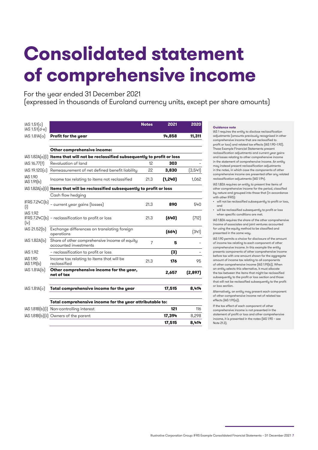## **Consolidated statement of comprehensive income**

For the year ended 31 December 2021

(expressed in thousands of Euroland currency units, except per share amounts)

| IAS 1.51[c]<br>$IAS 1.51(d-e)$ |                                                                                      | <b>Notes</b>   | 2021     | 2020     |
|--------------------------------|--------------------------------------------------------------------------------------|----------------|----------|----------|
| IAS 1.81A(a)                   | Profit for the year                                                                  |                | 14,858   | 11,311   |
|                                |                                                                                      |                |          |          |
|                                | Other comprehensive income:                                                          |                |          |          |
|                                | $ AS 1.82A[a][i]$ Items that will not be reclassified subsequently to profit or loss |                |          |          |
| IAS 16.77(f)                   | Revaluation of land                                                                  | 12             | 303      |          |
| IAS 19.120(c)                  | Remeasurement of net defined benefit liability                                       | 22             | 3,830    | (3,541)  |
| <b>IAS 1.90</b><br>IAS 1.91(b) | Income tax relating to items not reclassified                                        | 21.3           | (1, 240) | 1,062    |
|                                | $ AS 1.82A[\alpha] $ thems that will be reclassified subsequently to profit or loss  |                |          |          |
|                                | Cash flow hedging                                                                    |                |          |          |
| IFRS 7.24C(b)<br>(i)           | - current year gains (losses)                                                        | 21.3           | 890      | 540      |
| <b>IAS 1.92</b><br>(iv)        | IFRS 7.24C(b) - reclassification to profit or loss                                   | 21.3           | (640)    | (712)    |
| IAS 21.52[b]                   | Exchange differences on translating foreign<br>operations                            |                | (664)    | (341)    |
| IAS 1.82A(b)                   | Share of other comprehensive income of equity<br>accounted investments               | $\overline{7}$ | 5        |          |
| <b>IAS 1.92</b>                | - reclassification to profit or loss                                                 |                | (3)      |          |
| <b>IAS 1.90</b><br>IAS 1.91(b) | Income tax relating to items that will be<br>reclassified                            | 21.3           | 176      | 95       |
| IAS 1.81A(b)                   | Other comprehensive income for the year,<br>net of tax                               |                | 2,657    | (2, 897) |
| IAS 1.81A(c)                   | Total comprehensive income for the year                                              |                | 17,515   | 8,414    |
|                                |                                                                                      |                |          |          |
|                                | Total comprehensive income for the year attributable to:                             |                |          |          |
|                                | IAS 1.81B(b)(i) Non-controlling interest                                             |                | 121      | 116      |
|                                | IAS 1.81B(b)(ii) Owners of the parent                                                |                | 17,394   | 8,298    |
|                                |                                                                                      |                | 17,515   | 8,414    |

#### **Guidance note**

IAS 1 requires the entity to disclose reclassification adjustments (amounts previously recognised in other comprehensive income that are reclassified to profit or loss) and related tax effects (IAS 1.90–1.92). These Example Financial Statements present reclassification adjustments and current year gains and losses relating to other comprehensive income in the statement of comprehensive income. An entity may instead present reclassification adjustments in the notes, in which case the components of other comprehensive income are presented after any related reclassification adjustments (IAS 1.94).

IAS 1.82A requires an entity to present line items of other comprehensive income for the period, classified by nature and grouped into those that (in accordance with other IFRS):

- will not be reclassified subsequently to profit or loss, and
- will be reclassified subsequently to profit or loss when specific conditions are met.

IAS 1.82A requires the share of the other comprehensive income of associates and joint ventures accounted for using the equity method to be classified and presented in the same way.

IAS 1.90 permits a choice for disclosure of the amount of income tax relating to each component of other comprehensive income. In this example the entity presents components of other comprehensive income before tax with one amount shown for the aggregate amount of income tax relating to all components of other comprehensive income (IAS 1.91(b)). When an entity selects this alternative, it must allocate the tax between the items that might be reclassified subsequently to the profit or loss section and those that will not be reclassified subsequently to the profit or loss section.

Alternatively, an entity may present each component of other comprehensive income net of related tax effects (IAS 1.91(a)).

If the tax effect of each component of other comprehensive income is not presented in the statement of profit or loss and other comprehensive income, it is presented in the notes (IAS 1.90 – see Note 21.3).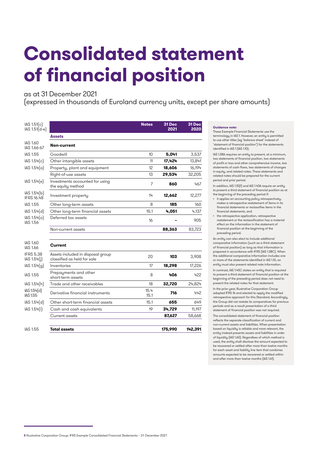## **Consolidated statement of financial position**

### as at 31 December 2021

(expressed in thousands of Euroland currency units, except per share amounts)

| IAS 1.51(c)<br>$IAS 1.51(d-e)$           |                                                                  | <b>Notes</b> | 31 Dec<br>2021 | 31 Dec<br>2020 |
|------------------------------------------|------------------------------------------------------------------|--------------|----------------|----------------|
|                                          | <b>Assets</b>                                                    |              |                |                |
| <b>IAS 1.60</b><br>IAS 1.66-67           | Non-current                                                      |              |                |                |
| IAS 1.55                                 | Goodwill                                                         | 10           | 5,041          | 3,537          |
| IAS 1.54(c)                              | Other intangible assets                                          | 11           | 17,424         | 13,841         |
| IAS 1.54(a)                              | Property, plant and equipment                                    | 12           | 18,606         | 16,194         |
|                                          | Right-of-use assets                                              | 13           | 29,534         | 32,205         |
| IAS 1.54(e)                              | Investments accounted for using<br>the equity method             | 7            | 860            | 467            |
| IAS 1.54(b)<br><b>IFRS 16.48</b>         | Investment property                                              | 14           | 12,662         | 12,277         |
| IAS 1.55                                 | Other long-term assets                                           | 8            | 185            | 160            |
| IAS 1.54(d)                              | Other long-term financial assets                                 | 15.1         | 4,051          | 4,137          |
| IAS 1.54 <sub>o</sub><br><b>IAS 1.56</b> | Deferred tax assets                                              | 16           |                | 905            |
|                                          | Non-current assets                                               |              | 88,363         | 83,723         |
| <b>IAS 1.60</b><br>IAS 1.66              | Current                                                          |              |                |                |
| <b>IFRS 5.38</b><br>IAS 1.54(i)          | Assets included in disposal group<br>classified as held for sale | 20           | 103            | 3,908          |
| IAS 1.54 <sub>[q]</sub>                  | Inventories                                                      | 17           | 18,298         | 17,226         |
| IAS 1.55                                 | Prepayments and other<br>short-term assets                       | 8            | 406            | 422            |
| IAS 1.54(h)                              | Trade and other receivables                                      | 18           | 32,720         | 24,824         |
| IAS 1.54(d)<br>IAS 1.55                  | Derivative financial instruments                                 | 15.4<br>15.1 | 716            | 442            |
| IAS 1.54(d)                              | Other short-term financial assets                                | 15.1         | 655            | 649            |
| IAS 1.54(i)                              | Cash and cash equivalents                                        | 19           | 34,729         | 11,197         |
|                                          | Current assets                                                   |              | 87,627         | 58,668         |
| <b>IAS 1.55</b>                          | <b>Total assets</b>                                              |              | 175,990        | 142,391        |

#### **Guidance note:**

These Example Financial Statements use the terminology in IAS 1. However, an entity is permitted to use other titles (eg 'balance sheet' instead of 'statement of financial position') for the statements identified in IAS 1 (IAS 1.10).

IAS 1.38A requires an entity to present, at a minimum, two statements of financial position, two statements of profit or loss and other comprehensive income, two statements of cash flows, two statements of changes in equity, and related notes. These statements and related notes should be prepared for the current period and prior period.

In addition, IAS 1.10(f) and IAS 1.40A require an entity to present a third statement of financial position as at the beginning of the preceding period if:

- it applies an accounting policy retrospectively, makes a retrospective restatement of items in its financial statements or reclassifies items in the financial statements, and
- the retrospective application, retrospective restatement or the reclassification has a material effect on the information in the statement of financial position at the beginning of the preceding period.

An entity can also elect to include additional comparative information (such as a third statement of financial position) as long as that information is prepared in accordance with IFRS (IAS 1.38C). When the additional comparative information includes one or more of the statements identified in IAS 1.10, an entity must also present related note information.

In contrast, IAS 1.40C states an entity that is required to present a third statement of financial position at the beginning of the preceding period does not need to present the related notes for that statement.

In the prior year, Illustrative Corporation Group adopted IFRS 16 and elected to apply the modified retrospective approach for this Standard. Accordingly, the Group did not restate its comparatives for previous periods and as a result presentation of a third statement of financial position was not required.

The consolidated statement of financial position reflects the separate classification of current and non-current assets and liabilities. When presentation based on liquidity is reliable and more relevant, the entity instead presents assets and liabilities in order of liquidity (IAS 1.60). Regardless of which method is used, the entity shall disclose the amount expected to be recovered or settled after more than twelve months for each asset and liability line item that combines amounts expected to be recovered or settled within and after more than twelve months (IAS 1.61).

<sup>8</sup> Illustrative Corporation Group: IFRS Example Consolidated Financial Statements – 31 December 2021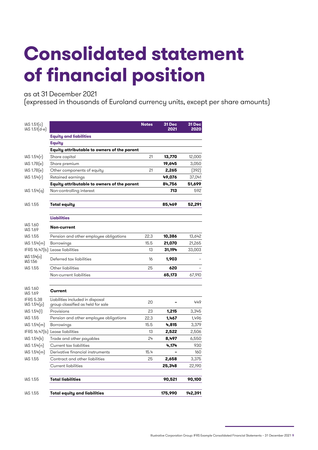## **Consolidated statement of financial position**

as at 31 December 2021

(expressed in thousands of Euroland currency units, except per share amounts)

| IAS 1.51[c]<br>IAS 1.51 (d-e)            |                                                                       | <b>Notes</b> | 31 Dec<br>2021 | 31 Dec<br>2020 |
|------------------------------------------|-----------------------------------------------------------------------|--------------|----------------|----------------|
|                                          | <b>Equity and liabilities</b>                                         |              |                |                |
|                                          | <b>Equity</b>                                                         |              |                |                |
|                                          | Equity attributable to owners of the parent                           |              |                |                |
| IAS 1.54(r)                              | Share capital                                                         | 21           | 13,770         | 12,000         |
| IAS 1.78(e)                              | Share premium                                                         |              | 19,645         | 3,050          |
| IAS 1.78(e)                              | Other components of equity                                            | 21           | 2,265          | (392)          |
| IAS 1.54(r)                              | Retained earnings                                                     |              | 49,076         | 37,041         |
|                                          | Equity attributable to owners of the parent                           |              | 84,756         | 51,699         |
| IAS 1.54(q)                              | Non-controlling interest                                              |              | 713            | 592            |
|                                          |                                                                       |              |                |                |
| IAS 1.55                                 | <b>Total equity</b>                                                   |              | 85,469         | 52,291         |
|                                          |                                                                       |              |                |                |
|                                          | <b>Liabilities</b>                                                    |              |                |                |
| <b>IAS 1.60</b><br>IAS 1.69              | Non-current                                                           |              |                |                |
| IAS 1.55                                 | Pension and other employee obligations                                | 22.3         | 10,386         | 13,642         |
| IAS 1.54(m)                              | Borrowings                                                            | 15.5         | 21,070         | 21,265         |
|                                          | IFRS 16.47(b) Lease liabilities                                       | 13           | 31,194         | 33,003         |
| IAS 1.54 <sub>o</sub><br><b>IAS 1.56</b> | Deferred tax liabilities                                              | 16           | 1,903          |                |
| <b>IAS 1.55</b>                          | Other liabilities                                                     | 25           | 620            |                |
|                                          | Non-current liabilities                                               |              | 65,173         | 67,910         |
|                                          |                                                                       |              |                |                |
| <b>IAS 1.60</b><br>IAS 1.69              | Current                                                               |              |                |                |
| <b>IFRS 5.38</b><br>IAS 1.54(p)          | Liabilities included in disposal<br>group classified as held for sale | 20           |                | 449            |
| IAS 1.54(1)                              | Provisions                                                            | 23           | 1,215          | 3,345          |
| <b>IAS 1.55</b>                          | Pension and other employee obligations                                | 22.3         | 1,467          | 1,496          |
| IAS 1.54(m)                              | Borrowings                                                            | 15.5         | 4,815          | 3,379          |
|                                          | IFRS 16.47(b) Lease liabilities                                       | 13           | 2,522          | 2,506          |
| IAS 1.54(k)                              | Trade and other payables                                              | 24           | 8,497          | 6,550          |
| IAS 1.54(n)                              | Current tax liabilities                                               |              | 4,174          | 930            |
| IAS 1.54(m)                              | Derivative financial instruments                                      | 15.4         |                | 160            |
| <b>IAS 1.55</b>                          | Contract and other liabilities                                        | 25           | 2,658          | 3,375          |
|                                          | Current liabilities                                                   |              | 25,348         | 22,190         |
| IAS 1.55                                 | <b>Total liabilities</b>                                              |              | 90,521         | 90,100         |
|                                          |                                                                       |              |                |                |
| IAS 1.55                                 | <b>Total equity and liabilities</b>                                   |              | 175,990        | 142,391        |

Illustrative Corporation Group: IFRS Example Consolidated Financial Statements – 31 December 2021 9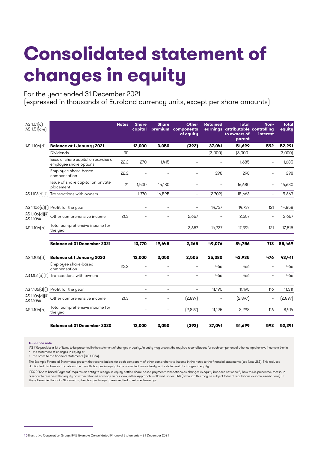# **Consolidated statement of changes in equity**

For the year ended 31 December 2021 (expressed in thousands of Euroland currency units, except per share amounts)

| IAS 1.51[c]<br>$IAS 1.51(d-e)$        |                                                                 | <b>Notes</b> | <b>Share</b><br>capital  | <b>Share</b>             | <b>Other</b><br>premium components<br>of equity | <b>Retained</b> | <b>Total</b><br>earnings attributable controlling<br>to owners of<br>parent | Non-<br>interest         | <b>Total</b><br>equity |
|---------------------------------------|-----------------------------------------------------------------|--------------|--------------------------|--------------------------|-------------------------------------------------|-----------------|-----------------------------------------------------------------------------|--------------------------|------------------------|
| IAS 1.106(d)                          | <b>Balance at 1 January 2021</b>                                |              | 12,000                   | 3,050                    | (392)                                           | 37,041          | 51,699                                                                      | 592                      | 52,291                 |
|                                       | <b>Dividends</b>                                                | 30           |                          |                          |                                                 | (3,000)         | (3,000)                                                                     | $\overline{\phantom{0}}$ | (3,000)                |
|                                       | Issue of share capital on exercise of<br>employee share options | 22.2         | 270                      | 1,415                    |                                                 | Ē,              | 1,685                                                                       |                          | 1,685                  |
|                                       | Employee share-based<br>compensation                            | 22.2         |                          |                          |                                                 | 298             | 298                                                                         |                          | 298                    |
|                                       | Issue of share capital on private<br>placement                  | 21           | 1,500                    | 15,180                   |                                                 | Ē,              | 16,680                                                                      |                          | 16,680                 |
|                                       | IAS 1.106(d)(iii) Transactions with owners                      |              | 1,770                    | 16,595                   | $\overline{\phantom{a}}$                        | [2,702]         | 15,663                                                                      | $\overline{\phantom{a}}$ | 15,663                 |
|                                       | IAS 1.106(d)(i) Profit for the year                             |              | $\sim$                   | L.                       | $\equiv$                                        | 14,737          | 14,737                                                                      | 121                      | 14,858                 |
| IAS 1.106(d)(ii)<br><b>IAS 1.106A</b> | Other comprehensive income                                      | 21.3         |                          |                          | 2,657                                           |                 | 2,657                                                                       |                          | 2,657                  |
| IAS 1.106(a)                          | Total comprehensive income for<br>the year                      |              |                          |                          | 2,657                                           | 14,737          | 17,394                                                                      | 121                      | 17,515                 |
|                                       | <b>Balance at 31 December 2021</b>                              |              | 13.770                   | 19.645                   | 2.265                                           | 49.076          | 84.756                                                                      | 713                      | 85,469                 |
| IAS 1.106[d]                          | <b>Balance at 1 January 2020</b>                                |              | 12,000                   | 3,050                    | 2,505                                           | 25,380          | 42,935                                                                      | 476                      | 43,411                 |
|                                       | Employee share-based<br>compensation                            | 22.2         | $\overline{\phantom{0}}$ |                          |                                                 | 466             | 466                                                                         |                          | 466                    |
|                                       | IAS 1.106(d)(iii) Transactions with owners                      |              | $\equiv$                 | $\equiv$                 | ÷.                                              | 466             | 466                                                                         | $\equiv$                 | 466                    |
| IAS 1.106(d)[i]                       | Profit for the year                                             |              | $\overline{\phantom{0}}$ | $\overline{\phantom{0}}$ | $\overline{\phantom{0}}$                        | 11.195          | 11,195                                                                      | 116                      | 11,311                 |
| IAS 1.106(d)(ii)<br><b>IAS 1.106A</b> | Other comprehensive income                                      | 21.3         |                          | ÷                        | [2,897]                                         | Ē,              | (2,897)                                                                     |                          | (2,897)                |
| IAS 1.106(a)                          | Total comprehensive income for<br>the year                      |              |                          |                          | [2,897]                                         | 11,195          | 8,298                                                                       | 116                      | 8,414                  |
|                                       | <b>Balance at 31 December 2020</b>                              |              | 12,000                   | 3,050                    | (392)                                           | 37,041          | 51,699                                                                      | 592                      | 52,291                 |

#### **Guidance note**

IAS 1.106 provides a list of items to be presented in the statement of changes in equity. An entity may present the required reconciliations for each component of other comprehensive income either in:

• the statement of changes in equity or • the notes to the financial statements (IAS 1.106A).

The Example Financial Statements present the reconciliations for each component of other comprehensive income in the notes to the financial statements (see Note 21.3). This reduces duplicated disclosures and allows the overall changes in equity to be presented more clearly in the statement of changes in equity.

IFRS 2 'Share-based Payment' requires an entity to recognise equity-settled share-based payment transactions as changes in equity but does not specify how this is presented, that is, in a separate reserve within equity or within retained earnings. In our view, either approach is allowed under IFRS (although this may be subject to local regulations in some jurisdictions). In these Example Financial Statements, the changes in equity are credited to retained earnings.

<sup>10</sup> Illustrative Corporation Group: IFRS Example Consolidated Financial Statements – 31 December 2021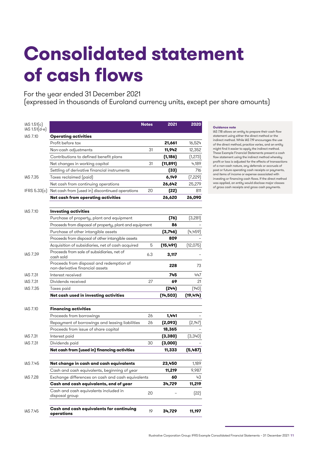## **Consolidated statement of cash flows**

For the year ended 31 December 2021

(expressed in thousands of Euroland currency units, except per share amounts)

| IAS 1.51(c)<br>$IAS 1.51(d-e)$ |                                                                             | <b>Notes</b> | 2021      | 2020      |
|--------------------------------|-----------------------------------------------------------------------------|--------------|-----------|-----------|
| IAS 7.10                       | <b>Operating activities</b>                                                 |              |           |           |
|                                | Profit before tax                                                           |              | 21,661    | 16,524    |
|                                | Non-cash adjustments                                                        | 31           | 11,942    | 12,352    |
|                                | Contributions to defined benefit plans                                      |              | (1,186)   | (1,273)   |
|                                | Net changes in working capital                                              | 31           | (11,891)  | 4,189     |
|                                | Settling of derivative financial instruments                                |              | (33)      | 716       |
| IAS 7.35                       | Taxes reclaimed (paid)                                                      |              | 6,149     | (7,229)   |
|                                | Net cash from continuing operations                                         |              | 26,642    | 25,279    |
|                                | IFRS 5.33(c) Net cash from (used in) discontinued operations                | 20           | (22)      | 811       |
|                                | Net cash from operating activities                                          |              | 26,620    | 26,090    |
| IAS 7.10                       | <b>Investing activities</b>                                                 |              |           |           |
|                                | Purchase of property, plant and equipment                                   |              | (76)      | (3,281)   |
|                                | Proceeds from disposal of property, plant and equipment                     |              | 86        |           |
|                                | Purchase of other intangible assets                                         |              | (3,746)   | (4,459)   |
|                                | Proceeds from disposal of other intangible assets                           |              | 809       |           |
|                                | Acquisition of subsidiaries, net of cash acquired                           | 5            | (15, 491) | (12,075)  |
| <b>IAS 7.39</b>                | Proceeds from sale of subsidiaries, net of<br>cash sold                     | 6.3          | 3,117     |           |
|                                | Proceeds from disposal and redemption of<br>non-derivative financial assets |              | 228       | 73        |
| IAS 7.31                       | Interest received                                                           |              | 745       | 447       |
| IAS 7.31                       | Dividends received                                                          | 27           | 69        | 21        |
| <b>IAS 7.35</b>                | Taxes paid                                                                  |              | (244)     | [140]     |
|                                | Net cash used in investing activities                                       |              | (14, 503) | (19, 414) |
| IAS 7.10                       | <b>Financing activities</b>                                                 |              |           |           |
|                                | Proceeds from borrowings                                                    | 26           | 1,441     |           |
|                                | Repayment of borrowings and leasing liabilities                             | 26           | (2,093)   | [2,147]   |
|                                | Proceeds from issue of share capital                                        |              | 18,365    |           |
| <b>IAS 7.31</b>                | Interest paid                                                               |              | (3,380)   | (3,340)   |
| IAS 7.31                       | Dividends paid                                                              | 30           | (3,000)   |           |
|                                | Net cash from (used in) financing activities                                |              | 11,333    | (5,487)   |
| IAS 7.45                       | Net change in cash and cash equivalents                                     |              | 23,450    | 1,189     |
|                                | Cash and cash equivalents, beginning of year                                |              | 11,219    | 9,987     |
| <b>IAS 7.28</b>                | Exchange differences on cash and cash equivalents                           |              | 60        | 43        |
|                                | Cash and cash equivalents, end of year                                      |              | 34,729    | 11,219    |
|                                | Cash and cash equivalents included in<br>disposal group                     | 20           |           | (22)      |
| IAS 7.45                       | Cash and cash equivalents for continuing<br>operations                      | 19           | 34,729    | 11,197    |

IAS 7.18 allows an entity to prepare their cash flow statement using either the direct method or the indirect method. While IAS 7.19 encourages the use of the direct method, practice varies, and an entity might find it easier to apply the indirect method. These Example Financial Statements present a cash flow statement using the indirect method whereby profit or loss is adjusted for the effects of transactions of a non-cash nature, any deferrals or accruals of past or future operating cash receipts or payments, and items of income or expense associated with investing or financing cash flows. If the direct method was applied, an entity would disclose major classes of gross cash receipts and gross cash payments.

**Guidance note**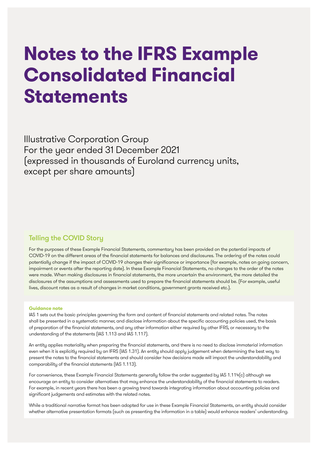## **Notes to the IFRS Example Consolidated Financial Statements**

Illustrative Corporation Group For the year ended 31 December 2021 (expressed in thousands of Euroland currency units, except per share amounts)

### Telling the COVID Story

For the purposes of these Example Financial Statements, commentary has been provided on the potential impacts of COVID-19 on the different areas of the financial statements for balances and disclosures. The ordering of the notes could potentially change if the impact of COVID-19 changes their significance or importance (for example, notes on going concern, impairment or events after the reporting date). In these Example Financial Statements, no changes to the order of the notes were made. When making disclosures in financial statements, the more uncertain the environment, the more detailed the disclosures of the assumptions and assessments used to prepare the financial statements should be. (For example, useful lives, discount rates as a result of changes in market conditions, government grants received etc.).

#### **Guidance note**

IAS 1 sets out the basic principles governing the form and content of financial statements and related notes. The notes shall be presented in a systematic manner, and disclose information about the specific accounting policies used, the basis of preparation of the financial statements, and any other information either required by other IFRS, or necessary to the understanding of the statements (IAS 1.113 and IAS 1.117).

An entity applies materiality when preparing the financial statements, and there is no need to disclose immaterial information even when it is explicitly required by an IFRS (IAS 1.31). An entity should apply judgement when determining the best way to present the notes to the financial statements and should consider how decisions made will impact the understandability and comparability of the financial statements (IAS 1.113).

For convenience, these Example Financial Statements generally follow the order suggested by IAS 1.114(c) although we encourage an entity to consider alternatives that may enhance the understandability of the financial statements to readers. For example, in recent years there has been a growing trend towards integrating information about accounting policies and significant judgements and estimates with the related notes.

While a traditional narrative format has been adopted for use in these Example Financial Statements, an entity should consider whether alternative presentation formats (such as presenting the information in a table) would enhance readers' understanding.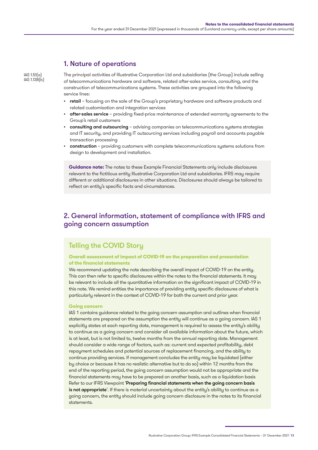### 1. Nature of operations

IAS 1.51(a) IAS 1.138(b) The principal activities of Illustrative Corporation Ltd and subsidiaries (the Group) include selling of telecommunications hardware and software, related after-sales service, consulting, and the construction of telecommunications systems. These activities are grouped into the following service lines:

- retail focusing on the sale of the Group's proprietary hardware and software products and related customisation and integration services
- after-sales service providing fixed-price maintenance of extended warranty agreements to the Group's retail customers
- consulting and outsourcing advising companies on telecommunications systems strategies and IT security, and providing IT outsourcing services including payroll and accounts payable transaction processing
- construction providing customers with complete telecommunications systems solutions from design to development and installation.

**Guidance note:** The notes to these Example Financial Statements only include disclosures relevant to the fictitious entity Illustrative Corporation Ltd and subsidiaries. IFRS may require different or additional disclosures in other situations. Disclosures should alwaus be tailored to reflect an entity's specific facts and circumstances.

### 2. General information, statement of compliance with IFRS and going concern assumption

## Telling the COVID Story

#### **Overall assessment of impact of COVID-19 on the preparation and presentation of the financial statements**

We recommend updating the note describing the overall impact of COVID-19 on the entity. This can then refer to specific disclosures within the notes to the financial statements. It may be relevant to include all the quantitative information on the significant impact of COVID-19 in this note. We remind entities the importance of providing entity specific disclosures of what is particularly relevant in the context of COVID-19 for both the current and prior year.

#### **Going concern**

IAS 1 contains guidance related to the going concern assumption and outlines when financial statements are prepared on the assumption the entity will continue as a going concern. IAS 1 explicitly states at each reporting date, management is required to assess the entity's ability to continue as a going concern and consider all available information about the future, which is at least, but is not limited to, twelve months from the annual reporting date. Management should consider a wide range of factors, such as: current and expected profitability, debt repayment schedules and potential sources of replacement financing, and the ability to continue providing services. If management concludes the entity may be liquidated (either by choice or because it has no realistic alternative but to do so) within 12 months from the end of the reporting period, the going concern assumption would not be appropriate and the financial statements may have to be prepared on another basis, such as a liquidation basis Refer to our IFRS Viewpoint 'Preparing financial statements when the going concern basis [is not appropriate](https://www.grantthornton.global/en/insights/viewpoint/Financial-statements-on-a-going-concern-basis/)'. If there is material uncertainty about the entity's ability to continue as a going concern, the entity should include going concern disclosure in the notes to its financial statements.

Illustrative Corporation Group: IFRS Example Consolidated Financial Statements – 31 December 2021 13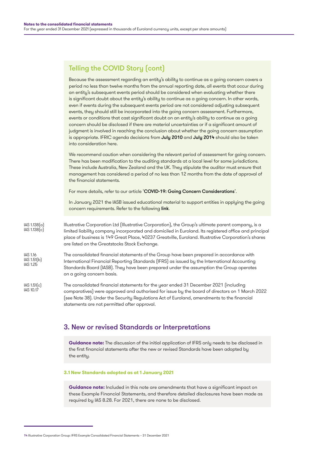## Telling the COVID Story (cont)

Because the assessment regarding an entity's ability to continue as a going concern covers a period no less than twelve months from the annual reporting date, all events that occur during an entity's subsequent events period should be considered when evaluating whether there is significant doubt about the entity's ability to continue as a going concern. In other words, even if events during the subsequent events period are not considered adjusting subsequent events, they should still be incorporated into the going concern assessment. Furthermore, events or conditions that cast significant doubt on an entity's ability to continue as a going concern should be disclosed if there are material uncertainties or if a significant amount of judgment is involved in reaching the conclusion about whether the going concern assumption is appropriate. IFRIC agenda decisions from [July 2010](https://cdn.ifrs.org/-/media/feature/news/updates/ifrs-ic/2010/july2010ifricupdate.pdf) and [July 2014](https://cdn.ifrs.org/-/media/feature/news/updates/ifrs-ic/2014/ifric-update-july-2014.pdf) should also be taken into consideration here.

We recommend caution when considering the relevant period of assessment for going concern. There has been modification to the auditing standards at a local level for some jurisdictions. These include Australia, New Zealand and the UK. They stipulate the auditor must ensure that management has considered a period of no less than 12 months from the date of approval of the financial statements.

For more details, refer to our article '[COVID-19: Going Concern Considerations](https://www.grantthornton.global/en/insights/supporting-you-to-navigate-the-impact-of-covid-19/ifrs-Going-concern-considerations/)'.

In January 2021 the IASB issued educational material to support entities in applying the going concern requirements. Refer to the following [link](https://cdn.ifrs.org/content/dam/ifrs/news/2021/going-concern-jan2021.pdf?la=en).

- Illustrative Corporation Ltd (Illustrative Corporation), the Group's ultimate parent company, is a limited liability company incorporated and domiciled in Euroland. Its registered office and principal place of business is 149 Great Place, 40237 Greatville, Euroland. Illustrative Corporation's shares are listed on the Greatstocks Stock Exchange. IAS 1.138(a) IAS 1.138(c)
- The consolidated financial statements of the Group have been prepared in accordance with International Financial Reporting Standards (IFRS) as issued by the International Accounting Standards Board (IASB). They have been prepared under the assumption the Group operates on a going concern basis. IAS 1.16 IAS 1.51(b) IAS 1.25
- The consolidated financial statements for the year ended 31 December 2021 (including comparatives) were approved and authorised for issue by the board of directors on 1 March 2022 (see Note 38). Under the Security Regulations Act of Euroland, amendments to the financial statements are not permitted after approval. IAS 1.51(c) IAS 10.17

### 3. New or revised Standards or Interpretations

**Guidance note:** The discussion of the initial application of IFRS only needs to be disclosed in the first financial statements after the new or revised Standards have been adopted by the entity.

#### **3.1 New Standards adopted as at 1 January 2021**

**Guidance note:** Included in this note are amendments that have a significant impact on these Example Financial Statements, and therefore detailed disclosures have been made as required by IAS 8.28. For 2021, there are none to be disclosed.

<sup>14</sup> Illustrative Corporation Group: IFRS Example Consolidated Financial Statements – 31 December 2021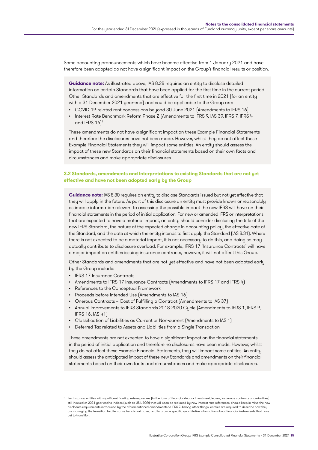Some accounting pronouncements which have become effective from 1 January 2021 and have therefore been adopted do not have a significant impact on the Group's financial results or position.

**Guidance note:** As illustrated above, IAS 8.28 requires an entity to disclose detailed information on certain Standards that have been applied for the first time in the current period. Other Standards and amendments that are effective for the first time in 2021 (for an entity with a 31 December 2021 year-end) and could be applicable to the Group are:

- COVID-19-related rent concessions beyond 30 June 2021 (Amendments to IFRS 16)
- Interest Rate Benchmark Reform Phase 2 (Amendments to IFRS 9, IAS 39, IFRS 7, IFRS 4 and IFRS 16)1

These amendments do not have a significant impact on these Example Financial Statements and therefore the disclosures have not been made. However, whilst they do not affect these Example Financial Statements they will impact some entities. An entity should assess the impact of these new Standards on their financial statements based on their own facts and circumstances and make appropriate disclosures.

#### **3.2 Standards, amendments and Interpretations to existing Standards that are not yet effective and have not been adopted early by the Group**

**Guidance note:** IAS 8.30 requires an entity to disclose Standards issued but not yet effective that they will apply in the future. As part of this disclosure an entity must provide known or reasonably estimable information relevant to assessing the possible impact the new IFRS will have on their financial statements in the period of initial application. For new or amended IFRS or Interpretations that are expected to have a material impact, an entity should consider disclosing the title of the new IFRS Standard, the nature of the expected change in accounting policy, the effective date of the Standard, and the date at which the entity intends to first apply the Standard (IAS 8.31). Where there is not expected to be a material impact, it is not necessary to do this, and doing so may actually contribute to disclosure overload. For example, IFRS 17 'Insurance Contracts' will have a major impact on entities issuing insurance contracts, however, it will not affect this Group.

Other Standards and amendments that are not yet effective and have not been adopted early by the Group include:

- IFRS 17 Insurance Contracts
- Amendments to IFRS 17 Insurance Contracts (Amendments to IFRS 17 and IFRS 4)
- References to the Conceptual Framework
- Proceeds before Intended Use (Amendments to IAS 16)
- Onerous Contracts Cost of Fulfilling a Contract (Amendments to IAS 37)
- Annual Improvements to IFRS Standards 2018-2020 Cycle (Amendments to IFRS 1, IFRS 9, IFRS 16, IAS 41)
- Classification of Liabilities as Current or Non-current (Amendments to IAS 1)
- Deferred Tax related to Assets and Liabilities from a Single Transaction

These amendments are not expected to have a significant impact on the financial statements in the period of initial application and therefore no disclosures have been made. However, whilst they do not affect these Example Financial Statements, they will impact some entities. An entity should assess the anticipated impact of these new Standards and amendments on their financial statements based on their own facts and circumstances and make appropriate disclosures.

<sup>1</sup> For instance, entities with significant floating rate exposures (in the form of financial debt or investment, leases, insurance contracts or derivatives) still indexed at 2021 year-end to indices (such as US LIBOR) that will soon be replaced by new interest rate references, should keep in mind the new<br>disclosure requirements introduced by the aforementioned amendments to IF are managing the transition to alternative benchmark rates, and to provide specific quantitative information about financial instruments that have uet to transition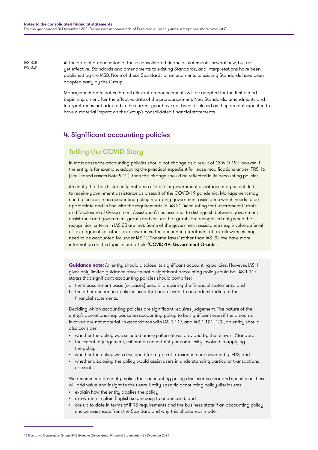IAS 8.30 IAS 8.31

At the date of authorisation of these consolidated financial statements, several new, but not yet effective, Standards and amendments to existing Standards, and Interpretations have been published by the IASB. None of these Standards or amendments to existing Standards have been adopted early by the Group.

Management anticipates that all relevant pronouncements will be adopted for the first period beginning on or after the effective date of the pronouncement. New Standards, amendments and Interpretations not adopted in the current year have not been disclosed as they are not expected to have a material impact on the Group's consolidated financial statements.

### 4. Significant accounting policies

## Telling the COVID Story

In most cases the accounting policies should not change as a result of COVID-19. However, if the entity is for example, adopting the practical expedient for lease modifications under IFRS 16 (see Leased assets Note 4.14), then this change should be reflected in its accounting policies.

An entity that has historically not been eligible for government assistance may be entitled to receive government assistance as a result of the COVID-19 pandemic. Management may need to establish an accounting policy regarding government assistance which needs to be appropriate and in line with the requirements in IAS 20 'Accounting for Government Grants and Disclosure of Government Assistance'. It is essential to distinguish between government assistance and government grants and ensure that grants are recognised only when the recognition criteria in IAS 20 are met. Some of the government assistance may involve deferral of tax payments or other tax allowances. The accounting treatment of tax allowances may need to be accounted for under IAS 12 'Income Taxes' rather than IAS 20. We have more information on this topic in our article '[COVID-19: Government Grants](https://www.grantthornton.global/en/insights/supporting-you-to-navigate-the-impact-of-covid-19/ifrs---government-grants/)'.

**Guidance note:** An entity should disclose its significant accounting policies. However, IAS 1 gives only limited guidance about what a significant accounting policy could be. IAS 1.117 states that significant accounting policies should comprise:

- a the measurement basis (or bases) used in preparing the financial statements, and
- b the other accounting policies used that are relevant to an understanding of the financial statements.

Deciding which accounting policies are significant requires judgement. The nature of the entity's operations may cause an accounting policy to be significant even if the amounts involved are not material. In accordance with IAS 1.117, and IAS 1.121–122, an entity should also consider:

- whether the policy was selected among alternatives provided by the relevant Standard
- the extent of judgement, estimation uncertainty or complexity involved in applying the policy
- whether the policy was developed for a type of transaction not covered by IFRS, and
- whether disclosing the policy would assist users in understanding particular transactions or events.

We recommend an entity makes their accounting policy disclosures clear and specific as these will add value and insight to the users. Entity-specific accounting policy disclosures:

- explain how the entity applies the policy
- are written in plain English so are easy to understand, and
- are up-to-date in terms of IFRS requirements and the business state if an accounting policy choice was made from the Standard and why this choice was made.

<sup>16</sup> Illustrative Corporation Group: IFRS Example Consolidated Financial Statements – 31 December 2021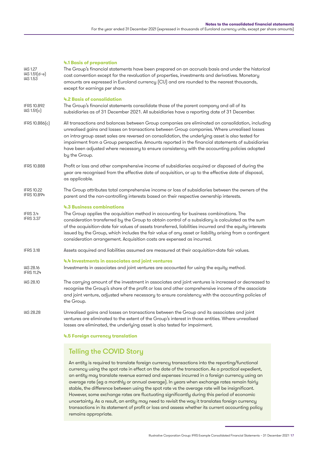#### **4.1 Basis of preparation**

| <b>IAS 1.27</b><br>$IAS 1.51(d-e)$<br>IAS 1.53 | The Group's financial statements have been prepared on an accruals basis and under the historical<br>cost convention except for the revaluation of properties, investments and derivatives. Monetary<br>amounts are expressed in Euroland currency (CU) and are rounded to the nearest thousands,<br>except for earnings per share.                                                                                                                                                                                            |
|------------------------------------------------|--------------------------------------------------------------------------------------------------------------------------------------------------------------------------------------------------------------------------------------------------------------------------------------------------------------------------------------------------------------------------------------------------------------------------------------------------------------------------------------------------------------------------------|
| <b>IFRS 10.B92</b><br>IAS 1.51[c]              | 4.2 Basis of consolidation<br>The Group's financial statements consolidate those of the parent company and all of its<br>subsidiaries as of 31 December 2021. All subsidiaries have a reporting date of 31 December.                                                                                                                                                                                                                                                                                                           |
| IFRS 10.B86(c)                                 | All transactions and balances between Group companies are eliminated on consolidation, including<br>unrealised gains and losses on transactions between Group companies. Where unrealised losses<br>on intra-group asset sales are reversed on consolidation, the underlying asset is also tested for<br>impairment from a Group perspective. Amounts reported in the financial statements of subsidiaries<br>have been adjusted where necessary to ensure consistency with the accounting policies adopted<br>by the Group.   |
| <b>IFRS 10.B88</b>                             | Profit or loss and other comprehensive income of subsidiaries acquired or disposed of during the<br>year are recognised from the effective date of acquisition, or up to the effective date of disposal,<br>as applicable.                                                                                                                                                                                                                                                                                                     |
| <b>IFRS 10.22</b><br><b>IFRS 10.B94</b>        | The Group attributes total comprehensive income or loss of subsidiaries between the owners of the<br>parent and the non-controlling interests based on their respective ownership interests.                                                                                                                                                                                                                                                                                                                                   |
| IFRS 3.4<br><b>IFRS 3.37</b>                   | <b>4.3 Business combinations</b><br>The Group applies the acquisition method in accounting for business combinations. The<br>consideration transferred by the Group to obtain control of a subsidiary is calculated as the sum<br>of the acquisition-date fair values of assets transferred, liabilities incurred and the equity interests<br>issued by the Group, which includes the fair value of any asset or liability arising from a contingent<br>consideration arrangement. Acquisition costs are expensed as incurred. |
| <b>IFRS 3.18</b>                               | Assets acquired and liabilities assumed are measured at their acquisition-date fair values.                                                                                                                                                                                                                                                                                                                                                                                                                                    |
| IAS 28.16<br>IFRS 11.24                        | 4.4 Investments in associates and joint ventures<br>Investments in associates and joint ventures are accounted for using the equity method.                                                                                                                                                                                                                                                                                                                                                                                    |
| IAS 28.10                                      | The carrying amount of the investment in associates and joint ventures is increased or decreased to<br>recognise the Group's share of the profit or loss and other comprehensive income of the associate<br>and joint venture, adjusted where necessary to ensure consistency with the accounting policies of<br>the Group.                                                                                                                                                                                                    |
| <b>IAS 28.28</b>                               | Unrealised gains and losses on transactions between the Group and its associates and joint<br>ventures are eliminated to the extent of the Group's interest in those entities. Where unrealised<br>losses are eliminated, the underlying asset is also tested for impairment.                                                                                                                                                                                                                                                  |

**4.5 Foreign currency translation**

### Telling the COVID Story

An entity is required to translate foreign currency transactions into the reporting/functional currency using the spot rate in effect on the date of the transaction. As a practical expedient, an entity may translate revenue earned and expenses incurred in a foreign currency using an average rate (eg a monthly or annual average). In years when exchange rates remain fairly stable, the difference between using the spot rate vs the average rate will be insignificant. However, some exchange rates are fluctuating significantly during this period of economic uncertainty. As a result, an entity may need to revisit the way it translates foreign currency transactions in its statement of profit or loss and assess whether its current accounting policy remains appropriate.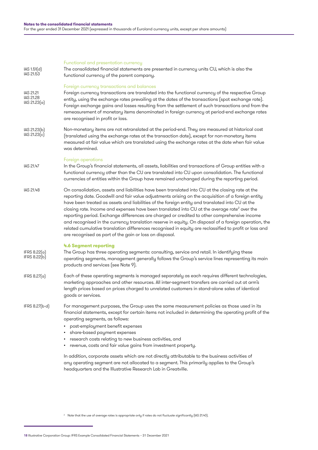| IAS 1.51(d)<br>IAS 21.53                      | Functional and presentation currency<br>The consolidated financial statements are presented in currency units CU, which is also the<br>functional currency of the parent company.                                                                                                                                                                                                                                                                                                                                                                                                                                                                                                                                                                                                                   |
|-----------------------------------------------|-----------------------------------------------------------------------------------------------------------------------------------------------------------------------------------------------------------------------------------------------------------------------------------------------------------------------------------------------------------------------------------------------------------------------------------------------------------------------------------------------------------------------------------------------------------------------------------------------------------------------------------------------------------------------------------------------------------------------------------------------------------------------------------------------------|
| IAS 21.21<br><b>IAS 21.28</b><br>IAS 21.23(a) | Foreign currency transactions and balances<br>Foreign currency transactions are translated into the functional currency of the respective Group<br>entity, using the exchange rates prevailing at the dates of the transactions (spot exchange rate).<br>Foreign exchange gains and losses resulting from the settlement of such transactions and from the<br>remeasurement of monetary items denominated in foreign currency at period-end exchange rates<br>are recognised in profit or loss.                                                                                                                                                                                                                                                                                                     |
| IAS 21.23(b)<br>IAS 21.23(c)                  | Non-monetary items are not retranslated at the period-end. They are measured at historical cost<br>(translated using the exchange rates at the transaction date), except for non-monetary items<br>measured at fair value which are translated using the exchange rates at the date when fair value<br>was determined.                                                                                                                                                                                                                                                                                                                                                                                                                                                                              |
| IAS 21.47                                     | Foreign operations<br>In the Group's financial statements, all assets, liabilities and transactions of Group entities with a<br>functional currency other than the CU are translated into CU upon consolidation. The functional<br>currencies of entities within the Group have remained unchanged during the reporting period.                                                                                                                                                                                                                                                                                                                                                                                                                                                                     |
| IAS 21.48                                     | On consolidation, assets and liabilities have been translated into CU at the closing rate at the<br>reporting date. Goodwill and fair value adjustments arising on the acquisition of a foreign entity<br>have been treated as assets and liabilities of the foreign entity and translated into CU at the<br>closing rate. Income and expenses have been translated into CU at the average rate <sup>2</sup> over the<br>reporting period. Exchange differences are charged or credited to other comprehensive income<br>and recognised in the currency translation reserve in equity. On disposal of a foreign operation, the<br>related cumulative translation differences recognised in equity are reclassified to profit or loss and<br>are recognised as part of the gain or loss on disposal. |
| IFRS 8.22(a)<br>IFRS 8.22(b)                  | 4.6 Segment reporting<br>The Group has three operating segments: consulting, service and retail. In identifying these<br>operating segments, management generally follows the Group's service lines representing its main<br>products and services (see Note 9).                                                                                                                                                                                                                                                                                                                                                                                                                                                                                                                                    |
| IFRS 8.27(a)                                  | Each of these operating segments is managed separately as each requires different technologies,<br>marketing approaches and other resources. All inter-segment transfers are carried out at arm's<br>length prices based on prices charged to unrelated customers in stand-alone sales of identical<br>goods or services.                                                                                                                                                                                                                                                                                                                                                                                                                                                                           |
| IFRS 8.27(b-d)                                | For management purposes, the Group uses the same measurement policies as those used in its<br>financial statements, except for certain items not included in determining the operating profit of the<br>operating segments, as follows:<br>post-employment benefit expenses<br>share-based payment expenses<br>research costs relating to new business activities, and<br>revenue, costs and fair value gains from investment property.<br>In addition, corporate assets which are not directly attributable to the business activities of<br>any operating segment are not allocated to a segment. This primarily applies to the Group's<br>headquarters and the Illustrative Research Lab in Greatville.                                                                                          |

<sup>2</sup> Note that the use of average rates is appropriate only if rates do not fluctuate significantly (IAS 21.40).

<sup>18</sup> Illustrative Corporation Group: IFRS Example Consolidated Financial Statements – 31 December 2021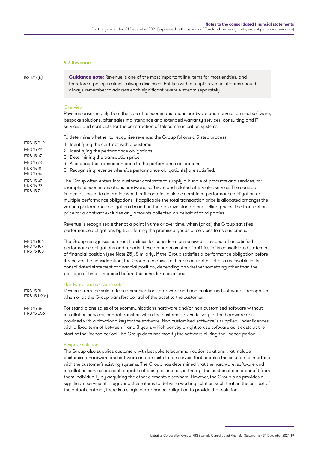#### **4.7 Revenue**

IAS 1.117(b)

IFRS 15.9-12 IFRS 15.22 IFRS 15.47 IFRS 15.73 IFRS 15.31 IFRS 15.46 IFRS 15.47 IFRS 15.22 IFRS 15.74

**Guidance note:** Revenue is one of the most important line items for most entities, and therefore a policy is almost always disclosed. Entities with multiple revenue streams should always remember to address each significant revenue stream separately.

#### **Overview**

Revenue arises mainly from the sale of telecommunications hardware and non-customised software, bespoke solutions, after-sales maintenance and extended warranty services, consulting and IT services, and contracts for the construction of telecommunication systems.

To determine whether to recognise revenue, the Group follows a 5-step process:

- 1 Identifying the contract with a customer
- 2 Identifying the performance obligations
- 3 Determining the transaction price
	- 4 Allocating the transaction price to the performance obligations
- 5 Recognising revenue when/as performance obligation(s) are satisfied.

The Group often enters into customer contracts to supply a bundle of products and services, for example telecommunications hardware, software and related after-sales service. The contract is then assessed to determine whether it contains a single combined performance obligation or multiple performance obligations. If applicable the total transaction price is allocated amongst the various performance obligations based on their relative stand-alone selling prices. The transaction price for a contract excludes any amounts collected on behalf of third parties.

Revenue is recognised either at a point in time or over time, when (or as) the Group satisfies performance obligations by transferring the promised goods or services to its customers.

The Group recognises contract liabilities for consideration received in respect of unsatisfied performance obligations and reports these amounts as other liabilities in its consolidated statement of financial position (see Note 25). Similarly, if the Group satisfies a performance obligation before it receives the consideration, the Group recognises either a contract asset or a receivable in its consolidated statement of financial position, depending on whether something other than the passage of time is required before the consideration is due. IFRS 15.106 IFRS 15.107 IFRS 15.108

#### Hardware and software sales

Revenue from the sale of telecommunications hardware and non-customised software is recognised when or as the Group transfers control of the asset to the customer. IFRS 15.31 IFRS 15.119(a)

For stand-alone sales of telecommunications hardware and/or non-customised software without installation services, control transfers when the customer takes delivery of the hardware or is provided with a download key for the software. Non-customised software is supplied under licences with a fixed term of between 1 and 3 years which convey a right to use software as it exists at the start of the licence period. The Group does not modify the software during the licence period. IFRS 15.38 IFRS 15.B56

#### Bespoke solutions

The Group also supplies customers with bespoke telecommunication solutions that include customised hardware and software and an installation service that enables the solution to interface with the customer's existing systems. The Group has determined that the hardware, software and installation service are each capable of being distinct as, in theory, the customer could benefit from them individually by acquiring the other elements elsewhere. However, the Group also provides a significant service of integrating these items to deliver a working solution such that, in the context of the actual contract, there is a single performance obligation to provide that solution.

Illustrative Corporation Group: IFRS Example Consolidated Financial Statements – 31 December 2021 19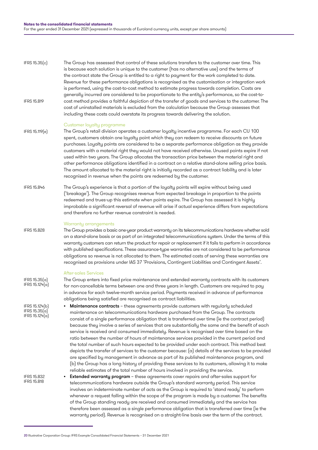The Group has assessed that control of these solutions transfers to the customer over time. This is because each solution is unique to the customer (has no alternative use) and the terms of the contract state the Group is entitled to a right to payment for the work completed to date. Revenue for these performance obligations is recognised as the customisation or integration work is performed, using the cost-to-cost method to estimate progress towards completion. Costs are generally incurred are considered to be proportionate to the entity's performance, so the cost-tocost method provides a faithful depiction of the transfer of goods and services to the customer. The cost of uninstalled materials is excluded from the calculation because the Group assesses that including these costs could overstate its progress towards delivering the solution. IFRS 15.35(c) IFRS 15.B19

#### Customer loyalty programme

- The Group's retail division operates a customer loyalty incentive programme. For each CU 100 spent, customers obtain one loyalty point which they can redeem to receive discounts on future purchases. Loyalty points are considered to be a separate performance obligation as they provide customers with a material right they would not have received otherwise. Unused points expire if not used within two years. The Group allocates the transaction price between the material right and other performance obligations identified in a contract on a relative stand-alone selling price basis. The amount allocated to the material right is initially recorded as a contract liability and is later recognised in revenue when the points are redeemed by the customer. IFRS 15.119(e)
- The Group's experience is that a portion of the loyalty points will expire without being used ('breakage'). The Group recognises revenue from expected breakage in proportion to the points redeemed and trues-up this estimate when points expire. The Group has assessed it is highly improbable a significant reversal of revenue will arise if actual experience differs from expectations and therefore no further revenue constraint is needed. IFRS 15.B46

#### Warrantu arrangements

The Group provides a basic one-year product warranty on its telecommunications hardware whether sold on a stand-alone basis or as part of an integrated telecommunications system. Under the terms of this warranty customers can return the product for repair or replacement if it fails to perform in accordance with published specifications. These assurance-type warranties are not considered to be performance obligations so revenue is not allocated to them. The estimated costs of serving these warranties are recognised as provisions under IAS 37 'Provisions, Contingent Liabilities and Contingent Assets'.

#### After-sales Services

IFRS 15.35(a) IFRS 15.124(a)

IFRS 15.B32 IFRS 15.B18

IFRS 15.B28

- The Group enters into fixed price maintenance and extended warranty contracts with its customers for non-cancellable terms between one and three years in length. Customers are required to pay in advance for each twelve-month service period. Payments received in advance of performance obligations being satisfied are recognised as contract liabilities.
- **Maintenance contracts** these agreements provide customers with regularly scheduled maintenance on telecommunications hardware purchased from the Group. The contracts consist of a single performance obligation that is transferred over time (ie the contract period) because they involve a series of services that are substantially the same and the benefit of each service is received and consumed immediately. Revenue is recognised over time based on the ratio between the number of hours of maintenance services provided in the current period and the total number of such hours expected to be provided under each contract. This method best depicts the transfer of services to the customer because: (a) details of the services to be provided are specified by management in advance as part of its published maintenance program, and (b) the Group has a long history of providing these services to its customers, allowing it to make reliable estimates of the total number of hours involved in providing the service. IFRS 15.124(b) IFRS 15.35(a) IFRS 15.124(a)
	- **•** Extended warranty program these agreements cover repairs and after-sales support for telecommunications hardware outside the Group's standard warranty period. This service involves an indeterminate number of acts as the Group is required to 'stand ready' to perform whenever a request falling within the scope of the program is made by a customer. The benefits of the Group standing ready are received and consumed immediately and the service has therefore been assessed as a single performance obligation that is transferred over time (ie the warranty period). Revenue is recognised on a straight-line basis over the term of the contract.

<sup>20</sup> Illustrative Corporation Group: IFRS Example Consolidated Financial Statements – 31 December 2021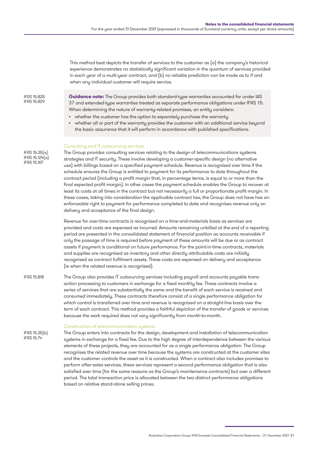This method best depicts the transfer of services to the customer as (a) the company's historical experience demonstrates no statistically significant variation in the quantum of services provided in each year of a multi-year contract, and (b) no reliable prediction can be made as to if and when any individual customer will require service.

**Guidance note:** The Group provides both standard-type warranties accounted for under IAS 37 and extended-type warranties treated as separate performance obligations under IFRS 15. When determining the nature of warranty-related promises, an entity considers:

- whether the customer has the option to separately purchase the warranty
- whether all or part of the warranty provides the customer with an additional service beyond the basic assurance that it will perform in accordance with published specifications.

#### Consulting and IT outsourcing services

The Group provides consulting services relating to the design of telecommunications systems strategies and IT security. These involve developing a customer-specific design (no alternative use) with billings based on a specified payment schedule. Revenue is recognised over time if the schedule ensures the Group is entitled to payment for its performance to date throughout the contract period (including a profit margin that, in percentage terms, is equal to or more than the final expected profit margin). In other cases the payment schedule enables the Group to recover at least its costs at all times in the contract but not necessarily a full or proportionate profit margin. In these cases, taking into consideration the applicable contract law, the Group does not have has an enforceable right to payment for performance completed to date and recognises revenue only on delivery and acceptance of the final design.

Revenue for over-time contracts is recognised on a time-and-materials basis as services are provided and costs are expensed as incurred. Amounts remaining unbilled at the end of a reporting period are presented in the consolidated statement of financial position as accounts receivable if only the passage of time is required before payment of these amounts will be due or as contract assets if payment is conditional on future performance. For the point-in-time contracts, materials and supplies are recognised as inventory and other directly attributable costs are initially recognised as contract fulfilment assets. These costs are expensed on delivery and acceptance (ie when the related revenue is recognised).

The Group also provides IT outsourcing services including payroll and accounts payable transaction processing to customers in exchange for a fixed monthly fee. These contracts involve a series of services that are substantially the same and the benefit of each service is received and consumed immediately. These contracts therefore consist of a single performance obligation for which control is transferred over time and revenue is recognised on a straight-line basis over the term of each contract. This method provides a faithful depiction of the transfer of goods or services because the work required does not vary significantly from month-to-month. IFRS 15.B18

#### Construction of telecommunication systems

IFRS 15.35(b) IFRS 15.74

The Group enters into contracts for the design, development and installation of telecommunication systems in exchange for a fixed fee. Due to the high degree of interdependence between the various elements of these projects, they are accounted for as a single performance obligation. The Group recognises the related revenue over time because the systems are constructed at the customer sites and the customer controls the asset as it is constructed. When a contract also includes promises to perform after-sales services, these services represent a second performance obligation that is also satisfied over time (for the same reasons as the Group's maintenance contracts) but over a different period. The total transaction price is allocated between the two distinct performance obligations based on relative stand-alone selling prices.

IFRS 15.B28 IFRS 15.B29

IFRS 15.35(a) IFRS 15.124(a) IFRS 15.107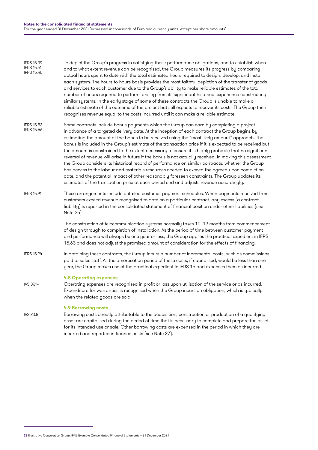To depict the Group's progress in satisfying these performance obligations, and to establish when and to what extent revenue can be recognised, the Group measures its progress by comparing actual hours spent to date with the total estimated hours required to design, develop, and install each system. The hours-to-hours basis provides the most faithful depiction of the transfer of goods and services to each customer due to the Group's ability to make reliable estimates of the total number of hours required to perform, arising from its significant historical experience constructing similar systems. In the early stage of some of these contracts the Group is unable to make a reliable estimate of the outcome of the project but still expects to recover its costs. The Group then recognises revenue equal to the costs incurred until it can make a reliable estimate. Some contracts include bonus payments which the Group can earn by completing a project in advance of a targeted delivery date. At the inception of each contract the Group begins by IFRS 15.39 IFRS 15.41 IFRS 15.45 IFRS 15.53 IFRS 15.56

- estimating the amount of the bonus to be received using the "most likely amount" approach. The bonus is included in the Group's estimate of the transaction price if it is expected to be received but the amount is constrained to the extent necessary to ensure it is highly probable that no significant reversal of revenue will arise in future if the bonus is not actually received. In making this assessment the Group considers its historical record of performance on similar contracts, whether the Group has access to the labour and materials resources needed to exceed the agreed-upon completion date, and the potential impact of other reasonably foreseen constraints. The Group updates its estimates of the transaction price at each period end and adjusts revenue accordingly.
- These arrangements include detailed customer payment schedules. When payments received from customers exceed revenue recognised to date on a particular contract, any excess (a contract liability) is reported in the consolidated statement of financial position under other liabilities (see Note 25). IFRS 15.91

The construction of telecommunication systems normally takes 10–12 months from commencement of design through to completion of installation. As the period of time between customer payment and performance will always be one year or less, the Group applies the practical expedient in IFRS 15.63 and does not adjust the promised amount of consideration for the effects of financing.

In obtaining these contracts, the Group incurs a number of incremental costs, such as commissions paid to sales staff. As the amortisation period of these costs, if capitalised, would be less than one year, the Group makes use of the practical expedient in IFRS 15 and expenses them as incurred. IFRS 15.94

#### **4.8 Operating expenses**

Operating expenses are recognised in profit or loss upon utilisation of the service or as incurred. Expenditure for warranties is recognised when the Group incurs an obligation, which is typically when the related goods are sold. IAS 37.14

#### **4.9 Borrowing costs**

Borrowing costs directly attributable to the acquisition, construction or production of a qualifying asset are capitalised during the period of time that is necessary to complete and prepare the asset for its intended use or sale. Other borrowing costs are expensed in the period in which they are incurred and reported in finance costs (see Note 27). IAS 23.8

<sup>22</sup> Illustrative Corporation Group: IFRS Example Consolidated Financial Statements – 31 December 2021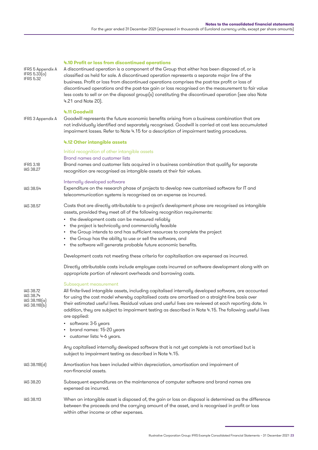| IFRS 5 Appendix A<br>IFRS 5.33(a)<br><b>IFRS 5.32</b>                        | 4.10 Profit or loss from discontinued operations<br>A discontinued operation is a component of the Group that either has been disposed of, or is<br>classified as held for sale. A discontinued operation represents a separate major line of the<br>business. Profit or loss from discontinued operations comprises the post-tax profit or loss of<br>discontinued operations and the post-tax gain or loss recognised on the measurement to fair value<br>less costs to sell or on the disposal group(s) constituting the discontinued operation (see also Note<br>4.21 and Note 20).                                                                                                                                                                                                                                                                                                                                                                                                                                                                                                                                                                                                                                                                                                                          |
|------------------------------------------------------------------------------|------------------------------------------------------------------------------------------------------------------------------------------------------------------------------------------------------------------------------------------------------------------------------------------------------------------------------------------------------------------------------------------------------------------------------------------------------------------------------------------------------------------------------------------------------------------------------------------------------------------------------------------------------------------------------------------------------------------------------------------------------------------------------------------------------------------------------------------------------------------------------------------------------------------------------------------------------------------------------------------------------------------------------------------------------------------------------------------------------------------------------------------------------------------------------------------------------------------------------------------------------------------------------------------------------------------|
| IFRS 3 Appendix A                                                            | 4.11 Goodwill<br>Goodwill represents the future economic benefits arising from a business combination that are<br>not individually identified and separately recognised. Goodwill is carried at cost less accumulated<br>impairment losses. Refer to Note 4.15 for a description of impairment testing procedures.                                                                                                                                                                                                                                                                                                                                                                                                                                                                                                                                                                                                                                                                                                                                                                                                                                                                                                                                                                                               |
|                                                                              | 4.12 Other intangible assets                                                                                                                                                                                                                                                                                                                                                                                                                                                                                                                                                                                                                                                                                                                                                                                                                                                                                                                                                                                                                                                                                                                                                                                                                                                                                     |
| <b>IFRS 3.18</b><br>IAS 38.27                                                | Initial recognition of other intangible assets<br>Brand names and customer lists<br>Brand names and customer lists acquired in a business combination that qualify for separate<br>recognition are recognised as intangible assets at their fair values.                                                                                                                                                                                                                                                                                                                                                                                                                                                                                                                                                                                                                                                                                                                                                                                                                                                                                                                                                                                                                                                         |
| IAS 38.54                                                                    | Internally developed software<br>Expenditure on the research phase of projects to develop new customised software for IT and<br>telecommunication systems is recognised as an expense as incurred.                                                                                                                                                                                                                                                                                                                                                                                                                                                                                                                                                                                                                                                                                                                                                                                                                                                                                                                                                                                                                                                                                                               |
| IAS 38.57<br><b>IAS 38.72</b><br>IAS 38.74<br>IAS 38.118(a)<br>IAS 38.118(b) | Costs that are directly attributable to a project's development phase are recognised as intangible<br>assets, provided they meet all of the following recognition requirements:<br>• the development costs can be measured reliably<br>• the project is technically and commercially feasible<br>• the Group intends to and has sufficient resources to complete the project<br>• the Group has the ability to use or sell the software, and<br>• the software will generate probable future economic benefits.<br>Development costs not meeting these criteria for capitalisation are expensed as incurred.<br>Directly attributable costs include employee costs incurred on software development along with an<br>appropriate portion of relevant overheads and borrowing costs.<br>Subsequent measurement<br>All finite-lived intangible assets, including capitalised internally developed software, are accounted<br>for using the cost model whereby capitalised costs are amortised on a straight-line basis over<br>their estimated useful lives. Residual values and useful lives are reviewed at each reporting date. In<br>addition, they are subject to impairment testing as described in Note 4.15. The following useful lives<br>are applied:<br>software: 3-5 years<br>brand names: 15-20 years |
|                                                                              | customer lists: 4-6 years.<br>Any capitalised internally developed software that is not yet complete is not amortised but is<br>subject to impairment testing as described in Note 4.15.                                                                                                                                                                                                                                                                                                                                                                                                                                                                                                                                                                                                                                                                                                                                                                                                                                                                                                                                                                                                                                                                                                                         |
| IAS 38.118(d)                                                                | Amortisation has been included within depreciation, amortisation and impairment of<br>non-financial assets.                                                                                                                                                                                                                                                                                                                                                                                                                                                                                                                                                                                                                                                                                                                                                                                                                                                                                                                                                                                                                                                                                                                                                                                                      |
| <b>IAS 38.20</b>                                                             | Subsequent expenditures on the maintenance of computer software and brand names are<br>expensed as incurred.                                                                                                                                                                                                                                                                                                                                                                                                                                                                                                                                                                                                                                                                                                                                                                                                                                                                                                                                                                                                                                                                                                                                                                                                     |
| IAS 38.113                                                                   | When an intangible asset is disposed of, the gain or loss on disposal is determined as the difference<br>between the proceeds and the carrying amount of the asset, and is recognised in profit or loss<br>within other income or other expenses.                                                                                                                                                                                                                                                                                                                                                                                                                                                                                                                                                                                                                                                                                                                                                                                                                                                                                                                                                                                                                                                                |

Illustrative Corporation Group: IFRS Example Consolidated Financial Statements – 31 December 2021 23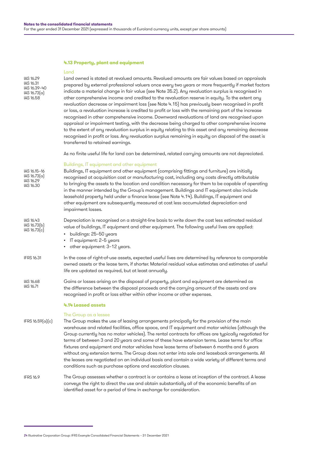### **4.13 Property, plant and equipment**

#### Land

| IAS 16.29<br>IAS 16.31<br>IAS 16.39-40<br>IAS 16.73(a)<br>IAS 16.58 | Land owned is stated at revalued amounts. Revalued amounts are fair values based on appraisals<br>prepared by external professional valuers once every two years or more frequently if market factors<br>indicate a material change in fair value (see Note 35.2). Any revaluation surplus is recognised in<br>other comprehensive income and credited to the revaluation reserve in equity. To the extent any<br>revaluation decrease or impairment loss (see Note 4.15) has previously been recognised in profit<br>or loss, a revaluation increase is credited to profit or loss with the remaining part of the increase<br>recognised in other comprehensive income. Downward revaluations of land are recognised upon<br>appraisal or impairment testing, with the decrease being charged to other comprehensive income<br>to the extent of any revaluation surplus in equity relating to this asset and any remaining decrease<br>recognised in profit or loss. Any revaluation surplus remaining in equity on disposal of the asset is<br>transferred to retained earnings. |
|---------------------------------------------------------------------|------------------------------------------------------------------------------------------------------------------------------------------------------------------------------------------------------------------------------------------------------------------------------------------------------------------------------------------------------------------------------------------------------------------------------------------------------------------------------------------------------------------------------------------------------------------------------------------------------------------------------------------------------------------------------------------------------------------------------------------------------------------------------------------------------------------------------------------------------------------------------------------------------------------------------------------------------------------------------------------------------------------------------------------------------------------------------------|
|                                                                     | As no finite useful life for land can be determined, related carrying amounts are not depreciated.                                                                                                                                                                                                                                                                                                                                                                                                                                                                                                                                                                                                                                                                                                                                                                                                                                                                                                                                                                                 |
| IAS 16.15-16<br>IAS 16.73 <sub>[a]</sub><br>IAS 16.29<br>IAS 16.30  | Buildings, IT equipment and other equipment<br>Buildings, IT equipment and other equipment (comprising fittings and furniture) are initially<br>recognised at acquisition cost or manufacturing cost, including any costs directly attributable<br>to bringing the assets to the location and condition necessary for them to be capable of operating<br>in the manner intended by the Group's management. Buildings and IT equipment also include<br>leasehold property held under a finance lease (see Note 4.14). Buildings, IT equipment and<br>other equipment are subsequently measured at cost less accumulated depreciation and<br>impairment losses.                                                                                                                                                                                                                                                                                                                                                                                                                      |
| IAS 16.43<br>IAS 16.73(b)<br>IAS 16.73[c]                           | Depreciation is recognised on a straight-line basis to write down the cost less estimated residual<br>value of buildings, IT equipment and other equipment. The following useful lives are applied:<br>buildings: 25–50 years<br>$\bullet$<br>IT equipment: 2–5 years<br>other equipment: 3–12 years.                                                                                                                                                                                                                                                                                                                                                                                                                                                                                                                                                                                                                                                                                                                                                                              |
| <b>IFRS 16.31</b>                                                   | In the case of right-of-use assets, expected useful lives are determined by reference to comparable<br>owned assets or the lease term, if shorter. Material residual value estimates and estimates of useful<br>life are updated as required, but at least annually.                                                                                                                                                                                                                                                                                                                                                                                                                                                                                                                                                                                                                                                                                                                                                                                                               |
| IAS 16.68<br>IAS 16.71                                              | Gains or losses arising on the disposal of property, plant and equipment are determined as<br>the difference between the disposal proceeds and the carrying amount of the assets and are<br>recognised in profit or loss either within other income or other expenses.                                                                                                                                                                                                                                                                                                                                                                                                                                                                                                                                                                                                                                                                                                                                                                                                             |
|                                                                     | 4.14 Leased assets                                                                                                                                                                                                                                                                                                                                                                                                                                                                                                                                                                                                                                                                                                                                                                                                                                                                                                                                                                                                                                                                 |
| IFRS 16.59(a)(c)                                                    | The Group as a lessee<br>The Group makes the use of leasing arrangements principally for the provision of the main<br>warehouse and related facilities, office space, and IT equipment and motor vehicles (although the<br>Group currently has no motor vehicles). The rental contracts for offices are typically negotiated for<br>terms of between 3 and 20 years and some of these have extension terms. Lease terms for office<br>fixtures and equipment and motor vehicles have lease terms of between 6 months and 6 years<br>without any extension terms. The Group does not enter into sale and leaseback arrangements. All<br>the leases are negotiated on an individual basis and contain a wide variety of different terms and<br>conditions such as purchase options and escalation clauses.                                                                                                                                                                                                                                                                           |
| <b>IFRS 16.9</b>                                                    | The Group assesses whether a contract is or contains a lease at inception of the contract. A lease<br>conveys the right to direct the use and obtain substantially all of the economic benefits of an                                                                                                                                                                                                                                                                                                                                                                                                                                                                                                                                                                                                                                                                                                                                                                                                                                                                              |

identified asset for a period of time in exchange for consideration.

<sup>24</sup> Illustrative Corporation Group: IFRS Example Consolidated Financial Statements – 31 December 2021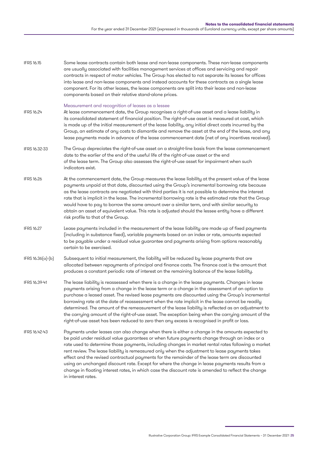| <b>IFRS 16.15</b> | Some lease contracts contain both lease and non-lease components. These non-lease components<br>are usually associated with facilities management services at offices and servicing and repair<br>contracts in respect of motor vehicles. The Group has elected to not separate its leases for offices<br>into lease and non-lease components and instead accounts for these contracts as a single lease<br>component. For its other leases, the lease components are split into their lease and non-lease<br>components based on their relative stand-alone prices.                                                                                                                                                                     |
|-------------------|------------------------------------------------------------------------------------------------------------------------------------------------------------------------------------------------------------------------------------------------------------------------------------------------------------------------------------------------------------------------------------------------------------------------------------------------------------------------------------------------------------------------------------------------------------------------------------------------------------------------------------------------------------------------------------------------------------------------------------------|
| IFRS 16.24        | Measurement and recognition of leases as a lessee<br>At lease commencement date, the Group recognises a right-of-use asset and a lease liability in<br>its consolidated statement of financial position. The right-of-use asset is measured at cost, which<br>is made up of the initial measurement of the lease liability, any initial direct costs incurred by the<br>Group, an estimate of any costs to dismantle and remove the asset at the end of the lease, and any<br>lease payments made in advance of the lease commencement date (net of any incentives received).                                                                                                                                                            |
| IFRS 16.32-33     | The Group depreciates the right-of-use asset on a straight-line basis from the lease commencement<br>date to the earlier of the end of the useful life of the right-of-use asset or the end<br>of the lease term. The Group also assesses the right-of-use asset for impairment when such<br>indicators exist.                                                                                                                                                                                                                                                                                                                                                                                                                           |
| <b>IFRS 16.26</b> | At the commencement date, the Group measures the lease liability at the present value of the lease<br>payments unpaid at that date, discounted using the Group's incremental borrowing rate because<br>as the lease contracts are negotiated with third parties it is not possible to determine the interest<br>rate that is implicit in the lease. The incremental borrowing rate is the estimated rate that the Group<br>would have to pay to borrow the same amount over a similar term, and with similar security to<br>obtain an asset of equivalent value. This rate is adjusted should the lessee entity have a different<br>risk profile to that of the Group.                                                                   |
| <b>IFRS 16.27</b> | Lease payments included in the measurement of the lease liability are made up of fixed payments<br>(including in substance fixed), variable payments based on an index or rate, amounts expected<br>to be payable under a residual value guarantee and payments arising from options reasonably<br>certain to be exercised.                                                                                                                                                                                                                                                                                                                                                                                                              |
| IFRS 16.36(a)-(b) | Subsequent to initial measurement, the liability will be reduced by lease payments that are<br>allocated between repayments of principal and finance costs. The finance cost is the amount that<br>produces a constant periodic rate of interest on the remaining balance of the lease liability.                                                                                                                                                                                                                                                                                                                                                                                                                                        |
| IFRS 16.39-41     | The lease liability is reassessed when there is a change in the lease payments. Changes in lease<br>payments arising from a change in the lease term or a change in the assessment of an option to<br>purchase a leased asset. The revised lease payments are discounted using the Group's incremental<br>borrowing rate at the date of reassessment when the rate implicit in the lease cannot be readily<br>determined. The amount of the remeasurement of the lease liability is reflected as an adjustment to<br>the carrying amount of the right-of-use asset. The exception being when the carrying amount of the<br>right-of-use asset has been reduced to zero then any excess is recognised in profit or loss.                  |
| IFRS 16.42-43     | Payments under leases can also change when there is either a change in the amounts expected to<br>be paid under residual value guarantees or when future payments change through an index or a<br>rate used to determine those payments, including changes in market rental rates following a market<br>rent review. The lease liability is remeasured only when the adjustment to lease payments takes<br>effect and the revised contractual payments for the remainder of the lease term are discounted<br>using an unchanged discount rate. Except for where the change in lease payments results from a<br>change in floating interest rates, in which case the discount rate is amended to reflect the change<br>in interest rates. |

Illustrative Corporation Group: IFRS Example Consolidated Financial Statements – 31 December 2021 25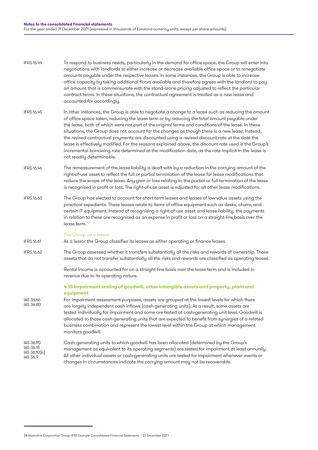| IFRS 16.44 | To respond to business needs, particularly in the demand for office space, the Group will enter into<br>negotiations with landlords to either increase or decrease available office space or to renegotiate<br>amounts payable under the respective leases. In some instances, the Group is able to increase<br>office capacity by taking additional floors available and therefore agrees with the landlord to pay<br>an amount that is commensurate with the stand-alone pricing adjusted to reflect the particular<br>contract terms. In these situations, the contractual agreement is treated as a new lease and<br>accounted for accordingly.                                                                           |
|------------|-------------------------------------------------------------------------------------------------------------------------------------------------------------------------------------------------------------------------------------------------------------------------------------------------------------------------------------------------------------------------------------------------------------------------------------------------------------------------------------------------------------------------------------------------------------------------------------------------------------------------------------------------------------------------------------------------------------------------------|
| IFRS 16.45 | In other instances, the Group is able to negotiate a change to a lease such as reducing the amount<br>of office space taken, reducing the lease term or by reducing the total amount payable under<br>the lease, both of which were not part of the original terms and conditions of the lease. In these<br>situations, the Group does not account for the changes as though there is a new lease. Instead,<br>the revised contractual payments are discounted using a revised discount rate at the date the<br>lease is effectively modified. For the reasons explained above, the discount rate used is the Group's<br>incremental borrowing rate determined at the modification date, as the rate implicit in the lease is |

- The remeasurement of the lease liability is dealt with by a reduction in the carrying amount of the right-of-use asset to reflect the full or partial termination of the lease for lease modifications that reduce the scope of the lease. Any gain or loss relating to the partial or full termination of the lease is recognised in profit or loss. The right-of-use asset is adjusted for all other lease modifications. IFRS 16.46
- The Group has elected to account for short-term leases and leases of low-value assets using the practical expedients. These leases relate to items of office equipment such as desks, chairs, and certain IT equipment. Instead of recognising a right-of-use asset and lease liability, the payments in relation to these are recognised as an expense in profit or loss on a straight-line basis over the lease term. IFRS 16.60

#### The Group as a lessor

not readily determinable.

As a lessor the Group classifies its leases as either operating or finance leases. IFRS 16.61

The Group assessed whether it transfers substantially all the risks and rewards of ownership. Those assets that do not transfer substantially all the risks and rewards are classified as operating leases. IFRS 16.62

> Rental income is accounted for on a straight-line basis over the lease term and is included in revenue due to its operating nature.

#### **4.15 Impairment testing of goodwill, other intangible assets and property, plant and equipment**

- For impairment assessment purposes, assets are grouped at the lowest levels for which there are largely independent cash inflows (cash-generating units). As a result, some assets are tested individually for impairment and some are tested at cash-generating unit level. Goodwill is allocated to those cash-generating units that are expected to benefit from synergies of a related business combination and represent the lowest level within the Group at which management monitors goodwill. IAS 36.66 IAS 36.80
- Cash-generating units to which goodwill has been allocated (determined by the Group's management as equivalent to its operating segments) are tested for impairment at least annually. All other individual assets or cash-generating units are tested for impairment whenever events or changes in circumstances indicate the carrying amount may not be recoverable. IAS 36.90 IAS 36.15 IAS 36.10(b) IAS 36.9

<sup>26</sup> Illustrative Corporation Group: IFRS Example Consolidated Financial Statements – 31 December 2021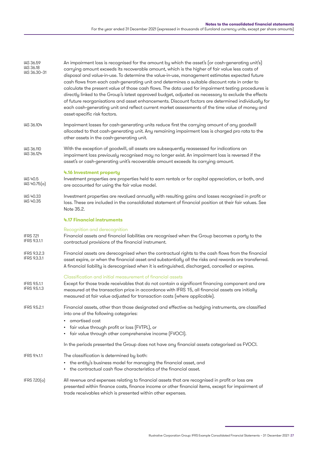| IAS 36.59<br>IAS 36.18<br>IAS 36.30-31     | An impairment loss is recognised for the amount by which the asset's (or cash-generating unit's)<br>carrying amount exceeds its recoverable amount, which is the higher of fair value less costs of<br>disposal and value-in-use. To determine the value-in-use, management estimates expected future<br>cash flows from each cash-generating unit and determines a suitable discount rate in order to<br>calculate the present value of those cash flows. The data used for impairment testing procedures is<br>directly linked to the Group's latest approved budget, adjusted as necessary to exclude the effects<br>of future reorganisations and asset enhancements. Discount factors are determined individually for<br>each cash-generating unit and reflect current market assessments of the time value of money and<br>asset-specific risk factors. |
|--------------------------------------------|---------------------------------------------------------------------------------------------------------------------------------------------------------------------------------------------------------------------------------------------------------------------------------------------------------------------------------------------------------------------------------------------------------------------------------------------------------------------------------------------------------------------------------------------------------------------------------------------------------------------------------------------------------------------------------------------------------------------------------------------------------------------------------------------------------------------------------------------------------------|
| IAS 36.104                                 | Impairment losses for cash-generating units reduce first the carrying amount of any goodwill<br>allocated to that cash-generating unit. Any remaining impairment loss is charged pro rata to the<br>other assets in the cash-generating unit.                                                                                                                                                                                                                                                                                                                                                                                                                                                                                                                                                                                                                 |
| IAS 36.110<br>IAS 36.124                   | With the exception of goodwill, all assets are subsequently reassessed for indications an<br>impairment loss previously recognised may no longer exist. An impairment loss is reversed if the<br>asset's or cash-generating unit's recoverable amount exceeds its carrying amount.                                                                                                                                                                                                                                                                                                                                                                                                                                                                                                                                                                            |
| IAS 40.5<br>IAS 40.75(a)                   | 4.16 Investment property<br>Investment properties are properties held to earn rentals or for capital appreciation, or both, and<br>are accounted for using the fair value model.                                                                                                                                                                                                                                                                                                                                                                                                                                                                                                                                                                                                                                                                              |
| IAS 40.33<br>IAS 40.35                     | Investment properties are revalued annually with resulting gains and losses recognised in profit or<br>loss. These are included in the consoldiated statement of financial position at their fair values. See<br>Note 35.2.                                                                                                                                                                                                                                                                                                                                                                                                                                                                                                                                                                                                                                   |
|                                            | <b>4.17 Financial instruments</b>                                                                                                                                                                                                                                                                                                                                                                                                                                                                                                                                                                                                                                                                                                                                                                                                                             |
| <b>IFRS 7.21</b><br><b>IFRS 9.3.1.1</b>    | Recognition and derecognition<br>Financial assets and financial liabilities are recognised when the Group becomes a party to the<br>contractual provisions of the financial instrument.                                                                                                                                                                                                                                                                                                                                                                                                                                                                                                                                                                                                                                                                       |
| <b>IFRS 9.3.2.3</b><br><b>IFRS 9.3.3.1</b> | Financial assets are derecognised when the contractual rights to the cash flows from the financial<br>asset expire, or when the financial asset and substantially all the risks and rewards are transferred.<br>A financial liability is derecognised when it is extinguished, discharged, cancelled or expires.                                                                                                                                                                                                                                                                                                                                                                                                                                                                                                                                              |
|                                            | Classification and initial measurement of financial assets                                                                                                                                                                                                                                                                                                                                                                                                                                                                                                                                                                                                                                                                                                                                                                                                    |
| <b>IFRS 9.5.1.1</b><br>IFRS 9.5.1.3        | Except for those trade receivables that do not contain a significant financing component and are<br>measured at the transaction price in accordance with IFRS 15, all financial assets are initially<br>measured at fair value adjusted for transaction costs (where applicable).                                                                                                                                                                                                                                                                                                                                                                                                                                                                                                                                                                             |
| <b>IFRS 9.5.2.1</b>                        | Financial assets, other than those designated and effective as hedging instruments, are classified<br>into one of the following categories:<br>amortised cost                                                                                                                                                                                                                                                                                                                                                                                                                                                                                                                                                                                                                                                                                                 |
|                                            | fair value through profit or loss (FVTPL), or<br>fair value through other comprehensive income (FVOCI).                                                                                                                                                                                                                                                                                                                                                                                                                                                                                                                                                                                                                                                                                                                                                       |
|                                            | In the periods presented the Group does not have any financial assets categorised as FVOCI.                                                                                                                                                                                                                                                                                                                                                                                                                                                                                                                                                                                                                                                                                                                                                                   |
| IFRS 9.4.1.1                               | The classification is determined by both:                                                                                                                                                                                                                                                                                                                                                                                                                                                                                                                                                                                                                                                                                                                                                                                                                     |
|                                            | • the entity's business model for managing the financial asset, and<br>the contractual cash flow characteristics of the financial asset.                                                                                                                                                                                                                                                                                                                                                                                                                                                                                                                                                                                                                                                                                                                      |
| IFRS $7.20(a)$                             | All revenue and expenses relating to financial assets that are recognised in profit or loss are<br>presented within finance costs, finance income or other financial items, except for impairment of<br>trade receivables which is presented within other expenses.                                                                                                                                                                                                                                                                                                                                                                                                                                                                                                                                                                                           |

Illustrative Corporation Group: IFRS Example Consolidated Financial Statements – 31 December 2021 27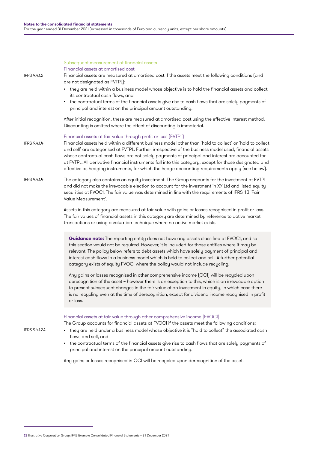#### Subsequent measurement of financial assets

Financial assets at amortised cost

IFRS 9.4.1.2

Financial assets are measured at amortised cost if the assets meet the following conditions (and are not designated as FVTPL):

- they are held within a business model whose objective is to hold the financial assets and collect its contractual cash flows, and
- the contractual terms of the financial assets give rise to cash flows that are solely payments of principal and interest on the principal amount outstanding.

After initial recognition, these are measured at amortised cost using the effective interest method. Discounting is omitted where the effect of discounting is immaterial.

- Financial assets at fair value through profit or loss (FVTPL) Financial assets held within a different business model other than 'hold to collect' or 'hold to collect and sell' are categorised at FVTPL. Further, irrespective of the business model used, financial assets whose contractual cash flows are not solely payments of principal and interest are accounted for IFRS 9.4.1.4
	- at FVTPL. All derivative financial instruments fall into this category, except for those designated and effective as hedging instruments, for which the hedge accounting requirements apply (see below).
- The category also contains an equity investment. The Group accounts for the investment at FVTPL and did not make the irrevocable election to account for the investment in XY Ltd and listed equity securities at FVOCI. The fair value was determined in line with the requirements of IFRS 13 'Fair Value Measurement'. IFRS 9.4.1.4

Assets in this category are measured at fair value with gains or losses recognised in profit or loss. The fair values of financial assets in this category are determined by reference to active market transactions or using a valuation technique where no active market exists.

**Guidance note:** The reporting entity does not have any assets classified at FVOCI, and so this section would not be required. However, it is included for those entities where it may be relevant. The policy below refers to debt assets which have solely payment of principal and interest cash flows in a business model which is held to collect and sell. A further potential category exists of equity FVOCI where the policy would not include recycling.

Any gains or losses recognised in other comprehensive income (OCI) will be recycled upon derecognition of the asset – however there is an exception to this, which is an irrevocable option to present subsequent changes in the fair value of an investment in equity, in which case there is no recycling even at the time of derecognition, except for dividend income recognised in profit or loss.

#### Financial assets at fair value through other comprehensive income (FVOCI)

The Group accounts for financial assets at FVOCI if the assets meet the following conditions:

- IFRS 9.4.1.2A
- they are held under a business model whose objective it is "hold to collect" the associated cash flows and sell, and
- the contractual terms of the financial assets give rise to cash flows that are solely payments of principal and interest on the principal amount outstanding.

Any gains or losses recognised in OCI will be recycled upon derecognition of the asset.

<sup>28</sup> Illustrative Corporation Group: IFRS Example Consolidated Financial Statements – 31 December 2021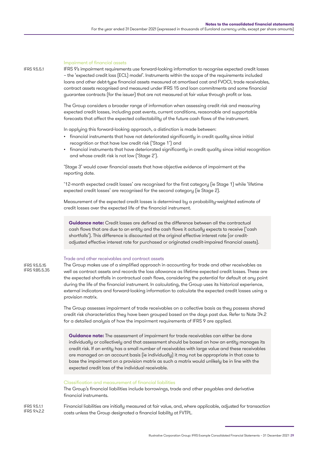#### Impairment of financial assets

IFRS 9's impairment requirements use forward-looking information to recognise expected credit losses – the 'expected credit loss (ECL) model'. Instruments within the scope of the requirements included loans and other debt-type financial assets measured at amortised cost and FVOCI, trade receivables, contract assets recognised and measured under IFRS 15 and loan commitments and some financial guarantee contracts (for the issuer) that are not measured at fair value through profit or loss.

The Group considers a broader range of information when assessing credit risk and measuring expected credit losses, including past events, current conditions, reasonable and supportable forecasts that affect the expected collectability of the future cash flows of the instrument.

In applying this forward-looking approach, a distinction is made between:

- financial instruments that have not deteriorated significantly in credit quality since initial recognition or that have low credit risk ('Stage 1') and
- financial instruments that have deteriorated significantly in credit quality since initial recognition and whose credit risk is not low ('Stage 2').

'Stage 3' would cover financial assets that have objective evidence of impairment at the reporting date.

'12-month expected credit losses' are recognised for the first category (ie Stage 1) while 'lifetime expected credit losses' are recognised for the second category (ie Stage 2).

Measurement of the expected credit losses is determined by a probability-weighted estimate of credit losses over the expected life of the financial instrument.

**Guidance note:** Credit losses are defined as the difference between all the contractual cash flows that are due to an entity and the cash flows it actually expects to receive ('cash shortfalls'). This difference is discounted at the original effective interest rate (or creditadjusted effective interest rate for purchased or originated credit-impaired financial assets).

#### Trade and other receivables and contract assets

IFRS 9.5.5.15 IFRS 9.B5.5.35

IFRS 9.5.5.1

The Group makes use of a simplified approach in accounting for trade and other receivables as well as contract assets and records the loss allowance as lifetime expected credit losses. These are the expected shortfalls in contractual cash flows, considering the potential for default at any point during the life of the financial instrument. In calculating, the Group uses its historical experience, external indicators and forward-looking information to calculate the expected credit losses using a provision matrix.

The Group assesses impairment of trade receivables on a collective basis as they possess shared credit risk characteristics they have been grouped based on the days past due. Refer to Note 34.2 for a detailed analysis of how the impairment requirements of IFRS 9 are applied.

**Guidance note:** The assessment of impairment for trade receivables can either be done individually or collectively and that assessment should be based on how an entity manages its credit risk. If an entity has a small number of receivables with large value and these receivables are managed on an account basis (ie individually) it may not be appropriate in that case to base the impairment on a provision matrix as such a matrix would unlikely be in line with the expected credit loss of the individual receivable.

#### Classification and measurement of financial liabilities

The Group's financial liabilities include borrowings, trade and other payables and derivative financial instruments.

Financial liabilities are initially measured at fair value, and, where applicable, adjusted for transaction costs unless the Group designated a financial liability at FVTPL. IFRS 9.5.1.1 IFRS 9.4.2.2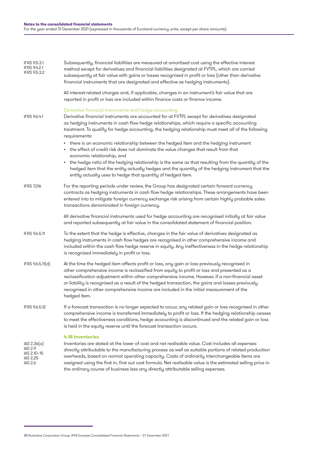| <b>IFRS 9.5.3.1</b><br>IFRS 9.4.2.1<br><b>IFRS 9.5.3.2</b>          | Subsequently, financial liabilities are measured at amortised cost using the effective interest<br>method except for derivatives and financial liabilities designated at FVTPL, which are carried<br>subsequently at fair value with gains or losses recognised in profit or loss (other than derivative<br>financial instruments that are designated and effective as hedging instruments).                                                                                                                                                                                                                                                                                                                                                                                                                                                                              |
|---------------------------------------------------------------------|---------------------------------------------------------------------------------------------------------------------------------------------------------------------------------------------------------------------------------------------------------------------------------------------------------------------------------------------------------------------------------------------------------------------------------------------------------------------------------------------------------------------------------------------------------------------------------------------------------------------------------------------------------------------------------------------------------------------------------------------------------------------------------------------------------------------------------------------------------------------------|
|                                                                     | All interest-related charges and, if applicable, changes in an instrument's fair value that are<br>reported in profit or loss are included within finance costs or finance income.                                                                                                                                                                                                                                                                                                                                                                                                                                                                                                                                                                                                                                                                                        |
| IFRS 9.6.4.1                                                        | Derivative financial instruments and hedge accounting<br>Derivative financial instruments are accounted for at FVTPL except for derivatives designated<br>as hedging instruments in cash flow hedge relationships, which require a specific accounting<br>treatment. To qualify for hedge accounting, the hedging relationship must meet all of the following<br>requirements:<br>• there is an economic relationship between the hedged item and the hedging instrument<br>• the effect of credit risk does not dominate the value changes that result from that<br>economic relationship, and<br>• the hedge ratio of the hedging relationship is the same as that resulting from the quantity of the<br>hedged item that the entity actually hedges and the quantity of the hedging instrument that the<br>entity actually uses to hedge that quantity of hedged item. |
| IFRS 7.21A                                                          | For the reporting periods under review, the Group has designated certain forward currency<br>contracts as hedging instruments in cash flow hedge relationships. These arrangements have been<br>entered into to mitigate foreign currency exchange risk arising from certain highly probable sales<br>transactions denominated in foreign currency.                                                                                                                                                                                                                                                                                                                                                                                                                                                                                                                       |
|                                                                     | All derivative financial instruments used for hedge accounting are recognised initially at fair value<br>and reported subsequently at fair value in the consolidated statement of financial position.                                                                                                                                                                                                                                                                                                                                                                                                                                                                                                                                                                                                                                                                     |
| <b>IFRS 9.6.5.11</b>                                                | To the extent that the hedge is effective, changes in the fair value of derivatives designated as<br>hedging instruments in cash flow hedges are recognised in other comprehensive income and<br>included within the cash flow hedge reserve in equity. Any ineffectiveness in the hedge relationship<br>is recognised immediately in profit or loss.                                                                                                                                                                                                                                                                                                                                                                                                                                                                                                                     |
| IFRS 9.6.5.11(d)                                                    | At the time the hedged item affects profit or loss, any gain or loss previously recognised in<br>other comprehensive income is reclassified from equity to profit or loss and presented as a<br>reclassification adjustment within other comprehensive income. However, if a non-financial asset<br>or liability is recognised as a result of the hedged transaction, the gains and losses previously<br>recognised in other comprehensive income are included in the initial measurement of the<br>hedged item.                                                                                                                                                                                                                                                                                                                                                          |
| <b>IFRS 9.6.5.12</b>                                                | If a forecast transaction is no longer expected to occur, any related gain or loss recognised in other<br>comprehensive income is transferred immediately to profit or loss. If the hedging relationship ceases<br>to meet the effectiveness conditions, hedge accounting is discontinued and the related gain or loss<br>is held in the equity reserve until the forecast transaction occurs.                                                                                                                                                                                                                                                                                                                                                                                                                                                                            |
| IAS 2.36(a)<br><b>IAS 2.9</b><br>IAS 2.10-15<br>IAS 2.25<br>IAS 2.6 | 4.18 Inventories<br>Inventories are stated at the lower of cost and net realisable value. Cost includes all expenses<br>directly attributable to the manufacturing process as well as suitable portions of related production<br>overheads, based on normal operating capacity. Costs of ordinarily interchangeable items are<br>assigned using the first in, first out cost formula. Net realisable value is the estimated selling price in<br>the ordinary course of business less any directly attributable selling expenses.                                                                                                                                                                                                                                                                                                                                          |

<sup>30</sup> Illustrative Corporation Group: IFRS Example Consolidated Financial Statements – 31 December 2021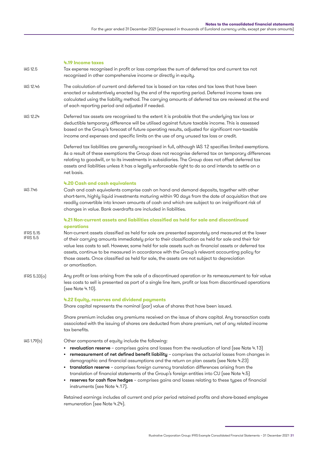#### **4.19 Income taxes** Tax expense recognised in profit or loss comprises the sum of deferred tax and current tax not recognised in other comprehensive income or directly in equity. The calculation of current and deferred tax is based on tax rates and tax laws that have been enacted or substantively enacted by the end of the reporting period. Deferred income taxes are calculated using the liability method. The carrying amounts of deferred tax are reviewed at the end of each reporting period and adjusted if needed. Deferred tax assets are recognised to the extent it is probable that the underlying tax loss or deductible temporary difference will be utilised against future taxable income. This is assessed based on the Group's forecast of future operating results, adjusted for significant non-taxable income and expenses and specific limits on the use of any unused tax loss or credit. Deferred tax liabilities are generally recognised in full, although IAS 12 specifies limited exemptions. As a result of these exemptions the Group does not recognise deferred tax on temporary differences relating to goodwill, or to its investments in subsidiaries. The Group does not offset deferred tax assets and liabilities unless it has a legally enforceable right to do so and intends to settle on a net basis. **4.20 Cash and cash equivalents** Cash and cash equivalents comprise cash on hand and demand deposits, together with other short-term, highly liquid investments maturing within 90 days from the date of acquisition that are readily convertible into known amounts of cash and which are subject to an insignificant risk of changes in value. Bank overdrafts are included in liabilities. **4.21 Non-current assets and liabilities classified as held for sale and discontinued operations** Non-current assets classified as held for sale are presented separately and measured at the lower of their carrying amounts immediately prior to their classification as held for sale and their fair value less costs to sell. However, some held for sale assets such as financial assets or deferred tax assets, continue to be measured in accordance with the Group's relevant accounting policy for those assets. Once classified as held for sale, the assets are not subject to depreciation or amortisation. Any profit or loss arising from the sale of a discontinued operation or its remeasurement to fair value less costs to sell is presented as part of a single line item, profit or loss from discontinued operations (see Note 4.10). **4.22 Equity, reserves and dividend payments** Share capital represents the nominal (par) value of shares that have been issued. Share premium includes any premiums received on the issue of share capital. Any transaction costs associated with the issuing of shares are deducted from share premium, net of any related income tax benefits. Other components of equity include the following: **•** revaluation reserve – comprises gains and losses from the revaluation of land (see Note 4.13) **•** remeasurement of net defined benefit liability – comprises the actuarial losses from changes in demographic and financial assumptions and the return on plan assets (see Note 4.23) **•** translation reserve – comprises foreign currency translation differences arising from the translation of financial statements of the Group's foreign entities into CU (see Note 4.5) **•** reserves for cash flow hedges – comprises gains and losses relating to these types of financial instruments (see Note 4.17). IAS 12.5 IAS 12.46 IAS 12.24 IAS 7.46 IFRS 5.15 IFRS 5.5 IFRS 5.33(a) IAS 1.79(b)

Retained earnings includes all current and prior period retained profits and share-based employee remuneration (see Note 4.24).

Illustrative Corporation Group: IFRS Example Consolidated Financial Statements – 31 December 2021 31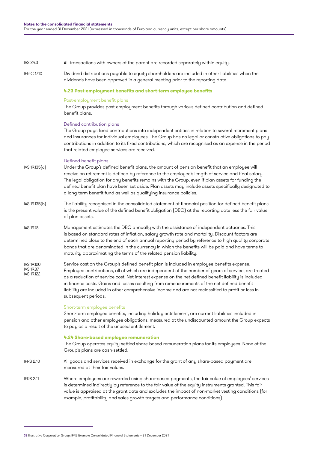| IAS 24.3 | All transactions with owners of the parent are recorded separately within equity. |  |  |
|----------|-----------------------------------------------------------------------------------|--|--|
|          |                                                                                   |  |  |

Dividend distributions payable to equity shareholders are included in other liabilities when the IFRIC 17.10

## dividends have been approved in a general meeting prior to the reporting date.

#### **4.23 Post-employment benefits and short-term employee benefits**

#### Post-employment benefit plans

The Group provides post-employment benefits through various defined contribution and defined benefit plans.

#### Defined contribution plans

The Group pays fixed contributions into independent entities in relation to several retirement plans and insurances for individual employees. The Group has no legal or constructive obligations to pay contributions in addition to its fixed contributions, which are recognised as an expense in the period that related employee services are received.

#### Defined benefit plans

- Under the Group's defined benefit plans, the amount of pension benefit that an employee will receive on retirement is defined by reference to the employee's length of service and final salary. The legal obligation for any benefits remains with the Group, even if plan assets for funding the defined benefit plan have been set aside. Plan assets may include assets specifically designated to a long-term benefit fund as well as qualifying insurance policies. IAS 19.135(a)
- The liability recognised in the consolidated statement of financial position for defined benefit plans is the present value of the defined benefit obligation (DBO) at the reporting date less the fair value of plan assets. IAS 19.135(b)
- Management estimates the DBO annually with the assistance of independent actuaries. This is based on standard rates of inflation, salary growth rate and mortality. Discount factors are determined close to the end of each annual reporting period by reference to high quality corporate bonds that are denominated in the currency in which the benefits will be paid and have terms to maturity approximating the terms of the related pension liability. IAS 19.76
- Service cost on the Group's defined benefit plan is included in employee benefits expense. Employee contributions, all of which are independent of the number of years of service, are treated as a reduction of service cost. Net interest expense on the net defined benefit liability is included in finance costs. Gains and losses resulting from remeasurements of the net defined benefit liability are included in other comprehensive income and are not reclassified to profit or loss in subsequent periods. IAS 19.120 IAS 19.87 **IAS 10122**

#### Short-term employee benefits

Short-term employee benefits, including holiday entitlement, are current liabilities included in pension and other employee obligations, measured at the undiscounted amount the Group expects to pay as a result of the unused entitlement.

#### **4.24 Share-based employee remuneration**

The Group operates equity-settled share-based remuneration plans for its employees. None of the Group's plans are cash-settled.

- All goods and services received in exchange for the grant of any share-based payment are measured at their fair values. IFRS 2.10
- Where employees are rewarded using share-based payments, the fair value of employees' services is determined indirectly by reference to the fair value of the equity instruments granted. This fair value is appraised at the grant date and excludes the impact of non-market vesting conditions (for example, profitability and sales growth targets and performance conditions). IFRS 2.11

<sup>32</sup> Illustrative Corporation Group: IFRS Example Consolidated Financial Statements – 31 December 2021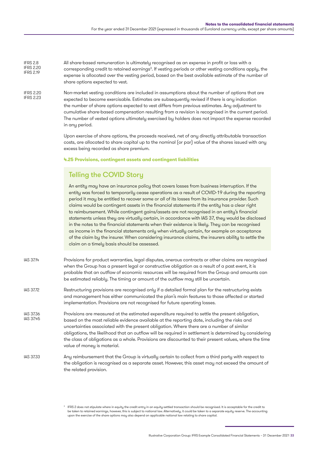| IFRS 2.8<br><b>IFRS 2.20</b><br><b>IFRS 2.19</b> | All share-based remuneration is ultimately recognised as an expense in profit or loss with a<br>corresponding credit to retained earnings <sup>3</sup> . If vesting periods or other vesting conditions apply, the<br>expense is allocated over the vesting period, based on the best available estimate of the number of<br>share options expected to vest.                                                                                                                                                                                                                                                                                                                                                                                                                                                                                                                                                                                                   |  |  |
|--------------------------------------------------|----------------------------------------------------------------------------------------------------------------------------------------------------------------------------------------------------------------------------------------------------------------------------------------------------------------------------------------------------------------------------------------------------------------------------------------------------------------------------------------------------------------------------------------------------------------------------------------------------------------------------------------------------------------------------------------------------------------------------------------------------------------------------------------------------------------------------------------------------------------------------------------------------------------------------------------------------------------|--|--|
| <b>IFRS 2.20</b><br><b>IFRS 2.23</b>             | Non-market vesting conditions are included in assumptions about the number of options that are<br>expected to become exercisable. Estimates are subsequently revised if there is any indication<br>the number of share options expected to vest differs from previous estimates. Any adjustment to<br>cumulative share-based compensation resulting from a revision is recognised in the current period.<br>The number of vested options ultimately exercised by holders does not impact the expense recorded<br>in any period.                                                                                                                                                                                                                                                                                                                                                                                                                                |  |  |
|                                                  | Upon exercise of share options, the proceeds received, net of any directly attributable transaction<br>costs, are allocated to share capital up to the nominal (or par) value of the shares issued with any<br>excess being recorded as share premium.                                                                                                                                                                                                                                                                                                                                                                                                                                                                                                                                                                                                                                                                                                         |  |  |
|                                                  | 4.25 Provisions, contingent assets and contingent liabilities                                                                                                                                                                                                                                                                                                                                                                                                                                                                                                                                                                                                                                                                                                                                                                                                                                                                                                  |  |  |
|                                                  | <b>Telling the COVID Story</b>                                                                                                                                                                                                                                                                                                                                                                                                                                                                                                                                                                                                                                                                                                                                                                                                                                                                                                                                 |  |  |
|                                                  | An entity may have an insurance policy that covers losses from business interruption. If the<br>entity was forced to temporarily cease operations as a result of COVID-19 during the reporting<br>period it may be entitled to recover some or all of its losses from its insurance provider. Such<br>claims would be contingent assets in the financial statements if the entity has a clear right<br>to reimbursement. While contingent gains/assets are not recognised in an entity's financial<br>statements unless they are virtually certain, in accordance with IAS 37, they would be disclosed<br>in the notes to the financial statements when their existence is likely. They can be recognised<br>as income in the financial statements only when virtually certain, for example on acceptance<br>of the claim by the insurer. When considering insurance claims, the insurers ability to settle the<br>claim on a timely basis should be assessed. |  |  |
| IAS 37.14                                        | Provisions for product warranties, legal disputes, onerous contracts or other claims are recognised<br>when the Group has a present legal or constructive obligation as a result of a past event, it is<br>probable that an outflow of economic resources will be required from the Group and amounts can<br>be estimated reliably. The timing or amount of the outflow may still be uncertain.                                                                                                                                                                                                                                                                                                                                                                                                                                                                                                                                                                |  |  |
| <b>IAS 37.72</b>                                 | Restructuring provisions are recognised only if a detailed formal plan for the restructuring exists<br>and management has either communicated the plan's main features to those affected or started<br>implementation. Provisions are not recognised for future operating losses.                                                                                                                                                                                                                                                                                                                                                                                                                                                                                                                                                                                                                                                                              |  |  |
| IAS 37.36<br>IAS 37.45                           | Provisions are measured at the estimated expenditure required to settle the present obligation,<br>based on the most reliable evidence available at the reporting date, including the risks and<br>uncertainties associated with the present obligation. Where there are a number of similar<br>obligations, the likelihood that an outflow will be required in settlement is determined by considering<br>the class of obligations as a whole. Provisions are discounted to their present values, where the time<br>value of money is material.                                                                                                                                                                                                                                                                                                                                                                                                               |  |  |
| IAS 37.33                                        | Any reimbursement that the Group is virtually certain to collect from a third party with respect to<br>the obligation is recognised as a separate asset. However, this asset may not exceed the amount of<br>the related provision.                                                                                                                                                                                                                                                                                                                                                                                                                                                                                                                                                                                                                                                                                                                            |  |  |

lfRS 2 does not stipulate where in equity the credit entry in an equity-settled transaction should be recognised. It is acceptable for the credit to [ to letaken to retained earnings, however, this is subject to national l upon the exercise of the share options may also depend on applicable national law relating to share capital.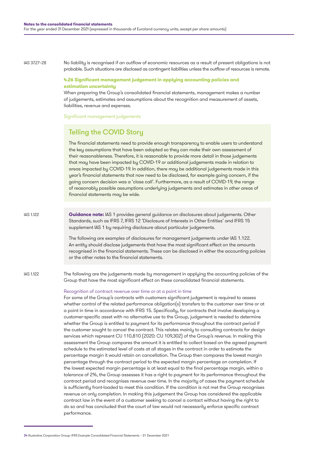#### IAS 37.27–28

No liability is recognised if an outflow of economic resources as a result of present obligations is not probable. Such situations are disclosed as contingent liabilities unless the outflow of resources is remote.

#### **4.26 Significant management judgement in applying accounting policies and estimation uncertainty**

When preparing the Group's consolidated financial statements, management makes a number of judgements, estimates and assumptions about the recognition and measurement of assets, liabilities, revenue and expenses.

Significant management judgements

### Telling the COVID Story

The financial statements need to provide enough transparency to enable users to understand the key assumptions that have been adopted so they can make their own assessment of their reasonableness. Therefore, it is reasonable to provide more detail in those judgements that may have been impacted by COVID-19 or additional judgements made in relation to areas impacted by COVID-19. In addition, there may be additional judgements made in this year's financial statements that now need to be disclosed, for example going concern, if the going concern decision was a 'close call'. Furthermore, as a result of COVID-19, the range of reasonably possible assumptions underlying judgements and estimates in other areas of financial statements may be wide.

IAS 1.122

**Guidance note:** IAS 1 provides general guidance on disclosures about judgements. Other Standards, such as IFRS 7, IFRS 12 'Disclosure of Interests in Other Entities' and IFRS 15 supplement IAS 1 by requiring disclosure about particular judgements.

The following are examples of disclosures for management judgements under IAS 1.122. An entity should disclose judgements that have the most significant effect on the amounts recognised in the financial statements. These can be disclosed in either the accounting policies or the other notes to the financial statements.

IAS 1.122

The following are the judgements made by management in applying the accounting policies of the Group that have the most significant effect on these consolidated financial statements.

#### Recognition of contract revenue over time or at a point in time

For some of the Group's contracts with customers significant judgement is required to assess whether control of the related performance obligation(s) transfers to the customer over time or at a point in time in accordance with IFRS 15. Specifically, for contracts that involve developing a customer-specific asset with no alternative use to the Group, judgement is needed to determine whether the Group is entitled to payment for its performance throughout the contract period if the customer sought to cancel the contract. This relates mainly to consulting contracts for design services which represent CU 110,810 (2020: CU 109,302) of the Group's revenue. In making this assessment the Group compares the amount it is entitled to collect based on the agreed payment schedule to the estimated level of costs at all stages in the contract in order to estimate the percentage margin it would retain on cancellation. The Group then compares the lowest margin percentage through the contract period to the expected margin percentage on completion. If the lowest expected margin percentage is at least equal to the final percentage margin, within a tolerance of 2%, the Group assesses it has a right to payment for its performance throughout the contract period and recognises revenue over time. In the majority of cases the payment schedule is sufficiently front-loaded to meet this condition. If the condition is not met the Group recognises revenue on only completion. In making this judgement the Group has considered the applicable contract law in the event of a customer seeking to cancel a contact without having the right to do so and has concluded that the court of law would not necessarily enforce specific contract performance.

<sup>34</sup> Illustrative Corporation Group: IFRS Example Consolidated Financial Statements – 31 December 2021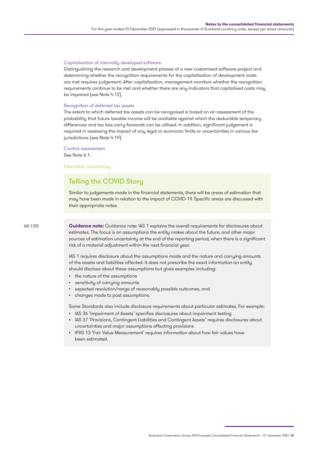#### Capitalisation of internally developed software

Distinguishing the research and development phases of a new customised software project and determining whether the recognition requirements for the capitalisation of development costs are met requires judgement. After capitalisation, management monitors whether the recognition requirements continue to be met and whether there are any indicators that capitalised costs may be impaired (see Note 4.12).

#### Recognition of deferred tax assets

The extent to which deferred tax assets can be recognised is based on an assessment of the probability that future taxable income will be available against which the deductible temporary differences and tax loss carry-forwards can be utilised. In addition, significant judgement is required in assessing the impact of any legal or economic limits or uncertainties in various tax jurisdictions (see Note 4.19).

Control assessment

See Note 6.1.

Estimation uncertainty

## Telling the COVID Story

Similar to judgements made in the financial statements, there will be areas of estimation that may have been made in relation to the impact of COVID-19. Specific areas are discussed with their appropriate notes.

IAS 1.125

**Guidance note:** Guidance note: IAS 1 explains the overall requirements for disclosures about estimates. The focus is on assumptions the entity makes about the future, and other major sources of estimation uncertainty at the end of the reporting period, when there is a significant risk of a material adjustment within the next financial year.

IAS 1 requires disclosure about the assumptions made and the nature and carrying amounts of the assets and liabilities affected. It does not prescribe the exact information an entity should disclose about these assumptions but gives examples including:

- the nature of the assumptions
- sensitivity of carrying amounts
- expected resolution/range of reasonably possible outcomes, and
- changes made to past assumptions.

Some Standards also include disclosure requirements about particular estimates. For example:

- IAS 36 'Impairment of Assets' specifies disclosures about impairment testing
- IAS 37 'Provisions, Contingent Liabilities and Contingent Assets' requires disclosures about uncertainties and major assumptions affecting provisions
- IFRS 13 'Fair Value Measurement' requires information about how fair values have been estimated.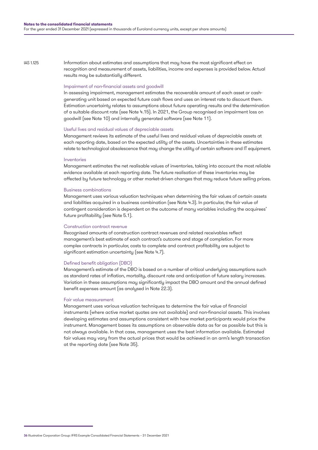IAS 1.125

Information about estimates and assumptions that may have the most significant effect on recognition and measurement of assets, liabilities, income and expenses is provided below. Actual results may be substantially different.

### Impairment of non-financial assets and goodwill

In assessing impairment, management estimates the recoverable amount of each asset or cashgenerating unit based on expected future cash flows and uses an interest rate to discount them. Estimation uncertainty relates to assumptions about future operating results and the determination of a suitable discount rate (see Note 4.15). In 2021, the Group recognised an impairment loss on goodwill (see Note 10) and internally generated software (see Note 11).

### Useful lives and residual values of depreciable assets

Management reviews its estimate of the useful lives and residual values of depreciable assets at each reporting date, based on the expected utility of the assets. Uncertainties in these estimates relate to technological obsolescence that may change the utility of certain software and IT equipment.

### Inventories

Management estimates the net realisable values of inventories, taking into account the most reliable evidence available at each reporting date. The future realisation of these inventories may be affected by future technology or other market-driven changes that may reduce future selling prices.

### Business combinations

Management uses various valuation techniques when determining the fair values of certain assets and liabilities acquired in a business combination (see Note 4.3). In particular, the fair value of contingent consideration is dependent on the outcome of many variables including the acquirees' future profitability (see Note 5.1).

### Construction contract revenue

Recognised amounts of construction contract revenues and related receivables reflect management's best estimate of each contract's outcome and stage of completion. For more complex contracts in particular, costs to complete and contract profitability are subject to significant estimation uncertainty (see Note 4.7).

### Defined benefit obligation (DBO)

Management's estimate of the DBO is based on a number of critical underlying assumptions such as standard rates of inflation, mortality, discount rate and anticipation of future salary increases. Variation in these assumptions may significantly impact the DBO amount and the annual defined benefit expenses amount (as analysed in Note 22.3).

### Fair value measurement

Management uses various valuation techniques to determine the fair value of financial instruments (where active market quotes are not available) and non-financial assets. This involves developing estimates and assumptions consistent with how market participants would price the instrument. Management bases its assumptions on observable data as far as possible but this is not always available. In that case, management uses the best information available. Estimated fair values may vary from the actual prices that would be achieved in an arm's length transaction at the reporting date (see Note 35).

<sup>36</sup> Illustrative Corporation Group: IFRS Example Consolidated Financial Statements – 31 December 2021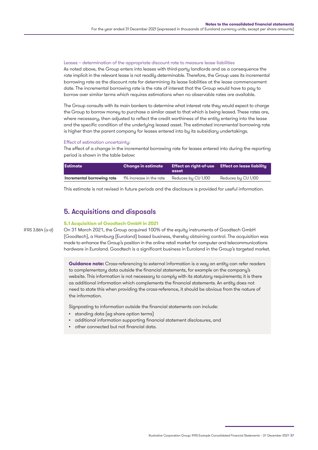#### Leases – determination of the appropriate discount rate to measure lease liabilities

As noted above, the Group enters into leases with third-party landlords and as a consequence the rate implicit in the relevant lease is not readily determinable. Therefore, the Group uses its incremental borrowing rate as the discount rate for determining its lease liabilities at the lease commencement date. The incremental borrowing rate is the rate of interest that the Group would have to pay to borrow over similar terms which requires estimations when no observable rates are available.

The Group consults with its main bankers to determine what interest rate they would expect to charge the Group to borrow money to purchase a similar asset to that which is being leased. These rates are, where necessary, then adjusted to reflect the credit worthiness of the entity entering into the lease and the specific condition of the underlying leased asset. The estimated incremental borrowing rate is higher than the parent company for leases entered into by its subsidiary undertakings.

#### Effect of estimation uncertainty:

The effect of a change in the incremental borrowing rate for leases entered into during the reporting period is shown in the table below:

| <b>Estimate</b>            | <b>Change in estimate</b> | asset               | Effect on right-of-use Effect on lease liability |
|----------------------------|---------------------------|---------------------|--------------------------------------------------|
| Incremental borrowing rate | 1% increase in the rate   | Reduces by CU 1,100 | Reduces by CU 1,100                              |

This estimate is not revised in future periods and the disclosure is provided for useful information.

## 5. Acquisitions and disposals

### **5.1 Acquisition of Goodtech GmbH in 2021** IFRS 3.B64 (a-d)

On 31 March 2021, the Group acquired 100% of the equity instruments of Goodtech GmbH (Goodtech), a Hamburg (Euroland) based business, thereby obtaining control. The acquisition was made to enhance the Group's position in the online retail market for computer and telecommunications hardware in Euroland. Goodtech is a significant business in Euroland in the Group's targeted market.

**Guidance note:** Cross-referencing to external information is a way an entity can refer readers to complementary data outside the financial statements, for example on the company's website. This information is not necessary to comply with its statutory requirements; it is there as additional information which complements the financial statements. An entity does not need to state this when providing the cross-reference, it should be obvious from the nature of the information.

Signposting to information outside the financial statements can include:

- standing data (eg share option terms)
- additional information supporting financial statement disclosures, and
- other connected but not financial data.

Illustrative Corporation Group: IFRS Example Consolidated Financial Statements – 31 December 2021 37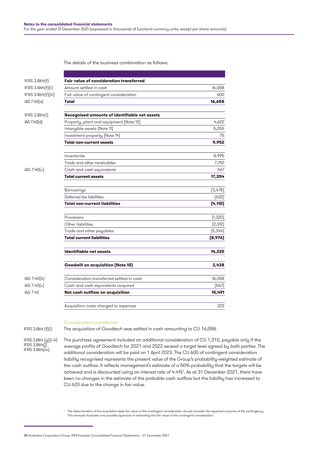The details of the business combination as follows:

| IFRS 3.B64(f)      | <b>Fair value of consideration transferred</b> |          |
|--------------------|------------------------------------------------|----------|
| IFRS 3.B64(f)(i)   | Amount settled in cash                         | 16,058   |
| IFRS 3.B64(f)(iii) | Fair value of contingent consideration         | 600      |
| IAS 7.40(a)        | Total                                          | 16,658   |
| IFRS 3.B64(i)      | Recognised amounts of identifiable net assets  |          |
| IAS 7.40(d)        | Property, plant and equipment (Note 12)        | 4,622    |
|                    | Intangible assets (Note 11)                    | 5,255    |
|                    | Investment property (Note 14)                  | 75       |
|                    | <b>Total non-current assets</b>                | 9,952    |
|                    | Inventories                                    | 8,995    |
|                    | Trade and other receivables                    | 7,792    |
| IAS 7.40(c)        | Cash and cash equivalents                      | 567      |
|                    | <b>Total current assets</b>                    | 17,354   |
|                    | Borrowings                                     | (3,478)  |
|                    | Deferred tax liabilities                       | (632)    |
|                    | <b>Total non-current liabilities</b>           | (4,110)  |
|                    | Provisions                                     | (1,320)  |
|                    | Other liabilities                              | [2, 312] |
|                    | Trade and other payables                       | (5,344)  |
|                    | <b>Total current liabilities</b>               | (8,976)  |
|                    | Identifiable net assets                        | 14,220   |
|                    | <b>Goodwill on acquisition (Note 10)</b>       | 2,438    |
| IAS 7.40(b)        | Consideration transferred settled in cash      | 16,058   |
| IAS 7.40(c)        | Cash and cash equivalents acquired             | (567)    |
| <b>IAS 7.42</b>    | Net cash outflow on acquisition                | 15,491   |
|                    | Acquisition costs charged to expenses          | 223      |

### Consideration transferred

IFRS 3.B64 (f)(i)

IFRS 3.B64 (g)(i-iii)

IFRS 3.B64(j)  $IFRS 3.B64(m)$  The purchase agreement included an additional consideration of CU 1,310, payable only if the average profits of Goodtech for 2021 and 2022 exceed a target level agreed by both parties. The additional consideration will be paid on 1 April 2023. The CU 600 of contingent consideration liability recognised represents the present value of the Group's probability-weighted estimate of the cash outflow. It reflects management's estimate of a 50% probability that the targets will be achieved and is discounted using an interest rate of 4.4%4 . As at 31 December 2021, there have been no changes in the estimate of the probable cash outflow but the liability has increased to CU 620 due to the change in fair value.

The acquisition of Goodtech was settled in cash amounting to CU 16,058.

4 The determination of the acquisition-date fair value of the contingent consideration should consider the expected outcome of the contingency. This example illustrates one possible approach in estimating the fair value of the contingent consideration.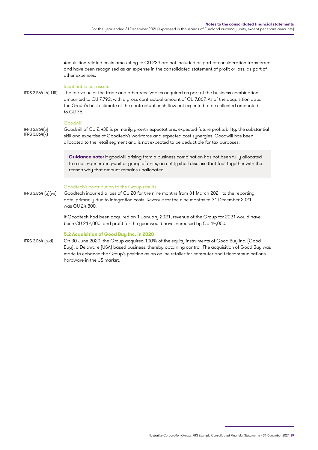Acquisition-related costs amounting to CU 223 are not included as part of consideration transferred and have been recognised as an expense in the consolidated statement of profit or loss, as part of other expenses.

### Identifiable net assets

IFRS 3.B64 (h)(i-iii)

The fair value of the trade and other receivables acquired as part of the business combination amounted to CU 7,792, with a gross contractual amount of CU 7,867. As of the acquisition date, the Group's best estimate of the contractual cash flow not expected to be collected amounted to CU 75.

### **Goodwill**

IFRS 3.B64(e) IFRS 3.B64(k) Goodwill of CU 2,438 is primarily growth expectations, expected future profitability, the substantial skill and expertise of Goodtech's workforce and expected cost synergies. Goodwill has been allocated to the retail segment and is not expected to be deductible for tax purposes.

**Guidance note:** If goodwill arising from a business combination has not been fully allocated to a cash-generating-unit or group of units, an entity shall disclose that fact together with the reason why that amount remains unallocated.

### Goodtech's contribution to the Group results

Goodtech incurred a loss of CU 20 for the nine months from 31 March 2021 to the reporting date, primarily due to integration costs. Revenue for the nine months to 31 December 2021 was CU 24,800. IFRS 3.B64 (q)(i-ii)

> If Goodtech had been acquired on 1 January 2021, revenue of the Group for 2021 would have been CU 212,000, and profit for the year would have increased by CU 14,000.

### **5.2 Acquisition of Good Buy Inc. in 2020**

IFRS 3.B64 (a-d)

On 30 June 2020, the Group acquired 100% of the equity instruments of Good Buy Inc. (Good Buy), a Delaware (USA) based business, thereby obtaining control. The acquisition of Good Buy was made to enhance the Group's position as an online retailer for computer and telecommunications hardware in the US market.

Illustrative Corporation Group: IFRS Example Consolidated Financial Statements – 31 December 2021 39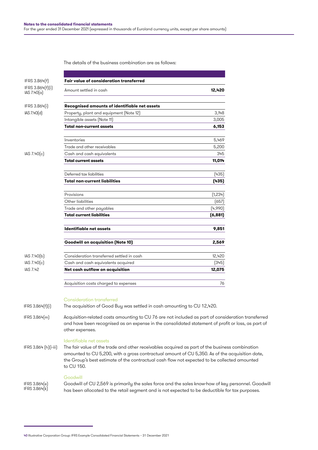The details of the business combination are as follows:

| IFRS 3.B64(f)                   | <b>Fair value of consideration transferred</b>                                                                                                                                                                              |          |
|---------------------------------|-----------------------------------------------------------------------------------------------------------------------------------------------------------------------------------------------------------------------------|----------|
| IFRS 3.B64(f)(i)<br>IAS 7.40(a) | Amount settled in cash                                                                                                                                                                                                      | 12,420   |
| IFRS 3.B64(i)                   | Recognised amounts of identifiable net assets                                                                                                                                                                               |          |
| IAS 7.40(d)                     | Property, plant and equipment (Note 12)                                                                                                                                                                                     | 3,148    |
|                                 | Intangible assets (Note 11)                                                                                                                                                                                                 | 3,005    |
|                                 | <b>Total non-current assets</b>                                                                                                                                                                                             | 6,153    |
|                                 | Inventories                                                                                                                                                                                                                 | 5,469    |
|                                 | Trade and other receivables                                                                                                                                                                                                 | 5,200    |
| IAS 7.40(c)                     | Cash and cash equivalents                                                                                                                                                                                                   | 345      |
|                                 | <b>Total current assets</b>                                                                                                                                                                                                 | 11,014   |
|                                 | Deferred tax liabilities                                                                                                                                                                                                    | (435)    |
|                                 | <b>Total non-current liabilities</b>                                                                                                                                                                                        | (435)    |
|                                 | Provisions                                                                                                                                                                                                                  | (1,234)  |
|                                 | Other liabilities                                                                                                                                                                                                           | (657)    |
|                                 | Trade and other payables                                                                                                                                                                                                    | (4,990)  |
|                                 | <b>Total current liabilities</b>                                                                                                                                                                                            | (6, 881) |
|                                 | Identifiable net assets                                                                                                                                                                                                     | 9,851    |
|                                 | <b>Goodwill on acquisition (Note 10)</b>                                                                                                                                                                                    | 2,569    |
| IAS 7.40(b)                     | Consideration transferred settled in cash                                                                                                                                                                                   | 12,420   |
| IAS 7.40(c)                     | Cash and cash equivalents acquired                                                                                                                                                                                          | (345)    |
| IAS 7.42                        | Net cash outflow on acquisition                                                                                                                                                                                             | 12,075   |
|                                 | Acquisition costs charged to expenses                                                                                                                                                                                       | 76       |
|                                 | Consideration transferred                                                                                                                                                                                                   |          |
| IFRS 3.B64[f][i]                | The acquisition of Good Buy was settled in cash amounting to CU 12,420.                                                                                                                                                     |          |
| IFRS 3.B64(m)                   | Acquisition-related costs amounting to CU 76 are not included as part of consideration transferred<br>and have been recognised as an expense in the consolidated statement of profit or loss, as part of<br>other expenses. |          |

Identifiable net assets

The fair value of the trade and other receivables acquired as part of the business combination amounted to CU 5,200, with a gross contractual amount of CU 5,350. As of the acquisition date, the Group's best estimate of the contractual cash flow not expected to be collected amounted to CU 150. IFRS 3.B64 (h)(i-iii)

Goodwill Goodwill of CU 2,569 is primarily the sales force and the sales know-how of key personnel. Goodwill has been allocated to the retail segment and is not expected to be deductible for tax purposes. IFRS 3.B64(e) IFRS 3.B64(k)

<sup>40</sup> Illustrative Corporation Group: IFRS Example Consolidated Financial Statements – 31 December 2021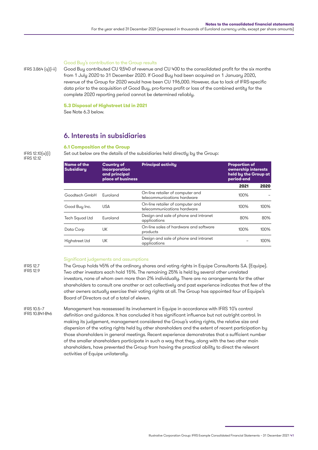#### Good Buy's contribution to the Group results

Good Buy contributed CU 9,540 of revenue and CU 400 to the consolidated profit for the six months from 1 July 2020 to 31 December 2020. If Good Buy had been acquired on 1 January 2020, revenue of the Group for 2020 would have been CU 196,000. However, due to lack of IFRS-specific data prior to the acquisition of Good Buy, pro-forma profit or loss of the combined entity for the complete 2020 reporting period cannot be determined reliably.

**5.3 Disposal of Highstreet Ltd in 2021**

See Note 6.3 below.

## 6. Interests in subsidiaries

### **6.1 Composition of the Group**

IFRS 12.10(a)(i) IFRS 12.12

IFRS 3.B64 (q)(i-ii)

Set out below are the details of the subsidiaries held directly by the Group:

| <b>Name of the</b><br><b>Subsidiary</b> | <b>Country of</b><br>incorporation<br>and principal<br>place of business | <b>Principal activity</b>                                       | <b>Proportion of</b><br>ownership interests<br>held by the Group at<br>period-end |         |
|-----------------------------------------|--------------------------------------------------------------------------|-----------------------------------------------------------------|-----------------------------------------------------------------------------------|---------|
|                                         |                                                                          |                                                                 | 2021                                                                              | 2020    |
| Goodtech GmbH                           | Euroland                                                                 | On-line retailer of computer and<br>telecommunications hardware |                                                                                   |         |
| Good Buy Inc.                           | <b>USA</b>                                                               | On-line retailer of computer and<br>telecommunications hardware | 100%                                                                              | $100\%$ |
| Tech Squad Ltd                          | Euroland                                                                 | Design and sale of phone and intranet<br>applications           | 80%                                                                               | 80%     |
| Data Corp                               | UK                                                                       | On-line sales of hardware and software<br>products              | 100%                                                                              | $100\%$ |
| Highstreet Ltd                          | UK                                                                       | Design and sale of phone and intranet<br>applications           |                                                                                   | $100\%$ |
|                                         |                                                                          |                                                                 |                                                                                   |         |

#### IFRS 12.7 IFRS 12.9

### Significant judgements and assumptions

The Group holds 45% of the ordinary shares and voting rights in Equipe Consultants S.A. (Equipe). Two other investors each hold 15%. The remaining 25% is held by several other unrelated investors, none of whom own more than 2% individually. There are no arrangements for the other shareholders to consult one another or act collectively and past experience indicates that few of the other owners actually exercise their voting rights at all. The Group has appointed four of Equipe's Board of Directors out of a total of eleven.

Management has reassessed its involvement in Equipe in accordance with IFRS 10's control definition and guidance. It has concluded it has significant influence but not outright control. In making its judgement, management considered the Group's voting rights, the relative size and dispersion of the voting rights held by other shareholders and the extent of recent participation by those shareholders in general meetings. Recent experience demonstrates that a sufficient number of the smaller shareholders participate in such a way that they, along with the two other main shareholders, have prevented the Group from having the practical ability to direct the relevant activities of Equipe unilaterally. IFRS 10.5–7 IFRS 10.B41-B46

Illustrative Corporation Group: IFRS Example Consolidated Financial Statements – 31 December 2021 41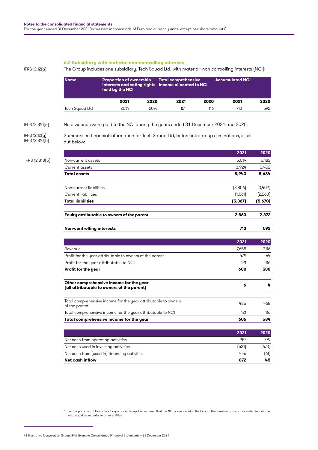### **6.2 Subsidiary with material non-controlling interests**

IFRS 12.12(a)

The Group includes one subsidiary, Tech Squad Ltd, with material<sup>5</sup> non-controlling interests (NCI):

|                                 | <b>Name</b>                        | <b>Proportion of ownership</b><br>held by the NCI                                           |      | <b>Total comprehensive</b><br>interests and voting rights income allocated to NCI |      | <b>Accumulated NCI</b> |         |
|---------------------------------|------------------------------------|---------------------------------------------------------------------------------------------|------|-----------------------------------------------------------------------------------|------|------------------------|---------|
|                                 |                                    | 2021                                                                                        | 2020 | 2021                                                                              | 2020 | 2021                   | 2020    |
|                                 | Tech Squad Ltd                     | 20%                                                                                         | 20%  | 121                                                                               | 116  | 713                    | 592     |
| IFRS $12.B10(a)$                |                                    | No dividends were paid to the NCI during the years ended 31 December 2021 and 2020.         |      |                                                                                   |      |                        |         |
| IFRS 12.12[g]<br>IFRS 12.B10(b) | out below:                         | Summarised financial information for Tech Squad Ltd, before intragroup eliminations, is set |      |                                                                                   |      |                        |         |
|                                 |                                    |                                                                                             |      |                                                                                   |      | 2021                   | 2020    |
| IFRS 12.B10(b)                  | Non-current assets                 |                                                                                             |      |                                                                                   |      | 5,019                  | 5,182   |
|                                 | Current assets                     |                                                                                             |      |                                                                                   |      | 3,924                  | 3,452   |
|                                 | <b>Total assets</b>                |                                                                                             |      |                                                                                   |      | 8,943                  | 8,634   |
|                                 | Non-current liabilities            |                                                                                             |      |                                                                                   |      | (3,806)                | (3,402) |
|                                 | Current liabilities                |                                                                                             |      |                                                                                   |      | (1,561)                | [2,268] |
|                                 | <b>Total liabilities</b>           |                                                                                             |      |                                                                                   |      | (5, 367)               | (5,670) |
|                                 |                                    | Equity attributable to owners of the parent                                                 |      |                                                                                   |      | 2,863                  | 2,372   |
|                                 | <b>Non-controlling interests</b>   |                                                                                             |      |                                                                                   |      | 713                    | 592     |
|                                 |                                    |                                                                                             |      |                                                                                   |      | 2021                   | 2020    |
|                                 | Revenue                            |                                                                                             |      |                                                                                   |      | 7,658                  | 7,116   |
|                                 |                                    | Profit for the year attributable to owners of the parent                                    |      |                                                                                   |      | 479                    | 464     |
|                                 |                                    | Profit for the year attributable to NCI                                                     |      |                                                                                   |      | 121                    | 116     |
|                                 | Profit for the year                |                                                                                             |      |                                                                                   |      | 600                    | 580     |
|                                 |                                    | Other comprehensive income for the year<br>(all attributable to owners of the parent)       |      |                                                                                   |      | 6                      | 4       |
|                                 | of the parent                      | Total comprehensive income for the year attributable to owners                              |      |                                                                                   |      | 485                    | 468     |
|                                 |                                    | Total comprehensive income for the year attributable to NCI                                 |      |                                                                                   |      | 121                    | 116     |
|                                 |                                    | Total comprehensive income for the year                                                     |      |                                                                                   |      | 606                    | 584     |
|                                 |                                    |                                                                                             |      |                                                                                   |      | 2021                   | 2020    |
|                                 | Net cash from operating activities |                                                                                             |      |                                                                                   |      | 957                    | 779     |
|                                 |                                    | Net cash used in investing activities                                                       |      |                                                                                   |      | (531)                  | (673)   |
|                                 |                                    | Net cash from (used in) financing activities                                                |      |                                                                                   |      | 446                    | (61)    |
|                                 | Net cash inflow                    |                                                                                             |      |                                                                                   |      | 872                    | 45      |

42 Illustrative Corporation Group: IFRS Example Consolidated Financial Statements – 31 December 2021

<sup>5</sup> For the purposes of Illustrative Corporation Group it is assumed that the NCI are material to the Group. The thresholds are not intended to indicate what could be material to other entities.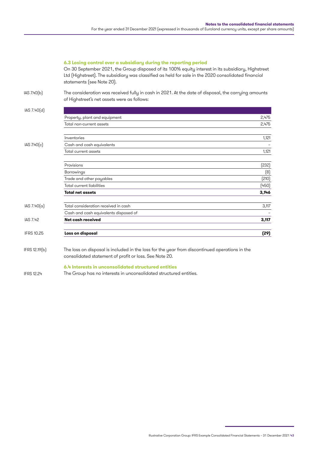### **6.3 Losing control over a subsidiary during the reporting period**

On 30 September 2021, the Group disposed of its 100% equity interest in its subsidiary, Highstreet Ltd (Highstreet). The subsidiary was classified as held for sale in the 2020 consolidated financial statements (see Note 20).

IAS 7.40(b)

The consideration was received fully in cash in 2021. At the date of disposal, the carrying amounts of Highstreet's net assets were as follows:

| IAS 7.40(d)       |                                       |       |
|-------------------|---------------------------------------|-------|
|                   | Property, plant and equipment         | 2,475 |
|                   | Total non-current assets              | 2,475 |
|                   | Inventories                           | 1,121 |
| $IAS$ 7.40 $(c)$  | Cash and cash equivalents             |       |
|                   | Total current assets                  | 1,121 |
|                   | Provisions                            | (232) |
|                   | Borrowings                            | (8)   |
|                   | Trade and other payables              | (210) |
|                   | Total current liabilities             | (450) |
|                   | <b>Total net assets</b>               | 3,146 |
| IAS $7.40(a)$     | Total consideration received in cash  | 3,117 |
|                   | Cash and cash equivalents disposed of |       |
| IAS 7.42          | Net cash received                     | 3,117 |
| <b>IFRS 10.25</b> | Loss on disposal                      | (29)  |

The loss on disposal is included in the loss for the year from discontinued operations in the consolidated statement of profit or loss. See Note 20. IFRS 12.19(b)

### **6.4 Interests in unconsolidated structured entities**

The Group has no interests in unconsolidated structured entities. IFRS 12.24

Illustrative Corporation Group: IFRS Example Consolidated Financial Statements – 31 December 2021 43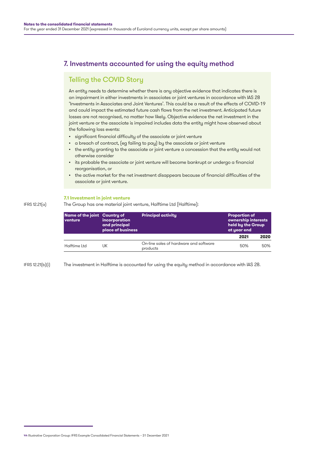## 7. Investments accounted for using the equity method

## Telling the COVID Story

An entity needs to determine whether there is any objective evidence that indicates there is an impairment in either investments in associates or joint ventures in accordance with IAS 28 'Investments in Associates and Joint Ventures'. This could be a result of the effects of COVID-19 and could impact the estimated future cash flows from the net investment. Anticipated future losses are not recognised, no matter how likely. Objective evidence the net investment in the joint venture or the associate is impaired includes data the entity might have observed about the following loss events:

- significant financial difficulty of the associate or joint venture
- a breach of contract, (eg failing to pay) by the associate or joint venture
- the entity granting to the associate or joint venture a concession that the entity would not otherwise consider
- its probable the associate or joint venture will become bankrupt or undergo a financial reorganisation, or
- the active market for the net investment disappears because of financial difficulties of the associate or joint venture.

### **7.1 Investment in joint venture**

The Group has one material joint venture, Halftime Ltd (Halftime): IFRS 12.21(a)

| Name of the joint Country of<br>venture | incorporation<br>and principal<br>place of business | <b>Principal activity</b>                          | <b>Proportion of</b><br>ownership interests<br>held by the Group<br>at year end |      |
|-----------------------------------------|-----------------------------------------------------|----------------------------------------------------|---------------------------------------------------------------------------------|------|
|                                         |                                                     |                                                    | 2021                                                                            | 2020 |
| Halftime Ltd                            | JΚ                                                  | On-line sales of hardware and software<br>products | 50%                                                                             | 50%  |

IFRS 12.21(b)(i)

The investment in Halftime is accounted for using the equity method in accordance with IAS 28.

<sup>44</sup> Illustrative Corporation Group: IFRS Example Consolidated Financial Statements – 31 December 2021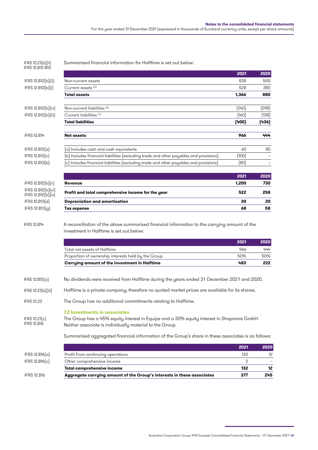| Aggregate carrying amount of the Group's interests in these associates                           | 377                                                                                                                                                                                                               | 245                                                                                                                                                                                                                                                                                                                                                                                                                                                                                                                                 |
|--------------------------------------------------------------------------------------------------|-------------------------------------------------------------------------------------------------------------------------------------------------------------------------------------------------------------------|-------------------------------------------------------------------------------------------------------------------------------------------------------------------------------------------------------------------------------------------------------------------------------------------------------------------------------------------------------------------------------------------------------------------------------------------------------------------------------------------------------------------------------------|
|                                                                                                  |                                                                                                                                                                                                                   | 12                                                                                                                                                                                                                                                                                                                                                                                                                                                                                                                                  |
| Other comprehensive income                                                                       | 2                                                                                                                                                                                                                 |                                                                                                                                                                                                                                                                                                                                                                                                                                                                                                                                     |
| Profit from continuing operations                                                                | 130                                                                                                                                                                                                               | 12 <sup>°</sup>                                                                                                                                                                                                                                                                                                                                                                                                                                                                                                                     |
|                                                                                                  | 2021                                                                                                                                                                                                              | 2020                                                                                                                                                                                                                                                                                                                                                                                                                                                                                                                                |
|                                                                                                  |                                                                                                                                                                                                                   |                                                                                                                                                                                                                                                                                                                                                                                                                                                                                                                                     |
| <b>7.2 Investments in associates</b><br>Neither associate is individually material to the Group. |                                                                                                                                                                                                                   |                                                                                                                                                                                                                                                                                                                                                                                                                                                                                                                                     |
| The Group has no additional commitments relating to Halftime.                                    |                                                                                                                                                                                                                   |                                                                                                                                                                                                                                                                                                                                                                                                                                                                                                                                     |
|                                                                                                  |                                                                                                                                                                                                                   |                                                                                                                                                                                                                                                                                                                                                                                                                                                                                                                                     |
|                                                                                                  |                                                                                                                                                                                                                   |                                                                                                                                                                                                                                                                                                                                                                                                                                                                                                                                     |
|                                                                                                  |                                                                                                                                                                                                                   | 222                                                                                                                                                                                                                                                                                                                                                                                                                                                                                                                                 |
| Proportion of ownership interests held by the Group                                              | 50%                                                                                                                                                                                                               | 50%                                                                                                                                                                                                                                                                                                                                                                                                                                                                                                                                 |
| Total net assets of Halftime                                                                     | 966                                                                                                                                                                                                               | 444                                                                                                                                                                                                                                                                                                                                                                                                                                                                                                                                 |
|                                                                                                  | 2021                                                                                                                                                                                                              | 2020                                                                                                                                                                                                                                                                                                                                                                                                                                                                                                                                |
| investment in Halftime is set out below:                                                         |                                                                                                                                                                                                                   |                                                                                                                                                                                                                                                                                                                                                                                                                                                                                                                                     |
|                                                                                                  |                                                                                                                                                                                                                   | 58                                                                                                                                                                                                                                                                                                                                                                                                                                                                                                                                  |
| <b>Depreciation and amortisation</b>                                                             | 30                                                                                                                                                                                                                | 20                                                                                                                                                                                                                                                                                                                                                                                                                                                                                                                                  |
| Profit and total comprehensive income for the year                                               | 522                                                                                                                                                                                                               | 258                                                                                                                                                                                                                                                                                                                                                                                                                                                                                                                                 |
| <b>Revenue</b>                                                                                   | 1,200                                                                                                                                                                                                             | 730                                                                                                                                                                                                                                                                                                                                                                                                                                                                                                                                 |
|                                                                                                  | 2021                                                                                                                                                                                                              | 2020                                                                                                                                                                                                                                                                                                                                                                                                                                                                                                                                |
|                                                                                                  | [80]                                                                                                                                                                                                              |                                                                                                                                                                                                                                                                                                                                                                                                                                                                                                                                     |
| (b) Includes financial liabilities (excluding trade and other payables and provisions)           | (100)                                                                                                                                                                                                             |                                                                                                                                                                                                                                                                                                                                                                                                                                                                                                                                     |
| (a) Includes cash and cash equivalents                                                           | 60                                                                                                                                                                                                                | 80                                                                                                                                                                                                                                                                                                                                                                                                                                                                                                                                  |
| <b>Net assets</b>                                                                                | 966                                                                                                                                                                                                               | 444                                                                                                                                                                                                                                                                                                                                                                                                                                                                                                                                 |
| <b>Total liabilities</b>                                                                         | (400)                                                                                                                                                                                                             | (436)                                                                                                                                                                                                                                                                                                                                                                                                                                                                                                                               |
| Current liabilities (c)                                                                          | (160)                                                                                                                                                                                                             | (138)                                                                                                                                                                                                                                                                                                                                                                                                                                                                                                                               |
| Non-current liabilities (b)                                                                      | (240)                                                                                                                                                                                                             | (298)                                                                                                                                                                                                                                                                                                                                                                                                                                                                                                                               |
| <b>Total assets</b>                                                                              | 1,366                                                                                                                                                                                                             | 880                                                                                                                                                                                                                                                                                                                                                                                                                                                                                                                                 |
| Current assets <sup>[a]</sup>                                                                    | 528                                                                                                                                                                                                               | 380                                                                                                                                                                                                                                                                                                                                                                                                                                                                                                                                 |
|                                                                                                  |                                                                                                                                                                                                                   | 500                                                                                                                                                                                                                                                                                                                                                                                                                                                                                                                                 |
|                                                                                                  |                                                                                                                                                                                                                   | 2020                                                                                                                                                                                                                                                                                                                                                                                                                                                                                                                                |
|                                                                                                  | Non-current assets<br>(c) Includes financial liabilities (excluding trade and other payables and provisions)<br>Tax expense<br>Carrying amount of the investment in Halftime<br><b>Total comprehensive income</b> | 2021<br>838<br>68<br>A reconciliation of the above summarised financial information to the carrying amount of the<br>483<br>No dividends were received from Halftime during the years ended 31 December 2021 and 2020.<br>Halftime is a private company; therefore no quoted market prices are available for its shares.<br>The Group has a 45% equity interest in Equipe and a 30% equity interest in Shopmore GmbH.<br>Summarised aggregated financial information of the Group's share in these associates is as follows:<br>132 |

Illustrative Corporation Group: IFRS Example Consolidated Financial Statements – 31 December 2021 45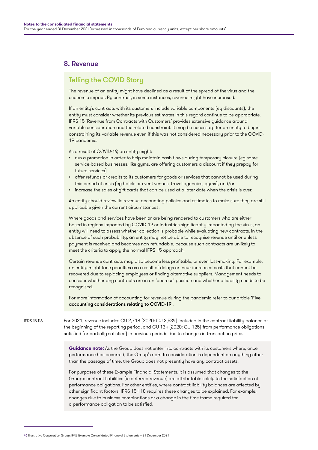## 8. Revenue

## Telling the COVID Story

The revenue of an entity might have declined as a result of the spread of the virus and the economic impact. By contrast, in some instances, revenue might have increased.

If an entity's contracts with its customers include variable components (eg discounts), the entity must consider whether its previous estimates in this regard continue to be appropriate. IFRS 15 'Revenue from Contracts with Customers' provides extensive guidance around variable consideration and the related constraint. It may be necessary for an entity to begin constraining its variable revenue even if this was not considered necessary prior to the COVID-19 pandemic.

As a result of COVID-19, an entity might:

- run a promotion in order to help maintain cash flows during temporary closure (eg some service-based businesses, like gyms, are offering customers a discount if they prepay for future services)
- offer refunds or credits to its customers for goods or services that cannot be used during this period of crisis (eg hotels or event venues, travel agencies, gyms), and/or
- increase the sales of gift cards that can be used at a later date when the crisis is over.

An entity should review its revenue accounting policies and estimates to make sure they are still applicable given the current circumstances.

Where goods and services have been or are being rendered to customers who are either based in regions impacted by COVID-19 or industries significantly impacted by the virus, an entity will need to assess whether collection is probable while evaluating new contracts. In the absence of such probability, an entity may not be able to recognise revenue until or unless payment is received and becomes non-refundable, because such contracts are unlikely to meet the criteria to apply the normal IFRS 15 approach.

Certain revenue contracts may also become less profitable, or even loss-making. For example, an entity might face penalties as a result of delays or incur increased costs that cannot be recovered due to replacing employees or finding alternative suppliers. Management needs to consider whether any contracts are in an 'onerous' position and whether a liability needs to be recognised.

For more information of accounting for revenue during the pandemic refer to our article 'Five [accounting considerations relating to COVID-19](https://www.grantthornton.global/en/insights/supporting-you-to-navigate-the-impact-of-covid-19/ifrs---five-accounting-considerations-relating-to-revenue-recognition/)'.

For 2021, revenue includes CU 2,718 (2020: CU 2,534) included in the contract liability balance at the beginning of the reporting period, and CU 134 (2020: CU 125) from performance obligations satisfied (or partially satisfied) in previous periods due to changes in transaction price. IEDS 15.116

> **Guidance note:** As the Group does not enter into contracts with its customers where, once performance has occurred, the Group's right to consideration is dependent on anything other than the passage of time, the Group does not presently have any contract assets.

For purposes of these Example Financial Statements, it is assumed that changes to the Group's contract liabilities (ie deferred revenue) are attributable solely to the satisfaction of performance obligations. For other entities, where contract liability balances are affected by other significant factors, IFRS 15.118 requires these changes to be explained. For example, changes due to business combinations or a change in the time frame required for a performance obligation to be satisfied.

<sup>46</sup> Illustrative Corporation Group: IFRS Example Consolidated Financial Statements – 31 December 2021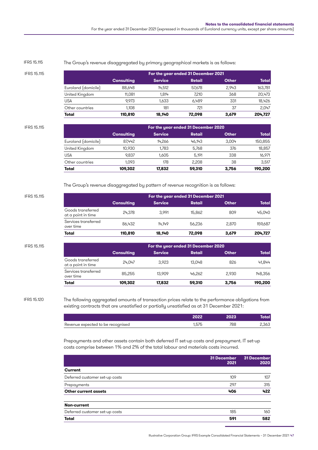| IFRS 15.115 |                     |                   |                | For the year ended 31 December 2021 |              |              |
|-------------|---------------------|-------------------|----------------|-------------------------------------|--------------|--------------|
|             |                     | <b>Consulting</b> | <b>Service</b> | Retail                              | <b>Other</b> | <b>Total</b> |
|             | Euroland (domicile) | 88,648            | 14.512         | 57.678                              | 2.943        | 163,781      |
|             | United Kingdom      | 11.081            | 1.814          | 7,210                               | 368          | 20,473       |
|             | <b>USA</b>          | 9.973             | 1.633          | 6.489                               | 331          | 18,426       |
|             | Other countries     | 1.108             | 181            | 721                                 | 37           | 2.047        |
|             | Total               | 110.810           | 18.140         | 72.098                              | 3.679        | 204.727      |

#### The Group's revenue disaggregated by primary geographical markets is as follows: IFRS 15.115

| IFRS 15.115         | For the year ended 31 December 2020 |                |        |              |              |
|---------------------|-------------------------------------|----------------|--------|--------------|--------------|
|                     | <b>Consulting</b>                   | <b>Service</b> | Retail | <b>Other</b> | <b>Total</b> |
| Euroland (domicile) | 87.442                              | 14,266         | 46.143 | 3.004        | 150,855      |
| United Kingdom      | 10,930                              | 1,783          | 5.768  | 376          | 18,857       |
| USA                 | 9.837                               | 1.605          | 5.191  | 338          | 16,971       |
| Other countries     | 1.093                               | 178            | 2.208  | 38           | 3.517        |
| Total               | 109.302                             | 17.832         | 59.310 | 3.756        | 190,200      |

The Group's revenue disaggregated by pattern of revenue recognition is as follows:

| IFRS 15.115 |                                         | For the year ended 31 December 2021 |                |        |              |              |  |  |
|-------------|-----------------------------------------|-------------------------------------|----------------|--------|--------------|--------------|--|--|
|             |                                         | <b>Consulting</b>                   | <b>Service</b> | Retail | <b>Other</b> | <b>Total</b> |  |  |
|             | Goods transferred<br>at a point in time | 24.378                              | 3.991          | 15,862 | 809          | 45.040       |  |  |
|             | Services transferred<br>over time       | 86.432                              | 14.149         | 56,236 | 2,870        | 159.687      |  |  |
|             | Total                                   | 110,810                             | 18.140         | 72.098 | 3,679        | 204,727      |  |  |

| IFRS 15.115                             | For the year ended 31 December 2020 |                |        |              |              |  |  |
|-----------------------------------------|-------------------------------------|----------------|--------|--------------|--------------|--|--|
|                                         | <b>Consulting</b>                   | <b>Service</b> | Retail | <b>Other</b> | <b>Total</b> |  |  |
| Goods transferred<br>at a point in time | 24.047                              | 3.923          | 13.048 | 826          | 41.844       |  |  |
| Services transferred<br>over time       | 85,255                              | 13,909         | 46.262 | 2.930        | 148,356      |  |  |
| Total                                   | 109.302                             | 17.832         | 59.310 | 3.756        | 190,200      |  |  |

IFRS 15.120

I

The following aggregated amounts of transaction prices relate to the performance obligations from existing contracts that are unsatisfied or partially unsatisfied as at 31 December 2021:

|                                   | הפחו. |     |      |
|-----------------------------------|-------|-----|------|
| Revenue expected to be recognised | .575  | 788 | .363 |

Prepayments and other assets contain both deferred IT set-up costs and prepayment. IT set-up costs comprise between 1% and 2% of the total labour and materials costs incurred.

|                                | 31 December<br>2021 | 31 December<br>2020 |
|--------------------------------|---------------------|---------------------|
| <b>Current</b>                 |                     |                     |
| Deferred customer set-up costs | 109                 | 107                 |
| Prepayments                    | 297                 | 315                 |
| <b>Other current assets</b>    | 406                 | 422                 |
| Non-current                    |                     |                     |
| Deferred customer set-up costs | 185                 | 160                 |
| Total                          | 591                 | 582                 |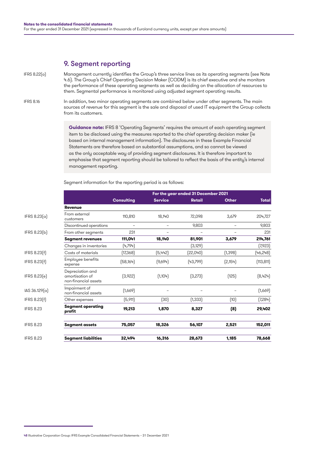## 9. Segment reporting

Management currently identifies the Group's three service lines as its operating segments (see Note 4.6). The Group's Chief Operating Decision Maker (CODM) is its chief executive and she monitors the performance of these operating segments as well as deciding on the allocation of resources to them. Segmental performance is monitored using adjusted segment operating results. IFRS 8.22(a)

In addition, two minor operating segments are combined below under other segments. The main sources of revenue for this segment is the sale and disposal of used IT equipment the Group collects from its customers. IFRS 8.16

> **Guidance note:** IFRS 8 'Operating Segments' requires the amount of each operating segment item to be disclosed using the measures reported to the chief operating decision maker (ie based on internal management information). The disclosures in these Example Financial Statements are therefore based on substantial assumptions, and so cannot be viewed as the only acceptable way of providing segment disclosures. It is therefore important to emphasise that segment reporting should be tailored to reflect the basis of the entity's internal management reporting.

|                  | For the year ended 31 December 2021                         |                   |                |          |              |              |
|------------------|-------------------------------------------------------------|-------------------|----------------|----------|--------------|--------------|
|                  |                                                             | <b>Consulting</b> | <b>Service</b> | Retail   | <b>Other</b> | <b>Total</b> |
|                  | <b>Revenue</b>                                              |                   |                |          |              |              |
| IFRS 8.23(a)     | From external<br>customers                                  | 110,810           | 18,140         | 72,098   | 3,679        | 204,727      |
|                  | Discontinued operations                                     | -                 |                | 9.803    |              | 9,803        |
| IFRS 8.23(b)     | From other segments                                         | 231               |                |          |              | 231          |
|                  | <b>Segment revenues</b>                                     | 111,041           | 18,140         | 81,901   | 3.679        | 214,761      |
|                  | Changes in inventories                                      | (4,794)           |                | (3,129)  |              | (7,923)      |
| IFRS 8.23(f)     | Costs of materials                                          | (17,368)          | (5,442)        | [22,040] | [1, 398]     | [46,248]     |
| IFRS 8.23(f)     | Employee benefits<br>expense                                | (58, 164)         | (9,694)        | [43,799] | [2,154]      | (113, 811)   |
| IFRS 8.23(e)     | Depreciation and<br>amortisation of<br>non-financial assets | (3,922)           | (1,104)        | (3,273)  | (125)        | (8,424)      |
| IAS 36.129(a)    | Impairment of<br>non-financial assets                       | [1,669]           | -              |          |              | (1,669)      |
| IFRS 8.23(f)     | Other expenses                                              | (5,911)           | (30)           | [1, 333] | (10)         | (7,284)      |
| <b>IFRS 8.23</b> | <b>Segment operating</b><br>profit                          | 19,213            | 1,870          | 8,327    | (8)          | 29,402       |
| <b>IFRS 8.23</b> | <b>Segment assets</b>                                       | 75,057            | 18,326         | 56,107   | 2,521        | 152,011      |
| <b>IFRS 8.23</b> | <b>Segment liabilities</b>                                  | 32,494            | 16,316         | 28,673   | 1,185        | 78,668       |

Segment information for the reporting period is as follows:

<sup>48</sup> Illustrative Corporation Group: IFRS Example Consolidated Financial Statements – 31 December 2021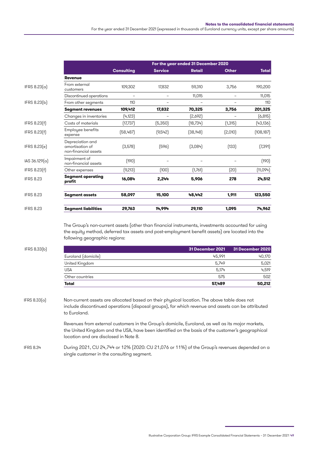For the year ended 31 December 2021 (expressed in thousands of Euroland currency units, except per share amounts)

|                  | For the year ended 31 December 2020                         |                          |                          |               |              |              |
|------------------|-------------------------------------------------------------|--------------------------|--------------------------|---------------|--------------|--------------|
|                  |                                                             | <b>Consulting</b>        | <b>Service</b>           | <b>Retail</b> | <b>Other</b> | <b>Total</b> |
|                  | <b>Revenue</b>                                              |                          |                          |               |              |              |
| IFRS 8.23[a]     | From external<br>customers                                  | 109.302                  | 17.832                   | 59.310        | 3.756        | 190,200      |
|                  | Discontinued operations                                     | $\overline{\phantom{0}}$ | $\overline{\phantom{0}}$ | 11.015        |              | 11,015       |
| IFRS 8.23(b)     | From other segments                                         | 110                      |                          |               |              | 110          |
|                  | <b>Segment revenues</b>                                     | 109,412                  | 17.832                   | 70,325        | 3.756        | 201,325      |
|                  | Changes in inventories                                      | [4,123]                  | $\overline{\phantom{0}}$ | [2,692]       |              | (6, 815)     |
| IFRS 8.23(f)     | Costs of materials                                          | (17,737)                 | (5,350)                  | (18,734)      | (1, 315)     | [43, 136]    |
| IFRS 8.23(f)     | Employee benefits<br>expense                                | (58,487)                 | (9,542)                  | (38, 148)     | (2,010)      | (108, 187)   |
| IFRS 8.23(e)     | Depreciation and<br>amortisation of<br>non-financial assets | (3,578)                  | [596]                    | (3,084)       | [133]        | (7,391)      |
| IAS 36.129(a)    | Impairment of<br>non-financial assets                       | (190)                    | -                        |               |              | (190)        |
| IFRS 8.23(f)     | Other expenses                                              | (9,213)                  | (100)                    | (1,761)       | (20)         | [11,094]     |
| <b>IFRS 8.23</b> | <b>Segment operating</b><br>profit                          | 16,084                   | 2.244                    | 5,906         | 278          | 24,512       |
| <b>IFRS 8.23</b> | <b>Segment assets</b>                                       | 58,097                   | 15,100                   | 48,442        | 1,911        | 123,550      |
| <b>IFRS 8.23</b> | <b>Segment liabilities</b>                                  | 29,763                   | 14.994                   | 29,110        | 1.095        | 74,962       |

The Group's non-current assets (other than financial instruments, investments accounted for using the equity method, deferred tax assets and post-employment benefit assets) are located into the following geographic regions:

| IFRS 8.33[b]<br><b>USA</b> |                     | 31 December 2021 | 31 December 2020 |
|----------------------------|---------------------|------------------|------------------|
|                            | Euroland (domicile) | 45.991           | 40,170           |
|                            | United Kingdom      | 5.749            | 5,021            |
|                            |                     | 5.174            | 4.519            |
|                            | Other countries     | 575              | 502              |
|                            | Total               | 57,489           | 50,212           |

Non-current assets are allocated based on their physical location. The above table does not include discontinued operations (disposal groups), for which revenue and assets can be attributed to Euroland. IFRS 8.33(a)

> Revenues from external customers in the Group's domicile, Euroland, as well as its major markets, the United Kingdom and the USA, have been identified on the basis of the customer's geographical location and are disclosed in Note 8.

During 2021, CU 24,744 or 12% (2020: CU 21,076 or 11%) of the Group's revenues depended on a single customer in the consulting segment. IFRS 8.34

Illustrative Corporation Group: IFRS Example Consolidated Financial Statements – 31 December 2021 49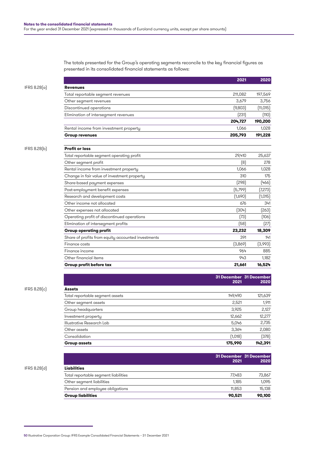The totals presented for the Group's operating segments reconcile to the key financial figures as presented in its consolidated financial statements as follows:

|              |                                                    | 2021                            | 2020      |
|--------------|----------------------------------------------------|---------------------------------|-----------|
| IFRS 8.28(a) | <b>Revenues</b>                                    |                                 |           |
|              | Total reportable segment revenues                  | 211,082                         | 197,569   |
|              | Other segment revenues                             | 3,679                           | 3,756     |
|              | Discontinued operations                            | (9,803)                         | (11, 015) |
|              | Elimination of intersegment revenues               | [231]                           | (110)     |
|              |                                                    | 204,727                         | 190,200   |
|              | Rental income from investment property             | 1,066                           | 1,028     |
|              | <b>Group revenues</b>                              | 205,793                         | 191,228   |
| IFRS 8.28(b) | <b>Profit or loss</b>                              |                                 |           |
|              | Total reportable segment operating profit          | 29,410                          | 25,637    |
|              | Other segment profit                               | (8)                             | 278       |
|              | Rental income from investment property             | 1,066                           | 1,028     |
|              | Change in fair value of investment property        | 310                             | 175       |
|              | Share-based payment expenses                       | (298)                           | [466]     |
|              | Post-employment benefit expenses                   | (5,799)                         | (7,273)   |
|              | Research and development costs                     | (1,690)                         | (1,015)   |
|              | Other income not allocated                         | 676                             | 341       |
|              | Other expenses not allocated                       | (304)                           | [263]     |
|              | Operating profit of discontinued operations        | (73)                            | (106)     |
|              | Elimination of intersegment profits                | (58)                            | (27)      |
|              | <b>Group operating profit</b>                      | 23,232                          | 18,309    |
|              | Share of profits from equity accounted investments | 391                             | 141       |
|              | Finance costs                                      | (3,869)                         | (3,993)   |
|              | Finance income                                     | 964                             | 885       |
|              | Other financial items                              | 943                             | 1,182     |
|              | Group profit before tax                            | 21,661                          | 16,524    |
|              |                                                    |                                 |           |
|              |                                                    | 31 December 31 December<br>2021 | 2020      |
| IFRS 8.28(c) | <b>Assets</b>                                      |                                 |           |
|              | Total reportable segment assets                    | 149,490                         | 121,639   |
|              | Other segment assets                               | 2,521                           | 1,911     |
|              | Group headquarters                                 | 3,925                           | 2,127     |
|              | Investment property                                | 12,662                          | 12,277    |
|              | Illustrative Research Lab                          | 5,046                           | 2,735     |
|              | Other assets                                       | 3,364                           | 2,080     |

| <b>Group assets</b> | 175,990 | 142.391               |
|---------------------|---------|-----------------------|
| Consolidation       | ∩tΩ     | <b>רכ</b> מ<br>07 ان. |

|                                      | 2021   | 31 December 31 December<br>2020 |
|--------------------------------------|--------|---------------------------------|
| Liabilities                          |        |                                 |
| Total reportable segment liabilities | 77.483 | 73,867                          |
| Other segment liabilities            | 1.185  | 1.095                           |
| Pension and employee obligations     | 11.853 | 15.138                          |
| <b>Group liabilities</b>             | 90.521 | 90,100                          |
|                                      |        |                                 |

IFRS 8.28(d) **Liabilities**

<sup>50</sup> Illustrative Corporation Group: IFRS Example Consolidated Financial Statements – 31 December 2021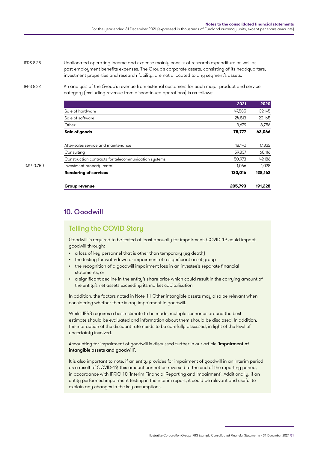Unallocated operating income and expense mainly consist of research expenditure as well as post-employment benefits expenses. The Group's corporate assets, consisting of its headquarters, investment properties and research facility, are not allocated to any segment's assets. IFRS 8.28

IFRS 8.32

An analysis of the Group's revenue from external customers for each major product and service category (excluding revenue from discontinued operations) is as follows:

|              |                                                      | 2021    | 2020    |
|--------------|------------------------------------------------------|---------|---------|
|              | Sale of hardware                                     | 47,585  | 39,145  |
|              | Sale of software                                     | 24,513  | 20,165  |
|              | Other                                                | 3,679   | 3,756   |
|              | Sale of goods                                        | 75,777  | 63,066  |
|              | After-sales service and maintenance                  | 18,140  | 17,832  |
|              | Consulting                                           | 59,837  | 60,116  |
|              | Construction contracts for telecommunication systems | 50,973  | 49,186  |
| IAS 40.75(f) | Investment property rental                           | 1.066   | 1,028   |
|              | <b>Rendering of services</b>                         | 130,016 | 128,162 |
|              | <b>Group revenue</b>                                 | 205,793 | 191,228 |

# 10. Goodwill

# Telling the COVID Story

Goodwill is required to be tested at least annually for impairment. COVID-19 could impact goodwill through:

- a loss of key personnel that is other than temporary (eg death)
- the testing for write-down or impairment of a significant asset group
- the recognition of a goodwill impairment loss in an investee's separate financial statements, or
- a significant decline in the entity's share price which could result in the carrying amount of the entity's net assets exceeding its market capitalisation

In addition, the factors noted in Note 11 Other intangible assets may also be relevant when considering whether there is any impairment in goodwill.

Whilst IFRS requires a best estimate to be made, multiple scenarios around the best estimate should be evaluated and information about them should be disclosed. In addition, the interaction of the discount rate needs to be carefully assessed, in light of the level of uncertainty involved.

### Accounting for impairment of goodwill is discussed further in our article '[Impairment of](https://www.grantthornton.global/en/insights/supporting-you-to-navigate-the-impact-of-covid-19/IFRS-Impairment-of-intangible-assets-and-goodwill/)  [intangible assets and goodwill](https://www.grantthornton.global/en/insights/supporting-you-to-navigate-the-impact-of-covid-19/IFRS-Impairment-of-intangible-assets-and-goodwill/)'.

It is also important to note, if an entity provides for impairment of goodwill in an interim period as a result of COVID-19, this amount cannot be reversed at the end of the reporting period, in accordance with IFRIC 10 'Interim Financial Reporting and Impairment'. Additionally, if an entity performed impairment testing in the interim report, it could be relevant and useful to explain any changes in the key assumptions.

Illustrative Corporation Group: IFRS Example Consolidated Financial Statements – 31 December 2021 51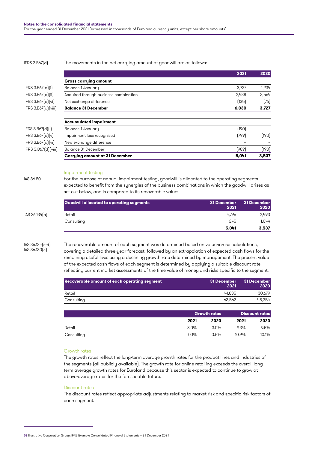#### IFRS 3.B67(d) The movements in the net carrying amount of goodwill are as follows:

|                     |                                       | 2021  | 2020  |
|---------------------|---------------------------------------|-------|-------|
|                     | <b>Gross carrying amount</b>          |       |       |
| IFRS 3.B67[d][i]    | Balance 1 January                     | 3.727 | 1,234 |
| IFRS 3.B67(d)(ii)   | Acquired through business combination | 2,438 | 2,569 |
| IFRS 3.B67[d][vi]   | Net exchange difference               | (135) | (76)  |
| IFRS 3.B67[d][viii] | <b>Balance 31 December</b>            | 6,030 | 3,727 |
|                     | <b>Accumulated impairment</b>         |       |       |
| IFRS 3.B67[d][i]    | Balance 1 January                     | (190) |       |
| IFRS 3.B67(d)(v)    | Impairment loss recognised            | (799) | (190) |
| IFRS 3.B67[d][vi]   | New exchange difference               |       |       |
| IFRS 3.B67[d][viii] | Balance 31 December                   | (989) | (190) |
|                     | <b>Carrying amount at 31 December</b> | 5,041 | 3.537 |

### Impairment testing

For the purpose of annual impairment testing, goodwill is allocated to the operating segments expected to benefit from the synergies of the business combinations in which the goodwill arises as set out below, and is compared to its recoverable value:

|               | <b>Goodwill allocated to operating segments</b> | 31 December<br>2021 | 31 December<br>2020 |
|---------------|-------------------------------------------------|---------------------|---------------------|
| IAS 36.134(a) | Retail                                          | 4.796               | 2,493               |
|               | Consulting                                      | 245                 | 1.044               |
|               |                                                 | 5,041               | 3,537               |

IAS 36.134(c-d) IAS 36.130(e)

IAS 36.80

The recoverable amount of each segment was determined based on value-in-use calculations, covering a detailed three-year forecast, followed by an extrapolation of expected cash flows for the remaining useful lives using a declining growth rate determined by management. The present value of the expected cash flows of each segment is determined by applying a suitable discount rate reflecting current market assessments of the time value of money and risks specific to the segment.

| Recoverable amount of each operating segment | 31 December<br>2021 | 31 December<br>2020 |
|----------------------------------------------|---------------------|---------------------|
| Retail                                       | 41.835              | 30.679              |
| Consulting                                   | 62.562              | 48.354              |

|            |         | <b>Growth rates</b> |       | <b>Discount rates</b> |  |
|------------|---------|---------------------|-------|-----------------------|--|
|            | 2021    | 2020                | 2021  | 2020                  |  |
| Retail     | $3.0\%$ | $3.0\%$             | 9.3%  | 9.5%                  |  |
| Consulting | 0.1%    | 0.5%                | 10.9% | 10.1%                 |  |

### Growth rates

The growth rates reflect the long-term average growth rates for the product lines and industries of the segments (all publicly available). The growth rate for online retailing exceeds the overall longterm average growth rates for Euroland because this sector is expected to continue to grow at above-average rates for the foreseeable future.

#### Discount rates

The discount rates reflect appropriate adjustments relating to market risk and specific risk factors of each segment.

<sup>52</sup> Illustrative Corporation Group: IFRS Example Consolidated Financial Statements – 31 December 2021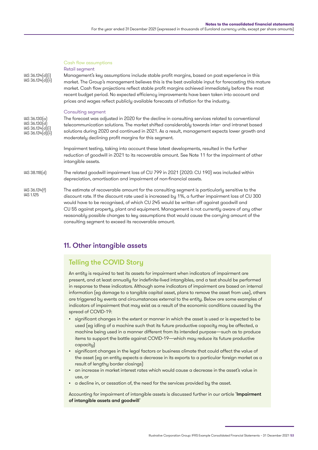#### Cash flow assumptions

### Retail segment

IAS 36.134(d)(i) IAS 36.134(d)(ii) Management's key assumptions include stable profit margins, based on past experience in this market. The Group's management believes this is the best available input for forecasting this mature market. Cash flow projections reflect stable profit margins achieved immediately before the most recent budget period. No expected efficiency improvements have been taken into account and prices and wages reflect publicly available forecasts of inflation for the industry.

#### Consulting segment

| $ AS 36.130[\alpha]$ |  |
|----------------------|--|
| IAS 36.130(d)        |  |
| IAS 36.134(d)(i)     |  |
| IAS 36.134(d)(ii)    |  |

The forecast was adjusted in 2020 for the decline in consulting services related to conventional telecommunication solutions. The market shifted considerably towards inter- and intranet based solutions during 2020 and continued in 2021. As a result, management expects lower growth and moderately declining profit margins for this segment.

Impairment testing, taking into account these latest developments, resulted in the further reduction of goodwill in 2021 to its recoverable amount. See Note 11 for the impairment of other intangible assets.

The related goodwill impairment loss of CU 799 in 2021 (2020: CU 190) was included within depreciation, amortisation and impairment of non-financial assets. IAS 38.118(d)

The estimate of recoverable amount for the consulting segment is particularly sensitive to the discount rate. If the discount rate used is increased by 1%, a further impairment loss of CU 300 would have to be recognised, of which CU 245 would be written off against goodwill and CU 55 against property, plant and equipment. Management is not currently aware of any other reasonably possible changes to key assumptions that would cause the carrying amount of the consulting segment to exceed its recoverable amount. IAS 36.134(f) IAS 1.125

## 11. Other intangible assets

# Telling the COVID Story

An entity is required to test its assets for impairment when indicators of impairment are present, and at least annually for indefinite-lived intangibles, and a test should be performed in response to these indicators. Although some indicators of impairment are based on internal information (eg damage to a tangible capital asset, plans to remove the asset from use), others are triggered by events and circumstances external to the entity. Below are some examples of indicators of impairment that may exist as a result of the economic conditions caused by the spread of COVID-19:

- significant changes in the extent or manner in which the asset is used or is expected to be used (eg idling of a machine such that its future productive capacity may be affected, a machine being used in a manner different from its intended purpose—such as to produce items to support the battle against COVID-19—which may reduce its future productive capacity)
- significant changes in the legal factors or business climate that could affect the value of the asset (eg an entity expects a decrease in its exports to a particular foreign market as a result of lengthy border closings)
- an increase in market interest rates which would cause a decrease in the asset's value in use, or
- a decline in, or cessation of, the need for the services provided by the asset.

Accounting for impairment of intangible assets is discussed further in our article 'Impairment [of intangible assets and goodwill](https://www.grantthornton.global/en/insights/supporting-you-to-navigate-the-impact-of-covid-19/IFRS-Impairment-of-intangible-assets-and-goodwill/)'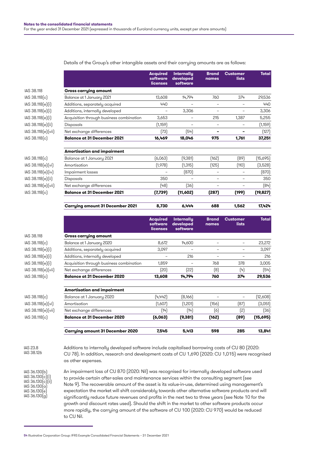### Details of the Group's other intangible assets and their carrying amounts are as follows:

**Acquired software licenses**

**Internally developed software**

**Brand names**

**Customer lists** **Total** 

IAS 38.118 **Gross carrying amount** IAS 38.118(c) Balance at 1 January 2021 13,608 14,794 760 374 29,536  $[AS 38.118(e)[i]$  Additions, separately acquired  $440$   $440$ IAS 38.118(e)(i) Additions, internally developed – 3,306 – – 3,306 IAS 38.118(e)(i)

|                    | <b>Carrying amount 31 December 2021</b>  | 8,730    | 6.444    | 688   | 1,562 | 17,424    |
|--------------------|------------------------------------------|----------|----------|-------|-------|-----------|
| IAS 38.118(c)      | <b>Balance at 31 December 2021</b>       | (7, 739) | (11,602) | (287) | (199) | (19, 827) |
| IAS 38.118(e)(vii) | Net exchange differences                 | (48)     | (36)     | ۰     |       | (84)      |
| IAS 38.118(e)(ii)  | <b>Disposals</b>                         | 350      |          | ۰     | -     | 350       |
| IAS 38.118(e)(iv)  | Impairment losses                        |          | (870)    |       |       | (870)     |
| IAS 38.118(e)(vi)  | Amortisation                             | (1,978)  | [1,315]  | (125) | (110) | (3,528)   |
| IAS 38.118(c)      | Balance at 1 January 2021                | (6,063)  | (9,381)  | [162] | [89]  | (15,695)  |
|                    | <b>Amortisation and impairment</b>       |          |          |       |       |           |
| IAS 38.118(c)      | <b>Balance at 31 December 2021</b>       | 16,469   | 18,046   | 975   | 1,761 | 37,251    |
| IAS 38.118(e)(vii) | Net exchange differences                 | (73)     | (54)     |       |       | (127)     |
| IAS 38.118(e)(ii)  | <b>Disposals</b>                         | (1, 159) |          |       |       | (1,159)   |
| IAS 38.118(e)(i)   | Acquisition through business combination | 3,653    |          | 215   | 1.387 | 5,255     |
|                    |                                          |          |          |       |       |           |

|                    |                                          | <b>Acquired</b><br>software<br><b>licenses</b> | <b>Internally</b><br>developed<br>software | <b>Brand</b><br>names | <b>Customer</b><br>lists | <b>Total</b> |
|--------------------|------------------------------------------|------------------------------------------------|--------------------------------------------|-----------------------|--------------------------|--------------|
| IAS 38.118         | <b>Gross carrying amount</b>             |                                                |                                            |                       |                          |              |
| IAS 38.118(c)      | Balance at 1 January 2020                | 8,672                                          | 14,600                                     |                       |                          | 23,272       |
| IAS 38.118(e)(i)   | Additions, separately acquired           | 3,097                                          |                                            |                       |                          | 3,097        |
| IAS 38.118(e)(i)   | Additions, internally developed          |                                                | 216                                        |                       |                          | 216          |
| IAS 38.118(e)(i)   | Acquisition through business combination | 1,859                                          |                                            | 768                   | 378                      | 3,005        |
| IAS 38.118(e)(vii) | Net exchange differences                 | (20)                                           | [22]                                       | (8)                   | (4)                      | (54)         |
| IAS 38.118(c)      | <b>Balance at 31 December 2020</b>       | 13,608                                         | 14,794                                     | 760                   | 374                      | 29,536       |
|                    | <b>Amortisation and impairment</b>       |                                                |                                            |                       |                          |              |
| IAS 38.118(c)      | Balance at 1 January 2020                | (4,442)                                        | [8,166]                                    | -                     | -                        | (12,608)     |
| IAS 38.118(e)(vi)  | Amortisation                             | (1,607)                                        | (1,201)                                    | (156)                 | (87)                     | (3,051)      |
| IAS 38.118(e)(vii) | Net exchange differences                 | (14)                                           | (14)                                       | (6)                   | (2)                      | (36)         |
| 110001106)         | Delange at 21 December 2020              | (6.01)                                         | (0.201)                                    | (150)                 | root                     | A E K O E    |

| IAS 38.118[c] | Balance at 31 December 2020             | (6.063) | (9.381) | (1621 | (89) | (15.695) |
|---------------|-----------------------------------------|---------|---------|-------|------|----------|
|               |                                         |         |         |       |      |          |
|               | <b>Carrying amount 31 December 2020</b> | 7.545   | 5.413   | 598   | 285  | 13.841   |
|               |                                         |         |         |       |      |          |

IAS 23.8 IAS 38.126

IAS 36.130(b) IAS 36.130(c)(i) IAS 36.130(c)(ii)  $|AS 36.130(a)|$ IAS 36.130(e)  $IAS 36.130$  $(q)$ 

Additions to internally developed software include capitalised borrowing costs of CU 80 (2020: CU 78). In addition, research and development costs of CU 1,690 (2020: CU 1,015) were recognised as other expenses.

An impairment loss of CU 870 (2020: Nil) was recognised for internally developed software used to provide certain after-sales and maintenance services within the consulting segment (see Note 9). The recoverable amount of the asset is its value-in-use, determined using management's expectation the market will shift considerably towards other alternative software products and will significantly reduce future revenues and profits in the next two to three years (see Note 10 for the growth and discount rates used). Should the shift in the market to other software products occur more rapidly, the carrying amount of the software of CU 100 (2020: CU 970) would be reduced to CU Nil.

<sup>54</sup> Illustrative Corporation Group: IFRS Example Consolidated Financial Statements – 31 December 2021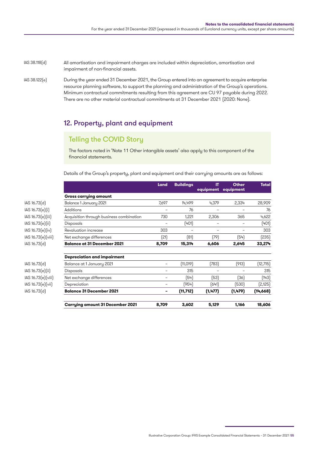All amortisation and impairment charges are included within depreciation, amortisation and impairment of non-financial assets. IAS 38.118(d)

During the year ended 31 December 2021, the Group entered into an agreement to acquire enterprise resource planning software, to support the planning and administration of the Group's operations. Minimum contractual commitments resulting from this agreement are CU 97 payable during 2022. There are no other material contractual commitments at 31 December 2021 (2020: None). IAS 38.122(e)

## 12. Property, plant and equipment

## Telling the COVID Story

The factors noted in 'Note 11 Other intangible assets' also apply to this component of the financial statements.

Details of the Group's property, plant and equipment and their carrying amounts are as follows:

|                    |                                          | Land  | <b>Buildings</b> | IT<br>equipment | <b>Other</b><br>equipment | <b>Total</b> |
|--------------------|------------------------------------------|-------|------------------|-----------------|---------------------------|--------------|
|                    | <b>Gross carrying amount</b>             |       |                  |                 |                           |              |
| IAS 16.73[d]       | Balance 1 January 2021                   | 7,697 | 14,499           | 4,379           | 2,334                     | 28,909       |
| IAS 16.73[e][i]    | <b>Additions</b>                         |       | 76               | -               |                           | 76           |
| IAS 16.73[e][iii]  | Acquisition through business combination | 730   | 1,221            | 2,306           | 365                       | 4,622        |
| IAS 16.73(e)(ii)   | <b>Disposals</b>                         |       | [401]            |                 |                           | (401)        |
| IAS 16.73[e][iv]   | Revaluation increase                     | 303   |                  |                 |                           | 303          |
| IAS 16.73(e)(viii) | Net exchange differences                 | (21)  | [81]             | (79)            | (54)                      | (235)        |
| IAS 16.73[d]       | <b>Balance at 31 December 2021</b>       | 8,709 | 15,314           | 6,606           | 2,645                     | 33,274       |
|                    | <b>Depreciation and impairment</b>       |       |                  |                 |                           |              |
| IAS 16.73(d)       | Balance at 1 January 2021                |       | [11, 019]        | (783)           | (913)                     | (12, 715)    |
| IAS 16.73(e)(ii)   | <b>Disposals</b>                         |       | 315              |                 |                           | 315          |
| IAS 16.73(e)(viii) | Net exchange differences                 |       | (54)             | (53)            | (36)                      | (143)        |
| IAS 16.73[e][vii]  | Depreciation                             |       | (954)            | (641)           | (530)                     | (2,125)      |
| IAS 16.73[d]       | <b>Balance 31 December 2021</b>          |       | (11,712)         | (1, 477)        | (1, 479)                  | (14,668)     |
|                    | <b>Carrying amount 31 December 2021</b>  | 8,709 | 3,602            | 5,129           | 1,166                     | 18,606       |

Illustrative Corporation Group: IFRS Example Consolidated Financial Statements – 31 December 2021 55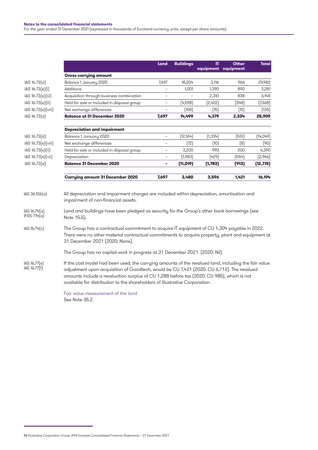|                                      |                                                                                                                                                                                                                                                                                                                                                                               | Land                     | <b>Buildings</b> | IT       | <b>Other</b><br>equipment equipment | <b>Total</b> |
|--------------------------------------|-------------------------------------------------------------------------------------------------------------------------------------------------------------------------------------------------------------------------------------------------------------------------------------------------------------------------------------------------------------------------------|--------------------------|------------------|----------|-------------------------------------|--------------|
|                                      | <b>Gross carrying amount</b>                                                                                                                                                                                                                                                                                                                                                  |                          |                  |          |                                     |              |
| IAS 16.73(d)                         | Balance 1 January 2020                                                                                                                                                                                                                                                                                                                                                        | 7,697                    | 18,204           | 3,116    | 966                                 | 29,983       |
| IAS 16.73(e)(i)                      | Additions                                                                                                                                                                                                                                                                                                                                                                     |                          | 1,001            | 1,390    | 890                                 | 3,281        |
| IAS 16.73(e)(iii)                    | Acquisition through business combination                                                                                                                                                                                                                                                                                                                                      | $\overline{\phantom{a}}$ |                  | 2,310    | 838                                 | 3,148        |
| IAS 16.73(e)(ii)                     | Held for sale or included in disposal group                                                                                                                                                                                                                                                                                                                                   |                          | (4, 598)         | (2,422)  | (348)                               | (7,368)      |
| IAS 16.73(e)(viii)                   | Net exchange differences                                                                                                                                                                                                                                                                                                                                                      |                          | (108)            | (15)     | (12)                                | (135)        |
| IAS 16.73(d)                         | <b>Balance at 31 December 2020</b>                                                                                                                                                                                                                                                                                                                                            | 7,697                    | 14,499           | 4,379    | 2,334                               | 28,909       |
|                                      | <b>Depreciation and impairment</b>                                                                                                                                                                                                                                                                                                                                            |                          |                  |          |                                     |              |
| IAS 16.73(d)                         | Balance 1 January 2020                                                                                                                                                                                                                                                                                                                                                        | $\overline{\phantom{a}}$ | (12, 164)        | (1, 334) | (551)                               | (14, 049)    |
| IAS 16.73(e)(viii)                   | Net exchange differences                                                                                                                                                                                                                                                                                                                                                      | $\overline{\phantom{a}}$ | (72)             | (10)     | (8)                                 | (90)         |
| IAS 16.73(e)(ii)                     | Held for sale or included in disposal group                                                                                                                                                                                                                                                                                                                                   | $\overline{\phantom{a}}$ | 3,200            | 990      | 200                                 | 4,390        |
| IAS 16.73(e)(vii)                    | Depreciation                                                                                                                                                                                                                                                                                                                                                                  | $\overline{\phantom{a}}$ | (1,983)          | (429)    | (554)                               | [2,966]      |
| IAS 16.73(d)                         | <b>Balance 31 December 2020</b>                                                                                                                                                                                                                                                                                                                                               | $\overline{\phantom{a}}$ | (11, 019)        | (1,783)  | (913)                               | (12, 715)    |
|                                      | <b>Carrying amount 31 December 2020</b>                                                                                                                                                                                                                                                                                                                                       | 7,697                    | 3,480            | 3,596    | 1,421                               | 16,194       |
| $ AS 36.126[\alpha]$<br>IAS 16.74(a) | All depreciation and impairment charges are included within depreciation, amortisation and<br>impairment of non-financial assets.<br>Land and buildings have been pledged as security for the Group's other bank borrowings (see                                                                                                                                              |                          |                  |          |                                     |              |
| IFRS $7.14(a)$                       | Note 15.5).                                                                                                                                                                                                                                                                                                                                                                   |                          |                  |          |                                     |              |
| IAS 16.74(c)                         | The Group has a contractual commitment to acquire IT equipment of CU 1,304 payable in 2022.<br>There were no other material contractual commitments to acquire property, plant and equipment at<br>31 December 2021 [2020: None].                                                                                                                                             |                          |                  |          |                                     |              |
|                                      | The Group has no capital work in progress at 31 December 2021. [2020: Nil]                                                                                                                                                                                                                                                                                                    |                          |                  |          |                                     |              |
| IAS 16.77(e)<br>IAS 16.77(f)         | If the cost model had been used, the carrying amounts of the revalued land, including the fair value<br>adjustment upon acquisition of Goodtech, would be CU 7,421 (2020: CU 6,712). The revalued<br>amounts include a revaluation surplus of CU 1,288 before tax (2020: CU 985), which is not<br>available for distribution to the shareholders of Illustrative Corporation. |                          |                  |          |                                     |              |
|                                      | Fair value measurement of the land                                                                                                                                                                                                                                                                                                                                            |                          |                  |          |                                     |              |

See Note 35.2.

<sup>56</sup> Illustrative Corporation Group: IFRS Example Consolidated Financial Statements – 31 December 2021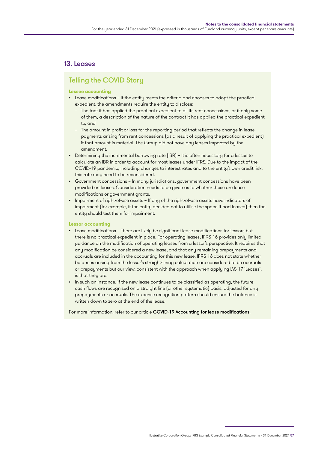## 13. Leases

## Telling the COVID Story

### **Lessee accounting**

- Lease modifications If the entity meets the criteria and chooses to adopt the practical expedient, the amendments require the entity to disclose:
	- The fact it has applied the practical expedient to all its rent concessions, or if only some of them, a description of the nature of the contract it has applied the practical expedient to, and
	- The amount in profit or loss for the reporting period that reflects the change in lease payments arising from rent concessions (as a result of applying the practical expedient) if that amount is material. The Group did not have any leases impacted by the amendment.
- Determining the incremental borrowing rate (IBR) It is often necessary for a lessee to calculate an IBR in order to account for most leases under IFRS. Due to the impact of the COVID-19 pandemic, including changes to interest rates and to the entity's own credit risk, this rate may need to be reconsidered.
- Government concessions In many jurisdictions, government concessions have been provided on leases. Consideration needs to be given as to whether these are lease modifications or government grants.
- Impairment of right-of-use assets If any of the right-of-use assets have indicators of impairment (for example, if the entity decided not to utilise the space it had leased) then the entity should test them for impairment.

### **Lessor accounting**

- Lease modifications There are likely be significant lease modifications for lessors but there is no practical expedient in place. For operating leases, IFRS 16 provides only limited guidance on the modification of operating leases from a lessor's perspective. It requires that any modification be considered a new lease, and that any remaining prepayments and accruals are included in the accounting for this new lease. IFRS 16 does not state whether balances arising from the lessor's straight-lining calculation are considered to be accruals or prepayments but our view, consistent with the approach when applying IAS 17 'Leases', is that they are.
- In such an instance, if the new lease continues to be classified as operating, the future cash flows are recognised on a straight line (or other systematic) basis, adjusted for any prepayments or accruals. The expense recognition pattern should ensure the balance is written down to zero at the end of the lease.

For more information, refer to our article [COVID-19 Accounting for lease modifications](https://www.grantthornton.global/en/insights/supporting-you-to-navigate-the-impact-of-covid-19/covid-19-accounting-for-lease-modifications/).

Illustrative Corporation Group: IFRS Example Consolidated Financial Statements – 31 December 2021 57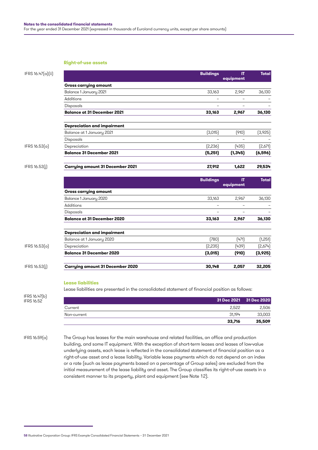### **Right-of-use assets**

| IFRS 16.47(a)(ii)                                                                                                                                                                                                                                                                                                                                                                                                                                                                                                                                                                                                                                |                                    | <b>Buildings</b>                     | IT<br>equipment                   | <b>Total</b>       |
|--------------------------------------------------------------------------------------------------------------------------------------------------------------------------------------------------------------------------------------------------------------------------------------------------------------------------------------------------------------------------------------------------------------------------------------------------------------------------------------------------------------------------------------------------------------------------------------------------------------------------------------------------|------------------------------------|--------------------------------------|-----------------------------------|--------------------|
|                                                                                                                                                                                                                                                                                                                                                                                                                                                                                                                                                                                                                                                  | <b>Gross carrying amount</b>       |                                      |                                   |                    |
|                                                                                                                                                                                                                                                                                                                                                                                                                                                                                                                                                                                                                                                  | Balance 1 January 2021             | 33,163                               | 2,967                             | 36,130             |
|                                                                                                                                                                                                                                                                                                                                                                                                                                                                                                                                                                                                                                                  | Additions                          | $\equiv$                             | $\overline{\phantom{0}}$          |                    |
|                                                                                                                                                                                                                                                                                                                                                                                                                                                                                                                                                                                                                                                  | Disposals                          | $\overline{\phantom{0}}$             | $\overline{\phantom{a}}$          |                    |
|                                                                                                                                                                                                                                                                                                                                                                                                                                                                                                                                                                                                                                                  | <b>Balance at 31 December 2021</b> | 33,163                               | 2,967                             | 36,130             |
|                                                                                                                                                                                                                                                                                                                                                                                                                                                                                                                                                                                                                                                  |                                    |                                      |                                   |                    |
|                                                                                                                                                                                                                                                                                                                                                                                                                                                                                                                                                                                                                                                  | Balance at 1 January 2021          | (3,015)                              | (910)                             | (3,925)            |
|                                                                                                                                                                                                                                                                                                                                                                                                                                                                                                                                                                                                                                                  | <b>Disposals</b>                   |                                      |                                   |                    |
| <b>Depreciation and impairment</b><br>IFRS $16.53(a)$<br>Depreciation<br><b>Balance 31 December 2021</b><br><b>Carrying amount 31 December 2021</b><br><b>Gross carrying amount</b><br>Balance 1 January 2020<br>Additions<br><b>Disposals</b><br><b>Balance at 31 December 2020</b><br><b>Depreciation and impairment</b><br>Balance at 1 January 2020<br>IFRS 16.53(a)<br>Depreciation<br><b>Balance 31 December 2020</b><br><b>Carrying amount 31 December 2020</b><br><b>Lease liabilities</b><br>Lease liabilities are presented in the consolidated statement of financial position as follows:<br>IFRS 16.47(b)<br>Current<br>Non-current | [2,236]                            | (435)                                | [2,671]                           |                    |
|                                                                                                                                                                                                                                                                                                                                                                                                                                                                                                                                                                                                                                                  |                                    | (5,251)                              | (1,345)                           | (6, 596)           |
| IFRS 16.53(j)                                                                                                                                                                                                                                                                                                                                                                                                                                                                                                                                                                                                                                    |                                    | 27,912                               | 1,622                             | 29,534             |
|                                                                                                                                                                                                                                                                                                                                                                                                                                                                                                                                                                                                                                                  |                                    | <b>Buildings</b>                     | IT                                | <b>Total</b>       |
|                                                                                                                                                                                                                                                                                                                                                                                                                                                                                                                                                                                                                                                  |                                    |                                      | equipment                         |                    |
|                                                                                                                                                                                                                                                                                                                                                                                                                                                                                                                                                                                                                                                  |                                    |                                      |                                   |                    |
|                                                                                                                                                                                                                                                                                                                                                                                                                                                                                                                                                                                                                                                  |                                    | 33,163                               | 2,967                             | 36,130             |
|                                                                                                                                                                                                                                                                                                                                                                                                                                                                                                                                                                                                                                                  |                                    | $\overline{\phantom{0}}$<br>$\equiv$ | $\overline{\phantom{0}}$          |                    |
|                                                                                                                                                                                                                                                                                                                                                                                                                                                                                                                                                                                                                                                  |                                    | 33,163                               | $\overline{\phantom{a}}$<br>2,967 | $\equiv$<br>36,130 |
|                                                                                                                                                                                                                                                                                                                                                                                                                                                                                                                                                                                                                                                  |                                    |                                      |                                   |                    |
|                                                                                                                                                                                                                                                                                                                                                                                                                                                                                                                                                                                                                                                  |                                    |                                      |                                   |                    |
|                                                                                                                                                                                                                                                                                                                                                                                                                                                                                                                                                                                                                                                  |                                    | (780)                                | (471)                             | (1,251)            |
|                                                                                                                                                                                                                                                                                                                                                                                                                                                                                                                                                                                                                                                  |                                    | (2, 235)                             | [439]                             | (2,674)            |
|                                                                                                                                                                                                                                                                                                                                                                                                                                                                                                                                                                                                                                                  |                                    | (3,015)                              | (910)                             | (3,925)            |
| IFRS 16.53(j)                                                                                                                                                                                                                                                                                                                                                                                                                                                                                                                                                                                                                                    |                                    | 30,148                               | 2,057                             | 32,205             |
|                                                                                                                                                                                                                                                                                                                                                                                                                                                                                                                                                                                                                                                  |                                    |                                      |                                   |                    |
|                                                                                                                                                                                                                                                                                                                                                                                                                                                                                                                                                                                                                                                  |                                    |                                      |                                   |                    |
|                                                                                                                                                                                                                                                                                                                                                                                                                                                                                                                                                                                                                                                  |                                    |                                      |                                   |                    |
| <b>IFRS 16.52</b>                                                                                                                                                                                                                                                                                                                                                                                                                                                                                                                                                                                                                                |                                    |                                      | 31 Dec 2021                       | 31 Dec 2020        |
|                                                                                                                                                                                                                                                                                                                                                                                                                                                                                                                                                                                                                                                  |                                    |                                      | 2,522                             | 2,506              |
|                                                                                                                                                                                                                                                                                                                                                                                                                                                                                                                                                                                                                                                  |                                    |                                      | 31,194                            | 33,003             |
|                                                                                                                                                                                                                                                                                                                                                                                                                                                                                                                                                                                                                                                  |                                    |                                      |                                   |                    |

building, and some IT equipment. With the exception of short-term leases and leases of low-value underlying assets, each lease is reflected in the consolidated statement of financial position as a right-of-use asset and a lease liability. Variable lease payments which do not depend on an index or a rate (such as lease payments based on a percentage of Group sales) are excluded from the initial measurement of the lease liability and asset. The Group classifies its right-of-use assets in a consistent manner to its property, plant and equipment (see Note 12).

<sup>58</sup> Illustrative Corporation Group: IFRS Example Consolidated Financial Statements – 31 December 2021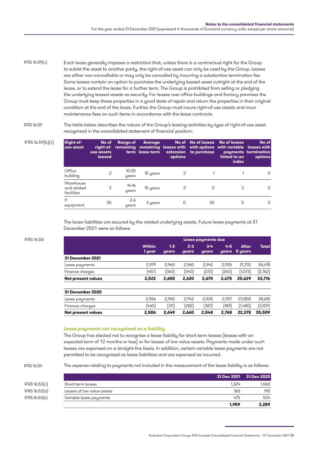Each lease generally imposes a restriction that, unless there is a contractual right for the Group to sublet the asset to another party, the right-of-use asset can only be used by the Group. Leases are either non-cancellable or may only be cancelled by incurring a substantive termination fee. Some leases contain an option to purchase the underlying leased asset outright at the end of the lease, or to extend the lease for a further term. The Group is prohibited from selling or pledging the underlying leased assets as security. For leases over office buildings and factory premises the Group must keep those properties in a good state of repair and return the properties in their original condition at the end of the lease. Further, the Group must insure right-of-use assets and incur maintenance fees on such items in accordance with the lease contracts. IFRS 16.59(c)

IFRS 16.59

IFRS 16.59(b)(ii) **Right-of-**

The table below describes the nature of the Group's leasing activities by type of right-of-use asset recognised in the consolidated statement of financial position:

| <b>Right-of-</b><br>use asset          | No of<br>use assets<br>leased | Range of           | <b>Average</b><br>term lease term | options | extension to purchase | No of No of leases No of leases<br>right-of- remaining remaining leases with with options with variable leases with<br>linked to an<br>index | No of<br>payments termination<br>options |
|----------------------------------------|-------------------------------|--------------------|-----------------------------------|---------|-----------------------|----------------------------------------------------------------------------------------------------------------------------------------------|------------------------------------------|
| Office<br>building                     | 2                             | $10 - 20$<br>years | 15 years                          |         |                       |                                                                                                                                              | O                                        |
| Warehouse<br>and related<br>facilities | 3                             | $14 - 16$<br>years | 15 years                          |         |                       | 3                                                                                                                                            |                                          |
| ΙT<br>equipment                        | 35                            | $2 - 6$<br>years   | 3 years                           |         | 20                    | 0                                                                                                                                            |                                          |

The lease liabilities are secured by the related underlying assets. Future lease payments at 31 December 2021 were as follows:

| <b>IFRS 16.58</b> |                           |                         |                |                         | Lease payments due      |              |                         |              |
|-------------------|---------------------------|-------------------------|----------------|-------------------------|-------------------------|--------------|-------------------------|--------------|
|                   |                           | <b>Within</b><br>1 year | $1-2$<br>years | $2 - 3$<br><b>years</b> | $3 - 4$<br><b>years</b> | 4-5<br>years | <b>After</b><br>5 years | <b>Total</b> |
|                   | 31 December 2021          |                         |                |                         |                         |              |                         |              |
|                   | Lease payments            | 2.979                   | 2.960          | 2.960                   | 2.942                   | 2,935        | 21,702                  | 36,478       |
|                   | Finance charges           | (457)                   | (360)          | (340)                   | (272)                   | (260)        | (1,073)                 | [2,762]      |
|                   | <b>Net present values</b> | 2.522                   | 2.600          | 2.620                   | 2.670                   | 2.675        | 20.629                  | 33,716       |
|                   | 31 December 2020          |                         |                |                         |                         |              |                         |              |
|                   | Lease payments            | 2.966                   | 2.960          | 2.942                   | 2.935                   | 2.957        | 23,858                  | 38,618       |
|                   | Finance charges           | (460)                   | (311)          | (282)                   | (387)                   | [189]        | (1,480)                 | (3,109)      |
|                   | <b>Net present values</b> | 2.506                   | 2.649          | 2.660                   | 2.548                   | 2.768        | 22,378                  | 35,509       |

### **Lease payments not recognised as a liability**

The Group has elected not to recognise a lease liability for short term leases (leases with an expected term of 12 months or less) or for leases of low value assets. Payments made under such leases are expensed on a straight-line basis. In addition, certain variable lease payments are not permitted to be recognised as lease liabilities and are expensed as incurred.

IFRS 16.54

The expense relating to payments not included in the measurement of the lease liability is as follows:

|               |                            |       | 31 Dec 2021 31 Dec 2020 |
|---------------|----------------------------|-------|-------------------------|
| IFRS 16.53(c) | Short-term leases          | 1.324 | 1,560                   |
| IFRS 16.53[d] | Leases of low value assets | 160   | 195                     |
| IFRS.16.53(e) | Variable lease payments    | 475   | 534                     |
|               |                            | 1.959 | 2,289                   |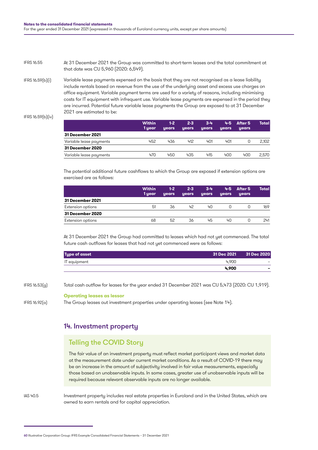At 31 December 2021 the Group was committed to short-term leases and the total commitment at that date was CU 5,960 (2020: 6,549). IFRS 16.55

Variable lease payments expensed on the basis that they are not recognised as a lease liability include rentals based on revenue from the use of the underlying asset and excess use charges on office equipment. Variable payment terms are used for a variety of reasons, including minimising costs for IT equipment with infrequent use. Variable lease payments are expensed in the period they are incurred. Potential future variable lease payments the Group are exposed to at 31 December 2021 are estimated to be: IFRS 16.59(b)(i)

```
IFRS 16.59(b)(iv)
```

|                         | <b>Within</b><br>1 year | $1-2$<br><b>years</b> | $2 - 3$<br><b>years</b> | $3 - 4$<br>years | 4-5 -<br><b>years</b> | After 5<br><b>years</b> | Total l |
|-------------------------|-------------------------|-----------------------|-------------------------|------------------|-----------------------|-------------------------|---------|
| 31 December 2021        |                         |                       |                         |                  |                       |                         |         |
| Variable lease payments | 452                     | 436                   | 412                     | 401              | 401                   |                         | 2,102   |
| 31 December 2020        |                         |                       |                         |                  |                       |                         |         |
| Variable lease payments | 470                     | 450                   | 435                     | 415              | 400                   | 400                     | 2.570   |

The potential additional future cashflows to which the Group are exposed if extension options are exercised are as follows:

|                   | <b>Within</b><br>1 year | $1-2$<br><b>years</b> | $2 - 3$<br>years | $3 - 4$<br>years | years | $4-5$ After 5<br>years | Totall |
|-------------------|-------------------------|-----------------------|------------------|------------------|-------|------------------------|--------|
| 31 December 2021  |                         |                       |                  |                  |       |                        |        |
| Extension options | 51                      | 36                    | 42               | 40               |       |                        | 169    |
| 31 December 2020  |                         |                       |                  |                  |       |                        |        |
| Extension options | 68                      | 52                    | 36               | 45               | 40    |                        | 241    |

At 31 December 2021 the Group had committed to leases which had not yet commenced. The total future cash outflows for leases that had not yet commenced were as follows:

| <b>Type of asset</b> |       | 31 Dec 2021 31 Dec 2020 |
|----------------------|-------|-------------------------|
| IT equipment         | 4.900 |                         |
|                      | 4.900 |                         |

IFRS 16.53(g)

Total cash outflow for leases for the year ended 31 December 2021 was CU 5,473 (2020: CU 1,919).

### **Operating leases as lessor**

IFRS 16.92(a)

The Group leases out investment properties under operating leases (see Note 14).

## 14. Investment property

## Telling the COVID Story

The fair value of an investment property must reflect market participant views and market data at the measurement date under current market conditions. As a result of COVID-19 there may be an increase in the amount of subjectivity involved in fair value measurements, especially those based on unobservable inputs. In some cases, greater use of unobservable inputs will be required because relevant observable inputs are no longer available.

IAS 40.5

Investment property includes real estate properties in Euroland and in the United States, which are owned to earn rentals and for capital appreciation.

<sup>60</sup> Illustrative Corporation Group: IFRS Example Consolidated Financial Statements – 31 December 2021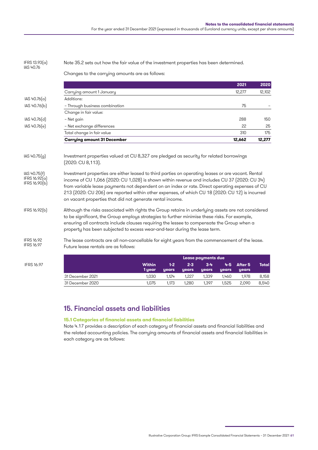#### Note 35.2 sets out how the fair value of the investment properties has been determined. IFRS 13.93(a) IAS 40.76

Changes to the carrying amounts are as follows:

|              |                                    | 2021   | 2020   |
|--------------|------------------------------------|--------|--------|
|              | Carrying amount 1 January          | 12,277 | 12,102 |
| IAS 40.76(a) | Additions:                         |        |        |
| IAS 40.76(b) | - Through business combination     | 75     |        |
|              | Change in fair value:              |        |        |
| IAS 40.76(d) | – Net gain                         | 288    | 150    |
| IAS 40.76(e) | - Net exchange differences         | 22     | 25     |
|              | Total change in fair value         | 310    | 175    |
|              | <b>Carrying amount 31 December</b> | 12,662 | 12,277 |
|              |                                    |        |        |

#### Investment properties valued at CU 8,327 are pledged as security for related borrowings (2020: CU 8,113). IAS 40.75(g)

#### Investment properties are either leased to third parties on operating leases or are vacant. Rental income of CU 1,066 (2020: CU 1,028) is shown within revenue and includes CU 37 (2020: CU 34) from variable lease payments not dependent on an index or rate. Direct operating expenses of CU 213 (2020: CU 206) are reported within other expenses, of which CU 18 (2020: CU 12) is incurred on vacant properties that did not generate rental income. IAS 40.75(f) IFRS 16.92(a) IFRS 16.90(b)

#### Although the risks associated with rights the Group retains in underlying assets are not considered to be significant, the Group employs strategies to further minimise these risks. For example, ensuring all contracts include clauses requiring the lessee to compensate the Group when a property has been subjected to excess wear-and-tear during the lease term. IFRS 16.92(b)

#### IFRS 16.92 IFRS 16.97

**IFRS 16.97** 

The lease contracts are all non-cancellable for eight years from the commencement of the lease. Future lease rentals are as follows:

|                  |                         | Lease payments due      |                         |                         |              |                               |              |
|------------------|-------------------------|-------------------------|-------------------------|-------------------------|--------------|-------------------------------|--------------|
|                  | <b>Within</b><br>1 year | $1 - 2$<br><b>years</b> | $2 - 3$<br><b>years</b> | $3 - 4$<br><b>years</b> | <b>years</b> | $4-5$ After 5<br><b>years</b> | <b>Total</b> |
| 31 December 2021 | 1.030                   | 1.124                   | 1.227                   | 1.339                   | 1.460        | 1.978                         | 8.158        |
| 31 December 2020 | 1.075                   | 1.173                   | 1.280                   | 1.397                   | 1.525        | 2.090                         | 8.540        |

## 15. Financial assets and liabilities

### **15.1 Categories of financial assets and financial liabilities**

Note 4.17 provides a description of each category of financial assets and financial liabilities and the related accounting policies. The carrying amounts of financial assets and financial liabilities in each category are as follows:

Illustrative Corporation Group: IFRS Example Consolidated Financial Statements – 31 December 2021 61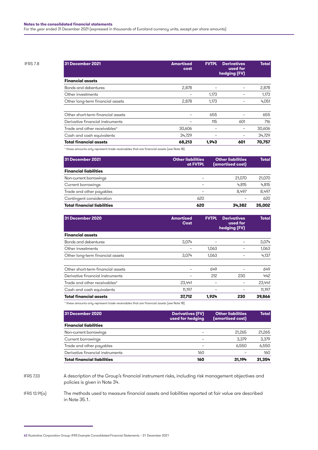| <b>IFRS 7.8</b> | 31 December 2021                         | <b>Amortised</b><br>cost | <b>FVTPL</b> | <b>Derivatives</b><br>used for<br>hedging (FV) | <b>Total</b> |
|-----------------|------------------------------------------|--------------------------|--------------|------------------------------------------------|--------------|
|                 | <b>Financial assets</b>                  |                          |              |                                                |              |
|                 | Bonds and debentures                     | 2,878                    | -            |                                                | 2,878        |
|                 | Other investments                        |                          | 1,173        |                                                | 1,173        |
|                 | Other long-term financial assets         | 2,878                    | 1,173        |                                                | 4,051        |
|                 | Other short-term financial assets        | -                        | 655          |                                                | 655          |
|                 | Derivative financial instruments         | -                        | 115          | 601                                            | 716          |
|                 | Trade and other receivables <sup>a</sup> | 30,606                   |              | -                                              | 30,606       |
|                 | Cash and cash equivalents                | 34,729                   |              |                                                | 34.729       |
|                 | <b>Total financial assets</b>            | 68,213                   | 1,943        | 601                                            | 70,757       |
|                 |                                          |                          |              |                                                |              |

a these amounts only represent trade receivables that are financial assets (see Note 18)

| 31 December 2021                   | <b>Other liabilities</b><br>at FVTPL | <b>Other liabilities</b><br>(amortised cost) | <b>Total</b> |
|------------------------------------|--------------------------------------|----------------------------------------------|--------------|
| <b>Financial liabilities</b>       |                                      |                                              |              |
| Non-current borrowings             |                                      | 21,070                                       | 21,070       |
| Current borrowings                 |                                      | 4.815                                        | 4.815        |
| Trade and other payables           | -                                    | 8.497                                        | 8.497        |
| Contingent consideration           | 620                                  |                                              | 620          |
| <b>Total financial liabilities</b> | 620                                  | 34.382                                       | 35,002       |

| 31 December 2020                         | <b>Amortised</b><br>Cost | <b>FVTPL</b> | <b>Derivatives</b><br>used for<br>hedging (FV) | <b>Total</b> |
|------------------------------------------|--------------------------|--------------|------------------------------------------------|--------------|
| <b>Financial assets</b>                  |                          |              |                                                |              |
| Bonds and debentures                     | 3.074                    |              |                                                | 3,074        |
| Other investments                        |                          | 1,063        |                                                | 1,063        |
| Other long-term financial assets         | 3.074                    | 1.063        |                                                | 4,137        |
| Other short-term financial assets        |                          | 649          |                                                | 649          |
| Derivative financial instruments         |                          | 212          | 230                                            | 442          |
| Trade and other receivables <sup>a</sup> | 23.441                   |              |                                                | 23,441       |
| Cash and cash equivalents                | 11.197                   |              |                                                | 11,197       |
| <b>Total financial assets</b>            | 37,712                   | 1.924        | 230                                            | 39,866       |

a these amounts only represent trade receivables that are financial assets (see Note 18)

| 31 December 2020                   | <b>Derivatives (FV)</b><br>used for hedging | <b>Other liabilities</b><br>(amortised cost) | <b>Total</b> |
|------------------------------------|---------------------------------------------|----------------------------------------------|--------------|
| <b>Financial liabilities</b>       |                                             |                                              |              |
| Non-current borrowings             |                                             | 21.265                                       | 21,265       |
| Current borrowings                 |                                             | 3.379                                        | 3,379        |
| Trade and other payables           |                                             | 6.550                                        | 6,550        |
| Derivative financial instruments   | 160                                         |                                              | 160          |
| <b>Total financial liabilities</b> | 160                                         | 31.194                                       | 31.354       |

IFRS 7.33

A description of the Group's financial instrument risks, including risk management objectives and policies is given in Note 34.

The methods used to measure financial assets and liabilities reported at fair value are described in Note 35.1. IFRS 13.91(a)

<sup>62</sup> Illustrative Corporation Group: IFRS Example Consolidated Financial Statements – 31 December 2021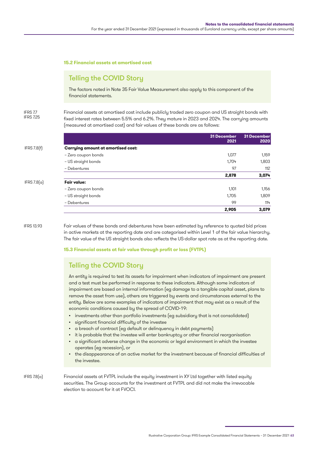### **15.2 Financial assets at amortised cost**

## Telling the COVID Story

The factors noted in Note 35 Fair Value Measurement also apply to this component of the financial statements.

IFRS 7.7 IFRS 7.25 Financial assets at amortised cost include publicly traded zero coupon and US straight bonds with fixed interest rates between 5.5% and 6.2%. They mature in 2023 and 2024. The carrying amounts (measured at amortised cost) and fair values of these bonds are as follows:

|               |                                           | 31 December<br>2021 | 31 December<br>2020 |
|---------------|-------------------------------------------|---------------------|---------------------|
| IFRS $7.8(f)$ | <b>Carrying amount at amortised cost:</b> |                     |                     |
|               | - Zero coupon bonds                       | 1,077               | 1,159               |
|               | - US straight bonds                       | 1,704               | 1,803               |
|               | - Debentures                              | 97                  | 112                 |
|               |                                           | 2,878               | 3,074               |
| IFRS 7.8(a)   | Fair value:                               |                     |                     |
|               | - Zero coupon bonds                       | 1,101               | 1,156               |
|               | - US straight bonds                       | 1,705               | 1,809               |
|               | - Debentures                              | 99                  | 114                 |
|               |                                           | 2,905               | 3,079               |

IFRS 13.93

Fair values of these bonds and debentures have been estimated by reference to quoted bid prices in active markets at the reporting date and are categorised within Level 1 of the fair value hierarchy. The fair value of the US straight bonds also reflects the US-dollar spot rate as at the reporting date.

**15.3 Financial assets at fair value through profit or loss (FVTPL)**

## Telling the COVID Story

An entity is required to test its assets for impairment when indicators of impairment are present and a test must be performed in response to these indicators. Although some indicators of impairment are based on internal information (eg damage to a tangible capital asset, plans to remove the asset from use), others are triggered by events and circumstances external to the entity. Below are some examples of indicators of impairment that may exist as a result of the economic conditions caused by the spread of COVID-19:

- investments other than portfolio investments (eg subsidiary that is not consolidated)
- significant financial difficulty of the investee
- a breach of contract (eg default or delinquency in debt payments)
- it is probable that the investee will enter bankruptcy or other financial reorganisation
- a significant adverse change in the economic or legal environment in which the investee operates (eg recession), or
- the disappearance of an active market for the investment because of financial difficulties of the investee.

IFRS 7.8(a)

Financial assets at FVTPL include the equity investment in XY Ltd together with listed equity securities. The Group accounts for the investment at FVTPL and did not make the irrevocable election to account for it at FVOCI.

Illustrative Corporation Group: IFRS Example Consolidated Financial Statements – 31 December 2021 63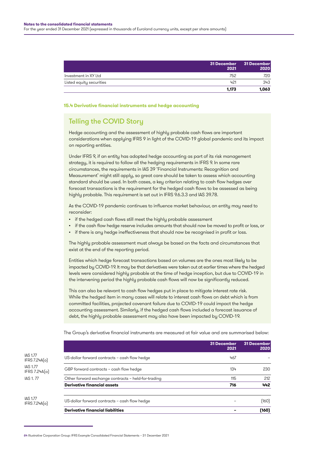|                          | <b>31 December</b><br>2021 | 31 December<br>2020 |
|--------------------------|----------------------------|---------------------|
| Investment in XY Ltd     | 752                        | 720                 |
| Listed equity securities | 421                        | 343                 |
|                          | 1.173                      | 1.063               |

### **15.4 Derivative financial instruments and hedge accounting**

# Telling the COVID Story

Hedge accounting and the assessment of highly probable cash flows are important considerations when applying IFRS 9 in light of the COVID-19 global pandemic and its impact on reporting entities.

Under IFRS 9, if an entity has adopted hedge accounting as part of its risk management strategy, it is required to follow all the hedging requirements in IFRS 9. In some rare circumstances, the requirements in IAS 39 'Financial Instruments: Recognition and Measurement' might still apply, so great care should be taken to assess which accounting standard should be used. In both cases, a key criterion relating to cash flow hedges over forecast transactions is the requirement for the hedged cash flows to be assessed as being highly probable. This requirement is set out in IFRS 9.6.3.3 and IAS 39.78.

As the COVID-19 pandemic continues to influence market behaviour, an entity may need to reconsider:

- if the hedged cash flows still meet the highly probable assessment
- if the cash flow hedge reserve includes amounts that should now be moved to profit or loss, or
- if there is any hedge ineffectiveness that should now be recognised in profit or loss.

The highly probable assessment must always be based on the facts and circumstances that exist at the end of the reporting period.

Entities which hedge forecast transactions based on volumes are the ones most likely to be impacted by COVID-19. It may be that derivatives were taken out at earlier times where the hedged levels were considered highly probable at the time of hedge inception, but due to COVID-19 in the intervening period the highly probable cash flows will now be significantly reduced.

This can also be relevant to cash flow hedges put in place to mitigate interest rate risk. While the hedged item in many cases will relate to interest cash flows on debt which is from committed facilities, projected covenant failure due to COVID-19 could impact the hedge accounting assessment. Similarly, if the hedged cash flows included a forecast issuance of debt, the highly probable assessment may also have been impacted by COVID-19.

The Group's derivative financial instruments are measured at fair value and are summarised below:

|                                  |                                                     | 31 December<br>2021 | <b>31 December</b><br>2020 |
|----------------------------------|-----------------------------------------------------|---------------------|----------------------------|
| <b>IAS 1.77</b><br>IFRS 7.24A(a) | US-dollar forward contracts - cash flow hedge       | 467                 |                            |
| <b>IAS 1.77</b><br>IFRS 7.24A(a) | GBP forward contracts - cash flow hedge             | 134                 | 230                        |
| <b>IAS 1.77</b>                  | Other forward exchange contracts - held-for-trading | 115                 | 212                        |
|                                  | <b>Derivative financial assets</b>                  | 716                 | 442                        |
| <b>IAS 1.77</b><br>IFRS 7.24A[a] | US-dollar forward contracts - cash flow hedge       |                     | [160]                      |
|                                  | <b>Derivative financial liabilities</b>             |                     | (160)                      |

<sup>64</sup> Illustrative Corporation Group: IFRS Example Consolidated Financial Statements – 31 December 2021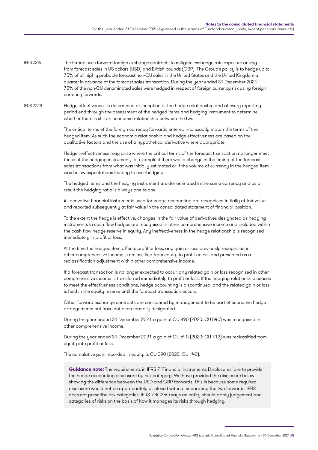The Group uses forward foreign exchange contracts to mitigate exchange rate exposure arising from forecast sales in US dollars (USD) and British pounds (GBP). The Group's policy is to hedge up to 75% of all highly probable forecast non-CU sales in the United States and the United Kingdom a quarter in advance of the forecast sales transaction. During the year ended 31 December 2021, 75% of the non-CU denominated sales were hedged in respect of foreign currency risk using foreign currency forwards. IFRS 7214

Hedge effectiveness is determined at inception of the hedge relationship and at every reporting period end through the assessment of the hedged items and hedging instrument to determine whether there is still an economic relationship between the two. IFRS 7.22B

> The critical terms of the foreign currency forwards entered into exactly match the terms of the hedged item. As such the economic relationship and hedge effectiveness are based on the qualitative factors and the use of a hypothetical derivative where appropriate.

Hedge ineffectiveness may arise where the critical terms of the forecast transaction no longer meet those of the hedging instrument, for example if there was a change in the timing of the forecast sales transactions from what was initially estimated or if the volume of currency in the hedged item was below expectations leading to over-hedging.

The hedged items and the hedging instrument are denominated in the same currency and as a result the hedging ratio is always one to one.

All derivative financial instruments used for hedge accounting are recognised initially at fair value and reported subsequently at fair value in the consolidated statement of financial position.

To the extent the hedge is effective, changes in the fair value of derivatives designated as hedging instruments in cash flow hedges are recognised in other comprehensive income and included within the cash flow hedge reserve in equity. Any ineffectiveness in the hedge relationship is recognised immediately in profit or loss.

At the time the hedged item affects profit or loss, any gain or loss previously recognised in other comprehensive income is reclassified from equity to profit or loss and presented as a reclassification adjustment within other comprehensive income.

If a forecast transaction is no longer expected to occur, any related gain or loss recognised in other comprehensive income is transferred immediately to profit or loss. If the hedging relationship ceases to meet the effectiveness conditions, hedge accounting is discontinued, and the related gain or loss is held in the equity reserve until the forecast transaction occurs.

Other forward exchange contracts are considered by management to be part of economic hedge arrangements but have not been formally designated.

During the year ended 31 December 2021 a gain of CU 890 (2020: CU 540) was recognised in other comprehensive income.

During the year ended 31 December 2021 a gain of CU 640 (2020: CU 712) was reclassified from equity into profit or loss.

The cumulative gain recorded in equity is CU 390 (2020: CU 140).

**Guidance note:** The requirements in IFRS 7 'Financial Instruments Disclosures' are to provide the hedge accounting disclosure by risk category. We have provided the disclosure below showing the difference between the USD and GBP forwards. This is because some required disclosure would not be appropriately disclosed without separating the two forwards. IFRS does not prescribe risk categories. IFRS 7.BC35O says an entity should apply judgement and categories of risks on the basis of how it manages its risks through hedging.

Illustrative Corporation Group: IFRS Example Consolidated Financial Statements – 31 December 2021 65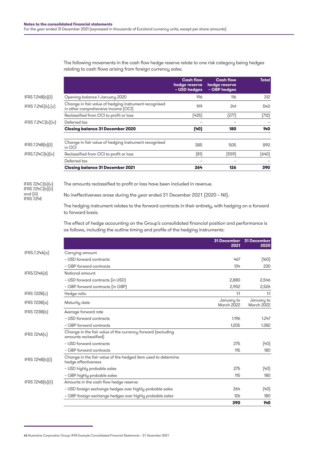|                                          |                                                                                                                                                                                      | <b>Cash flow</b><br>hedge reserve<br>- USD hedges                             | <b>Cash flow</b><br>hedge reserve<br>- GBP hedges | Total       |  |  |  |
|------------------------------------------|--------------------------------------------------------------------------------------------------------------------------------------------------------------------------------------|-------------------------------------------------------------------------------|---------------------------------------------------|-------------|--|--|--|
| IFRS $7.24B(b)$ [ii]                     | Opening balance 1 January 2020                                                                                                                                                       | 196                                                                           | 116                                               | 312         |  |  |  |
| IFRS 7.24E(b), [c]                       | Change in fair value of hedging instrument recognised<br>in other comprehensive income [OCI]                                                                                         | 199                                                                           | 341                                               | 540         |  |  |  |
|                                          | Reclassified from OCI to profit or loss                                                                                                                                              | (435)                                                                         | (277)                                             | (712)       |  |  |  |
| IFRS 7.24C(b)(iv)                        | Deferred tax                                                                                                                                                                         |                                                                               |                                                   |             |  |  |  |
|                                          | Closing balance 31 December 2020                                                                                                                                                     | (40)                                                                          | 180                                               | 140         |  |  |  |
| IFRS $7.24B(b)$ [ii]                     | Change in fair value of hedging instrument recognised<br>in OCI                                                                                                                      | 385                                                                           | 505                                               | 890         |  |  |  |
| IFRS.7.24C(b)[iv]                        | Reclassified from OCI to profit or loss                                                                                                                                              | (81)                                                                          | (559)                                             | (640)       |  |  |  |
|                                          | Deferred tax                                                                                                                                                                         |                                                                               |                                                   |             |  |  |  |
|                                          | <b>Closing balance 31 December 2021</b>                                                                                                                                              | 264                                                                           | 126                                               | 390         |  |  |  |
| IFRS 7.24 $C(b)(v)$<br>IFRS 7.24C(b)(ii) | The amounts reclassified to profit or loss have been included in revenue.                                                                                                            |                                                                               |                                                   |             |  |  |  |
| and [iii]<br><b>IFRS 7.24E</b>           |                                                                                                                                                                                      | No ineffectiveness arose during the year ended 31 December 2021 (2020 - Nil). |                                                   |             |  |  |  |
|                                          | The hedging instrument relates to the forward contracts in their entirety, with hedging on a forward<br>to forward basis.                                                            |                                                                               |                                                   |             |  |  |  |
|                                          | The effect of hedge accounting on the Group's consolidated financial position and performance is<br>as follows, including the outline timing and profile of the hedging instruments: |                                                                               |                                                   |             |  |  |  |
|                                          |                                                                                                                                                                                      |                                                                               | <b>31 December</b>                                | 31 December |  |  |  |
| IFRS.7.24A(a)                            |                                                                                                                                                                                      |                                                                               | 2021                                              | 2020        |  |  |  |
|                                          | Carrying amount<br>- USD forward contracts                                                                                                                                           |                                                                               | 467                                               | (160)       |  |  |  |
|                                          | - GBP forward contracts                                                                                                                                                              |                                                                               | 134                                               | 230         |  |  |  |
| IFRS.7.24A(d)                            | Notional amount                                                                                                                                                                      |                                                                               |                                                   |             |  |  |  |
|                                          | - USD forward contracts (in USD)                                                                                                                                                     |                                                                               | 2,880                                             | 2,546       |  |  |  |
|                                          | - GBP forward contracts (in GBP)                                                                                                                                                     |                                                                               | 2,952                                             | 2,526       |  |  |  |
| IFRS Z22B[c]                             | Hedge ratio                                                                                                                                                                          |                                                                               | 1:1                                               | 1:1         |  |  |  |
|                                          |                                                                                                                                                                                      |                                                                               | January to                                        | January to  |  |  |  |
| IFRS $7.23B(\alpha)$                     | Maturity date                                                                                                                                                                        |                                                                               | March 2022                                        | March 2022  |  |  |  |
| IFRS 7.23B(b)                            | Average forward rate                                                                                                                                                                 |                                                                               |                                                   |             |  |  |  |
|                                          | - USD forward contracts                                                                                                                                                              |                                                                               | 1.196                                             | 1.247       |  |  |  |
|                                          | - GBP forward contracts<br>Change in the fair value of the currency forward (excluding                                                                                               |                                                                               | 1.205                                             | 1.382       |  |  |  |
| IFRS 7.24A(c)                            | amounts reclassified)                                                                                                                                                                |                                                                               |                                                   |             |  |  |  |
|                                          | - USD forward contracts                                                                                                                                                              |                                                                               | 275                                               | (40)        |  |  |  |
|                                          | - GBP forward contracts                                                                                                                                                              |                                                                               | 115                                               | 180         |  |  |  |
| IFRS 7.24B(b)(i)                         | Change in the fair value of the hedged item used to determine<br>hedge effectiveness                                                                                                 |                                                                               |                                                   |             |  |  |  |
|                                          | - USD highly probable sales                                                                                                                                                          |                                                                               | 275                                               | (40)        |  |  |  |
|                                          | - GBP highly probable sales                                                                                                                                                          |                                                                               | 115                                               | 180         |  |  |  |
| IFRS 7.24B(b)(ii)                        | Amounts in the cash flow hedge reserve:                                                                                                                                              |                                                                               |                                                   |             |  |  |  |
|                                          | - USD foreign exchange hedges over highly probable sales                                                                                                                             |                                                                               | 264                                               | (40)        |  |  |  |
|                                          | - GBP foreign exchange hedges over highly probable sales                                                                                                                             |                                                                               | 126                                               | 180         |  |  |  |
|                                          |                                                                                                                                                                                      |                                                                               | 390                                               | 140         |  |  |  |

The following movements in the cash flow hedge reserve relate to one risk category being hedges relating to cash flows arising from foreign currency sales.

<sup>66</sup> Illustrative Corporation Group: IFRS Example Consolidated Financial Statements – 31 December 2021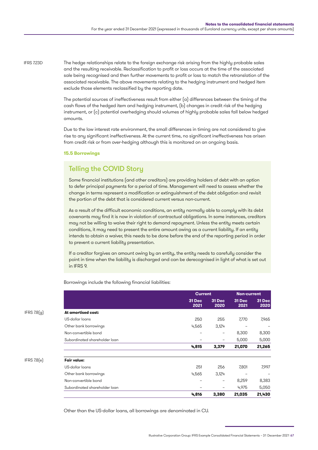The hedge relationships relate to the foreign exchange risk arising from the highly probable sales and the resulting receivable. Reclassification to profit or loss occurs at the time of the associated sale being recognised and then further movements to profit or loss to match the retranslation of the associated receivable. The above movements relating to the hedging instrument and hedged item exclude those elements reclassified by the reporting date. IFRS 7.23D

> The potential sources of ineffectiveness result from either (a) differences between the timing of the cash flows of the hedged item and hedging instrument, (b) changes in credit risk of the hedging instrument, or (c) potential overhedging should volumes of highly probable sales fall below hedged amounts.

Due to the low interest rate environment, the small differences in timing are not considered to give rise to any significant ineffectiveness. At the current time, no significant ineffectiveness has arisen from credit risk or from over-hedging although this is monitored on an ongoing basis.

### **15.5 Borrowings**

## Telling the COVID Story

Some financial institutions (and other creditors) are providing holders of debt with an option to defer principal payments for a period of time. Management will need to assess whether the change in terms represent a modification or extinguishment of the debt obligation and revisit the portion of the debt that is considered current versus non-current.

As a result of the difficult economic conditions, an entity normally able to comply with its debt covenants may find it is now in violation of contractual obligations. In some instances, creditors may not be willing to waive their right to demand repayment. Unless the entity meets certain conditions, it may need to present the entire amount owing as a current liability. If an entity intends to obtain a waiver, this needs to be done before the end of the reporting period in order to prevent a current liability presentation.

If a creditor forgives an amount owing by an entity, the entity needs to carefully consider the point in time when the liability is discharged and can be derecognised in light of what is set out in IFRS 9.

Borrowings include the following financial liabilities:

|               |                               |                | <b>Current</b>           |                | <b>Non-current</b>       |  |
|---------------|-------------------------------|----------------|--------------------------|----------------|--------------------------|--|
|               |                               | 31 Dec<br>2021 | <b>31 Dec</b><br>2020    | 31 Dec<br>2021 | 31 Dec<br>2020           |  |
| IFRS $7.8(g)$ | At amortised cost:            |                |                          |                |                          |  |
|               | US-dollar loans               | 250            | 255                      | 7,770          | 7,965                    |  |
|               | Other bank borrowings         | 4,565          | 3,124                    |                |                          |  |
|               | Non-convertible bond          |                | $\overline{\phantom{0}}$ | 8,300          | 8,300                    |  |
|               | Subordinated shareholder loan | -              | $\overline{\phantom{0}}$ | 5,000          | 5,000                    |  |
|               |                               | 4,815          | 3,379                    | 21,070         | 21,265                   |  |
| IFRS 7.8(e)   | <b>Fair value:</b>            |                |                          |                |                          |  |
|               | US-dollar loans               | 251            | 256                      | 7,801          | 7,997                    |  |
|               | Other bank borrowings         | 4,565          | 3,124                    |                | $\overline{\phantom{0}}$ |  |
|               | Non-convertible bond          |                | $\overline{\phantom{0}}$ | 8,259          | 8,383                    |  |
|               | Subordinated shareholder loan |                | $\overline{\phantom{0}}$ | 4,975          | 5,050                    |  |
|               |                               | 4,816          | 3,380                    | 21,035         | 21,430                   |  |

Other than the US-dollar loans, all borrowings are denominated in CU.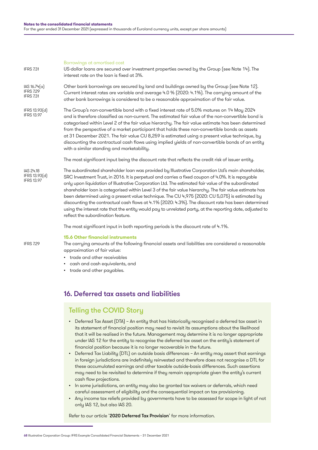Borrowings at amortised cost

US-dollar loans are secured over investment properties owned by the Group (see Note 14). The interest rate on the loan is fixed at 3%. Other bank borrowings are secured by land and buildings owned by the Group (see Note 12). Current interest rates are variable and average 4.0 % (2020: 4.1%). The carrying amount of the other bank borrowings is considered to be a reasonable approximation of the fair value. The Group's non-convertible bond with a fixed interest rate of 5.0% matures on 14 May 2024 and is therefore classified as non-current. The estimated fair value of the non-convertible bond is categorised within Level 2 of the fair value hierarchy. The fair value estimate has been determined IFRS 7.31 IAS 16.74(a) IFRS 7.29 IFRS 7.31 IFRS 13.93(d) IFRS 13.97

from the perspective of a market participant that holds these non-convertible bonds as assets at 31 December 2021. The fair value CU 8,259 is estimated using a present value technique, by discounting the contractual cash flows using implied yields of non-convertible bonds of an entity with a similar standing and marketability.

The most significant input being the discount rate that reflects the credit risk of issuer entity.

The subordinated shareholder loan was provided by Illustrative Corporation Ltd's main shareholder, SRC Investment Trust, in 2016. It is perpetual and carries a fixed coupon of 4.0%. It is repayable only upon liquidation of Illustrative Corporation Ltd. The estimated fair value of the subordinated shareholder loan is categorised within Level 3 of the fair value hierarchy. The fair value estimate has been determined using a present value technique. The CU 4,975 (2020: CU 5,075) is estimated by discounting the contractual cash flows at 4.1% (2020: 4.3%). The discount rate has been determined using the interest rate that the entity would pay to unrelated party, at the reporting date, adjusted to reflect the subordination feature. IAS 24.18 IFRS 13.93(d) IFRS 13.97

The most significant input in both reporting periods is the discount rate of 4.1%.

### **15.6 Other financial instruments**

IFRS 7.29

The carrying amounts of the following financial assets and liabilities are considered a reasonable approximation of fair value:

- trade and other receivables
- cash and cash equivalents, and
- trade and other payables.

## 16. Deferred tax assets and liabilities

## Telling the COVID Story

- Deferred Tax Asset (DTA) An entity that has historically recognised a deferred tax asset in its statement of financial position may need to revisit its assumptions about the likelihood that it will be realised in the future. Management may determine it is no longer appropriate under IAS 12 for the entity to recognise the deferred tax asset on the entity's statement of financial position because it is no longer recoverable in the future.
- Deferred Tax Liability (DTL) on outside basis differences An entity may assert that earnings in foreign jurisdictions are indefinitely reinvested and therefore does not recognise a DTL for these accumulated earnings and other taxable outside-basis differences. Such assertions may need to be revisited to determine if they remain appropriate given the entity's current cash flow projections.
- In some jurisdictions, an entity may also be granted tax waivers or deferrals, which need careful assessment of eligibility and the consequential impact on tax provisioning.
- Any income tax reliefs provided by governments have to be assessed for scope in light of not only IAS 12, but also IAS 20.

Refer to our article '[2020 Deferred Tax Provision](https://www.grantthornton.global/en/insights/supporting-you-to-navigate-the-impact-of-covid-19/ifrs---deferred-tax-provision/)' for more information.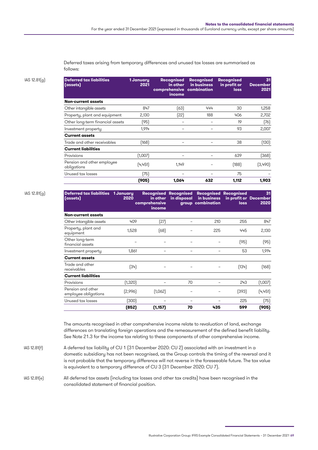Deferred taxes arising from temporary differences and unused tax losses are summarised as follows:

IAS 12.81(g) **Deferred tax liabilities**

| <b>Deferred tax liabilities</b><br>(assets) | 1 January<br>2021 | <b>Recognised</b><br>in other<br>comprehensive combination<br>income | <b>Recognised</b><br>in business | <b>Recognised</b><br>in profit or<br>loss | 31<br><b>December</b><br>2021 |
|---------------------------------------------|-------------------|----------------------------------------------------------------------|----------------------------------|-------------------------------------------|-------------------------------|
| <b>Non-current assets</b>                   |                   |                                                                      |                                  |                                           |                               |
| Other intangible assets                     | 847               | (63)                                                                 | 444                              | 30                                        | 1,258                         |
| Property, plant and equipment               | 2,130             | (22)                                                                 | 188                              | 406                                       | 2,702                         |
| Other long-term financial assets            | (95)              |                                                                      |                                  | 19                                        | (76)                          |
| Investment property                         | 1,914             |                                                                      |                                  | 93                                        | 2,007                         |
| <b>Current assets</b>                       |                   |                                                                      |                                  |                                           |                               |
| Trade and other receivables                 | (168)             |                                                                      |                                  | 38                                        | (130)                         |
| <b>Current liabilities</b>                  |                   |                                                                      |                                  |                                           |                               |
| Provisions                                  | (1,007)           |                                                                      |                                  | 639                                       | (368)                         |
| Pension and other employee<br>obligations   | (4,451)           | 1.149                                                                |                                  | (188)                                     | (3,490)                       |
| Unused tax losses                           | (75)              |                                                                      |                                  | 75                                        |                               |
|                                             | (905)             | 1,064                                                                | 632                              | 1,112                                     | 1,903                         |

IAS 12.81(g) **Deferred tax liabilities**

| Deferred tax liabilities 1 January<br>(assets) | 2020    | in other<br>comprehensive<br>income | <b>Recognised Recognised</b><br>in disposal | in business<br>group combination | <b>Recognised Recognised</b><br>in profit or December<br>loss | 31<br>2020 |
|------------------------------------------------|---------|-------------------------------------|---------------------------------------------|----------------------------------|---------------------------------------------------------------|------------|
| <b>Non-current assets</b>                      |         |                                     |                                             |                                  |                                                               |            |
| Other intangible assets                        | 409     | (27)                                |                                             | 210                              | 255                                                           | 847        |
| Property, plant and<br>equipment               | 1,528   | (68)                                |                                             | 225                              | 445                                                           | 2,130      |
| Other long-term<br>financial assets            |         |                                     |                                             |                                  | (95)                                                          | (95)       |
| Investment property                            | 1,861   |                                     |                                             |                                  | 53                                                            | 1,914      |
| <b>Current assets</b>                          |         |                                     |                                             |                                  |                                                               |            |
| Trade and other<br>receivables                 | (34)    |                                     |                                             |                                  | (134)                                                         | [168]      |
| <b>Current liabilities</b>                     |         |                                     |                                             |                                  |                                                               |            |
| Provisions                                     | (1,320) |                                     | 70                                          |                                  | 243                                                           | (1,007)    |
| Pension and other<br>employee obligations      | [2,996] | (1,062)                             |                                             |                                  | (393)                                                         | (4, 451)   |
| Unused tax losses                              | (300)   |                                     |                                             |                                  | 225                                                           | (75)       |
|                                                | (852)   | (1, 157)                            | 70                                          | 435                              | 599                                                           | (905)      |

The amounts recognised in other comprehensive income relate to revaluation of land, exchange differences on translating foreign operations and the remeasurement of the defined benefit liability. See Note 21.3 for the income tax relating to these components of other comprehensive income.

A deferred tax liability of CU 1 (31 December 2020: CU 2) associated with an investment in a domestic subsidiary has not been recognised, as the Group controls the timing of the reversal and it is not probable that the temporary difference will not reverse in the foreseeable future. The tax value is equivalent to a temporary difference of CU 3 (31 December 2020: CU 7). IAS 12.81(f)

All deferred tax assets (including tax losses and other tax credits) have been recognised in the consolidated statement of financial position. IAS 12.81(e)

Illustrative Corporation Group: IFRS Example Consolidated Financial Statements – 31 December 2021 69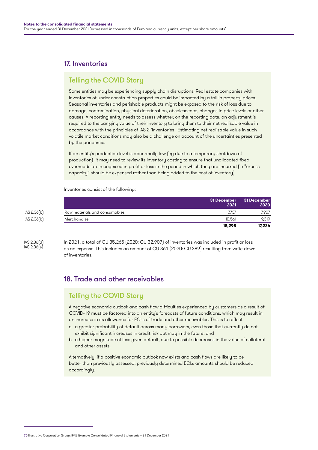# 17. Inventories

## Telling the COVID Story

Some entities may be experiencing supply chain disruptions. Real estate companies with inventories of under construction properties could be impacted by a fall in property prices. Seasonal inventories and perishable products might be exposed to the risk of loss due to damage, contamination, physical deterioration, obsolescence, changes in price levels or other causes. A reporting entity needs to assess whether, on the reporting date, an adjustment is required to the carrying value of their inventory to bring them to their net realisable value in accordance with the principles of IAS 2 'Inventories'. Estimating net realisable value in such volatile market conditions may also be a challenge on account of the uncertainties presented by the pandemic.

If an entity's production level is abnormally low (eg due to a temporary shutdown of production), it may need to review its inventory costing to ensure that unallocated fixed overheads are recognised in profit or loss in the period in which they are incurred (ie "excess capacity" should be expensed rather than being added to the cost of inventory).

Inventories consist of the following:

|             |                               | 31 December<br>2021 | 31 December<br>2020 |
|-------------|-------------------------------|---------------------|---------------------|
| IAS 2.36(b) | Raw materials and consumables | 7.737               | 7.907               |
| IAS 2.36(b) | Merchandise                   | 10.561              | 9.319               |
|             |                               | 18.298              | 17.226              |

IAS 2.36(d) IAS 2.36(e) In 2021, a total of CU 35,265 (2020: CU 32,907) of inventories was included in profit or loss as an expense. This includes an amount of CU 361 (2020: CU 389) resulting from write-down of inventories.

# 18. Trade and other receivables

## Telling the COVID Story

A negative economic outlook and cash flow difficulties experienced by customers as a result of COVID-19 must be factored into an entity's forecasts of future conditions, which may result in an increase in its allowance for ECLs of trade and other receivables. This is to reflect:

- a a greater probability of default across many borrowers, even those that currently do not exhibit significant increases in credit risk but may in the future, and
- b a higher magnitude of loss given default, due to possible decreases in the value of collateral and other assets.

Alternatively, if a positive economic outlook now exists and cash flows are likely to be better than previously assessed, previously determined ECLs amounts should be reduced accordingly.

<sup>70</sup> Illustrative Corporation Group: IFRS Example Consolidated Financial Statements – 31 December 2021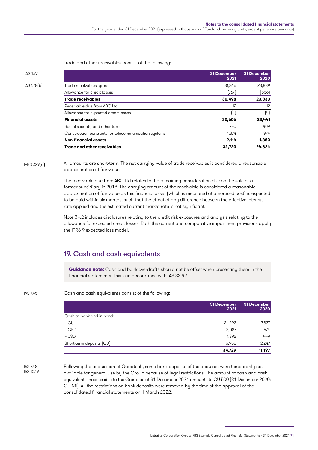Trade and other receivables consist of the following:

| IAS 1.77    |                                                      | <b>31 December</b><br>2021 | <b>31 December</b><br>2020 |
|-------------|------------------------------------------------------|----------------------------|----------------------------|
| IAS 1.78(b) | Trade receivables, gross                             | 31,265                     | 23,889                     |
|             | Allowance for credit losses                          | (767)                      | (556)                      |
|             | <b>Trade receivables</b>                             | 30,498                     | 23,333                     |
|             | Receivable due from ABC Ltd                          | 112                        | 112                        |
|             | Allowance for expected credit losses                 | (4)                        | (4)                        |
|             | <b>Financial assets</b>                              | 30,606                     | 23,441                     |
|             | Social security and other taxes                      | 740                        | 409                        |
|             | Construction contracts for telecommunication systems | 1,374                      | 974                        |
|             | <b>Non-financial assets</b>                          | 2,114                      | 1,383                      |
|             | <b>Trade and other receivables</b>                   | 32,720                     | 24,824                     |
|             |                                                      |                            |                            |

All amounts are short-term. The net carrying value of trade receivables is considered a reasonable approximation of fair value. IFRS 7.29(a)

> The receivable due from ABC Ltd relates to the remaining consideration due on the sale of a former subsidiary in 2018. The carrying amount of the receivable is considered a reasonable approximation of fair value as this financial asset (which is measured at amortised cost) is expected to be paid within six months, such that the effect of any difference between the effective interest rate applied and the estimated current market rate is not significant.

> Note 34.2 includes disclosures relating to the credit risk exposures and analysis relating to the allowance for expected credit losses. Both the current and comparative impairment provisions apply the IFRS 9 expected loss model.

## 19. Cash and cash equivalents

**Guidance note:** Cash and bank overdrafts should not be offset when presenting them in the financial statements. This is in accordance with IAS 32.42.

Cash and cash equivalents consist of the following: IAS 7.45

|                           | 31 December | 31 December |  |
|---------------------------|-------------|-------------|--|
|                           | 2021        | 2020        |  |
| Cash at bank and in hand: |             |             |  |
| $-$ CU                    | 24,292      | 7,827       |  |
| $-$ GBP                   | 2,087       | 674         |  |
| – USD                     | 1,392       | 449         |  |
| Short-term deposits (CU)  | 6,958       | 2,247       |  |
|                           | 34,729      | 11,197      |  |

**IAS 748** IAS 10.19 Following the acquisition of Goodtech, some bank deposits of the acquiree were temporarily not available for general use by the Group because of legal restrictions. The amount of cash and cash equivalents inaccessible to the Group as at 31 December 2021 amounts to CU 500 (31 December 2020: CU Nil). All the restrictions on bank deposits were removed by the time of the approval of the consolidated financial statements on 1 March 2022.

Illustrative Corporation Group: IFRS Example Consolidated Financial Statements – 31 December 2021 71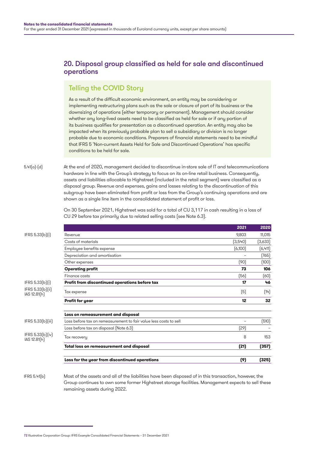## 20. Disposal group classified as held for sale and discontinued operations

# Telling the COVID Story

As a result of the difficult economic environment, an entity may be considering or implementing restructuring plans such as the sale or closure of part of its business or the downsizing of operations (either temporary or permanent). Management should consider whether any long-lived assets need to be classified as held for sale or if any portion of its business qualifies for presentation as a discontinued operation. An entity may also be impacted when its previously probable plan to sell a subsidiary or division is no longer probable due to economic conditions. Preparers of financial statements need to be mindful that IFRS 5 'Non-current Assets Held for Sale and Discontinued Operations' has specific conditions to be held for sale.

At the end of 2020, management decided to discontinue in-store sale of IT and telecommunications hardware in line with the Group's strategy to focus on its on-line retail business. Consequently, assets and liabilities allocable to Highstreet (included in the retail segment) were classified as a disposal group. Revenue and expenses, gains and losses relating to the discontinuation of this subgroup have been eliminated from profit or loss from the Group's continuing operations and are shown as a single line item in the consolidated statement of profit or loss. 5.41(a)-(d)

> On 30 September 2021, Highstreet was sold for a total of CU 3,117 in cash resulting in a loss of CU 29 before tax primarily due to related selling costs (see Note 6.3).

|                   |                                                                   | 2021    | 2020    |
|-------------------|-------------------------------------------------------------------|---------|---------|
| IFRS 5.33(b)(i)   | Revenue                                                           | 9,803   | 11,015  |
|                   | Costs of materials                                                | (3,540) | [3,633] |
|                   | Employee benefits expense                                         | (6,100) | (6,411) |
|                   | Depreciation and amortisation                                     |         | (765)   |
|                   | Other expenses                                                    | (90)    | (100)   |
|                   | <b>Operating profit</b>                                           | 73      | 106     |
|                   | Finance costs                                                     | [56]    | (60)    |
| IFRS 5.33(b)[i]   | Profit from discontinued operations before tax                    | 17      | 46      |
| IFRS 5.33(b)(ii)  | Tax expense                                                       | (5)     | (14)    |
|                   | <b>Profit for year</b>                                            | 12      | 32      |
|                   | Loss on remeasurement and disposal                                |         |         |
| IFRS 5.33(b)(iii) | Loss before tax on remeasurement to fair value less costs to sell |         | (510)   |
|                   | Loss before tax on disposal (Note 6.3)                            | [29]    |         |
| IFRS 5.33(b)(iv)  | Tax recovery                                                      | 8       | 153     |
|                   | Total loss on remeasurement and disposal                          | (21)    | (357)   |
|                   | Loss for the year from discontinued operations                    | (9)     | (325)   |

Most of the assets and all of the liabilities have been disposed of in this transaction, however, the Group continues to own some former Highstreet storage facilities. Management expects to sell these remaining assets during 2022. IFRS 5.41(b)

<sup>72</sup> Illustrative Corporation Group: IFRS Example Consolidated Financial Statements – 31 December 2021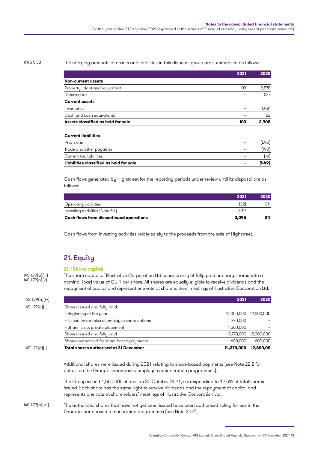#### IFRS 5.38

IAS 1.79(a)(iii)  $IAS 1.79(a)(v)$ 

The carrying amounts of assets and liabilities in this disposal group are summarised as follows:

|                                         | 2021 | 2020  |
|-----------------------------------------|------|-------|
| <b>Non-current assets</b>               |      |       |
| Property, plant and equipment           | 103  | 2,578 |
| Deferred tax                            |      | 227   |
| <b>Current assets</b>                   |      |       |
| Inventories                             |      | 1,081 |
| Cash and cash equivalents               |      | 22    |
| Assets classified as held for sale      | 103  | 3,908 |
| <b>Current liabilities</b>              |      |       |
| Provisions                              |      | (245) |
| Trade and other payables                |      | (190) |
| Current tax liabilities                 | -    | (14)  |
| Liabilities classified as held for sale |      | (449) |

Cash flows generated by Highstreet for the reporting periods under review until its disposal are as follows:

|                                         | 2021  | 2020 |
|-----------------------------------------|-------|------|
| Operating activities                    | ſ22`  | 811  |
| Investing activities (Note 6.3)         | 3.117 |      |
| Cash flows from discontinued operations | 3.095 | 811  |

Cash flows from investing activities relate solely to the proceeds from the sale of Highstreet.

# 21. Equity

#### **21.1 Share capital**

The share capital of Illustrative Corporation Ltd consists only of fully paid ordinary shares with a nominal (par) value of CU 1 per share. All shares are equally eligible to receive dividends and the repayment of capital and represent one vote at shareholders' meetings of Illustrative Corporation Ltd.

| IAS 1.79(a)(i)  | <b>Total shares authorised at 31 December</b>  | 14,370,000 | 12,600,00  |
|-----------------|------------------------------------------------|------------|------------|
|                 | Shares authorised for share based payments     | 600,000    | 600,000    |
|                 | Shares issued and fully paid                   | 13,770,000 | 12,000,000 |
|                 | - Share issue, private placement               | 1,500,000  |            |
|                 | - Issued on exercise of employee share options | 270,000    |            |
|                 | - Beginning of the year                        | 12,000,000 | 12,000,000 |
| IAS 1.79(a)(ii) | Shares issued and fully paid:                  |            |            |
| IAS 1.79(a)(iv) |                                                | 2021       | 2020       |
|                 |                                                |            |            |

Additional shares were issued during 2021 relating to share-based payments (see Note 22.2 for details on the Group's share-based employee remuneration programmes).

The Group issued 1,500,000 shares on 30 October 2021, corresponding to 12.5% of total shares issued. Each share has the same right to receive dividends and the repayment of capital and represents one vote at shareholders' meetings of Illustrative Corporation Ltd.

#### The authorised shares that have not yet been issued have been authorised solely for use in the Group's share-based remuneration programmes (see Note 22.2). IAS 1.79(a)(vii)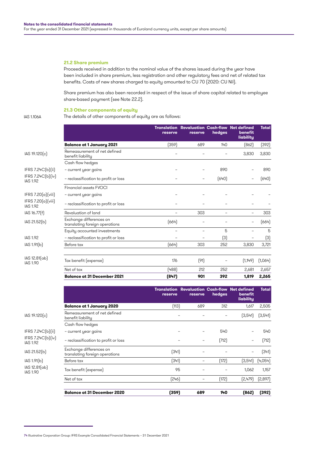#### **21.2 Share premium**

Proceeds received in addition to the nominal value of the shares issued during the year have been included in share premium, less registration and other regulatory fees and net of related tax benefits. Costs of new shares charged to equity amounted to CU 70 (2020: CU Nil).

Share premium has also been recorded in respect of the issue of share capital related to employee share-based payment (see Note 22.2).

#### **21.3 Other components of equity**

IAS 1.106A The details of other components of equity are as follows:

|                                       |                                                           | reserve | <b>Translation Revaluation Cash-flow Net defined</b><br>reserve | hedges           | benefit<br>liability | <b>Total</b> |
|---------------------------------------|-----------------------------------------------------------|---------|-----------------------------------------------------------------|------------------|----------------------|--------------|
|                                       | <b>Balance at 1 January 2021</b>                          | (359)   | 689                                                             | 140              | [862]                | (392)        |
| IAS 19.120(c)                         | Remeasurement of net defined<br>benefit liability         |         |                                                                 |                  | 3,830                | 3,830        |
|                                       | Cash flow hedges                                          |         |                                                                 |                  |                      |              |
| IFRS 7.24C(b)[ii]                     | - current year gains                                      |         |                                                                 | 890              |                      | 890          |
| IFRS 7.24C(b)(iv)<br><b>IAS 1.92</b>  | - reclassification to profit or loss                      |         |                                                                 | (640)            |                      | (640)        |
|                                       | Financial assets FVOCI                                    |         |                                                                 |                  |                      |              |
| IFRS 7.20(a)(viii)                    | - current year gains                                      |         |                                                                 |                  |                      |              |
| IFRS 7.20(a)(viii)<br><b>IAS 1.92</b> | - reclassification to profit or loss                      |         |                                                                 |                  |                      |              |
| IAS 16.77(f)                          | Revaluation of land                                       |         | 303                                                             |                  |                      | 303          |
| IAS 21.52(b)                          | Exchange differences on<br>translating foreign operations | (664)   |                                                                 |                  |                      | (664)        |
|                                       | Equity accounted investments                              |         |                                                                 | 5                |                      | 5            |
| <b>IAS 1.92</b>                       | - reclassification to profit or loss                      |         |                                                                 | $\left(3\right)$ |                      | $(3)$        |
| IAS 1.91(b)                           | Before tax                                                | (664)   | 303                                                             | 252              | 3,830                | 3,721        |
|                                       |                                                           |         |                                                                 |                  |                      |              |
| IAS 12.81(ab)<br><b>IAS 1.90</b>      | Tax benefit (expense)                                     | 176     | (91)                                                            |                  | (1, 149)             | (1,064)      |
|                                       | Net of tax                                                | [488]   | 212                                                             | 252              | 2,681                | 2,657        |
|                                       | <b>Balance at 31 December 2021</b>                        | (847)   | 901                                                             | 392              | 1,819                | 2,265        |

|                                      |                                                           | reserve | reserve | hedges | <b>Translation Revaluation Cash-flow Net defined</b><br>benefit<br>liability | <b>Total</b> |
|--------------------------------------|-----------------------------------------------------------|---------|---------|--------|------------------------------------------------------------------------------|--------------|
|                                      | <b>Balance at 1 January 2020</b>                          | (113)   | 689     | 312    | 1,617                                                                        | 2,505        |
| IAS 19.120(c)                        | Remeasurement of net defined<br>benefit liability         | -       |         |        | (3,541)                                                                      | (3, 541)     |
|                                      | Cash flow hedges                                          |         |         |        |                                                                              |              |
| IFRS 7.24C(b)[ii]                    | - current year gains                                      |         |         | 540    |                                                                              | 540          |
| IFRS 7.24C(b)(iv)<br><b>IAS 1.92</b> | - reclassification to profit or loss                      |         | -       | (712)  |                                                                              | (712)        |
| IAS 21.52(b)                         | Exchange differences on<br>translating foreign operations | (341)   |         |        |                                                                              | (341)        |
| IAS 1.91(b)                          | Before tax                                                | (341)   |         | (172)  | (3,541)                                                                      | [4,054]      |
| IAS 12.81(ab)<br><b>IAS 1.90</b>     | Tax benefit (expense)                                     | 95      |         |        | 1,062                                                                        | 1,157        |
|                                      | Net of tax                                                | [246]   | -       | (172)  | [2,479]                                                                      | [2,897]      |
|                                      | <b>Balance at 31 December 2020</b>                        | (359)   | 689     | 140    | (862)                                                                        | (392)        |
|                                      |                                                           |         |         |        |                                                                              |              |

<sup>74</sup> Illustrative Corporation Group: IFRS Example Consolidated Financial Statements – 31 December 2021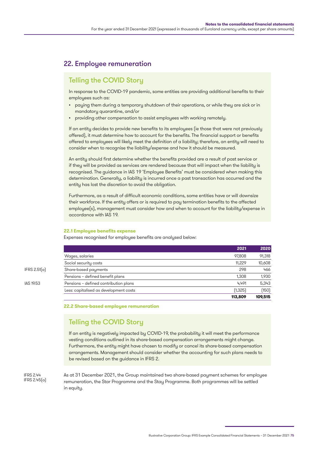## 22. Employee remuneration

## Telling the COVID Story

In response to the COVID-19 pandemic, some entities are providing additional benefits to their emplouees such as:

- paying them during a temporary shutdown of their operations, or while they are sick or in mandatory quarantine, and/or
- providing other compensation to assist employees with working remotely.

If an entity decides to provide new benefits to its employees (ie those that were not previously offered), it must determine how to account for the benefits. The financial support or benefits offered to employees will likely meet the definition of a liability; therefore, an entity will need to consider when to recognise the liability/expense and how it should be measured.

An entity should first determine whether the benefits provided are a result of past service or if they will be provided as services are rendered because that will impact when the liability is recognised. The guidance in IAS 19 'Employee Benefits' must be considered when making this determination. Generally, a liability is incurred once a past transaction has occurred and the entity has lost the discretion to avoid the obligation.

Furthermore, as a result of difficult economic conditions, some entities have or will downsize their workforce. If the entity offers or is required to pay termination benefits to the affected employee(s), management must consider how and when to account for the liability/expense in accordance with IAS 19.

#### **22.1 Employee benefits expense**

Expenses recognised for employee benefits are analysed below:

|              |                                        | 2021     | 2020    |
|--------------|----------------------------------------|----------|---------|
|              | Wages, salaries                        | 97,808   | 91,318  |
|              | Social security costs                  | 11.229   | 10,608  |
| IFRS 2.51(a) | Share-based payments                   | 298      | 466     |
|              | Pensions - defined benefit plans       | 1.308    | 1,930   |
| IAS 19.53    | Pensions - defined contribution plans  | 4.491    | 5,343   |
|              | Less: capitalised as development costs | (1, 325) | (150)   |
|              |                                        | 113,809  | 109.515 |

**22.2 Share-based employee remuneration**

# Telling the COVID Story

If an entity is negatively impacted by COVID-19, the probability it will meet the performance vesting conditions outlined in its share-based compensation arrangements might change. Furthermore, the entity might have chosen to modify or cancel its share-based compensation arrangements. Management should consider whether the accounting for such plans needs to be revised based on the guidance in IFRS 2.

IFRS 2.44 IFRS 2.45(a) As at 31 December 2021, the Group maintained two share-based payment schemes for employee remuneration, the Star Programme and the Stay Programme. Both programmes will be settled in equity.

Illustrative Corporation Group: IFRS Example Consolidated Financial Statements – 31 December 2021 75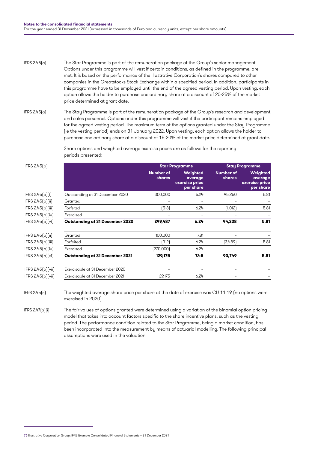The Star Programme is part of the remuneration package of the Group's senior management. Options under this programme will vest if certain conditions, as defined in the programme, are met. It is based on the performance of the Illustrative Corporation's shares compared to other companies in the Greatstocks Stock Exchange within a specified period. In addition, participants in this programme have to be employed until the end of the agreed vesting period. Upon vesting, each option allows the holder to purchase one ordinary share at a discount of 20-25% of the market price determined at grant date. IFRS 2.45(a)

The Stay Programme is part of the remuneration package of the Group's research and development and sales personnel. Options under this programme will vest if the participant remains employed for the agreed vesting period. The maximum term of the options granted under the Stay Programme (ie the vesting period) ends on 31 January 2022. Upon vesting, each option allows the holder to purchase one ordinary share at a discount of 15-20% of the market price determined at grant date. IFRS 2.45(a)

> Share options and weighted average exercise prices are as follows for the reporting periods presented:

| IFRS 2.45(b)      |                                        | <b>Star Programme</b>      |                                                    |                            |                                                    |  | <b>Stay Programme</b> |
|-------------------|----------------------------------------|----------------------------|----------------------------------------------------|----------------------------|----------------------------------------------------|--|-----------------------|
|                   |                                        | <b>Number of</b><br>shares | Weighted<br>average<br>exercise price<br>per share | <b>Number of</b><br>shares | Weighted<br>average<br>exercise price<br>per share |  |                       |
| IFRS 2.45(b)(i)   | Outstanding at 31 December 2020        | 300,000                    | 6.24                                               | 95,250                     | 5.81                                               |  |                       |
| IFRS 2.45(b)(ii)  | Granted                                |                            |                                                    |                            |                                                    |  |                       |
| IFRS 2.45(b)(iii) | Forfeited                              | (513)                      | 6.24                                               | (1,012)                    | 5.81                                               |  |                       |
| IFRS 2.45(b)(iv)  | Exercised                              |                            |                                                    |                            |                                                    |  |                       |
| IFRS 2.45(b)[vi]  | <b>Outstanding at 31 December 2020</b> | 299,487                    | 6.24                                               | 94,238                     | 5.81                                               |  |                       |
| IFRS 2.45(b)(ii)  | Granted                                | 100,000                    | 7.81                                               |                            |                                                    |  |                       |
| IFRS 2.45(b)(iii) | Forfeited                              | (312)                      | 6.24                                               | (3,489)                    | 5.81                                               |  |                       |
| IFRS 2.45(b)(iv)  | Exercised                              | [270,000]                  | 6.24                                               |                            |                                                    |  |                       |
| IFRS 2.45(b)[vi]  | <b>Outstanding at 31 December 2021</b> | 129,175                    | 7.45                                               | 90,749                     | 5.81                                               |  |                       |
| IFRS 2.45(b)[vii] | Exercisable at 31 December 2020        |                            |                                                    |                            |                                                    |  |                       |
| IFRS 2.45(b)[vii] | Exercisable at 31 December 2021        | 29,175                     | 6.24                                               |                            |                                                    |  |                       |

The weighted average share price per share at the date of exercise was CU 11.19 (no options were exercised in 2020). IFRS 2.45(c)

The fair values of options granted were determined using a variation of the binomial option pricing model that takes into account factors specific to the share incentive plans, such as the vesting period. The performance condition related to the Star Programme, being a market condition, has been incorporated into the measurement by means of actuarial modelling. The following principal assumptions were used in the valuation: IFRS 2.47(a)(i)

<sup>76</sup> Illustrative Corporation Group: IFRS Example Consolidated Financial Statements – 31 December 2021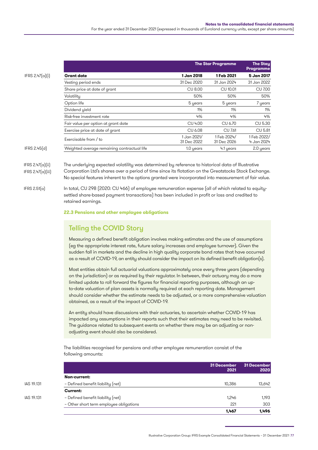For the year ended 31 December 2021 (expressed in thousands of Euroland currency units, except per share amounts)

| IFRS $2.47(a)(i)$ |  |
|-------------------|--|
|                   |  |

|                 |                                             |                            | <b>The Star Programme</b>  | <b>The Stay</b><br>Programme |
|-----------------|---------------------------------------------|----------------------------|----------------------------|------------------------------|
| IFRS 2.47(a)(i) | <b>Grant date</b>                           | 1 Jan 2018                 | 1 Feb 2021                 | 5 Jan 2017                   |
|                 | Vesting period ends                         | 31 Dec 2020                | 31 Jan 2024                | 31 Jan 2022                  |
|                 | Share price at date of grant                | CU 8.00                    | CU 10.01                   | <b>CU 7.00</b>               |
|                 | Volatilitu                                  | 50%                        | 50%                        | 50%                          |
|                 | Option life                                 | 5 years                    | 5 years                    | 7 years                      |
|                 | Dividend yield                              | 1%                         | $1\%$                      | $1\%$                        |
|                 | Risk-free investment rate                   | 4%                         | 4%                         | 4%                           |
|                 | Fair value per option at grant date         | CU 4.00                    | CU 6.70                    | CU 5.30                      |
|                 | Exercise price at date of grant             | <b>CU 6.08</b>             | CU 7.61                    | CU 5.81                      |
|                 | Exercisable from / to                       | 1 Jan 2021/<br>31 Dec 2022 | 1 Feb 2024/<br>31 Dec 2026 | 1 Feb 2022/<br>4 Jan 2024    |
| IFRS 2.45[d]    | Weighted average remaining contractual life | 1.0 years                  | 4.1 years                  | 2.0 years                    |
|                 |                                             |                            |                            |                              |

The underlying expected volatility was determined by reference to historical data of Illustrative Corporation Ltd's shares over a period of time since its flotation on the Greatstocks Stock Exchange. No special features inherent to the options granted were incorporated into measurement of fair value. IFRS 2.47(a)(ii) IFRS 2.47(a)(iii)

In total, CU 298 (2020: CU 466) of employee remuneration expense (all of which related to equitysettled share-based payment transactions) has been included in profit or loss and credited to retained earnings. IFRS 2.51(a)

**22.3 Pensions and other employee obligations**

## Telling the COVID Story

Measuring a defined benefit obligation involves making estimates and the use of assumptions (eg the appropriate interest rate, future salary increases and employee turnover). Given the sudden fall in markets and the decline in high quality corporate bond rates that have occurred as a result of COVID-19, an entity should consider the impact on its defined benefit obligation(s).

Most entities obtain full actuarial valuations approximately once every three years (depending on the jurisdiction) or as required by their regulator. In between, their actuary may do a more limited update to roll forward the figures for financial reporting purposes, although an upto-date valuation of plan assets is normally required at each reporting date. Management should consider whether the estimate needs to be adjusted, or a more comprehensive valuation obtained, as a result of the impact of COVID-19.

An entity should have discussions with their actuaries, to ascertain whether COVID-19 has impacted any assumptions in their reports such that their estimates may need to be revisited. The guidance related to subsequent events on whether there may be an adjusting or nonadjusting event should also be considered.

The liabilities recognised for pensions and other employee remuneration consist of the following amounts:

|            |                                         | 31 December<br>2021 | 31 December<br>2020 |
|------------|-----------------------------------------|---------------------|---------------------|
|            | Non-current:                            |                     |                     |
| IAS 19.131 | - Defined benefit liability (net)       | 10.386              | 13,642              |
|            | Current:                                |                     |                     |
| IAS 19.131 | - Defined benefit liability (net)       | 1.246               | 1,193               |
|            | - Other short term employee obligations | 221                 | 303                 |
|            |                                         | 1.467               | 1,496               |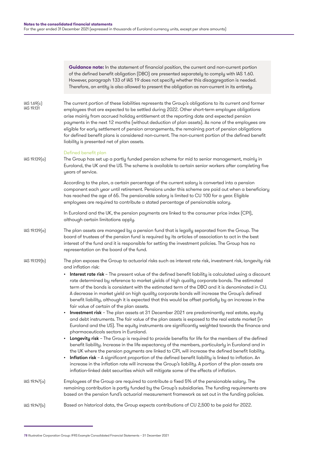**Guidance note:** In the statement of financial position, the current and non-current portion of the defined benefit obligation (DBO) are presented separately to comply with IAS 1.60. However, paragraph 133 of IAS 19 does not specify whether this disaggregation is needed. Therefore, an entity is also allowed to present the obligation as non-current in its entirety.

The current portion of these liabilities represents the Group's obligations to its current and former employees that are expected to be settled during 2022. Other short-term employee obligations arise mainly from accrued holiday entitlement at the reporting date and expected pension payments in the next 12 months (without deduction of plan assets). As none of the employees are eligible for early settlement of pension arrangements, the remaining part of pension obligations for defined benefit plans is considered non-current. The non-current portion of the defined benefit liability is presented net of plan assets. IAS 1.69(c) IAS 19.131

#### Defined benefit plan

The Group has set up a partly funded pension scheme for mid to senior management, mainly in Euroland, the UK and the US. The scheme is available to certain senior workers after completing five years of service. IAS 19.139(a)

> According to the plan, a certain percentage of the current salary is converted into a pension component each year until retirement. Pensions under this scheme are paid out when a beneficiary has reached the age of 65. The pensionable salary is limited to CU 100 for a year. Eligible employees are required to contribute a stated percentage of pensionable salary.

In Euroland and the UK, the pension payments are linked to the consumer price index (CPI), although certain limitations apply.

- The plan assets are managed by a pension fund that is legally separated from the Group. The board of trustees of the pension fund is required by its articles of association to act in the best interest of the fund and it is responsible for setting the investment policies. The Group has no representation on the board of the fund. IAS 19.139(a)
- The plan exposes the Group to actuarial risks such as interest rate risk, investment risk, longevity risk and inflation risk: IAS 19.139(b)
	- Interest rate risk The present value of the defined benefit liability is calculated using a discount rate determined by reference to market yields of high quality corporate bonds. The estimated term of the bonds is consistent with the estimated term of the DBO and it is denominated in CU. A decrease in market yield on high quality corporate bonds will increase the Group's defined benefit liability, although it is expected that this would be offset partially by an increase in the fair value of certain of the plan assets.
	- Investment risk The plan assets at 31 December 2021 are predominantly real estate, equity and debt instruments. The fair value of the plan assets is exposed to the real estate market (in Euroland and the US). The equity instruments are significantly weighted towards the finance and pharmaceuticals sectors in Euroland.
	- Longevity risk The Group is required to provide benefits for life for the members of the defined benefit liability. Increase in the life expectancy of the members, particularly in Euroland and in the UK where the pension payments are linked to CPI, will increase the defined benefit liability.
	- Inflation risk A significant proportion of the defined benefit liability is linked to inflation. An increase in the inflation rate will increase the Group's liability. A portion of the plan assets are inflation-linked debt securities which will mitigate some of the effects of inflation.
- Employees of the Group are required to contribute a fixed 5% of the pensionable salary. The remaining contribution is partly funded by the Group's subsidiaries. The funding requirements are based on the pension fund's actuarial measurement framework as set out in the funding policies. IAS 19.147(a)

```
Based on historical data, the Group expects contributions of CU 2,500 to be paid for 2022.
IAS 19.147(b)
```
<sup>78</sup> Illustrative Corporation Group: IFRS Example Consolidated Financial Statements – 31 December 2021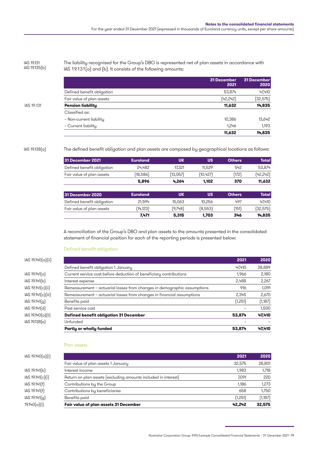IAS 19.131 IAS 19.135(b) The liability recognised for the Group's DBO is represented net of plan assets in accordance with IAS 19.131(a) and (b). It consists of the following amounts:

|            |                            | 31 December<br>2021 | 31 December<br>2020 |
|------------|----------------------------|---------------------|---------------------|
|            | Defined benefit obligation | 53,874              | 47,410              |
|            | Fair value of plan assets  | (42,242)            | (32, 575)           |
| IAS 19.131 | <b>Pension liability</b>   | 11,632              | 14,835              |
|            | Classified as:             |                     |                     |
|            | - Non-current liability    | 10,386              | 13,642              |
|            | - Current liability        | 1,246               | 1,193               |
|            |                            | 11,632              | 14,835              |

IAS 19.138(a)

The defined benefit obligation and plan assets are composed by geographical locations as follows:

| 31 December 2021           | <b>Euroland</b> | <b>UK</b> | <b>US</b> | <b>Others</b> | <b>Total</b> |
|----------------------------|-----------------|-----------|-----------|---------------|--------------|
| Defined benefit obligation | 24.482          | 17,321    | 11,529    | 542           | 53,874       |
| Fair value of plan assets  | (18,586)        | (13,057)  | (10, 427) | [172]         | (42, 242)    |
|                            | 5,896           | 4.264     | 1.102     | 370           | 11,632       |
| 31 December 2020           | <b>Euroland</b> | <b>UK</b> | US        | <b>Others</b> | <b>Total</b> |
| Defined benefit obligation | 21.594          | 15,063    | 10,256    | 497           | 47.410       |
| Fair value of plan assets  | (14, 123)       | (9,748)   | (8,553)   | (151)         | (32, 575)    |
|                            | 7,471           | 5,315     | 1,703     | 346           | 14,835       |

A reconciliation of the Group's DBO and plan assets to the amounts presented in the consolidated statement of financial position for each of the reporting periods is presented below:

#### Defined benefit obligation

|                      | Defined benefit obligation 1 January                                     | 47.410  | 38,889  |
|----------------------|--------------------------------------------------------------------------|---------|---------|
| $ AS 19.141[\alpha]$ | Current service cost before deduction of beneficiary contributions       | 1.966   | 2,180   |
| IAS 19.141(b)        | Interest expense                                                         | 2,488   | 2,267   |
| AS 19.141(c) ii      | Remeasurement – actuarial losses from changes in demographic assumptions | 916     | 1,091   |
| IAS 19.141(c)(iii)   | Remeasurement - actuarial losses from changes in financial assumptions   | 2,345   | 2,670   |
| IAS 19.141[q]        | Benefits paid                                                            | (1,251) | (1,187) |
| IAS 19.141[d]        | Past service cost                                                        |         | 1,500   |
| IAS 19.140(a)(ii)    | <b>Defined benefit obligation 31 December</b>                            | 53,874  | 47,410  |
| IAS 19.138(e)        | Unfunded                                                                 |         |         |
|                      | Partly or wholly funded                                                  | 53,874  | 47,410  |
|                      |                                                                          |         |         |

#### Plan assets

| IAS 19.140(a)(i) |                                                                | 2021    | 2020    |
|------------------|----------------------------------------------------------------|---------|---------|
|                  | Fair value of plan assets 1 January                            | 32.575  | 28,801  |
| IAS 19.141(b)    | Interest income                                                | 1.983   | 1,718   |
| IAS 19.141(c)(i) | Return on plan assets (excluding amounts included in interest) | 7.091   | 220     |
| IAS 19.141(f)    | Contributions by the Group                                     | 1.186   | 1,273   |
| IAS 19.141(f)    | Contributions by beneficiaries                                 | 658     | 1,750   |
| IAS 19.141(g)    | Benefits paid                                                  | (1,251) | (1,187) |
| 19.140(a)(i)     | Fair value of plan assets 31 December                          | 42.242  | 32,575  |
|                  |                                                                |         |         |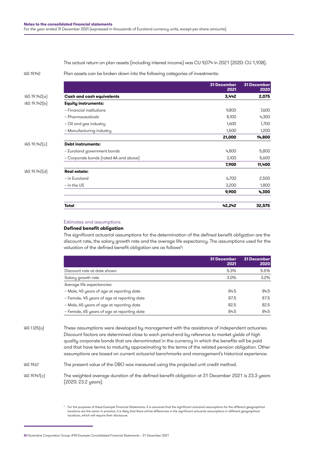The actual return on plan assets (including interest income) was CU 9,074 in 2021 (2020: CU 1,938).

IAS 19.142

Plan assets can be broken down into the following categories of investments:

|               |                                        | <b>31 December</b><br>2021 | <b>31 December</b><br>2020 |
|---------------|----------------------------------------|----------------------------|----------------------------|
| IAS 19.142(a) | <b>Cash and cash equivalents</b>       | 3,442                      | 2,075                      |
| IAS 19.142[b] | <b>Equity instruments:</b>             |                            |                            |
|               | - Financial institutions               | 9,800                      | 7,600                      |
|               | - Pharmaceuticals                      | 8,100                      | 4,300                      |
|               | - Oil and gas industry                 | 1,600                      | 1,700                      |
|               | - Manufacturing industry               | 1,500                      | 1,200                      |
|               |                                        | 21,000                     | 14,800                     |
| IAS 19.142[c] | <b>Debt instruments:</b>               |                            |                            |
|               | - Euroland government bonds            | 4,800                      | 5,800                      |
|               | - Corporate bonds (rated AA and above) | 3,100                      | 5,600                      |
|               |                                        | 7,900                      | 11,400                     |
| IAS 19.142[d] | <b>Real estate:</b>                    |                            |                            |
|               | - in Euroland                          | 6,700                      | 2,500                      |
|               | $-$ in the US                          | 3,200                      | 1,800                      |
|               |                                        | 9,900                      | 4,300                      |
|               | <b>Total</b>                           | 42,242                     | 32,575                     |

#### Estimates and assumptions

#### **Defined benefit obligation**

The significant actuarial assumptions for the determination of the defined benefit obligation are the discount rate, the salary growth rate and the average life expectancy. The assumptions used for the valuation of the defined benefit obligation are as follows<sup>6</sup>:

|                                             | 31 December<br>2021 | 31 December<br>2020 |
|---------------------------------------------|---------------------|---------------------|
| Discount rate at date shown                 | 5.3%                | 5.5%                |
| Salary growth rate                          | 3.0%                | $3.2\%$             |
| Average life expectancies:                  |                     |                     |
| - Male, 45 years of age at reporting date   | 84.5                | 84.5                |
| - Female, 45 years of age at reporting date | 87.5                | 87.5                |
| - Male, 65 years of age at reporting date   | 82.5                | 82.5                |
| - Female, 65 years of age at reporting date | 84.5                | 84.5                |

These assumptions were developed by management with the assistance of independent actuaries. Discount factors are determined close to each period-end by reference to market yields of high quality corporate bonds that are denominated in the currency in which the benefits will be paid and that have terms to maturity approximating to the terms of the related pension obligation. Other assumptions are based on current actuarial benchmarks and management's historical experience. IAS 1.125(a)

The present value of the DBO was measured using the projected unit credit method. IAS 19.67

The weighted average duration of the defined benefit obligation at 31 December 2021 is 23.3 years (2020: 23.2 years). IAS 19.147(c)

 $^{\circ}~$  For the purposes of these Example Financial Statements, it is assumed that the significant actuarial assumptions for the different geographical locations are the same. In practice, it is likely that there will be differences in the significant actuarial assumptions in different geographical locations, which will require their disclosure.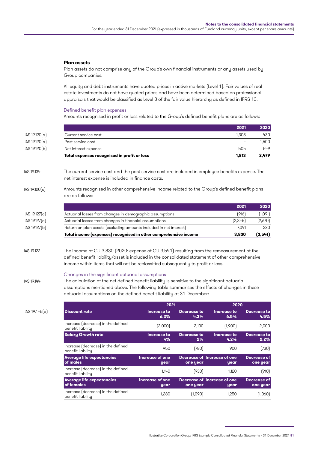**2021 2020**

#### **Plan assets**

Plan assets do not comprise any of the Group's own financial instruments or any assets used by Group companies.

All equity and debt instruments have quoted prices in active markets (Level 1). Fair values of real estate investments do not have quoted prices and have been determined based on professional appraisals that would be classified as Level 3 of the fair value hierarchy as defined in IFRS 13.

#### Defined benefit plan expenses

Amounts recognised in profit or loss related to the Group's defined benefit plans are as follows:

|                       |                                                                                                                                                                                                                                                                                     | ZUZI                     | <b>ZUZU</b> |
|-----------------------|-------------------------------------------------------------------------------------------------------------------------------------------------------------------------------------------------------------------------------------------------------------------------------------|--------------------------|-------------|
| $ AS 19.120(\alpha) $ | Current service cost                                                                                                                                                                                                                                                                | 1,308                    | 430         |
| IAS 19.120(a)         | Past service cost                                                                                                                                                                                                                                                                   | $\overline{\phantom{0}}$ | 1,500       |
| IAS 19.120(b)         | Net interest expense                                                                                                                                                                                                                                                                | 505                      | 549         |
|                       | Total expenses recognised in profit or loss                                                                                                                                                                                                                                         | 1,813                    | 2,479       |
| IAS 19.134            | The current service cost and the past service cost are included in employee benefits expense. The<br>net interest expense is included in finance costs.                                                                                                                             |                          |             |
| IAS 19.120(c)         | Amounts recognised in other comprehensive income related to the Group's defined benefit plans<br>are as follows:                                                                                                                                                                    |                          |             |
|                       |                                                                                                                                                                                                                                                                                     | 2021                     | 2020        |
| $ AS 19.127(\alpha) $ | Actuarial losses from changes in demographic assumptions                                                                                                                                                                                                                            | (916)                    | (1,091)     |
| AS 19.127(a)          | Actuarial losses from changes in financial assumptions                                                                                                                                                                                                                              | [2,345]                  | [2,670]     |
| IAS 19.127(b)         | Return on plan assets (excluding amounts included in net interest)                                                                                                                                                                                                                  | 7,091                    | 220         |
|                       | Total income (expenses) recognised in other comprehensive income                                                                                                                                                                                                                    | 3,830                    | (3, 541)    |
| IAS 19.122            | The income of CU 3,830 (2020: expense of CU 3,541) resulting from the remeasurement of the<br>defined benefit liability/asset is included in the consolidated statement of other comprehensive<br>income within items that will not be reclassified subsequently to profit or loss. |                          |             |
| IAS 19.144            | Changes in the significant actuarial assumptions<br>The calculation of the net defined benefit liability is sensitive to the significant actuarial<br>assumptions mentioned above. The following table summarises the effects of changes in these                                   |                          |             |

actuarial assumptions on the defined benefit liability at 31 December:

IAS 19.145(a) **Discount rate Increase to** 

|                                                         | 2021                    |                     | 2020                                |                         |
|---------------------------------------------------------|-------------------------|---------------------|-------------------------------------|-------------------------|
| <b>Discount rate</b>                                    | Increase to<br>6.3%     | Decrease to<br>4.3% | Increase to<br>6.5%                 | Decrease to<br>4.5%     |
| Increase (decrease) in the defined<br>benefit liability | [2,000]                 | 2,100               | (1,900)                             | 2,000                   |
| <b>Salary Growth rate</b>                               | Increase to<br>4%       | Decrease to<br>2%   | Increase to<br>4.2%                 | Decrease to<br>2.2%     |
| Increase (decrease) in the defined<br>benefit liability | 950                     | (780)               | 900                                 | (730)                   |
| <b>Average life expectancies</b><br>of males            | Increase of one<br>year | one year            | Decrease of Increase of one<br>year | Decrease of<br>one year |
| Increase (decrease) in the defined<br>benefit liability | 1.140                   | (930)               | 1,120                               | (910)                   |
| <b>Average life expectancies</b><br>of females          | Increase of one<br>year | one year            | Decrease of Increase of one<br>year | Decrease of<br>one year |
| Increase (decrease) in the defined<br>benefit liability | 1.280                   | (1,090)             | 1.250                               | (1,060)                 |

Illustrative Corporation Group: IFRS Example Consolidated Financial Statements – 31 December 2021 81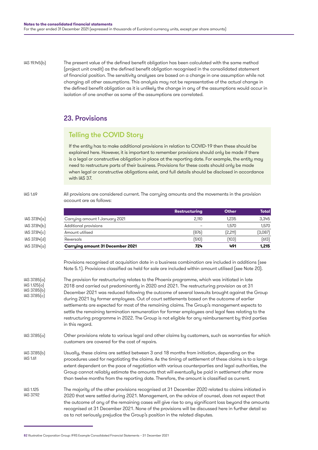IAS 19.145(b)

IAS 1.69

The present value of the defined benefit obligation has been calculated with the same method (project unit credit) as the defined benefit obligation recognised in the consolidated statement of financial position. The sensitivity analyses are based on a change in one assumption while not changing all other assumptions. This analysis may not be representative of the actual change in the defined benefit obligation as it is unlikely the change in any of the assumptions would occur in isolation of one another as some of the assumptions are correlated.

## 23. Provisions

# Telling the COVID Story

If the entity has to make additional provisions in relation to COVID-19 then these should be explained here. However, it is important to remember provisions should only be made if there is a legal or constructive obligation in place at the reporting date. For example, the entity may need to restructure parts of their business. Provisions for these costs should only be made when legal or constructive obligations exist, and full details should be disclosed in accordance with IAS 37.

All provisions are considered current. The carrying amounts and the movements in the provision account are as follows:

|              |                                         | <b>Restructuring</b>     | <b>Other</b> | <b>Total</b> |
|--------------|-----------------------------------------|--------------------------|--------------|--------------|
| IAS 37.84(a) | Carrying amount 1 January 2021          | 2.110                    | 1.235        | 3,345        |
| IAS 37.84(b) | Additional provisions                   | $\overline{\phantom{a}}$ | 1.570        | 1,570        |
| IAS 37.84(c) | Amount utilised                         | (876)                    | (2,211)      | (3,087)      |
| IAS 37.84(d) | Reversals                               | (510)                    | (103)        | (613)        |
| IAS 37.84(a) | <b>Carrying amount 31 December 2021</b> | 724                      | 491          | 1,215        |
|              |                                         |                          |              |              |

Provisions recognised at acquisition date in a business combination are included in additions (see Note 5.1). Provisions classified as held for sale are included within amount utilised (see Note 20).

- The provision for restructuring relates to the Phoenix programme, which was initiated in late 2018 and carried out predominantly in 2020 and 2021. The restructuring provision as at 31 December 2021 was reduced following the outcome of several lawsuits brought against the Group during 2021 by former employees. Out of court settlements based on the outcome of earlier settlements are expected for most of the remaining claims. The Group's management expects to settle the remaining termination remuneration for former employees and legal fees relating to the restructuring programme in 2022. The Group is not eligible for any reimbursement by third parties in this regard. IAS 37.85(a) IAS 1.125(a) IAS 37.85(b) IAS 37.85(c)
- Other provisions relate to various legal and other claims by customers, such as warranties for which customers are covered for the cost of repairs. IAS 37.85(a)
- Usually, these claims are settled between 3 and 18 months from initiation, depending on the procedures used for negotiating the claims. As the timing of settlement of these claims is to a large extent dependent on the pace of negotiation with various counterparties and legal authorities, the Group cannot reliably estimate the amounts that will eventually be paid in settlement after more than twelve months from the reporting date. Therefore, the amount is classified as current. IAS 37.85(b) IAS 1.61
- The majority of the other provisions recognised at 31 December 2020 related to claims initiated in 2020 that were settled during 2021. Management, on the advice of counsel, does not expect that the outcome of any of the remaining cases will give rise to any significant loss beyond the amounts recognised at 31 December 2021. None of the provisions will be discussed here in further detail so as to not seriously prejudice the Group's position in the related disputes. IAS 1.125 IAS 37.92

<sup>82</sup> Illustrative Corporation Group: IFRS Example Consolidated Financial Statements – 31 December 2021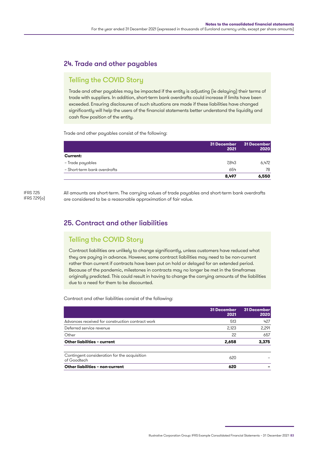# 24. Trade and other payables

# Telling the COVID Story

Trade and other payables may be impacted if the entity is adjusting (ie delaying) their terms of trade with suppliers. In addition, short-term bank overdrafts could increase if limits have been exceeded. Ensuring disclosures of such situations are made if these liabilities have changed significantly will help the users of the financial statements better understand the liquidity and cash flow position of the entity.

Trade and other payables consist of the following:

|                              | 31 December<br>2021 | 31 December<br>2020 |
|------------------------------|---------------------|---------------------|
| <b>Current:</b>              |                     |                     |
| - Trade payables             | 7,843               | 6,472               |
| - Short-term bank overdrafts | 654                 | 78                  |
|                              | 8.497               | 6,550               |

IFRS 7.25 IFRS 7.29(a) All amounts are short-term. The carrying values of trade payables and short-term bank overdrafts are considered to be a reasonable approximation of fair value.

## 25. Contract and other liabilities

# Telling the COVID Story

Contract liabilities are unlikely to change significantly, unless customers have reduced what they are paying in advance. However, some contract liabilities may need to be non-current rather than current if contracts have been put on hold or delayed for an extended period. Because of the pandemic, milestones in contracts may no longer be met in the timeframes originally predicted. This could result in having to change the carrying amounts of the liabilities due to a need for them to be discounted.

Contract and other liabilities consist of the following:

|                                                             | 31 December<br>2021 | 31 December<br>2020 |
|-------------------------------------------------------------|---------------------|---------------------|
| Advances received for construction contract work            | 513                 | 427                 |
| Deferred service revenue                                    | 2.123               | 2,291               |
| Other                                                       | 22                  | 657                 |
| Other liabilities - current                                 | 2,658               | 3.375               |
| Contingent consideration for the acquisition<br>of Goodtech | 620                 |                     |
| Other liabilities - non-current                             | 620                 |                     |

Illustrative Corporation Group: IFRS Example Consolidated Financial Statements – 31 December 2021 83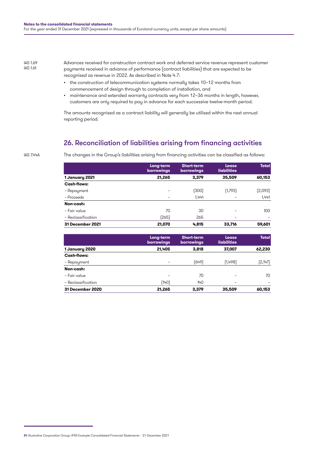IAS 1.69 IAS 1.61

Advances received for construction contract work and deferred service revenue represent customer payments received in advance of performance (contract liabilities) that are expected to be recognised as revenue in 2022. As described in Note 4.7:

- the construction of telecommunication systems normally takes 10–12 months from commencement of design through to completion of installation, and
- maintenance and extended warranty contracts very from 12–36 months in length, however, customers are only required to pay in advance for each successive twelve-month period.

The amounts recognised as a contract liability will generally be utilised within the next annual reporting period.

## 26. Reconciliation of liabilities arising from financing activities

IAS 7.44A

The changes in the Group's liabilities arising from financing activities can be classified as follows:

|                    | Long-term<br><b>borrowings</b> | <b>Short-term</b><br><b>borrowings</b> | Lease<br><b>liabilities</b> | <b>Total</b> |
|--------------------|--------------------------------|----------------------------------------|-----------------------------|--------------|
| 1 January 2021     | 21,265                         | 3.379                                  | 35,509                      | 60,153       |
| <b>Cash-flows:</b> |                                |                                        |                             |              |
| – Repayment        |                                | (300)                                  | (1,793)                     | [2,093]      |
| - Proceeds         |                                | 1.441                                  |                             | 1,441        |
| Non-cash:          |                                |                                        |                             |              |
| - Fair value       | 70                             | 30                                     |                             | 100          |
| - Reclassification | (265)                          | 265                                    | -                           | -            |
| 31 December 2021   | 21,070                         | 4.815                                  | 33,716                      | 59,601       |

|                    | Long-term<br><b>borrowings</b> | <b>Short-term</b><br>borrowings | Lease<br><b>liabilities</b> | <b>Total</b> |
|--------------------|--------------------------------|---------------------------------|-----------------------------|--------------|
| 1 January 2020     | 21,405                         | 3,818                           | 37,007                      | 62,230       |
| Cash-flows:        |                                |                                 |                             |              |
| - Repayment        |                                | (649)                           | (1,498)                     | (2,147)      |
| Non-cash:          |                                |                                 |                             |              |
| - Fair value       |                                | 70                              |                             | 70           |
| - Reclassification | (140)                          | 140                             | -                           | -            |
| 31 December 2020   | 21,265                         | 3,379                           | 35,509                      | 60,153       |

<sup>84</sup> Illustrative Corporation Group: IFRS Example Consolidated Financial Statements – 31 December 2021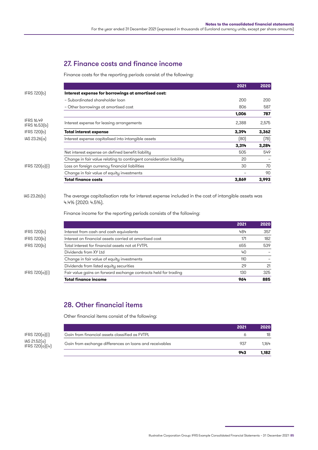# 27. Finance costs and finance income

Finance costs for the reporting periods consist of the following:

|                                    |                                                                                                                                                                                                 | 2021  | 2020  |
|------------------------------------|-------------------------------------------------------------------------------------------------------------------------------------------------------------------------------------------------|-------|-------|
| IFRS 7.20(b)                       | Interest expense for borrowings at amortised cost:                                                                                                                                              |       |       |
|                                    | - Subordinated shareholder loan                                                                                                                                                                 | 200   | 200   |
|                                    | - Other borrowings at amortised cost                                                                                                                                                            | 806   | 587   |
|                                    |                                                                                                                                                                                                 | 1,006 | 787   |
| <b>IFRS 16.49</b><br>IFRS 16.53(b) | Interest expense for leasing arrangements                                                                                                                                                       | 2,388 | 2,575 |
| IFRS 7.20(b)                       | <b>Total interest expense</b>                                                                                                                                                                   | 3.394 | 3,362 |
| IAS 23.26(a)                       | Interest expense capitalised into intangible assets                                                                                                                                             | (80)  | (78)  |
|                                    |                                                                                                                                                                                                 | 3,314 | 3,284 |
|                                    | Net interest expense on defined benefit liability                                                                                                                                               | 505   | 549   |
|                                    | Change in fair value relating to contingent consideration liability                                                                                                                             | 20    |       |
| IFRS $7.20(a)[i]$                  | Loss on foreign currency financial liabilities                                                                                                                                                  | 30    | 70    |
|                                    | Change in fair value of equity investments                                                                                                                                                      |       | 90    |
|                                    | <b>Total finance costs</b>                                                                                                                                                                      | 3,869 | 3,993 |
| IAS 23.26(b)                       | The average capitalisation rate for interest expense included in the cost of intangible assets was<br>4.4% (2020: 4.5%).<br>Finance income for the reporting periods consists of the following: |       |       |
|                                    |                                                                                                                                                                                                 | 2021  | 2020  |
| IFRS 7.20(b)                       | Interest from cash and cash equivalents                                                                                                                                                         | 484   | 357   |
| IFRS 7.20(b)                       | Interest on financial assets carried at amortised cost                                                                                                                                          | 171   | 182   |
| IFRS 7.20(b)                       | Total interest for financial assets not at FVTPL                                                                                                                                                | 655   | 539   |
|                                    | Dividends from XY Ltd                                                                                                                                                                           | 40    |       |
|                                    | Change in fair value of equity investments                                                                                                                                                      | 110   |       |
|                                    | Dividends from listed equity securities                                                                                                                                                         | 29    | 21    |

 $IFRS Z20(a)[i]$  Fair value gains on forward exchange contracts held for trading 130 325

# 28. Other financial items

Other financial items consist of the following:

|                                  |                                                         | 2021 | 2020  |
|----------------------------------|---------------------------------------------------------|------|-------|
| IFRS 7.20(a)(i)                  | Gain from financial assets classified as FVTPL          |      | 18    |
| lAS 21.52(a)<br>IFRS 7.20(a)(iv) | Gain from exchange differences on loans and receivables | 937  | 1.164 |
|                                  |                                                         | 943  | 1.182 |
|                                  |                                                         |      |       |

**Total finance income 964 885**

Illustrative Corporation Group: IFRS Example Consolidated Financial Statements – 31 December 2021 85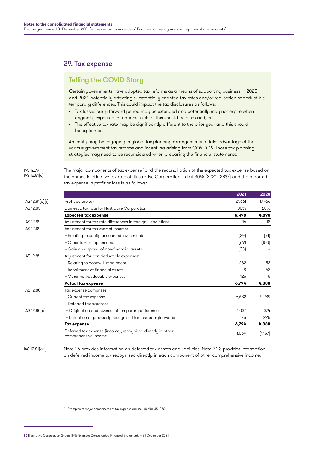### 29. Tax expense

## Telling the COVID Story

Certain governments have adopted tax reforms as a means of supporting business in 2020 and 2021 potentially affecting substantially enacted tax rates and/or realisation of deductible temporary differences. This could impact the tax disclosures as follows:

- Tax losses carry forward period may be extended and potentially may not expire when originally expected. Situations such as this should be disclosed, or
- The effective tax rate may be significantly different to the prior year and this should be explained.

An entity may be engaging in global tax planning arrangements to take advantage of the various government tax reforms and incentives arising from COVID-19. Those tax planning strategies may need to be reconsidered when preparing the financial statements.

The major components of tax expense<sup>7</sup> and the reconciliation of the expected tax expense based on the domestic effective tax rate of Illustrative Corporation Ltd at 30% (2020: 28%) and the reported tax expense in profit or loss is as follows: IAS 12.79 IAS 12.81(c)

|                 |                                                                                     | 2021   | 2020    |
|-----------------|-------------------------------------------------------------------------------------|--------|---------|
| IAS 12.81(c)(i) | Profit before tax                                                                   | 21,661 | 17,466  |
| IAS 12.85       | Domestic tax rate for Illustrative Corporation                                      | 30%    | 28%     |
|                 | <b>Expected tax expense</b>                                                         | 6,498  | 4,890   |
| IAS 12.84       | Adjustment for tax rate differences in foreign jurisdictions                        | 16     | 18      |
| IAS 12.84       | Adjustment for tax-exempt income:                                                   |        |         |
|                 | - Relating to equity accounted investments                                          | (24)   | (41)    |
|                 | - Other tax-exempt income                                                           | (69)   | (100)   |
|                 | - Gain on disposal of non-financial assets                                          | (33)   |         |
| IAS 12.84       | Adjustment for non-deductible expenses:                                             |        |         |
|                 | - Relating to goodwill impairment                                                   | 232    | 53      |
|                 | - Impairment of financial assets                                                    | 48     | 63      |
|                 | - Other non-deductible expenses                                                     | 126    | 5       |
|                 | <b>Actual tax expense</b>                                                           | 6,794  | 4,888   |
| IAS 12.80       | Tax expense comprises:                                                              |        |         |
|                 | - Current tax expense                                                               | 5,682  | 4,289   |
|                 | - Deferred tax expense:                                                             |        |         |
| IAS 12.80(c)    | - Origination and reversal of temporary differences                                 | 1.037  | 374     |
|                 | - Utilisation of previously recognised tax loss carryforwards                       | 75     | 225     |
|                 | <b>Tax expense</b>                                                                  | 6,794  | 4,888   |
|                 | Deferred tax expense (income), recognised directly in other<br>comprehensive income | 1,064  | (1,157) |

Note 16 provides information on deferred tax assets and liabilities. Note 21.3 provides information on deferred income tax recognised directly in each component of other comprehensive income. IAS 12.81(ab)

<sup>7</sup> Examples of major components of tax expense are included in IAS 12.80.

86 Illustrative Corporation Group: IFRS Example Consolidated Financial Statements – 31 December 2021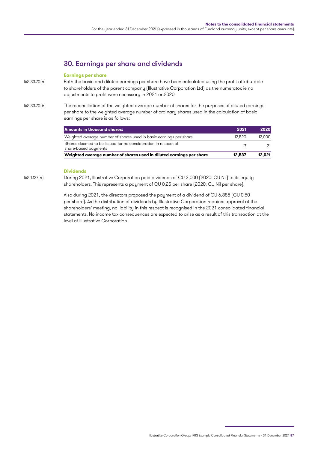# 30. Earnings per share and dividends

#### **Earnings per share**

- Both the basic and diluted earnings per share have been calculated using the profit attributable to shareholders of the parent company (Illustrative Corporation Ltd) as the numerator, ie no adjustments to profit were necessary in 2021 or 2020. IAS 33.70(a)
- The reconciliation of the weighted average number of shares for the purposes of diluted earnings per share to the weighted average number of ordinary shares used in the calculation of basic earnings per share is as follows: IAS 33.70(b)

| Amounts in thousand shares:                                                           | 2021   | 2020   |
|---------------------------------------------------------------------------------------|--------|--------|
| Weighted average number of shares used in basic earnings per share                    | 12.520 | 12,000 |
| Shares deemed to be issued for no consideration in respect of<br>share-based payments |        |        |
| Weighted average number of shares used in diluted earnings per share                  | 12.537 | 12.021 |

#### **Dividends**

During 2021, Illustrative Corporation paid dividends of CU 3,000 (2020: CU Nil) to its equity shareholders. This represents a payment of CU 0.25 per share (2020: CU Nil per share). IAS 1.137(a)

> Also during 2021, the directors proposed the payment of a dividend of CU 6,885 (CU 0.50 per share). As the distribution of dividends by Illustrative Corporation requires approval at the shareholders' meeting, no liability in this respect is recognised in the 2021 consolidated financial statements. No income tax consequences are expected to arise as a result of this transaction at the level of Illustrative Corporation.

Illustrative Corporation Group: IFRS Example Consolidated Financial Statements – 31 December 2021 87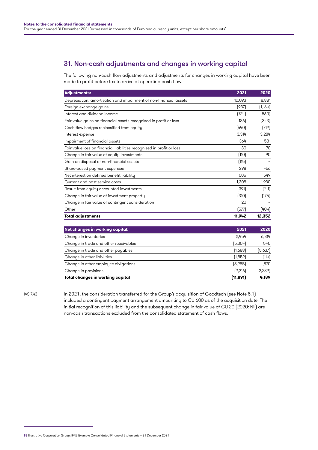# 31. Non-cash adjustments and changes in working capital

The following non-cash flow adjustments and adjustments for changes in working capital have been made to profit before tax to arrive at operating cash flow:

| <b>Adjustments:</b>                                                   | 2021   | 2020     |
|-----------------------------------------------------------------------|--------|----------|
| Depreciation, amortisation and impairment of non-financial assets     | 10,093 | 8,881    |
| Foreign exchange gains                                                | (937)  | (1, 164) |
| Interest and dividend income                                          | (724)  | (560)    |
| Fair value gains on financial assets recognised in profit or loss     | [186]  | (343)    |
| Cash flow hedges reclassified from equity                             | (640)  | (712)    |
| Interest expense                                                      | 3,314  | 3,284    |
| Impairment of financial assets                                        | 364    | 581      |
| Fair value loss on financial liabilities recognised in profit or loss | 30     | 70       |
| Change in fair value of equity investments                            | (110)  | 90       |
| Gain on disposal of non-financial assets                              | (115)  |          |
| Share-based payment expenses                                          | 298    | 466      |
| Net interest on defined benefit liability                             | 505    | 549      |
| Current and past service costs                                        | 1,308  | 1,930    |
| Result from equity accounted investments                              | (391)  | (141)    |
| Change in fair value of investment property                           | (310)  | (175)    |
| Change in fair value of contingent consideration                      | 20     |          |
| Other                                                                 | (577)  | (404)    |
| Total adjustments                                                     | 11,942 | 12,352   |

| Net changes in working capital:       | 2021      | 2020    |
|---------------------------------------|-----------|---------|
| Change in inventories                 | 2.454     | 6,814   |
| Change in trade and other receivables | (5,304)   | 545     |
| Change in trade and other payables    | (1,688)   | (5,637) |
| Change in other liabilities           | (1,852)   | (114)   |
| Change in other employee obligations  | (3,285)   | 4,870   |
| Change in provisions                  | [2,216]   | [2,289] |
| Total changes in working capital      | (11, 891) | 4,189   |

IAS 7.43

In 2021, the consideration transferred for the Group's acquisition of Goodtech (see Note 5.1) included a contingent payment arrangement amounting to CU 600 as of the acquisition date. The initial recognition of this liability and the subsequent change in fair value of CU 20 (2020: Nil) are non-cash transactions excluded from the consolidated statement of cash flows.

<sup>88</sup> Illustrative Corporation Group: IFRS Example Consolidated Financial Statements – 31 December 2021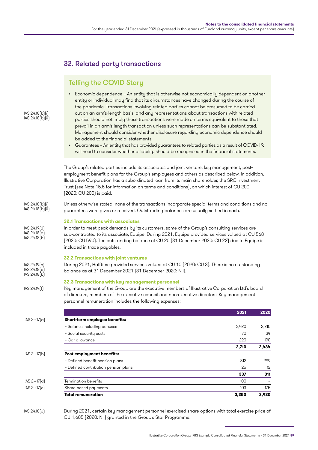# 32. Related party transactions

# Telling the COVID Story

- Economic dependence An entity that is otherwise not economically dependent on another entity or individual may find that its circumstances have changed during the course of the pandemic. Transactions involving related parties cannot be presumed to be carried out on an arm's-length basis, and any representations about transactions with related parties should not imply those transactions were made on terms equivalent to those that prevail in an arm's-length transaction unless such representations can be substantiated. Management should consider whether disclosure regarding economic dependence should be added to the financial statements.
- Guarantees An entity that has provided guarantees to related parties as a result of COVID-19, will need to consider whether a liability should be recognised in the financial statements.

The Group's related parties include its associates and joint venture, key management, postemployment benefit plans for the Group's employees and others as described below. In addition, Illustrative Corporation has a subordinated loan from its main shareholder, the SRC Investment Trust (see Note 15.5 for information on terms and conditions), on which interest of CU 200 (2020: CU 200) is paid.

Unless otherwise stated, none of the transactions incorporate special terms and conditions and no guarantees were given or received. Outstanding balances are usually settled in cash. IAS 24.18(b)(i) IAS 24.18(b)(ii)

#### **32.1 Transactions with associates**

In order to meet peak demands by its customers, some of the Group's consulting services are sub-contracted to its associate, Equipe. During 2021, Equipe provided services valued at CU 568 (2020: CU 590). The outstanding balance of CU 20 (31 December 2020: CU 22) due to Equipe is included in trade payables.

#### **32.2 Transactions with joint ventures**

During 2021, Halftime provided services valued at CU 10 (2020: CU 3). There is no outstanding balance as at 31 December 2021 (31 December 2020: Nil). IAS 24.19(e) IAS 24.18(a) IAS 24.18(b)

#### **32.3 Transactions with key management personnel**

Key management of the Group are the executive members of Illustrative Corporation Ltd's board of directors, members of the executive council and non-executive directors. Key management personnel remuneration includes the following expenses:

|              |                                      | 2021  | 2020  |
|--------------|--------------------------------------|-------|-------|
| IAS 24.17(a) | Short-term employee benefits:        |       |       |
|              | - Salaries including bonuses         | 2,420 | 2,210 |
|              | - Social security costs              | 70    | 34    |
|              | - Car allowance                      | 220   | 190   |
|              |                                      | 2,710 | 2,434 |
| IAS 24.17(b) | <b>Post-employment benefits:</b>     |       |       |
|              | - Defined benefit pension plans      | 312   | 299   |
|              | - Defined contribution pension plans | 25    | 12    |
|              |                                      | 337   | 311   |
| IAS 24.17(d) | Termination benefits                 | 100   |       |
| IAS 24.17[e] | Share-based payments                 | 103   | 175   |
|              | <b>Total remuneration</b>            | 3,250 | 2,920 |
|              |                                      |       |       |

During 2021, certain key management personnel exercised share options with total exercise price of CU 1,685 (2020: Nil) granted in the Group's Star Programme. IAS 24.18(a)

### IAS 24.18(b)(i) IAS 24.18(b)(ii)

IAS 24.19(d)  $IAS 24.18<sub>[a]</sub>$ IAS 24.18(b)

IAS 24.19(f)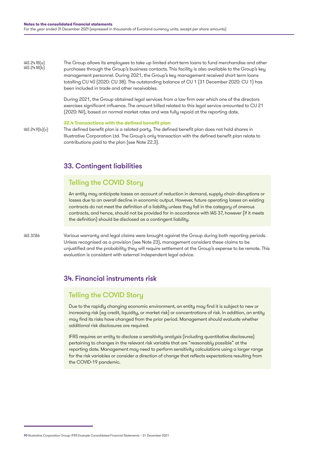The Group allows its employees to take up limited short-term loans to fund merchandise and other purchases through the Group's business contacts. This facility is also available to the Group's key management personnel. During 2021, the Group's key management received short term loans totalling CU 40 (2020: CU 38). The outstanding balance of CU 1 (31 December 2020: CU 1) has been included in trade and other receivables. IAS 24.18(a) IAS 24.18(b)

> During 2021, the Group obtained legal services from a law firm over which one of the directors exercises significant influence. The amount billed related to this legal service amounted to CU 21 (2020: Nil), based on normal market rates and was fully repaid at the reporting date.

#### **32.4 Transactions with the defined benefit plan**

IAS 24.9(b)(v)

The defined benefit plan is a related party. The defined benefit plan does not hold shares in Illustrative Corporation Ltd. The Group's only transaction with the defined benefit plan relate to contributions paid to the plan (see Note 22.3).

## 33. Contingent liabilities

## Telling the COVID Story

An entity may anticipate losses on account of reduction in demand, supply chain disruptions or losses due to an overall decline in economic output. However, future operating losses on existing contracts do not meet the definition of a liability unless they fall in the category of onerous contracts, and hence, should not be provided for in accordance with IAS 37, however (if it meets the definition) should be disclosed as a contingent liability.

IAS 37.86

Various warranty and legal claims were brought against the Group during both reporting periods. Unless recognised as a provision (see Note 23), management considers these claims to be unjustified and the probability they will require settlement at the Group's expense to be remote. This evaluation is consistent with external independent legal advice.

## 34. Financial instruments risk

## Telling the COVID Story

Due to the rapidly changing economic environment, an entity may find it is subject to new or increasing risk (eg credit, liquidity, or market risk) or concentrations of risk. In addition, an entity may find its risks have changed from the prior period. Management should evaluate whether additional risk disclosures are required.

IFRS requires an entity to disclose a sensitivity analysis (including quantitative disclosures) pertaining to changes in the relevant risk variable that are "reasonably possible" at the reporting date. Management may need to perform sensitivity calculations using a larger range for the risk variables or consider a direction of change that reflects expectations resulting from the COVID-19 pandemic.

<sup>90</sup> Illustrative Corporation Group: IFRS Example Consolidated Financial Statements – 31 December 2021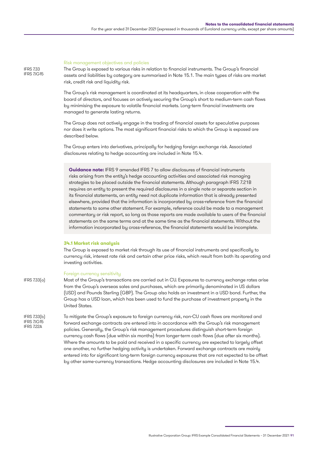#### Risk management objectives and policies

The Group is exposed to various risks in relation to financial instruments. The Group's financial assets and liabilities by category are summarised in Note 15.1. The main types of risks are market risk, credit risk and liquidity risk.

The Group's risk management is coordinated at its headquarters, in close cooperation with the board of directors, and focuses on actively securing the Group's short to medium-term cash flows by minimising the exposure to volatile financial markets. Long-term financial investments are managed to generate lasting returns.

The Group does not actively engage in the trading of financial assets for speculative purposes nor does it write options. The most significant financial risks to which the Group is exposed are described below.

The Group enters into derivatives, principally for hedging foreign exchange risk. Associated disclosures relating to hedge accounting are included in Note 15.4.

**Guidance note:** IFRS 9 amended IFRS 7 to allow disclosures of financial instruments risks arising from the entity's hedge accounting activities and associated risk managing strategies to be placed outside the financial statements. Although paragraph IFRS 7.21B requires an entity to present the required disclosures in a single note or separate section in its financial statements, an entity need not duplicate information that is already presented elsewhere, provided that the information is incorporated by cross-reference from the financial statements to some other statement. For example, reference could be made to a management commentary or risk report, so long as those reports are made available to users of the financial statements on the same terms and at the same time as the financial statements. Without the information incorporated by cross-reference, the financial statements would be incomplete.

#### **34.1 Market risk analysis**

The Group is exposed to market risk through its use of financial instruments and specifically to currency risk, interest rate risk and certain other price risks, which result from both its operating and investing activities.

#### Foreign currency sensitivity

IFRS 7.33(a)

Most of the Group's transactions are carried out in CU. Exposures to currency exchange rates arise from the Group's overseas sales and purchases, which are primarily denominated in US dollars (USD) and Pounds Sterling (GBP). The Group also holds an investment in a USD bond. Further, the Group has a USD loan, which has been used to fund the purchase of investment property in the United States.

To mitigate the Group's exposure to foreign currency risk, non-CU cash flows are monitored and forward exchange contracts are entered into in accordance with the Group's risk management policies. Generally, the Group's risk management procedures distinguish short-term foreign currency cash flows (due within six months) from longer-term cash flows (due after six months). Where the amounts to be paid and received in a specific currency are expected to largely offset one another, no further hedging activity is undertaken. Forward exchange contracts are mainly entered into for significant long-term foreign currency exposures that are not expected to be offset by other same-currency transactions. Hedge accounting disclosures are included in Note 15.4. IFRS 7.33(b) IFRS 7.IG15 IEDS 722A

IFRS 7.33 IFRS 7.IG15

Illustrative Corporation Group: IFRS Example Consolidated Financial Statements – 31 December 2021 91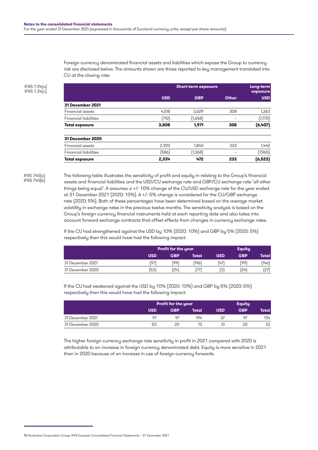Foreign currency denominated financial assets and liabilities which expose the Group to currency risk are disclosed below. The amounts shown are those reported to key management translated into CU at the closing rate:

|                              | <b>Short-term exposure</b> | Long-term<br>exposure |              |            |
|------------------------------|----------------------------|-----------------------|--------------|------------|
|                              | <b>USD</b>                 | <b>GBP</b>            | <b>Other</b> | <b>USD</b> |
| 31 December 2021             |                            |                       |              |            |
| <b>Financial assets</b>      | 4.518                      | 3,629                 | 308          | 1,363      |
| <b>Financial liabilities</b> | (710)                      | (1,658)               |              | (7,770)    |
| <b>Total exposure</b>        | 3,808                      | 1,971                 | 308          | (6, 407)   |
| 31 December 2020             |                            |                       |              |            |
| Financial assets             | 2.920                      | 1.840                 | 233          | 1,442      |
| <b>Financial liabilities</b> | [586]                      | (1, 368)              |              | (7,965)    |
| <b>Total exposure</b>        | 2,334                      | 472                   | 233          | (6, 523)   |

IFRS 7.34(a) IFRS 7.34(c)

IFRS 7.40(a) IFRS 7.40(b) The following table illustrates the sensitivity of profit and equity in relating to the Group's financial assets and financial liabilities and the USD/CU exchange rate and GBP/CU exchange rate 'all other things being equal'. It assumes a +/- 10% change of the CU/USD exchange rate for the year ended at 31 December 2021 (2020: 10%). A +/- 5% change is considered for the CU/GBP exchange rate (2020: 5%). Both of these percentages have been determined based on the average market volatility in exchange rates in the previous twelve months. The sensitivity analysis is based on the Group's foreign currency financial instruments held at each reporting date and also takes into account forward exchange contracts that offset effects from changes in currency exchange rates.

If the CU had strengthened against the USD by 10% (2020: 10%) and GBP by 5% (2020: 5%) respectively then this would have had the following impact:

|                  |            | <b>Profit for the year</b> |       |            | <b>Equity</b> |         |  |
|------------------|------------|----------------------------|-------|------------|---------------|---------|--|
|                  | <b>USD</b> | GBP                        | Total | <b>USD</b> | <b>GBP</b>    | Total l |  |
| 31 December 2021 | 197        | ั99)                       | 1961  | (47)       | (99)          | (146)   |  |
| 31 December 2020 | [53]       | 24)                        | 77    | (3)        | (24)          | (27)    |  |

If the CU had weakened against the USD by 10% (2020: 10%) and GBP by 5% (2020: 5%) respectively then this would have had the following impact:

|                  |            | <b>Profit for the year</b> |       |            | <b>Equity</b> |         |  |
|------------------|------------|----------------------------|-------|------------|---------------|---------|--|
|                  | <b>USD</b> | <b>GBP</b>                 | Total | <b>USD</b> | <b>GBP</b>    | Total l |  |
| 31 December 2021 | O7         |                            | 194   |            |               | 134     |  |
| 31 December 2020 | 53         | 20                         |       |            | 20            | 33      |  |

The higher foreign currency exchange rate sensitivity in profit in 2021 compared with 2020 is attributable to an increase in foreign currency denominated debt. Equity is more sensitive in 2021 than in 2020 because of an increase in use of foreign currency forwards.

<sup>92</sup> Illustrative Corporation Group: IFRS Example Consolidated Financial Statements – 31 December 2021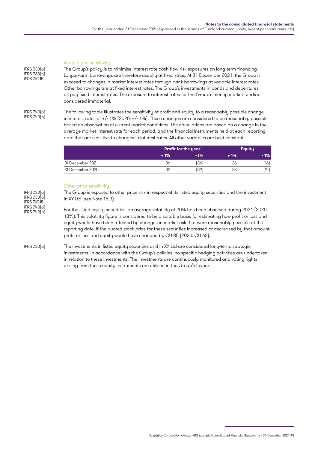#### Interest rate sensitivity

The Group's policy is to minimise interest rate cash flow risk exposures on long-term financing. Longer-term borrowings are therefore usually at fixed rates. At 31 December 2021, the Group is exposed to changes in market interest rates through bank borrowings at variable interest rates. Other borrowings are at fixed interest rates. The Group's investments in bonds and debentures all pay fixed interest rates. The exposure to interest rates for the Group's money market funds is considered immaterial.

IFRS 7.40(a) IFRS 7.40(b)

IFRS 7.33(a) IFRS 7.33(b) IFRS 7.IG15

> The following table illustrates the sensitivity of profit and equity to a reasonably possible change in interest rates of +/- 1% (2020: +/- 1%). These changes are considered to be reasonably possible based on observation of current market conditions. The calculations are based on a change in the average market interest rate for each period, and the financial instruments held at each reporting date that are sensitive to changes in interest rates. All other variables are held constant.

|                  | Profit for the year |        |       | <b>Equity</b> |
|------------------|---------------------|--------|-------|---------------|
|                  | $+1%$               | $-1\%$ | $+1%$ | - 1%          |
| 31 December 2021 | 36                  | (36)   | 26    | (16           |
| 31 December 2020 | 32                  | (32)   | 23    | (14)          |

#### Other price sensitivity

The Group is exposed to other price risk in respect of its listed equity securities and the investment in XY Ltd (see Note 15.3). For the listed equity securities, an average volatility of 20% has been observed during 2021 (2020: 18%). This volatility figure is considered to be a suitable basis for estimating how profit or loss and equity would have been affected by changes in market risk that were reasonably possible at the reporting date. If the quoted stock price for these securities increased or decreased by that amount, profit or loss and equity would have changed by CU 85 (2020: CU 62). The investments in listed equity securities and in XY Ltd are considered long-term, strategic investments. In accordance with the Group's policies, no specific hedging activities are undertaken in relation to these investments. The investments are continuously monitored and voting rights arising from these equity instruments are utilised in the Group's favour. IFRS 7.33(a) IFRS 7.33(b) IFRS 7.IG15 IFRS 7.40(a) IFRS 7.40(b) IFRS 7.33(b)

Illustrative Corporation Group: IFRS Example Consolidated Financial Statements – 31 December 2021 93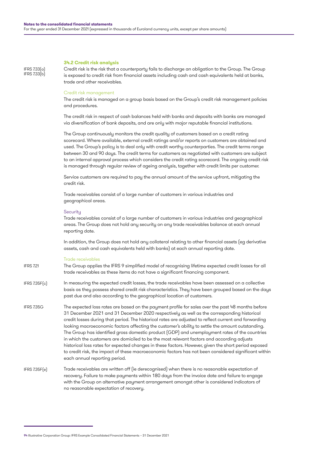#### **34.2 Credit risk analysis**

IFRS 7.33(a) IFRS 7.33(b) Credit risk is the risk that a counterparty fails to discharge an obligation to the Group. The Group is exposed to credit risk from financial assets including cash and cash equivalents held at banks, trade and other receivables.

#### Credit risk management

The credit risk is managed on a group basis based on the Group's credit risk management policies and procedures.

The credit risk in respect of cash balances held with banks and deposits with banks are managed via diversification of bank deposits, and are only with major reputable financial institutions.

The Group continuously monitors the credit quality of customers based on a credit rating scorecard. Where available, external credit ratings and/or reports on customers are obtained and used. The Group's policy is to deal only with credit worthy counterparties. The credit terms range between 30 and 90 days. The credit terms for customers as negotiated with customers are subject to an internal approval process which considers the credit rating scorecard. The ongoing credit risk is managed through regular review of ageing analysis, together with credit limits per customer.

Service customers are required to pay the annual amount of the service upfront, mitigating the credit risk.

Trade receivables consist of a large number of customers in various industries and geographical areas.

#### **Securitu**

Trade receivables consist of a large number of customers in various industries and geographical areas. The Group does not hold any security on any trade receivables balance at each annual reporting date.

In addition, the Group does not hold any collateral relating to other financial assets (eg derivative assets, cash and cash equivalents held with banks) at each annual reporting date.

#### Trade receivables

The Group applies the IFRS 9 simplified model of recognising lifetime expected credit losses for all trade receivables as these items do not have a significant financing component. **IFRS 721** 

In measuring the expected credit losses, the trade receivables have been assessed on a collective basis as they possess shared credit risk characteristics. They have been grouped based on the days past due and also according to the geographical location of customers. IFRS 7.35F(c)

The expected loss rates are based on the payment profile for sales over the past 48 months before 31 December 2021 and 31 December 2020 respectively as well as the corresponding historical credit losses during that period. The historical rates are adjusted to reflect current and forwarding looking macroeconomic factors affecting the customer's ability to settle the amount outstanding. The Group has identified gross domestic product (GDP) and unemployment rates of the countries in which the customers are domiciled to be the most relevant factors and according adjusts historical loss rates for expected changes in these factors. However, given the short period exposed to credit risk, the impact of these macroeconomic factors has not been considered significant within each annual reporting period. IFRS 7.35G

Trade receivables are written off (ie derecognised) when there is no reasonable expectation of recovery. Failure to make payments within 180 days from the invoice date and failure to engage with the Group on alternative payment arrangement amongst other is considered indicators of no reasonable expectation of recovery. IFRS 7.35F(e)

<sup>94</sup> Illustrative Corporation Group: IFRS Example Consolidated Financial Statements – 31 December 2021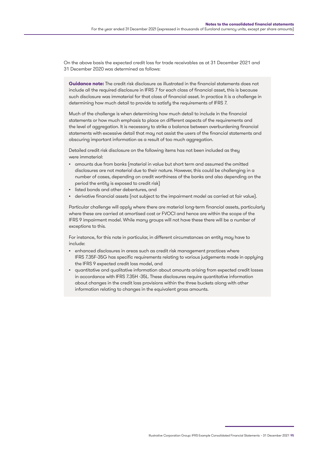On the above basis the expected credit loss for trade receivables as at 31 December 2021 and 31 December 2020 was determined as follows:

**Guidance note:** The credit risk disclosure as illustrated in the financial statements does not include all the required disclosure in IFRS 7 for each class of financial asset, this is because such disclosure was immaterial for that class of financial asset. In practice it is a challenge in determining how much detail to provide to satisfy the requirements of IFRS 7.

Much of the challenge is when determining how much detail to include in the financial statements or how much emphasis to place on different aspects of the requirements and the level of aggregation. It is necessary to strike a balance between overburdening financial statements with excessive detail that may not assist the users of the financial statements and obscuring important information as a result of too much aggregation.

Detailed credit risk disclosure on the following items has not been included as they were immaterial:

- amounts due from banks (material in value but short term and assumed the omitted disclosures are not material due to their nature. However, this could be challenging in a number of cases, depending on credit worthiness of the banks and also depending on the period the entity is exposed to credit risk)
- listed bonds and other debentures, and
- derivative financial assets (not subject to the impairment model as carried at fair value).

Particular challenge will apply where there are material long-term financial assets, particularly where these are carried at amortised cost or FVOCI and hence are within the scope of the IFRS 9 impairment model. While many groups will not have these there will be a number of exceptions to this.

For instance, for this note in particular, in different circumstances an entity may have to include:

- enhanced disclosures in areas such as credit risk management practices where IFRS 7.35F-35G has specific requirements relating to various judgements made in applying the IFRS 9 expected credit loss model, and
- quantitative and qualitative information about amounts arising from expected credit losses in accordance with IFRS 7.35H -35L. These disclosures require quantitative information about changes in the credit loss provisions within the three buckets along with other information relating to changes in the equivalent gross amounts.

Illustrative Corporation Group: IFRS Example Consolidated Financial Statements – 31 December 2021 95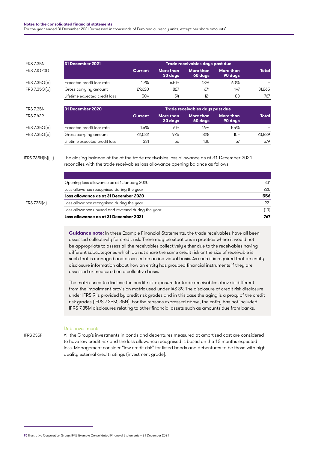| <b>IFRS 7.35N</b> | 31 December 2021                                                                                                                                                                                |                |                             | Trade receivables days past due |                             |              |
|-------------------|-------------------------------------------------------------------------------------------------------------------------------------------------------------------------------------------------|----------------|-----------------------------|---------------------------------|-----------------------------|--------------|
| IFRS 7.IG20D      |                                                                                                                                                                                                 | <b>Current</b> | <b>More than</b><br>30 days | <b>More than</b><br>60 days     | <b>More than</b><br>90 days | <b>Total</b> |
| IFRS $7.35G(a)$   | Expected credit loss rate                                                                                                                                                                       | 1.7%           | 6.5%                        | 18%                             | 60%                         |              |
| IFRS $7.35G(a)$   | Gross carrying amount                                                                                                                                                                           | 29,620         | 827                         | 671                             | 147                         | 31,265       |
|                   | Lifetime expected credit loss                                                                                                                                                                   | 504            | 54                          | 121                             | 88                          | 767          |
| <b>IFRS 7.35N</b> | 31 December 2020                                                                                                                                                                                |                |                             | Trade receivables days past due |                             |              |
| <b>IFRS 7.42P</b> |                                                                                                                                                                                                 | <b>Current</b> | <b>More than</b><br>30 days | <b>More than</b><br>60 days     | <b>More than</b><br>90 days | <b>Total</b> |
| IFRS $7.35G(a)$   | Expected credit loss rate                                                                                                                                                                       | 1.5%           | 6%                          | 16%                             | 55%                         |              |
| IFRS $7.35G(a)$   | Gross carrying amount                                                                                                                                                                           | 22,032         | 925                         | 828                             | 104                         | 23,889       |
|                   | Lifetime expected credit loss                                                                                                                                                                   | 331            | 56                          | 135                             | 57                          | 579          |
| IFRS Z35H(b)[iii] | The closing balance of the of the trade receivables loss allowance as at 31 December 2021<br>reconciles with the trade receivables loss allowance opening balance as follows:                   |                |                             |                                 |                             |              |
|                   | Opening loss allowance as at 1 January 2020                                                                                                                                                     |                |                             |                                 |                             | 331          |
|                   | Loss allowance recognised during the year                                                                                                                                                       |                |                             |                                 |                             | 225          |
|                   | Loss allowance as at 31 December 2020                                                                                                                                                           |                |                             |                                 |                             | 556          |
| IFRS Z35[(c)]     | Loss allowance recognised during the year                                                                                                                                                       |                |                             |                                 |                             | 221          |
|                   | Loss allowance unused and reversed during the year                                                                                                                                              |                |                             |                                 |                             | (10)         |
|                   | Loss allowance as at 31 December 2021                                                                                                                                                           |                |                             |                                 |                             | 767          |
|                   | Guidance note: In these Example Financial Statements, the trade receivables have all been<br>esassad aallaativalu faraaralit risk. Thare maau ha aitu stisma in neestissukse ulaaraltuuruld nat |                |                             |                                 |                             |              |

assessed collectively for credit risk. There may be situations in practice where it would not be appropriate to assess all the receivables collectively either due to the receivables having different subcategories which do not share the same credit risk or the size of receivable is such that is managed and assessed on an individual basis. As such it is required that an entity disclosure information about how an entity has grouped financial instruments if they are assessed or measured on a collective basis.

The matrix used to disclose the credit risk exposure for trade receivables above is different from the impairment provision matrix used under IAS 39. The disclosure of credit risk disclosure under IFRS 9 is provided by credit risk grades and in this case the aging is a proxy of the credit risk grades (IFRS 7.35M, 35N). For the reasons expressed above, the entity has not included IFRS 7.35M disclosures relating to other financial assets such as amounts due from banks.

IFRS 7.35F

#### Debt investments

All the Group's investments in bonds and debentures measured at amortised cost are considered to have low credit risk and the loss allowance recognised is based on the 12 months expected loss. Management consider "low credit risk" for listed bonds and debentures to be those with high quality external credit ratings (investment grade).

<sup>96</sup> Illustrative Corporation Group: IFRS Example Consolidated Financial Statements – 31 December 2021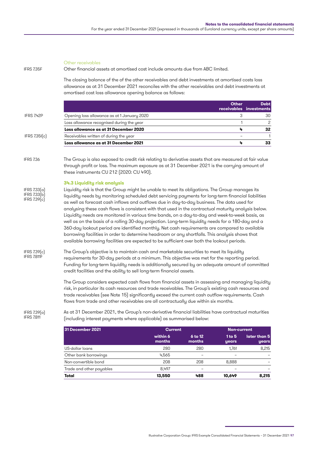| IFRS 7.35F                                   | Other receivables<br>Other financial assets at amortised cost include amounts due from ABC limited.                                                                                                                                                                                                                                                                                                                                                                                                                                                                                                                                                                                                                                                                                                                                                                                                                                                       |                |         |                             |                            |
|----------------------------------------------|-----------------------------------------------------------------------------------------------------------------------------------------------------------------------------------------------------------------------------------------------------------------------------------------------------------------------------------------------------------------------------------------------------------------------------------------------------------------------------------------------------------------------------------------------------------------------------------------------------------------------------------------------------------------------------------------------------------------------------------------------------------------------------------------------------------------------------------------------------------------------------------------------------------------------------------------------------------|----------------|---------|-----------------------------|----------------------------|
|                                              | The closing balance of the of the other receivables and debt investments at amortised costs loss<br>allowance as at 31 December 2021 reconciles with the other receivables and debt investments at<br>amortised cost loss allowance opening balance as follows:                                                                                                                                                                                                                                                                                                                                                                                                                                                                                                                                                                                                                                                                                           |                |         |                             |                            |
|                                              |                                                                                                                                                                                                                                                                                                                                                                                                                                                                                                                                                                                                                                                                                                                                                                                                                                                                                                                                                           |                |         | <b>Other</b><br>receivables | <b>Debt</b><br>investments |
| IFRS 7.42P                                   | Opening loss allowance as at 1 January 2020                                                                                                                                                                                                                                                                                                                                                                                                                                                                                                                                                                                                                                                                                                                                                                                                                                                                                                               |                |         | 3                           | 30                         |
|                                              | Loss allowance recognised during the year                                                                                                                                                                                                                                                                                                                                                                                                                                                                                                                                                                                                                                                                                                                                                                                                                                                                                                                 |                |         | 1                           | $\overline{c}$             |
|                                              | Loss allowance as at 31 December 2020                                                                                                                                                                                                                                                                                                                                                                                                                                                                                                                                                                                                                                                                                                                                                                                                                                                                                                                     |                |         | 4                           | 32                         |
| IFRS Z.35[(c)]                               | Receivables written of during the year                                                                                                                                                                                                                                                                                                                                                                                                                                                                                                                                                                                                                                                                                                                                                                                                                                                                                                                    |                |         |                             | $\overline{1}$             |
|                                              | Loss allowance as at 31 December 2021                                                                                                                                                                                                                                                                                                                                                                                                                                                                                                                                                                                                                                                                                                                                                                                                                                                                                                                     |                |         | 4                           | 33                         |
| <b>IFRS 7.36</b>                             | The Group is also exposed to credit risk relating to derivative assets that are measured at fair value<br>through profit or loss. The maximum exposure as at 31 December 2021 is the carrying amount of<br>these instruments CU 212 (2020: CU 490).                                                                                                                                                                                                                                                                                                                                                                                                                                                                                                                                                                                                                                                                                                       |                |         |                             |                            |
| IFRS 7.33(a)<br>IFRS 7.33(b)<br>IFRS 7.39(c) | 34.3 Liquidity risk analysis<br>Liquidity risk is that the Group might be unable to meet its obligations. The Group manages its<br>liquidity needs by monitoring scheduled debt servicing payments for long-term financial liabilities<br>as well as forecast cash inflows and outflows due in day-to-day business. The data used for<br>analysing these cash flows is consistent with that used in the contractual maturity analysis below.<br>Liquidity needs are monitored in various time bands, on a day-to-day and week-to-week basis, as<br>well as on the basis of a rolling 30-day projection. Long-term liquidity needs for a 180-day and a<br>360-day lookout period are identified monthly. Net cash requirements are compared to available<br>borrowing facilities in order to determine headroom or any shortfalls. This analysis shows that<br>available borrowing facilities are expected to be sufficient over both the lookout periods. |                |         |                             |                            |
| IFRS 7.39(c)<br>IFRS 7.B11F                  | The Group's objective is to maintain cash and marketable securities to meet its liquidity<br>requirements for 30-day periods at a minimum. This objective was met for the reporting period.<br>Funding for long-term liquidity needs is additionally secured by an adequate amount of committed<br>credit facilities and the ability to sell long-term financial assets.                                                                                                                                                                                                                                                                                                                                                                                                                                                                                                                                                                                  |                |         |                             |                            |
|                                              | The Group considers expected cash flows from financial assets in assessing and managing liquidity<br>risk, in particular its cash resources and trade receivables. The Group's existing cash resources and<br>trade receivables (see Note 15) significantly exceed the current cash outflow requirements. Cash<br>flows from trade and other receivables are all contractually due within six months.                                                                                                                                                                                                                                                                                                                                                                                                                                                                                                                                                     |                |         |                             |                            |
| IFRS 7.39(a)<br>IFRS 7.B11                   | As at 31 December 2021, the Group's non-derivative financial liabilities have contractual maturities<br>(including interest payments where applicable) as summarised below:                                                                                                                                                                                                                                                                                                                                                                                                                                                                                                                                                                                                                                                                                                                                                                               |                |         |                             |                            |
|                                              | 31 December 2021                                                                                                                                                                                                                                                                                                                                                                                                                                                                                                                                                                                                                                                                                                                                                                                                                                                                                                                                          | <b>Current</b> |         | <b>Non-current</b>          |                            |
|                                              |                                                                                                                                                                                                                                                                                                                                                                                                                                                                                                                                                                                                                                                                                                                                                                                                                                                                                                                                                           | within 6       | 6 to 12 | 1 to 5                      | later than 5               |

| I 31 December ZUZT       | Current            |                   | Non-current       |                       |
|--------------------------|--------------------|-------------------|-------------------|-----------------------|
|                          | within 6<br>months | 6 to 12<br>months | 1 to $5$<br>years | later than 5<br>years |
| US-dollar loans          | 280                | 280               | 1.761             | 8,215                 |
| Other bank borrowings    | 4.565              |                   |                   |                       |
| Non-convertible bond     | 208                | 208               | 8.888             |                       |
| Trade and other payables | 8.497              | -                 |                   |                       |
| Total                    | 13,550             | 488               | 10,649            | 8,215                 |

Illustrative Corporation Group: IFRS Example Consolidated Financial Statements – 31 December 2021 97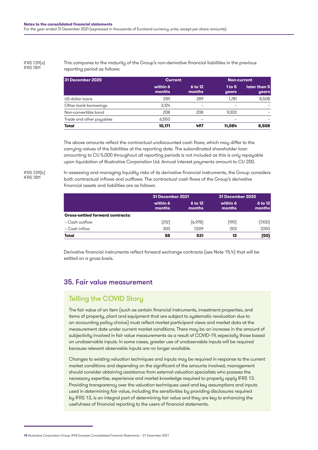#### IFRS 7.39(a) IFRS 7.B11

#### This compares to the maturity of the Group's non-derivative financial liabilities in the previous reporting period as follows:

| 31 December 2020         |                    | <b>Current</b>    |                   | <b>Non-current</b>    |  |
|--------------------------|--------------------|-------------------|-------------------|-----------------------|--|
|                          | within 6<br>months | 6 to 12<br>months | 1 to $5$<br>years | later than 5<br>years |  |
| US-dollar loans          | 289                | 289               | 1.781             | 8,508                 |  |
| Other bank borrowings    | 3.124              |                   |                   |                       |  |
| Non-convertible bond     | 208                | 208               | 9.303             |                       |  |
| Trade and other payables | 6,550              |                   |                   |                       |  |
| Total                    | 10,171             | 497               | 11,084            | 8,508                 |  |

The above amounts reflect the contractual undiscounted cash flows, which may differ to the carrying values of the liabilities at the reporting date. The subordinated shareholder loan amounting to CU 5,000 throughout all reporting periods is not included as this is only repayable upon liquidation of Illustrative Corporation Ltd. Annual interest payments amount to CU 200.

#### IFRS 7.39(b) IFRS 7.B11

In assessing and managing liquidity risks of its derivative financial instruments, the Group considers both contractual inflows and outflows. The contractual cash flows of the Group's derivative financial assets and liabilities are as follows:

|                                         | 31 December 2021   |                     | 31 December 2020   |                   |
|-----------------------------------------|--------------------|---------------------|--------------------|-------------------|
|                                         | within 6<br>months | $6$ to 12<br>months | within 6<br>months | 6 to 12<br>months |
| <b>Gross-settled forward contracts:</b> |                    |                     |                    |                   |
| - Cash outflow                          | (212)              | (6, 978)            | [190]              | (7,100)           |
| - Cash inflow                           | 300                | 7.509               | 203                | 7,050             |
| Total                                   | 88                 | 531                 | 13                 | (50)              |

Derivative financial instruments reflect forward exchange contracts (see Note 15.4) that will be settled on a gross basis.

# 35. Fair value measurement

# Telling the COVID Story

The fair value of an item (such as certain financial instruments, investment properties, and items of property, plant and equipment that are subject to systematic revaluation due to an accounting policy choice) must reflect market participant views and market data at the measurement date under current market conditions. There may be an increase in the amount of subjectivity involved in fair value measurements as a result of COVID-19, especially those based on unobservable inputs. In some cases, greater use of unobservable inputs will be required because relevant observable inputs are no longer available.

Changes to existing valuation techniques and inputs may be required in response to the current market conditions and depending on the significant of the amounts involved, management should consider obtaining assistance from external valuation specialists who possess the necessary expertise, experience and market knowledge required to properly apply IFRS 13. Providing transparency over the valuation techniques used and key assumptions and inputs used in determining fair value, including the sensitivities by providing disclosures required by IFRS 13, is an integral part of determining fair value and they are key to enhancing the usefulness of financial reporting to the users of financial statements.

<sup>98</sup> Illustrative Corporation Group: IFRS Example Consolidated Financial Statements – 31 December 2021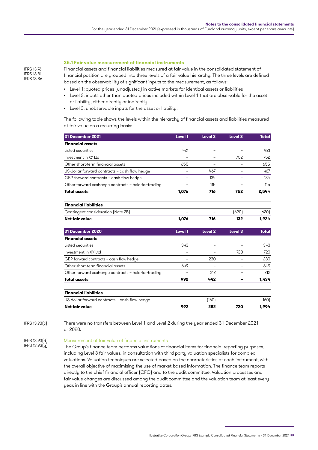#### **35.1 Fair value measurement of financial instruments**

Financial assets and financial liabilities measured at fair value in the consolidated statement of financial position are grouped into three levels of a fair value hierarchy. The three levels are defined based on the observability of significant inputs to the measurement, as follows:

- Level 1: quoted prices (unadjusted) in active markets for identical assets or liabilities
- Level 2: inputs other than quoted prices included within Level 1 that are observable for the asset or liability, either directly or indirectly
- Level 3: unobservable inputs for the asset or liability.

The following table shows the levels within the hierarchy of financial assets and liabilities measured at fair value on a recurring basis:

| 31 December 2021                                    | Level 1                  | Level <sub>2</sub>       | Level <sub>3</sub> | <b>Total</b> |
|-----------------------------------------------------|--------------------------|--------------------------|--------------------|--------------|
| <b>Financial assets</b>                             |                          |                          |                    |              |
| Listed securities                                   | 421                      | $\overline{\phantom{0}}$ |                    | 421          |
| Investment in XY Ltd                                |                          |                          | 752                | 752          |
| Other short-term financial assets                   | 655                      |                          |                    | 655          |
| US-dollar forward contracts - cash flow hedge       |                          | 467                      |                    | 467          |
| GBP forward contracts - cash flow hedge             | -                        | 134                      |                    | 134          |
| Other forward exchange contracts - held-for-trading | ۰                        | 115                      |                    | 115          |
| <b>Total assets</b>                                 | 1,076                    | 716                      | 752                | 2,544        |
| <b>Financial liabilities</b>                        |                          |                          |                    |              |
| Contingent consideration (Note 25)                  |                          |                          | (620)              | (620)        |
| Net fair value                                      | 1,076                    | 716                      | 132                | 1,924        |
| 31 December 2020                                    | Level 1                  | Level <sub>2</sub>       | Level 3            | <b>Total</b> |
| <b>Financial assets</b>                             |                          |                          |                    |              |
| Listed securities                                   | 343                      |                          |                    | 343          |
| Investment in XY Ltd                                | $\overline{\phantom{0}}$ |                          | 720                | 720          |
| GBP forward contracts - cash flow hedge             | $\equiv$                 | 230                      |                    | 230          |
| Other short-term financial assets                   | 649                      |                          |                    | 649          |
| Other forward exchange contracts - held-for-trading |                          | 212                      |                    | 212          |
| <b>Total assets</b>                                 | 992                      | 442                      |                    | 1,434        |
| <b>Financial liabilities</b>                        |                          |                          |                    |              |
| US-dollar forward contracts - cash flow hedge       |                          | [160]                    |                    | (160)        |
| Net fair value                                      | 992                      | 282                      | 720                | 1,994        |

There were no transfers between Level 1 and Level 2 during the year ended 31 December 2021 or 2020. IFRS 13.93(c)

#### Measurement of fair value of financial instruments IFRS 13.93(d) IFRS 13.93(g)

The Group's finance team performs valuations of financial items for financial reporting purposes, including Level 3 fair values, in consultation with third party valuation specialists for complex valuations. Valuation techniques are selected based on the characteristics of each instrument, with the overall objective of maximising the use of market-based information. The finance team reports directly to the chief financial officer (CFO) and to the audit committee. Valuation processes and fair value changes are discussed among the audit committee and the valuation team at least every year, in line with the Group's annual reporting dates.

IFRS 13.76 IFRS 13.81 IFRS 13.86

Illustrative Corporation Group: IFRS Example Consolidated Financial Statements – 31 December 2021 99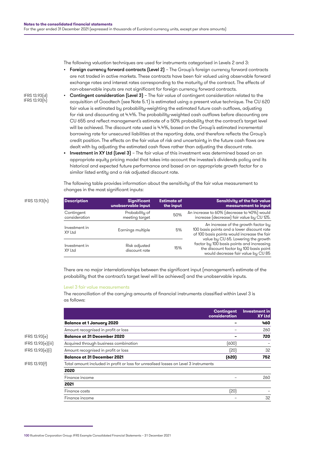The following valuation techniques are used for instruments categorised in Levels 2 and 3:

- Foreign currency forward contracts (Level 2) The Group's foreign currency forward contracts are not traded in active markets. These contracts have been fair valued using observable forward exchange rates and interest rates corresponding to the maturity of the contract. The effects of non-observable inputs are not significant for foreign currency forward contracts.
- Contingent consideration (Level 3) The fair value of contingent consideration related to the acquisition of Goodtech (see Note 5.1) is estimated using a present value technique. The CU 620 fair value is estimated by probability-weighting the estimated future cash outflows, adjusting for risk and discounting at 4.4%. The probability-weighted cash outflows before discounting are CU 655 and reflect management's estimate of a 50% probability that the contract's target level will be achieved. The discount rate used is 4.4%, based on the Group's estimated incremental borrowing rate for unsecured liabilities at the reporting date, and therefore reflects the Group's credit position. The effects on the fair value of risk and uncertainty in the future cash flows are dealt with by adjusting the estimated cash flows rather than adjusting the discount rate.
	- **•** Investment in XY Ltd (Level 3) The fair value of this investment was determined based on an appropriate equity pricing model that takes into account the investee's dividends policy and its historical and expected future performance and based on an appropriate growth factor for a similar listed entity and a risk adjusted discount rate.

The following table provides information about the sensitivity of the fair value measurement to changes in the most significant inputs:

| <b>Description</b>      | <b>Significant</b>             | <b>Estimate of</b> | Sensitivity of the fair value                                                                                                                                    |
|-------------------------|--------------------------------|--------------------|------------------------------------------------------------------------------------------------------------------------------------------------------------------|
|                         | unobservable input             | the input          | measurement to input                                                                                                                                             |
| Contingent              | Probability of                 | 50%                | An increase to 60% (decrease to 40%) would                                                                                                                       |
| consideration           | meeting target                 |                    | increase (decrease) fair value by CU 125.                                                                                                                        |
| Investment in<br>XY Ltd | Earnings multiple              | 5%                 | An increase of the growth factor by<br>100 basis points and a lower discount rate<br>of 100 basis points would increase the fair                                 |
| Investment in<br>XY Ltd | Risk adjusted<br>discount rate | 15%                | value by CU 65. Lowering the growth<br>factor by 100 basis points and increasing<br>the discount factor by 100 basis point<br>would decrease fair value by CU 85 |

There are no major interrelationships between the significant input (management's estimate of the probability that the contract's target level will be achieved) and the unobservable inputs.

#### Level 3 fair value measurements

The reconciliation of the carrying amounts of financial instruments classified within Level 3 is as follows:

|                    |                                                                                      | <b>Contingent</b><br>consideration | <b>Investment in</b><br><b>XY Ltd</b> |
|--------------------|--------------------------------------------------------------------------------------|------------------------------------|---------------------------------------|
|                    | <b>Balance at 1 January 2020</b>                                                     |                                    | 460                                   |
|                    | Amount recognised in profit or loss                                                  |                                    | 260                                   |
| IFRS 13.93(e)      | <b>Balance at 31 December 2020</b>                                                   |                                    | 720                                   |
| IFRS 13.93(e)(iii) | Acquired through business combination                                                | (600)                              |                                       |
| IFRS 13.93(e)(i)   | Amount recognised in profit or loss                                                  | (20)                               | 32                                    |
|                    | <b>Balance at 31 December 2021</b>                                                   | (620)                              | 752                                   |
| IFRS 13.93(f)      | Total amount included in profit or loss for unrealised losses on Level 3 instruments |                                    |                                       |
|                    | 2020                                                                                 |                                    |                                       |
|                    | Finance income                                                                       |                                    | 260                                   |
|                    | 2021                                                                                 |                                    |                                       |
|                    | Finance costs                                                                        | (20)                               |                                       |
|                    | Finance income                                                                       |                                    | 32                                    |
|                    |                                                                                      |                                    |                                       |

IFRS 13.93(d) IFRS 13.93(h)

IFRS 13.93(h) **Description Significant** 

<sup>100</sup> Illustrative Corporation Group: IFRS Example Consolidated Financial Statements – 31 December 2021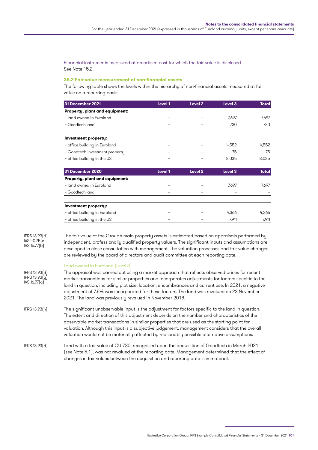Financial instruments measured at amortised cost for which the fair value is disclosed See Note 15.2.

#### **35.2 Fair value measurement of non-financial assets**

The following table shows the levels within the hierarchy of non-financial assets measured at fair value on a recurring basis:

| 31 December 2021               | Level 1 | Level <sub>2</sub> | Level 3 | <b>Total</b> |
|--------------------------------|---------|--------------------|---------|--------------|
| Property, plant and equipment: |         |                    |         |              |
| - land owned in Euroland       |         |                    | 7,697   | 7,697        |
| - Goodtech land                |         |                    | 730     | 730          |
| Investment property:           |         |                    |         |              |
| - office building in Euroland  |         |                    | 4,552   | 4,552        |
| - Goodtech investment property |         |                    | 75      | 75           |
| - office building in the US    |         |                    | 8,035   | 8,035        |
| 31 December 2020               | Level 1 | Level <sub>2</sub> | Level 3 | <b>Total</b> |
| Property, plant and equipment: |         |                    |         |              |
| - land owned in Euroland       |         |                    | 7,697   | 7,697        |
| - Goodtech land                |         |                    |         |              |
| Investment property:           |         |                    |         |              |
| - office building in Euroland  |         |                    | 4,366   | 4,366        |
| - office building in the US    |         |                    | 7,911   | 7,911        |

IFRS 13.93(d) IAS 40.75(e) IAS  $16.77(b)$ 

The fair value of the Group's main property assets is estimated based on appraisals performed by independent, professionally qualified property valuers. The significant inputs and assumptions are developed in close consultation with management. The valuation processes and fair value changes are reviewed by the board of directors and audit committee at each reporting date.

#### Land owned in Euroland (Level 3)

| IFRS 13.93[d]<br>IFRS 13.93(g)<br>IAS $16.77(a)$ | The appraisal was carried out using a market approach that reflects observed prices for recent<br>market transactions for similar properties and incorporates adjustments for factors specific to the<br>land in question, including plot size, location, encumbrances and current use. In 2021, a negative<br>adjustment of 7.5% was incorporated for these factors. The land was revalued on 23 November<br>2021. The land was previously revalued in November 2018.                              |
|--------------------------------------------------|-----------------------------------------------------------------------------------------------------------------------------------------------------------------------------------------------------------------------------------------------------------------------------------------------------------------------------------------------------------------------------------------------------------------------------------------------------------------------------------------------------|
| IFRS 13.93(h)                                    | The significant unobservable input is the adjustment for factors specific to the land in question.<br>The extent and direction of this adjustment depends on the number and characteristics of the<br>observable market transactions in similar properties that are used as the starting point for<br>valuation. Although this input is a subjective judgement, management considers that the overall<br>valuation would not be materially affected by reasonably possible alternative assumptions. |
| IFRS 13.93(d)                                    | Land with a fair value of CU 730, recognised upon the acquisition of Goodtech in March 2021<br>(see Note 5.1), was not revalued at the reporting date. Management determined that the effect of<br>changes in fair values between the acquisition and reporting date is immaterial.                                                                                                                                                                                                                 |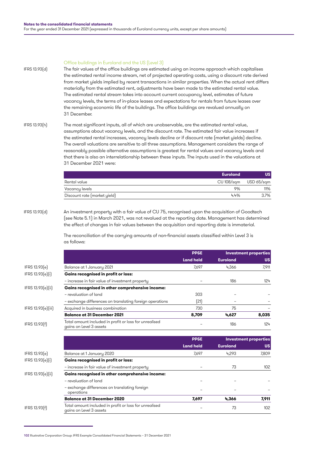#### Office buildings in Euroland and the US (Level 3)

The fair values of the office buildings are estimated using an income approach which capitalises the estimated rental income stream, net of projected operating costs, using a discount rate derived from market yields implied by recent transactions in similar properties. When the actual rent differs materially from the estimated rent, adjustments have been made to the estimated rental value. The estimated rental stream takes into account current occupancy level, estimates of future vacancy levels, the terms of in-place leases and expectations for rentals from future leases over the remaining economic life of the buildings. The office buildings are revalued annually on 31 December. IFRS 13.93(d)

IFRS 13.93(h)

The most significant inputs, all of which are unobservable, are the estimated rental value, assumptions about vacancy levels, and the discount rate. The estimated fair value increases if the estimated rental increases, vacancy levels decline or if discount rate (market yields) decline. The overall valuations are sensitive to all three assumptions. Management considers the range of reasonably possible alternative assumptions is greatest for rental values and vacancy levels and that there is also an interrelationship between these inputs. The inputs used in the valuations at 31 December 2021 were:

|                              | <b>Euroland</b>       | บร   |
|------------------------------|-----------------------|------|
| Rental value                 | CU 108/sqm USD 65/sqm |      |
| Vacancy levels               | 9%                    | 11%  |
| Discount rate (market yield) | 4.4%                  | 3.7% |

#### IFRS 13.93(d)

An investment property with a fair value of CU 75, recognised upon the acquisition of Goodtech (see Note 5.1) in March 2021, was not revalued at the reporting date. Management has determined the effect of changes in fair values between the acquisition and reporting date is immaterial.

The reconciliation of the carrying amounts of non-financial assets classified within Level 3 is as follows:

|                    |                                                                                   | <b>PP&amp;E</b><br><b>Land held</b> | <b>Investment properties</b> |           |
|--------------------|-----------------------------------------------------------------------------------|-------------------------------------|------------------------------|-----------|
|                    |                                                                                   |                                     | <b>Euroland</b>              | <b>US</b> |
| IFRS 13.93(e)      | Balance at 1 January 2021                                                         | 7,697                               | 4,366                        | 7,911     |
| IFRS 13.93(e)(i)   | <b>Gains recognised in profit or loss:</b>                                        |                                     |                              |           |
|                    | - increase in fair value of investment property                                   |                                     | 186                          | 124       |
| IFRS 13.93[e][ii]  | Gains recognised in other comprehensive income:                                   |                                     |                              |           |
|                    | - revaluation of land                                                             | 303                                 |                              |           |
|                    | - exchange differences on translating foreign operations                          | (21)                                |                              |           |
| IFRS 13.93(e)[iii] | Acquired in business combination                                                  | 730                                 | 75                           |           |
|                    | <b>Balance at 31 December 2021</b>                                                | 8,709                               | 4,627                        | 8,035     |
| IFRS 13.93(f)      | Total amount included in profit or loss for unrealised<br>gains on Level 3 assets |                                     | 186                          | 124       |
|                    |                                                                                   | <b>PP&amp;E</b>                     | <b>Investment properties</b> |           |
|                    |                                                                                   | <b>Land held</b>                    | <b>Euroland</b>              | <b>US</b> |
| IFRS 13.93(e)      | Balance at 1 January 2020                                                         | 7,697                               | 4,293                        | 7,809     |
| IFRS 13.93(e)(i)   | <b>Gains recognised in profit or loss:</b>                                        |                                     |                              |           |
|                    | - increase in fair value of investment property                                   |                                     | 73                           | 102       |
| IFRS 13.93(e)(ii)  | Gains recognised in other comprehensive income:                                   |                                     |                              |           |
|                    | - revaluation of land                                                             |                                     |                              |           |
|                    | - exchange differences on translating foreign<br>operations                       |                                     |                              |           |
|                    | <b>Balance at 31 December 2020</b>                                                | 7,697                               | 4.366                        | 7,911     |
| IFRS 13.93(f)      | Total amount included in profit or loss for unrealised<br>gains on Level 3 assets |                                     | 73                           | 102       |

<sup>102</sup> Illustrative Corporation Group: IFRS Example Consolidated Financial Statements – 31 December 2021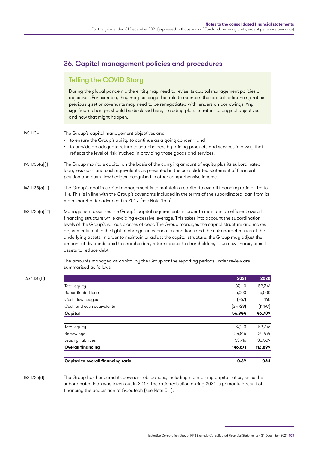# 36. Capital management policies and procedures

# Telling the COVID Story

During the global pandemic the entity may need to revise its capital management policies or objectives. For example, they may no longer be able to maintain the capital-to-financing ratios previously set or covenants may need to be renegotiated with lenders on borrowings. Any significant changes should be disclosed here, including plans to return to original objectives and how that might happen.

|                   | <b>Capital-to-overall financing ratio</b>                                                                                                                                                                                                                                                                                                                                                                                                                                                                                                          |           |  |  |
|-------------------|----------------------------------------------------------------------------------------------------------------------------------------------------------------------------------------------------------------------------------------------------------------------------------------------------------------------------------------------------------------------------------------------------------------------------------------------------------------------------------------------------------------------------------------------------|-----------|--|--|
|                   | 0.39                                                                                                                                                                                                                                                                                                                                                                                                                                                                                                                                               | 0.41      |  |  |
|                   | <b>Overall financing</b><br>146,671                                                                                                                                                                                                                                                                                                                                                                                                                                                                                                                | 112,899   |  |  |
|                   | 33,716<br>Leasing liabilities                                                                                                                                                                                                                                                                                                                                                                                                                                                                                                                      | 35,509    |  |  |
|                   | 25,815<br>Borrowings                                                                                                                                                                                                                                                                                                                                                                                                                                                                                                                               | 24,644    |  |  |
|                   | 87,140<br>Total equity                                                                                                                                                                                                                                                                                                                                                                                                                                                                                                                             | 52,746    |  |  |
|                   |                                                                                                                                                                                                                                                                                                                                                                                                                                                                                                                                                    |           |  |  |
|                   | 56,944<br>Capital                                                                                                                                                                                                                                                                                                                                                                                                                                                                                                                                  | 46,709    |  |  |
|                   | (34,729)<br>Cash and cash equivalents                                                                                                                                                                                                                                                                                                                                                                                                                                                                                                              | [11, 197] |  |  |
|                   | (467)<br>Cash flow hedges                                                                                                                                                                                                                                                                                                                                                                                                                                                                                                                          | 160       |  |  |
|                   | Subordinated loan<br>5,000                                                                                                                                                                                                                                                                                                                                                                                                                                                                                                                         | 5,000     |  |  |
|                   | Total equity<br>87,140                                                                                                                                                                                                                                                                                                                                                                                                                                                                                                                             | 52,746    |  |  |
| IAS 1.135(b)      | 2021                                                                                                                                                                                                                                                                                                                                                                                                                                                                                                                                               | 2020      |  |  |
|                   | The amounts managed as capital by the Group for the reporting periods under review are<br>summarised as follows:                                                                                                                                                                                                                                                                                                                                                                                                                                   |           |  |  |
|                   | financing structure while avoiding excessive leverage. This takes into account the subordination<br>levels of the Group's various classes of debt. The Group manages the capital structure and makes<br>adjustments to it in the light of changes in economic conditions and the risk characteristics of the<br>underlying assets. In order to maintain or adjust the capital structure, the Group may adjust the<br>amount of dividends paid to shareholders, return capital to shareholders, issue new shares, or sell<br>assets to reduce debt. |           |  |  |
| IAS 1.135(a)(iii) | Management assesses the Group's capital requirements in order to maintain an efficient overall                                                                                                                                                                                                                                                                                                                                                                                                                                                     |           |  |  |
| IAS 1.135(a)(ii)  | The Group's goal in capital management is to maintain a capital-to-overall financing ratio of 1:6 to<br>1:4. This is in line with the Group's covenants included in the terms of the subordinated loan from its<br>main shareholder advanced in 2017 (see Note 15.5).                                                                                                                                                                                                                                                                              |           |  |  |
| IAS 1.135(a)(i)   | The Group monitors capital on the basis of the carrying amount of equity plus its subordinated<br>loan, less cash and cash equivalents as presented in the consolidated statement of financial<br>position and cash flow hedges recognised in other comprehensive income.                                                                                                                                                                                                                                                                          |           |  |  |
| IAS 1.134         | The Group's capital management objectives are:<br>to ensure the Group's ability to continue as a going concern, and<br>to provide an adequate return to shareholders by pricing products and services in a way that<br>reflects the level of risk involved in providing those goods and services.                                                                                                                                                                                                                                                  |           |  |  |

IAS 1.135(d)

The Group has honoured its covenant obligations, including maintaining capital ratios, since the subordinated loan was taken out in 2017. The ratio-reduction during 2021 is primarily a result of financing the acquisition of Goodtech (see Note 5.1).

Illustrative Corporation Group: IFRS Example Consolidated Financial Statements – 31 December 2021 103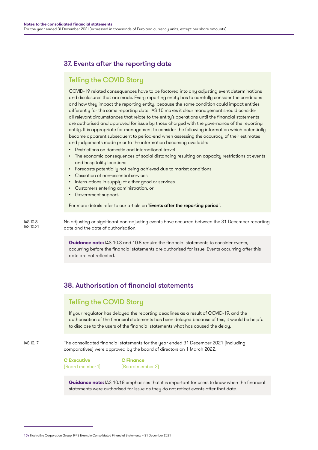# 37. Events after the reporting date

## Telling the COVID Story

COVID-19 related consequences have to be factored into any adjusting event determinations and disclosures that are made. Every reporting entity has to carefully consider the conditions and how they impact the reporting entity, because the same condition could impact entities differently for the same reporting date. IAS 10 makes it clear management should consider all relevant circumstances that relate to the entity's operations until the financial statements are authorised and approved for issue by those charged with the governance of the reporting entity. It is appropriate for management to consider the following information which potentially became apparent subsequent to period-end when assessing the accuracy of their estimates and judgements made prior to the information becoming available:

- Restrictions on domestic and international travel
- The economic consequences of social distancing resulting on capacity restrictions at events and hospitality locations
- Forecasts potentially not being achieved due to market conditions
- Cessation of non-essential services
- Interruptions in supply of either good or services
- Customers entering administration, or
- Government support.

For more details refer to our article on '[Events after the reporting period](https://www.grantthornton.global/en/insights/supporting-you-to-navigate-the-impact-of-covid-19/ifrs---Events-after-the-reporting-period/?hubId=1552909)'.

No adjusting or significant non-adjusting events have occurred between the 31 December reporting date and the date of authorisation. IAS 10.21

> **Guidance note:** IAS 10.3 and 10.8 require the financial statements to consider events, occurring before the financial statements are authorised for issue. Events occurring after this date are not reflected.

## 38. Authorisation of financial statements

## Telling the COVID Story

If your regulator has delayed the reporting deadlines as a result of COVID-19, and the authorisation of the financial statements has been delayed because of this, it would be helpful to disclose to the users of the financial statements what has caused the delay.

IAS 10.17

IAS 10.8

The consolidated financial statements for the year ended 31 December 2021 (including comparatives) were approved by the board of directors on 1 March 2022.

**C Executive C Finance** (Board member 1) (Board member 2)

**Guidance note:** IAS 10.18 emphasises that it is important for users to know when the financial statements were authorised for issue as they do not reflect events after that date.

<sup>104</sup> Illustrative Corporation Group: IFRS Example Consolidated Financial Statements – 31 December 2021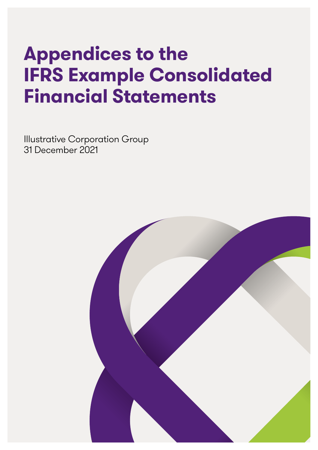# **Appendices to the IFRS Example Consolidated Financial Statements**

Illustrative Corporation Group 31 December 2021

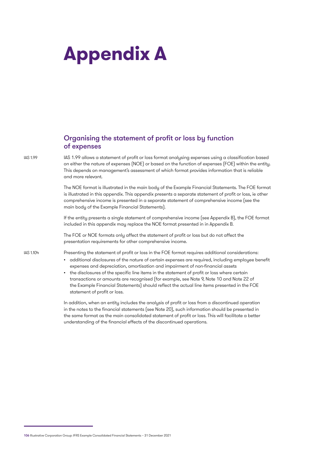# **Appendix A**

## Organising the statement of profit or loss by function of expenses

IAS 1.99

IAS 1.104

IAS 1.99 allows a statement of profit or loss format analysing expenses using a classification based on either the nature of expenses (NOE) or based on the function of expenses (FOE) within the entity. This depends on management's assessment of which format provides information that is reliable and more relevant.

The NOE format is illustrated in the main body of the Example Financial Statements. The FOE format is illustrated in this appendix. This appendix presents a separate statement of profit or loss, ie other comprehensive income is presented in a separate statement of comprehensive income (see the main body of the Example Financial Statements).

If the entity presents a single statement of comprehensive income (see Appendix B), the FOE format included in this appendix may replace the NOE format presented in in Appendix B.

The FOE or NOE formats only affect the statement of profit or loss but do not affect the presentation requirements for other comprehensive income.

Presenting the statement of profit or loss in the FOE format requires additional considerations:

- additional disclosures of the nature of certain expenses are required, including employee benefit expenses and depreciation, amortisation and impairment of non-financial assets
- the disclosures of the specific line items in the statement of profit or loss where certain transactions or amounts are recognised (for example, see Note 9, Note 10 and Note 22 of the Example Financial Statements) should reflect the actual line items presented in the FOE statement of profit or loss.

In addition, when an entity includes the analysis of profit or loss from a discontinued operation in the notes to the financial statements (see Note 20), such information should be presented in the same format as the main consolidated statement of profit or loss. This will facilitate a better understanding of the financial effects of the discontinued operations.

<sup>106</sup> Illustrative Corporation Group: IFRS Example Consolidated Financial Statements – 31 December 2021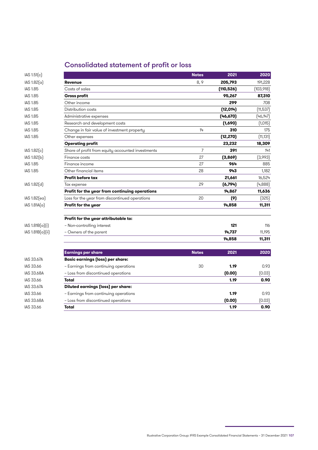### Consolidated statement of profit or loss

| IAS 1.51[c]              |                                                   | <b>Notes</b>   | 2021       | 2020      |
|--------------------------|---------------------------------------------------|----------------|------------|-----------|
| IAS 1.82(a)              | Revenue                                           | 8,9            | 205,793    | 191,228   |
| <b>IAS 1.85</b>          | Costs of sales                                    |                | (110, 526) | [103,918] |
| <b>IAS 1.85</b>          | <b>Gross profit</b>                               |                | 95,267     | 87,310    |
| <b>IAS 1.85</b>          | Other income                                      |                | 299        | 708       |
| <b>IAS 1.85</b>          | Distribution costs                                |                | (12, 014)  | (11,537)  |
| <b>IAS 1.85</b>          | Administrative expenses                           |                | (46, 670)  | (46, 147) |
| <b>IAS 1.85</b>          | Research and development costs                    |                | (1,690)    | (1,015)   |
| <b>IAS 1.85</b>          | Change in fair value of investment property       | 14             | 310        | 175       |
| <b>IAS 1.85</b>          | Other expenses                                    |                | (12, 270)  | (11, 131) |
|                          | <b>Operating profit</b>                           |                | 23,232     | 18,309    |
| IAS 1.82[c]              | Share of profit from equity accounted investments | $\overline{7}$ | 391        | 141       |
| IAS 1.82(b)              | Finance costs                                     | 27             | (3,869)    | [3,993]   |
| <b>IAS 1.85</b>          | Finance income                                    | 27             | 964        | 885       |
| <b>IAS 1.85</b>          | Other financial items                             | 28             | 943        | 1,182     |
|                          | Profit before tax                                 |                | 21,661     | 16,524    |
| IAS 1.82[d]              | Tax expense                                       | 29             | (6,794)    | (4,888)   |
|                          | Profit for the year from continuing operations    |                | 14,867     | 11,636    |
| IAS 1.82[ea]             | Loss for the year from discontinued operations    | 20             | (9)        | (325)     |
| IAS 1.81A <sub>[a]</sub> | Profit for the year                               |                | 14,858     | 11,311    |
|                          | Profit for the year attributable to:              |                |            |           |
| IAS 1.81B(a)(i)          | - Non-controlling interest                        |                | 121        | 116       |
| IAS 1.81B(a)(ii)         | - Owners of the parent                            |                | 14,737     | 11,195    |
|                          |                                                   |                | 14,858     | 11,311    |
|                          |                                                   |                |            |           |

| IAS 1.82(a)         | Revenue                                           | 8, 9           | 205,793    | 191,228   |
|---------------------|---------------------------------------------------|----------------|------------|-----------|
| IAS 1.85            | Costs of sales                                    |                | (110, 526) | (103,918) |
| <b>IAS 1.85</b>     | <b>Gross profit</b>                               |                | 95,267     | 87,310    |
| <b>IAS 1.85</b>     | Other income                                      |                | 299        | 708       |
| <b>IAS 1.85</b>     | Distribution costs                                |                | (12, 014)  | [11,537]  |
| <b>IAS 1.85</b>     | Administrative expenses                           |                | (46, 670)  | [46,147]  |
| <b>IAS 1.85</b>     | Research and development costs                    |                | (1,690)    | (1,015)   |
| <b>IAS 1.85</b>     | Change in fair value of investment property       | 14             | 310        | 175       |
| <b>IAS 1.85</b>     | Other expenses                                    |                | (12, 270)  | (11, 131) |
|                     | <b>Operating profit</b>                           |                | 23,232     | 18,309    |
| IAS 1.82(c)         | Share of profit from equity accounted investments | $\overline{7}$ | 391        | 141       |
| IAS 1.82(b)         | Finance costs                                     | 27             | (3,869)    | [3,993]   |
| <b>IAS 1.85</b>     | Finance income                                    | 27             | 964        | 885       |
| <b>IAS 1.85</b>     | Other financial items                             | 28             | 943        | 1,182     |
|                     | <b>Profit before tax</b>                          |                | 21,661     | 16,524    |
| IAS 1.82[d]         | Tax expense                                       | 29             | (6,794)    | (4,888)   |
|                     | Profit for the year from continuing operations    |                | 14,867     | 11,636    |
| IAS 1.82[ea]        | Loss for the year from discontinued operations    | 20             | (9)        | (325)     |
| $IAS 1.81A(\alpha)$ | Profit for the year                               |                | 14,858     | 11,311    |
|                     | Profit for the year attributable to:              |                |            |           |
| IAS 1.81B(a)[i]     | - Non-controlling interest                        |                | 121        | 116       |
| IAS 1.81B(a)(ii)    | - Owners of the parent                            |                | 14,737     | 11,195    |
|                     |                                                   |                | 14,858     | 11,311    |
|                     | <b>Earnings per share</b>                         | <b>Notes</b>   | 2021       | 2020      |
| <b>IAS 33.67A</b>   | <b>Basic earnings (loss) per share:</b>           |                |            |           |
| <b>IAS 33.66</b>    | - Earnings from continuing operations             | 30             | 1.19       | 0.93      |
| <b>IAS 33.68A</b>   | - Loss from discontinued operations               |                | (0.00)     | [0.03]    |
| <b>IAS 33.66</b>    | Total                                             |                | 1.19       | 0.90      |
| <b>IAS 33.67A</b>   | <b>Diluted earnings (loss) per share:</b>         |                |            |           |
| IAS 33.66           | - Earnings from continuing operations             |                | 1.19       | 0.93      |
| <b>IAS 33.68A</b>   | - Loss from discontinued operations               |                | (0.00)     | [0.03]    |
| <b>IAS 33.66</b>    | Total                                             |                | 1.19       | 0.90      |
|                     |                                                   |                |            |           |

Illustrative Corporation Group: IFRS Example Consolidated Financial Statements – 31 December 2021 107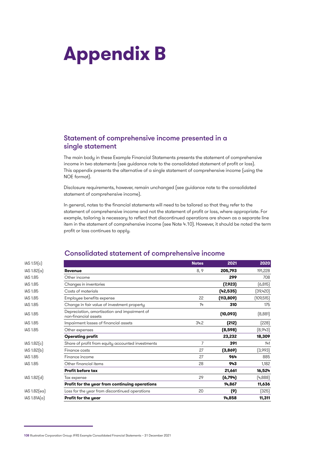# **Appendix B**

#### Statement of comprehensive income presented in a single statement

The main body in these Example Financial Statements presents the statement of comprehensive income in two statements (see guidance note to the consolidated statement of profit or loss). This appendix presents the alternative of a single statement of comprehensive income (using the NOE format).

Disclosure requirements, however, remain unchanged (see guidance note to the consolidated statement of comprehensive income).

In general, notes to the financial statements will need to be tailored so that they refer to the statement of comprehensive income and not the statement of profit or loss, where appropriate. For example, tailoring is necessary to reflect that discontinued operations are shown as a separate line item in the statement of comprehensive income (see Note 4.10). However, it should be noted the term profit or loss continues to apply.

| IAS 1.51[c]     |                                                                      | <b>Notes</b> | 2021       | 2020       |
|-----------------|----------------------------------------------------------------------|--------------|------------|------------|
| IAS 1.82(a)     | <b>Revenue</b>                                                       | 8, 9         | 205,793    | 191,228    |
| <b>IAS 1.85</b> | Other income                                                         |              | 299        | 708        |
| <b>IAS 1.85</b> | Changes in inventories                                               |              | (7, 923)   | (6, 815)   |
| <b>IAS 1.85</b> | Costs of materials                                                   |              | (42, 535)  | (39,420)   |
| <b>IAS 1.85</b> | Employee benefits expense                                            | 22           | (113, 809) | (109, 515) |
| <b>IAS 1.85</b> | Change in fair value of investment property                          | 14           | 310        | 175        |
| <b>IAS 1.85</b> | Depreciation, amortisation and impairment of<br>non-financial assets |              | (10, 093)  | (8,881)    |
| <b>IAS 1.85</b> | Impairment losses of financial assets                                | 34.2         | (212)      | (228)      |
| <b>IAS 1.85</b> | Other expenses                                                       |              | (8,598)    | [8,943]    |
|                 | <b>Operating profit</b>                                              |              | 23,232     | 18,309     |
| IAS 1.82[c]     | Share of profit from equity accounted investments                    | 7            | 391        | 141        |
| IAS 1.82(b)     | Finance costs                                                        | 27           | (3,869)    | (3,993)    |
| <b>IAS 1.85</b> | Finance income                                                       | 27           | 964        | 885        |
| <b>IAS 1.85</b> | Other financial items                                                | 28           | 943        | 1,182      |
|                 | <b>Profit before tax</b>                                             |              | 21,661     | 16,524     |
| IAS 1.82[d]     | Tax expense                                                          | 29           | (6,794)    | [4,888]    |
|                 | Profit for the year from continuing operations                       |              | 14,867     | 11,636     |
| IAS 1.82[ea]    | Loss for the year from discontinued operations                       | 20           | (9)        | (325)      |
| IAS 1.81A(a)    | Profit for the year                                                  |              | 14,858     | 11,311     |

#### Consolidated statement of comprehensive income

<sup>108</sup> Illustrative Corporation Group: IFRS Example Consolidated Financial Statements – 31 December 2021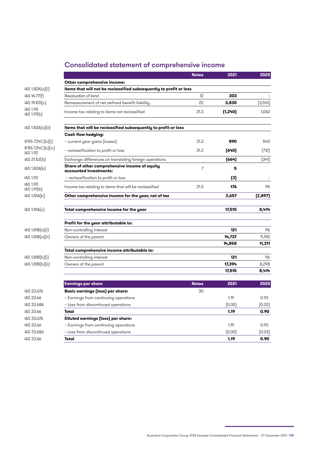### Consolidated statement of comprehensive income

|                                      |                                                                         | <b>Notes</b> | 2021     | 2020     |
|--------------------------------------|-------------------------------------------------------------------------|--------------|----------|----------|
|                                      | Other comprehensive income:                                             |              |          |          |
| IAS 1.82A(a)[i]                      | Items that will not be reclassified subsequently to profit or loss      |              |          |          |
| IAS 16.77(f)                         | Revaluation of land                                                     | 12           | 303      |          |
| IAS 19.120(c)                        | Remeasurement of net defined benefit liability                          | 22           | 3,830    | (3, 541) |
| <b>IAS 1.90</b><br>IAS 1.91(b)       | Income tax relating to items not reclassified                           | 21.3         | (1, 240) | 1,062    |
| $ AS 1.82A(\alpha)(ii) $             | Items that will be reclassified subsequently to profit or loss          |              |          |          |
|                                      | <b>Cash flow hedging:</b>                                               |              |          |          |
| IFRS 7.24C(b)[i]                     | - current year gains (losses)                                           | 21.3         | 890      | 540      |
| IFRS 7.24C(b)(iv)<br><b>IAS 1.92</b> | – reclassification to profit or loss                                    | 21.3         | (640)    | (712)    |
| IAS 21.52(b)                         | Exchange differences on translating foreign operations                  |              | (664)    | (341)    |
| IAS 1.82A(b)                         | Share of other comprehensive income of equity<br>accounted investments: | 7            | 5        |          |
| <b>IAS 1.92</b>                      | - reclassification to profit or loss                                    |              | (3)      |          |
| <b>IAS 1.90</b><br>IAS 1.91(b)       | Income tax relating to items that will be reclassified                  | 21.3         | 176      | 95       |
| IAS 1.81A(b)                         | Other comprehensive income for the year, net of tax                     |              | 2,657    | (2, 897) |
| IAS 1.81A[c]                         | Total comprehensive income for the year                                 |              | 17,515   | 8,414    |
|                                      | Profit for the year attributable to:                                    |              |          |          |
| $ AS 1.81B(\alpha) i $               | Non-controlling interest                                                |              | 121      | 116      |
| IAS 1.81B(a)(ii)                     | Owners of the parent                                                    |              | 14,737   | 11,195   |
|                                      |                                                                         |              | 14,858   | 11,311   |
|                                      | Total comprehensive income attributable to:                             |              |          |          |
| [AS 1.81B(b)]                        | Non-controlling interest                                                |              | 121      | 116      |
| IAS 1.81B(b)[ii]                     | Owners of the parent                                                    |              | 17,394   | 8,298    |
|                                      |                                                                         |              | 17,515   | 8,414    |
|                                      | <b>Earnings per share</b>                                               | <b>Notes</b> | 2021     | 2020     |
| <b>IAS 33.67A</b>                    | <b>Basic earnings (loss) per share:</b>                                 | 30           |          |          |
| IAS 33.66                            | - Earnings from continuing operations                                   |              | 1.19     | 0.93     |
| <b>IAS 33.68A</b>                    | - Loss from discontinued operations                                     |              | (0.00)   | [0.03]   |
| IAS 33.66                            | Total                                                                   |              | 1.19     | 0.90     |
| <b>IAS 33.67A</b>                    | Diluted earnings (loss) per share:                                      |              |          |          |
| IAS 33.66                            | - Earnings from continuing operations                                   |              | 1.19     | 0.93     |
| <b>IAS 33.68A</b>                    | - Loss from discontinued operations                                     |              | [0.00]   | (0.03)   |
| IAS 33.66                            | Total                                                                   |              | 1.19     | 0.90     |

Illustrative Corporation Group: IFRS Example Consolidated Financial Statements – 31 December 2021 109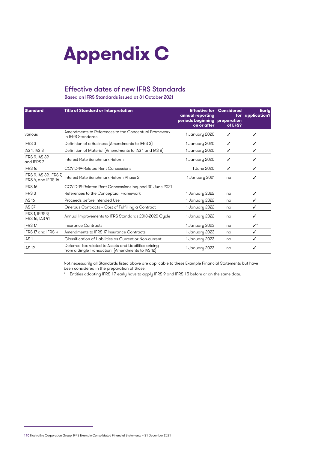# **Appendix C**

#### Effective dates of new IFRS Standards

Based on IFRS Standards issued at 31 October 2021

| <b>Standard</b>                                | <b>Title of Standard or Interpretation</b>                                                                  | <b>Effective for Considered</b><br>annual reporting<br>periods beginning preparation<br>on or after | for<br>of EFS? | <b>Early</b><br>application? |
|------------------------------------------------|-------------------------------------------------------------------------------------------------------------|-----------------------------------------------------------------------------------------------------|----------------|------------------------------|
| various                                        | Amendments to References to the Conceptual Framework<br>in IFRS Standards                                   | 1 January 2020                                                                                      | ✓              | J                            |
| IFRS <sub>3</sub>                              | Definition of a Business (Amendments to IFRS 3)                                                             | 1 January 2020                                                                                      | ✓              | ✓                            |
| IAS 1, IAS 8                                   | Definition of Material (Amendments to IAS 1 and IAS 8)                                                      | 1 January 2020                                                                                      | ✓              | ✓                            |
| IFRS 9, IAS 39<br>and IFRS 7                   | Interest Rate Benchmark Reform                                                                              | 1 January 2020                                                                                      | ℐ              | ✓                            |
| IFRS <sub>16</sub>                             | <b>COVID-19-Related Rent Concessions</b>                                                                    | 1 June 2020                                                                                         | ℐ              | ℐ                            |
| IFRS 9, IAS 39, IFRS 7,<br>IFRS 4, and IFRS 16 | Interest Rate Benchmark Reform Phase 2                                                                      | 1 January 2021                                                                                      | no             | ✓                            |
| IFRS <sub>16</sub>                             | COVID-19-Related Rent Concessions beyond 30 June 2021                                                       |                                                                                                     |                |                              |
| IFRS <sub>3</sub>                              | References to the Conceptual Framework                                                                      | 1 January 2022                                                                                      | no             | ✓                            |
| <b>IAS 16</b>                                  | Proceeds before Intended Use                                                                                | 1 January 2022                                                                                      | no             | ✓                            |
| IAS <sub>37</sub>                              | Onerous Contracts - Cost of Fulfilling a Contract                                                           | 1 January 2022                                                                                      | no             | ✓                            |
| IFRS 1, IFRS 9,<br>IFRS 16, IAS 41             | Annual Improvements to IFRS Standards 2018-2020 Cycle                                                       | 1 January 2022                                                                                      | no             | ✓                            |
| IFRS17                                         | Insurance Contracts                                                                                         | 1 January 2023                                                                                      | no             | $\boldsymbol{J}^{\star}$     |
| IFRS 17 and IFRS 4                             | Amendments to IFRS 17 Insurance Contracts                                                                   | 1 January 2023                                                                                      | no             | ✓                            |
| IAS <sub>1</sub>                               | Classification of Liabilities as Current or Non-current                                                     | 1 January 2023                                                                                      | no             | ✓                            |
| <b>IAS 12</b>                                  | Deferred Tax related to Assets and Liabilities arising<br>from a Single Transaction' (Amendments to IAS 12) | 1 January 2023                                                                                      | no             | ✓                            |

Not necessarily all Standards listed above are applicable to these Example Financial Statements but have been considered in the preparation of those.

\* Entities adopting IFRS 17 early have to apply IFRS 9 and IFRS 15 before or on the same date.

<sup>110</sup> Illustrative Corporation Group: IFRS Example Consolidated Financial Statements – 31 December 2021